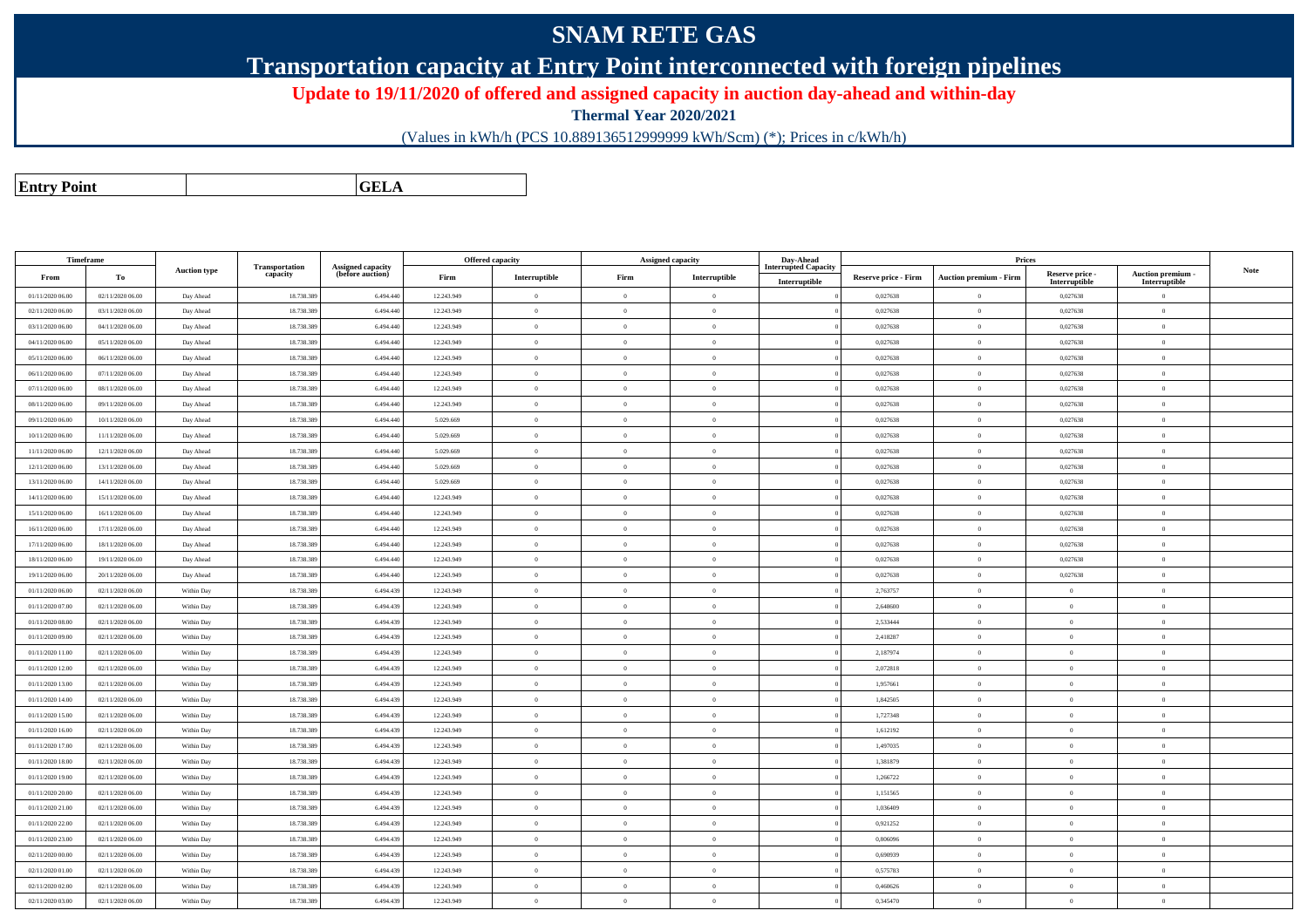## **SNAM RETE GAS**

**Transportation capacity at Entry Point interconnected with foreign pipelines**

**Update to 19/11/2020 of offered and assigned capacity in auction day-ahead and within-day**

**Thermal Year 2020/2021**

(Values in kWh/h (PCS 10.889136512999999 kWh/Scm) (\*); Prices in c/kWh/h)

**Entry PointGELA**

| Timeframe        |                  |                     |                            |                                              |            | <b>Offered capacity</b> |                | <b>Assigned capacity</b> | Day-Ahead                                    |                      | Prices                        |                                  |                                    |      |
|------------------|------------------|---------------------|----------------------------|----------------------------------------------|------------|-------------------------|----------------|--------------------------|----------------------------------------------|----------------------|-------------------------------|----------------------------------|------------------------------------|------|
| From             | To               | <b>Auction type</b> | Transportation<br>capacity | <b>Assigned capacity</b><br>(before auction) | Firm       | Interruptible           | Firm           | Interruptible            | <b>Interrupted Capacity</b><br>Interruptible | Reserve price - Firm | <b>Auction premium - Firm</b> | Reserve price -<br>Interruptible | Auction premium -<br>Interruptible | Note |
| 01/11/2020 06.00 | 02/11/2020 06.00 | Day Ahead           | 18.738.38                  | 6.494.440                                    | 12.243.949 | $\bf{0}$                | $\overline{0}$ | $\overline{0}$           |                                              | 0,027638             | $\overline{0}$                | 0,027638                         | $\overline{0}$                     |      |
| 02/11/2020 06:00 | 03/11/2020 06:00 | Day Ahead           | 18.738.389                 | 6.494.440                                    | 12.243.949 | $\,$ 0 $\,$             | $\overline{0}$ | $\overline{0}$           |                                              | 0,027638             | $\overline{0}$                | 0,027638                         | $\overline{0}$                     |      |
| 03/11/2020 06.00 | 04/11/2020 06.00 | Day Ahead           | 18.738.38                  | 6.494.440                                    | 12.243.949 | $\bf{0}$                | $\overline{0}$ | $\overline{0}$           |                                              | 0,027638             | $\overline{0}$                | 0,027638                         | $\overline{0}$                     |      |
| 04/11/2020 06.00 | 05/11/2020 06.00 | Day Ahead           | 18.738.389                 | 6.494.440                                    | 12.243.949 | $\overline{0}$          | $\overline{0}$ | $\overline{0}$           |                                              | 0,027638             | $\overline{0}$                | 0,027638                         | $\overline{0}$                     |      |
| 05/11/2020 06.00 | 06/11/2020 06:00 | Day Ahead           | 18.738.38                  | 6.494.440                                    | 12.243.949 | $\overline{0}$          | $\overline{0}$ | $\overline{0}$           |                                              | 0,027638             | $\overline{0}$                | 0,027638                         | $\overline{0}$                     |      |
| 06/11/2020 06:00 | 07/11/2020 06.00 | Day Ahead           | 18.738.389                 | 6.494.440                                    | 12.243.949 | $\overline{0}$          | $\overline{0}$ | $\overline{0}$           |                                              | 0,027638             | $\overline{0}$                | 0,027638                         | $\overline{0}$                     |      |
| 07/11/2020 06.00 | 08/11/2020 06:00 | Day Ahead           | 18.738.38                  | 6.494.440                                    | 12.243.949 | $\,$ 0                  | $\overline{0}$ | $\overline{0}$           |                                              | 0,027638             | $\overline{0}$                | 0,027638                         | $\overline{0}$                     |      |
| 08/11/2020 06.00 | 09/11/2020 06.00 | Day Ahead           | 18.738.389                 | 6.494.440                                    | 12.243.949 | $\Omega$                | $\Omega$       | $\theta$                 |                                              | 0,027638             | $\overline{0}$                | 0,027638                         | $\Omega$                           |      |
| 09/11/2020 06.00 | 10/11/2020 06:00 | Day Ahead           | 18.738.389                 | 6 494 440                                    | 5.029.669  | $\theta$                | $\theta$       | $\theta$                 |                                              | 0,027638             | $\overline{0}$                | 0,027638                         | $\overline{0}$                     |      |
| 10/11/2020 06:00 | 11/11/2020 06:00 | Day Ahead           | 18.738.389                 | 6.494.440                                    | 5.029.669  | $\,$ 0 $\,$             | $\overline{0}$ | $\overline{0}$           |                                              | 0,027638             | $\overline{0}$                | 0,027638                         | $\overline{0}$                     |      |
| 11/11/2020 06.00 | 12/11/2020 06:00 | Day Ahead           | 18.738.38                  | 6.494.440                                    | 5.029.669  | $\bf{0}$                | $\overline{0}$ | $\overline{0}$           |                                              | 0,027638             | $\overline{0}$                | 0,027638                         | $\bf{0}$                           |      |
| 12/11/2020 06.00 | 13/11/2020 06:00 | Day Ahead           | 18.738.389                 | 6.494.440                                    | 5.029.669  | $\bf{0}$                | $\overline{0}$ | $\overline{0}$           |                                              | 0,027638             | $\overline{0}$                | 0,027638                         | $\overline{0}$                     |      |
| 13/11/2020 06:00 | 14/11/2020 06.00 | Day Ahead           | 18.738.389                 | 6,494,440                                    | 5.029.669  | $\theta$                | $\overline{0}$ | $\Omega$                 |                                              | 0,027638             | $\overline{0}$                | 0,027638                         | $\overline{0}$                     |      |
| 14/11/2020 06.00 | 15/11/2020 06:00 | Day Ahead           | 18.738.389                 | 6.494.440                                    | 12.243.949 | $\overline{0}$          | $\overline{0}$ | $\overline{0}$           |                                              | 0,027638             | $\overline{0}$                | 0,027638                         | $\overline{0}$                     |      |
| 15/11/2020 06:00 | 16/11/2020 06.00 | Day Ahead           | 18.738.38                  | 6.494.440                                    | 12.243.949 | $\bf{0}$                | $\overline{0}$ | $\overline{0}$           |                                              | 0,027638             | $\overline{0}$                | 0,027638                         | $\bf{0}$                           |      |
| 16/11/2020 06:00 | 17/11/2020 06:00 | Day Ahead           | 18.738.389                 | 6.494.440                                    | 12.243.949 | $\theta$                | $\Omega$       | $\Omega$                 |                                              | 0,027638             | $\overline{0}$                | 0,027638                         | $\Omega$                           |      |
| 17/11/2020 06:00 | 18/11/2020 06:00 | Day Ahead           | 18.738.389                 | 6,494,440                                    | 12.243.949 | $\bf{0}$                | $\overline{0}$ | $\overline{0}$           |                                              | 0,027638             | $\bf{0}$                      | 0,027638                         | $\overline{0}$                     |      |
| 18/11/2020 06:00 | 19/11/2020 06:00 | Day Ahead           | 18.738.389                 | 6.494.440                                    | 12.243.949 | $\overline{0}$          | $\overline{0}$ | $\overline{0}$           |                                              | 0,027638             | $\overline{0}$                | 0,027638                         | $\overline{0}$                     |      |
| 19/11/2020 06:00 | 20/11/2020 06:00 | Day Ahead           | 18.738.389                 | 6.494.440                                    | 12.243.949 | $\overline{0}$          | $\overline{0}$ | $\overline{0}$           |                                              | 0,027638             | $\overline{0}$                | 0,027638                         | $\overline{0}$                     |      |
| 01/11/2020 06:00 | 02/11/2020 06:00 | Within Day          | 18.738.389                 | 6.494.439                                    | 12.243.949 | $\theta$                | $\overline{0}$ | $\Omega$                 |                                              | 2,763757             | $\bf{0}$                      | $\theta$                         | $\Omega$                           |      |
| 01/11/2020 07:00 | 02/11/2020 06.00 | Within Day          | 18.738.389                 | 6.494.439                                    | 12.243.949 | $\mathbf{0}$            | $\overline{0}$ | $\overline{0}$           |                                              | 2,648600             | $\overline{0}$                | $\overline{0}$                   | $\overline{0}$                     |      |
| 01/11/2020 08:00 | 02/11/2020 06:00 | Within Day          | 18,738,389                 | 6,494,439                                    | 12.243.949 | $\theta$                | $\theta$       | $\overline{0}$           |                                              | 2.533444             | $\overline{0}$                | $\Omega$                         | $\theta$                           |      |
| 01/11/2020 09:00 | 02/11/2020 06:00 | Within Day          | 18.738.389                 | 6.494.439                                    | 12.243.949 | $\theta$                | $\overline{0}$ | $\overline{0}$           |                                              | 2,418287             | $\overline{0}$                | $\overline{0}$                   | $\overline{0}$                     |      |
| 01/11/2020 11:00 | 02/11/2020 06:00 | Within Day          | 18.738.389                 | 6.494.439                                    | 12.243.949 | $\theta$                | $\Omega$       | $\Omega$                 |                                              | 2,187974             | $\theta$                      | $\theta$                         | $\Omega$                           |      |
| 01/11/2020 12:00 | 02/11/2020 06:00 | Within Day          | 18,738,389                 | 6.494.439                                    | 12.243.949 | $\overline{0}$          | $\overline{0}$ | $\overline{0}$           |                                              | 2.072818             | $\overline{0}$                | $\mathbf{0}$                     | $\overline{0}$                     |      |
| 01/11/2020 13:00 | 02/11/2020 06:00 | Within Day          | 18,738,389                 | 6,494,439                                    | 12.243.949 | $\theta$                | $\Omega$       | $\overline{0}$           |                                              | 1.957661             | $\bf{0}$                      | $\overline{0}$                   | $\theta$                           |      |
| 01/11/2020 14:00 | 02/11/2020 06:00 | Within Day          | 18,738,389                 | 6,494,439                                    | 12.243.949 | $\theta$                | $\Omega$       | $\overline{0}$           |                                              | 1.842505             | $\overline{0}$                | $\mathbf{0}$                     | $\theta$                           |      |
| 01/11/2020 15:00 | 02/11/2020 06.00 | Within Day          | 18.738.389                 | 6.494.439                                    | 12.243.949 | $\theta$                | $\overline{0}$ | $\overline{0}$           |                                              | 1,727348             | $\overline{0}$                | $\bf{0}$                         | $\mathbf{0}$                       |      |
| 01/11/2020 16:00 | 02/11/2020 06.00 | Within Day          | 18.738.389                 | 6.494.439                                    | 12.243.949 | $\overline{0}$          | $\overline{0}$ | $\overline{0}$           |                                              | 1,612192             | $\overline{0}$                | $\overline{0}$                   | $\overline{0}$                     |      |
| 01/11/2020 17:00 | 02/11/2020 06:00 | Within Day          | 18,738,389                 | 6,494,439                                    | 12.243.949 | $\theta$                | $\Omega$       | $\overline{0}$           |                                              | 1.497035             | $\overline{0}$                | $\mathbf{0}$                     | $\Omega$                           |      |
| 01/11/2020 18:00 | 02/11/2020 06:00 | Within Day          | 18.738.389                 | 6.494.439                                    | 12.243.949 | $\theta$                | $\overline{0}$ | $\overline{0}$           |                                              | 1,381879             | $\bf{0}$                      | $\bf{0}$                         | $\mathbf{0}$                       |      |
| 01/11/2020 19:00 | 02/11/2020 06:00 | Within Day          | 18.738.389                 | 6.494.439                                    | 12.243.949 | $\theta$                | $\Omega$       | $\overline{0}$           |                                              | 1,266722             | $\theta$                      | $\bf{0}$                         | $\Omega$                           |      |
| 01/11/2020 20:00 | 02/11/2020 06:00 | Within Day          | 18.738.389                 | 6.494.439                                    | 12.243.949 | $\overline{0}$          | $\overline{0}$ | $\overline{0}$           |                                              | 1,151565             | $\overline{0}$                | $\bf{0}$                         | $\overline{0}$                     |      |
| 01/11/2020 21:00 | 02/11/2020 06.00 | Within Day          | 18.738.38                  | 6.494.439                                    | 12.243.949 | $\overline{0}$          | $\overline{0}$ | $\overline{0}$           |                                              | 1,036409             | $\bf{0}$                      | $\bf{0}$                         | $\mathbf{0}$                       |      |
| 01/11/2020 22.00 | 02/11/2020 06:00 | Within Day          | 18.738.389                 | 6.494.439                                    | 12.243.949 | $\theta$                | $\overline{0}$ | $\overline{0}$           |                                              | 0,921252             | $\overline{0}$                | $\bf{0}$                         | $\mathbf{0}$                       |      |
| 01/11/2020 23:00 | 02/11/2020 06.00 | Within Day          | 18.738.389                 | 6.494.439                                    | 12.243.949 | $\theta$                | $\theta$       | $\overline{0}$           |                                              | 0,806096             | $\overline{0}$                | $\bf{0}$                         | $\mathbf{0}$                       |      |
| 02/11/2020 00:00 | 02/11/2020 06:00 | Within Day          | 18.738.389                 | 6.494.439                                    | 12.243.949 | $\overline{0}$          | $\overline{0}$ | $\overline{0}$           |                                              | 0,690939             | $\overline{0}$                | $\,$ 0 $\,$                      | $\overline{0}$                     |      |
| 02/11/2020 01:00 | 02/11/2020 06.00 | Within Day          | 18.738.38                  | 6.494.439                                    | 12.243.949 | $\bf{0}$                | $\overline{0}$ | $\overline{0}$           |                                              | 0,575783             | $\overline{0}$                | $\bf{0}$                         | $\mathbf{0}$                       |      |
| 02/11/2020 02.00 | 02/11/2020 06:00 | Within Day          | 18.738.389                 | 6.494.439                                    | 12.243.949 | $\theta$                | $\overline{0}$ | $\overline{0}$           |                                              | 0,460626             | $\overline{0}$                | $\bf{0}$                         | $\overline{0}$                     |      |
| 02/11/2020 03:00 | 02/11/2020 06.00 | Within Day          | 18.738.389                 | 6.494.439                                    | 12.243.949 | $\bf{0}$                | $\overline{0}$ | $\overline{0}$           |                                              | 0,345470             | $\overline{0}$                | $\bf{0}$                         | $\overline{0}$                     |      |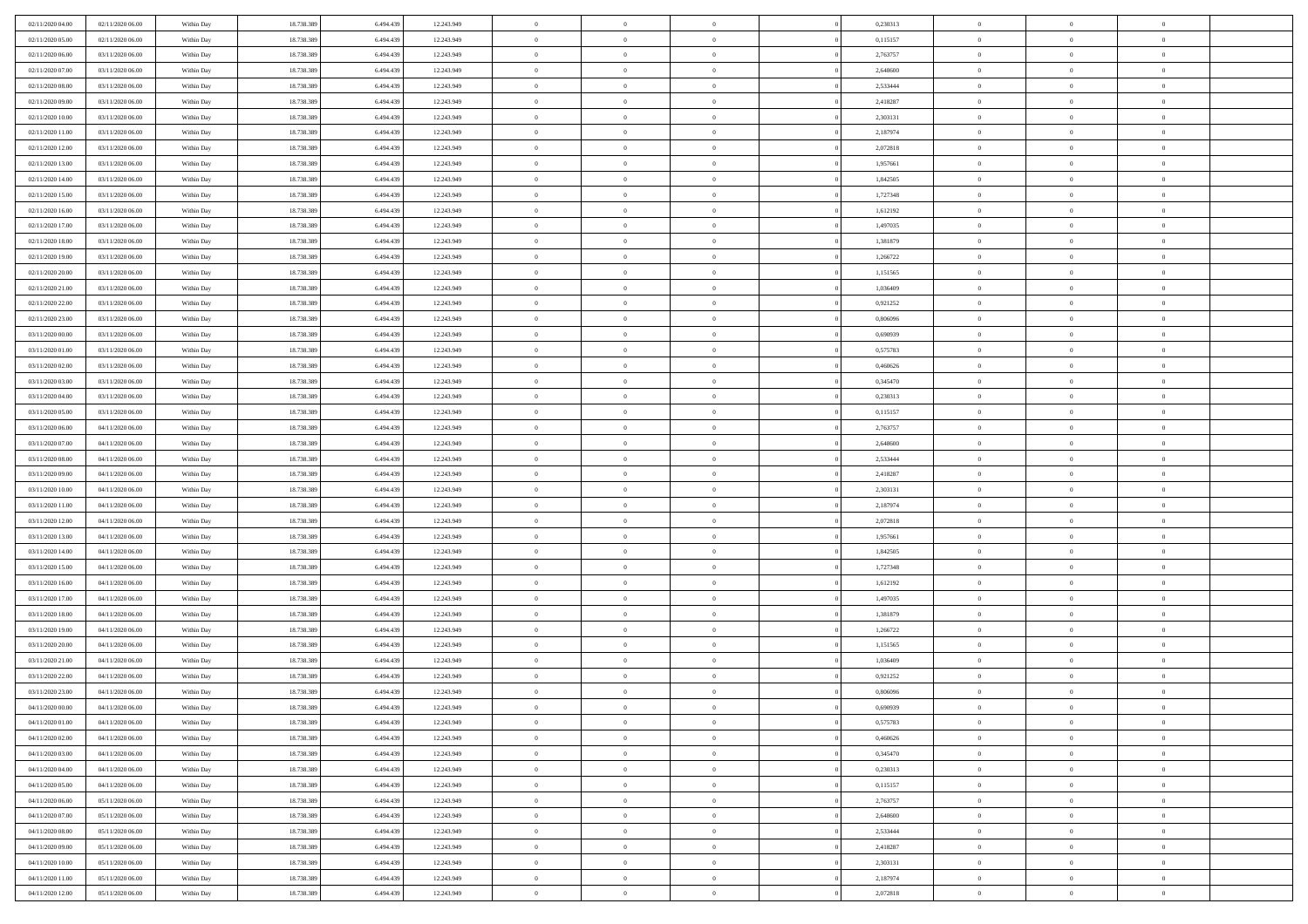| 02/11/2020 04:00                     | 02/11/2020 06:00                     | Within Day               | 18.738.389               | 6.494.439              | 12.243.949               | $\,$ 0                   | $\bf{0}$                         | $\theta$                         |                | 0,230313             | $\bf{0}$             | $\overline{0}$                   | $\theta$             |  |
|--------------------------------------|--------------------------------------|--------------------------|--------------------------|------------------------|--------------------------|--------------------------|----------------------------------|----------------------------------|----------------|----------------------|----------------------|----------------------------------|----------------------|--|
| 02/11/2020 05.00                     | 02/11/2020 06.00                     | Within Day               | 18.738.389               | 6.494.439              | 12.243.949               | $\theta$                 | $\overline{0}$                   | $\overline{0}$                   |                | 0,115157             | $\theta$             | $\theta$                         | $\overline{0}$       |  |
| 02/11/2020 06:00                     | 03/11/2020 06:00                     | Within Day               | 18.738.389               | 6.494.439              | 12.243.949               | $\mathbf{0}$             | $\overline{0}$                   | $\overline{0}$                   |                | 2,763757             | $\theta$             | $\overline{0}$                   | $\theta$             |  |
| 02/11/2020 07.00                     | 03/11/2020 06.00                     | Within Day               | 18.738.389               | 6.494.439              | 12.243.949               | $\bf{0}$                 | $\bf{0}$                         | $\bf{0}$                         |                | 2,648600             | $\bf{0}$             | $\overline{0}$                   | $\bf{0}$             |  |
| 02/11/2020 08:00                     | 03/11/2020 06.00                     | Within Day               | 18.738.389               | 6,494,439              | 12.243.949               | $\bf{0}$                 | $\bf{0}$                         | $\bf{0}$                         |                | 2,533444             | $\bf{0}$             | $\Omega$                         | $\bf{0}$             |  |
| 02/11/2020 09:00                     | 03/11/2020 06:00                     | Within Day               | 18.738.389               | 6.494.439              | 12.243.949               | $\mathbf{0}$             | $\overline{0}$                   | $\overline{0}$                   |                | 2,418287             | $\theta$             | $\overline{0}$                   | $\theta$             |  |
| 02/11/2020 10:00                     | 03/11/2020 06.00                     | Within Day               | 18.738.389               | 6.494.439              | 12.243.949               | $\bf{0}$                 | $\bf{0}$                         | $\overline{0}$                   |                | 2,303131             | $\bf{0}$             | $\overline{0}$                   | $\theta$             |  |
| 02/11/2020 11:00                     | 03/11/2020 06.00                     | Within Day               | 18.738.389               | 6,494,439              | 12.243.949               | $\overline{0}$           | $\overline{0}$                   | $\overline{0}$                   |                | 2,187974             | $\,0\,$              | $\theta$                         | $\overline{0}$       |  |
| 02/11/2020 12:00                     | 03/11/2020 06:00                     | Within Day               | 18.738.389               | 6.494.439              | 12.243.949               | $\mathbf{0}$             | $\overline{0}$                   | $\overline{0}$                   |                | 2,072818             | $\theta$             | $\overline{0}$                   | $\theta$             |  |
| 02/11/2020 13:00                     | 03/11/2020 06:00                     | Within Day               | 18.738.389               | 6.494.439              | 12.243.949               | $\bf{0}$                 | $\bf{0}$                         | $\overline{0}$                   |                | 1,957661             | $\bf{0}$             | $\overline{0}$                   | $\theta$             |  |
| 02/11/2020 14:00                     | 03/11/2020 06.00                     | Within Day               | 18.738.389               | 6.494.439              | 12.243.949               | $\bf{0}$                 | $\overline{0}$                   | $\overline{0}$                   |                | 1,842505             | $\bf{0}$             | $\theta$                         | $\overline{0}$       |  |
| 02/11/2020 15:00                     | 03/11/2020 06:00                     | Within Day               | 18.738.389               | 6.494.439              | 12.243.949               | $\mathbf{0}$             | $\overline{0}$                   | $\overline{0}$                   |                | 1,727348             | $\theta$             | $\overline{0}$                   | $\theta$             |  |
| 02/11/2020 16:00                     | 03/11/2020 06.00                     | Within Day               | 18.738.389               | 6.494.439              | 12.243.949               | $\bf{0}$                 | $\bf{0}$                         | $\bf{0}$                         |                | 1,612192             | $\bf{0}$             | $\overline{0}$                   | $\bf{0}$             |  |
| 02/11/2020 17:00                     | 03/11/2020 06:00                     | Within Day               | 18.738.389               | 6,494,439              | 12.243.949               | $\bf{0}$                 | $\overline{0}$                   | $\overline{0}$                   |                | 1,497035             | $\bf{0}$             | $\Omega$                         | $\bf{0}$             |  |
| 02/11/2020 18:00                     | 03/11/2020 06:00                     | Within Day               | 18.738.389               | 6.494.439              | 12.243.949               | $\mathbf{0}$             | $\overline{0}$                   | $\overline{0}$                   |                | 1,381879             | $\theta$             | $\overline{0}$                   | $\theta$             |  |
| 02/11/2020 19:00                     | 03/11/2020 06.00                     | Within Day               | 18.738.389               | 6.494.439              | 12.243.949               | $\bf{0}$                 | $\bf{0}$                         | $\overline{0}$                   |                | 1,266722             | $\bf{0}$             | $\overline{0}$                   | $\theta$             |  |
| 02/11/2020 20:00                     | 03/11/2020 06.00                     | Within Day               | 18.738.389               | 6,494,439              | 12.243.949               | $\bf{0}$                 | $\overline{0}$                   | $\overline{0}$                   |                | 1,151565             | $\,$ 0 $\,$          | $\overline{0}$                   | $\overline{0}$       |  |
| 02/11/2020 21:00                     | 03/11/2020 06:00                     | Within Day               | 18.738.389               | 6.494.439              | 12.243.949               | $\mathbf{0}$             | $\overline{0}$                   | $\overline{0}$                   |                | 1,036409             | $\theta$             | $\overline{0}$                   | $\theta$             |  |
| 02/11/2020 22.00                     | 03/11/2020 06:00                     | Within Day               | 18.738.389               | 6.494.439              | 12.243.949               | $\,$ 0                   | $\bf{0}$                         | $\overline{0}$                   |                | 0,921252             | $\bf{0}$             | $\overline{0}$                   | $\theta$             |  |
| 02/11/2020 23.00                     | 03/11/2020 06.00                     | Within Day               | 18.738.389               | 6.494.439              | 12.243.949               | $\bf{0}$                 | $\overline{0}$                   | $\overline{0}$                   |                | 0,806096             | $\bf{0}$             | $\theta$                         | $\overline{0}$       |  |
| 03/11/2020 00:00                     | 03/11/2020 06:00                     | Within Day               | 18.738.389               | 6.494.439              | 12.243.949               | $\mathbf{0}$             | $\overline{0}$                   | $\overline{0}$                   |                | 0,690939             | $\theta$             | $\overline{0}$                   | $\theta$             |  |
| 03/11/2020 01:00                     | 03/11/2020 06.00                     | Within Day               | 18.738.389               | 6.494.439              | 12.243.949               | $\bf{0}$                 | $\bf{0}$                         | $\bf{0}$                         |                | 0,575783             | $\bf{0}$             | $\overline{0}$                   | $\bf{0}$             |  |
|                                      | 03/11/2020 06.00                     |                          | 18.738.389               | 6,494,439              |                          | $\bf{0}$                 | $\bf{0}$                         | $\overline{0}$                   |                | 0,460626             | $\bf{0}$             | $\overline{0}$                   | $\bf{0}$             |  |
| 03/11/2020 02.00<br>03/11/2020 03:00 | 03/11/2020 06:00                     | Within Day<br>Within Day | 18.738.389               | 6.494.439              | 12.243.949<br>12.243.949 | $\mathbf{0}$             | $\overline{0}$                   | $\overline{0}$                   |                | 0,345470             | $\theta$             | $\overline{0}$                   | $\theta$             |  |
| 03/11/2020 04:00                     | 03/11/2020 06.00                     | Within Day               | 18.738.389               | 6.494.439              | 12.243.949               | $\bf{0}$                 | $\bf{0}$                         | $\overline{0}$                   |                | 0,230313             | $\bf{0}$             | $\overline{0}$                   | $\theta$             |  |
|                                      |                                      |                          |                          | 6,494,439              |                          |                          | $\overline{0}$                   |                                  |                |                      |                      | $\theta$                         | $\overline{0}$       |  |
| 03/11/2020 05:00<br>03/11/2020 06:00 | 03/11/2020 06.00<br>04/11/2020 06:00 | Within Day               | 18.738.389               |                        | 12.243.949               | $\bf{0}$                 |                                  | $\overline{0}$                   |                | 0,115157             | $\,$ 0 $\,$          |                                  |                      |  |
| 03/11/2020 07:00                     |                                      | Within Day               | 18.738.389               | 6.494.439              | 12.243.949               | $\mathbf{0}$             | $\overline{0}$                   | $\overline{0}$<br>$\overline{0}$ |                | 2,763757             | $\theta$             | $\overline{0}$<br>$\overline{0}$ | $\theta$<br>$\theta$ |  |
|                                      | 04/11/2020 06.00                     | Within Day               | 18.738.389               | 6.494.439              | 12.243.949               | $\bf{0}$                 | $\bf{0}$                         |                                  |                | 2,648600             | $\bf{0}$             |                                  |                      |  |
| 03/11/2020 08:00                     | 04/11/2020 06.00                     | Within Day               | 18.738.389               | 6.494.439              | 12.243.949               | $\bf{0}$                 | $\overline{0}$                   | $\overline{0}$                   |                | 2,533444             | $\bf{0}$             | $\theta$                         | $\bf{0}$             |  |
| 03/11/2020 09:00                     | 04/11/2020 06:00                     | Within Day               | 18.738.389               | 6.494.439              | 12.243.949               | $\mathbf{0}$             | $\overline{0}$                   | $\overline{0}$                   |                | 2,418287             | $\theta$             | $\overline{0}$                   | $\theta$             |  |
| 03/11/2020 10:00                     | 04/11/2020 06:00                     | Within Day               | 18.738.389               | 6.494.439              | 12.243.949               | $\bf{0}$                 | $\overline{0}$                   | $\overline{0}$                   |                | 2,303131             | $\,0\,$              | $\overline{0}$                   | $\theta$             |  |
| 03/11/2020 11:00                     | 04/11/2020 06:00                     | Within Day               | 18.738.389               | 6.494.439              | 12.243.949               | $\bf{0}$<br>$\mathbf{0}$ | $\overline{0}$                   | $\overline{0}$                   |                | 2,187974             | $\bf{0}$<br>$\theta$ | $\overline{0}$                   | $\bf{0}$             |  |
| 03/11/2020 12:00                     | 04/11/2020 06:00                     | Within Day               | 18.738.389               | 6.494.439              | 12.243.949               | $\bf{0}$                 | $\overline{0}$                   | $\overline{0}$                   |                | 2,072818             |                      | $\overline{0}$                   | $\theta$             |  |
| 03/11/2020 13:00                     | 04/11/2020 06.00                     | Within Day               | 18.738.389               | 6.494.439              | 12.243.949               |                          | $\overline{0}$<br>$\overline{0}$ | $\theta$<br>$\overline{0}$       |                | 1,957661             | $\,0\,$              | $\overline{0}$                   | $\theta$             |  |
| 03/11/2020 14:00<br>03/11/2020 15:00 | 04/11/2020 06.00<br>04/11/2020 06:00 | Within Day<br>Within Day | 18.738.389<br>18.738.389 | 6.494.439<br>6.494.439 | 12.243.949<br>12.243.949 | $\bf{0}$<br>$\mathbf{0}$ | $\overline{0}$                   |                                  |                | 1,842505<br>1,727348 | $\bf{0}$<br>$\theta$ | $\overline{0}$                   | $\bf{0}$<br>$\theta$ |  |
|                                      |                                      |                          |                          |                        |                          | $\bf{0}$                 |                                  | $\overline{0}$                   |                |                      |                      | $\overline{0}$                   | $\theta$             |  |
| 03/11/2020 16:00                     | 04/11/2020 06.00                     | Within Day               | 18.738.389               | 6.494.439              | 12.243.949               |                          | $\overline{0}$<br>$\overline{0}$ | $\theta$                         |                | 1,612192             | $\,0\,$              | $\overline{0}$<br>$\theta$       |                      |  |
| 03/11/2020 17.00                     | 04/11/2020 06.00<br>04/11/2020 06:00 | Within Day               | 18.738.389               | 6.494.439              | 12.243.949               | $\bf{0}$<br>$\mathbf{0}$ |                                  | $\overline{0}$                   |                | 1,497035             | $\bf{0}$<br>$\theta$ |                                  | $\bf{0}$<br>$\theta$ |  |
| 03/11/2020 18:00                     |                                      | Within Day               | 18.738.389               | 6.494.439              | 12.243.949               |                          | $\overline{0}$                   | $\overline{0}$                   |                | 1,381879             |                      | $\overline{0}$                   |                      |  |
| 03/11/2020 19:00                     | 04/11/2020 06:00                     | Within Day               | 18.738.389               | 6.494.439              | 12.243.949               | $\bf{0}$                 | $\overline{0}$                   | $\theta$                         |                | 1,266722             | $\,0\,$              | $\overline{0}$                   | $\theta$             |  |
| 03/11/2020 20:00<br>03/11/2020 21:00 | 04/11/2020 06:00<br>04/11/2020 06:00 | Within Day<br>Within Day | 18.738.389<br>18.738.389 | 6.494.439<br>6.494.439 | 12.243.949<br>12.243.949 | $\bf{0}$<br>$\mathbf{0}$ | $\overline{0}$<br>$\overline{0}$ | $\overline{0}$                   |                | 1,151565<br>1,036409 | $\bf{0}$<br>$\theta$ | $\overline{0}$                   | $\bf{0}$<br>$\theta$ |  |
| 03/11/2020 22.00                     | 04/11/2020 06.00                     | Within Day               | 18.738.389               | 6.494.439              | 12.243.949               | $\bf{0}$                 | $\overline{0}$                   | $\overline{0}$<br>$\theta$       |                | 0,921252             | $\,0\,$              | $\overline{0}$<br>$\overline{0}$ | $\theta$             |  |
|                                      | 04/11/2020 06.00                     | Within Day               | 18.738.389               | 6.494.439              |                          | $\bf{0}$                 | $\overline{0}$                   | $\overline{0}$                   |                | 0,806096             | $\,$ 0 $\,$          | $\overline{0}$                   | $\bf{0}$             |  |
| 03/11/2020 23.00<br>04/11/2020 00:00 | 04/11/2020 06:00                     | Within Day               | 18.738.389               | 6.494.439              | 12.243.949<br>12.243.949 | $\bf{0}$                 | $\overline{0}$                   |                                  |                | 0,690939             | $\bf{0}$             | $\Omega$                         | $\theta$             |  |
|                                      |                                      |                          |                          |                        |                          |                          |                                  |                                  |                |                      |                      | $\overline{0}$                   | $\theta$             |  |
| 04/11/2020 01:00                     | 04/11/2020 06:00                     | Within Day               | 18.738.389               | 6.494.439<br>6,494,439 | 12.243.949               | $\,0\,$                  | $\overline{0}$                   | $\theta$                         |                | 0,575783             | $\,$ 0 $\,$          | $\overline{0}$                   |                      |  |
| 04/11/2020 02.00                     | 04/11/2020 06.00                     | Within Day               | 18.738.389               |                        | 12.243.949               | $\bf{0}$                 | $\overline{0}$                   | $\overline{0}$                   |                | 0,460626             | $\overline{0}$       |                                  | $\overline{0}$       |  |
| 04/11/2020 03:00                     | 04/11/2020 06:00                     | Within Day               | 18.738.389               | 6.494.439              | 12.243.949               | $\overline{0}$           | $\overline{0}$                   | $\overline{0}$                   |                | 0,345470             | $\mathbf{0}$         | $\overline{0}$                   | $\overline{0}$       |  |
| 04/11/2020 04:00                     | 04/11/2020 06:00                     | Within Day               | 18.738.389               | 6.494.439              | 12.243.949               | $\,$ 0 $\,$              | $\overline{0}$                   | $\bf{0}$                         | $\overline{0}$ | 0,230313             | $\,$ 0 $\,$          | $\overline{0}$                   | $\,$ 0               |  |
| 04/11/2020 05:00                     | 04/11/2020 06.00                     | Within Day               | 18.738.389               | 6.494.439              | 12.243.949               | $\mathbf{0}$             | $\overline{0}$                   | $\overline{0}$                   |                | 0,115157             | $\,$ 0 $\,$          | $\overline{0}$                   | $\overline{0}$       |  |
| 04/11/2020 06:00                     | 05/11/2020 06:00                     | Within Day               | 18.738.389               | 6.494.439              | 12.243.949               | $\overline{0}$           | $\overline{0}$                   | $\overline{0}$                   |                | 2,763757             | $\overline{0}$       | $\overline{0}$                   | $\overline{0}$       |  |
| 04/11/2020 07:00                     | 05/11/2020 06:00                     | Within Day               | 18.738.389               | 6.494.439              | 12.243.949               | $\,0\,$                  | $\overline{0}$                   | $\overline{0}$                   |                | 2,648600             | $\,$ 0 $\,$          | $\overline{0}$                   | $\theta$             |  |
| 04/11/2020 08:00                     | 05/11/2020 06.00                     | Within Day               | 18.738.389               | 6.494.439              | 12.243.949               | $\bf{0}$                 | $\overline{0}$                   | $\overline{0}$                   |                | 2,533444             | $\,$ 0 $\,$          | $\overline{0}$                   | $\overline{0}$       |  |
| 04/11/2020 09:00                     | 05/11/2020 06:00                     | Within Day               | 18.738.389               | 6.494.439              | 12.243.949               | $\overline{0}$           | $\overline{0}$                   | $\overline{0}$                   |                | 2,418287             | $\mathbf{0}$         | $\overline{0}$                   | $\overline{0}$       |  |
| 04/11/2020 10:00                     | 05/11/2020 06:00                     | Within Day               | 18.738.389               | 6.494.439              | 12.243.949               | $\,0\,$                  | $\overline{0}$                   | $\overline{0}$                   |                | 2,303131             | $\,$ 0 $\,$          | $\overline{0}$                   | $\theta$             |  |
| 04/11/2020 11:00                     | 05/11/2020 06.00                     | Within Day               | 18.738.389               | 6.494.439              | 12.243.949               | $\bf{0}$                 | $\overline{0}$                   | $\overline{0}$                   |                | 2,187974             | $\,$ 0 $\,$          | $\overline{0}$                   | $\overline{0}$       |  |
| 04/11/2020 12:00                     | 05/11/2020 06:00                     | Within Day               | 18.738.389               | 6.494.439              | 12.243.949               | $\mathbf{0}$             | $\overline{0}$                   | $\overline{0}$                   |                | 2,072818             | $\overline{0}$       | $\overline{0}$                   | $\overline{0}$       |  |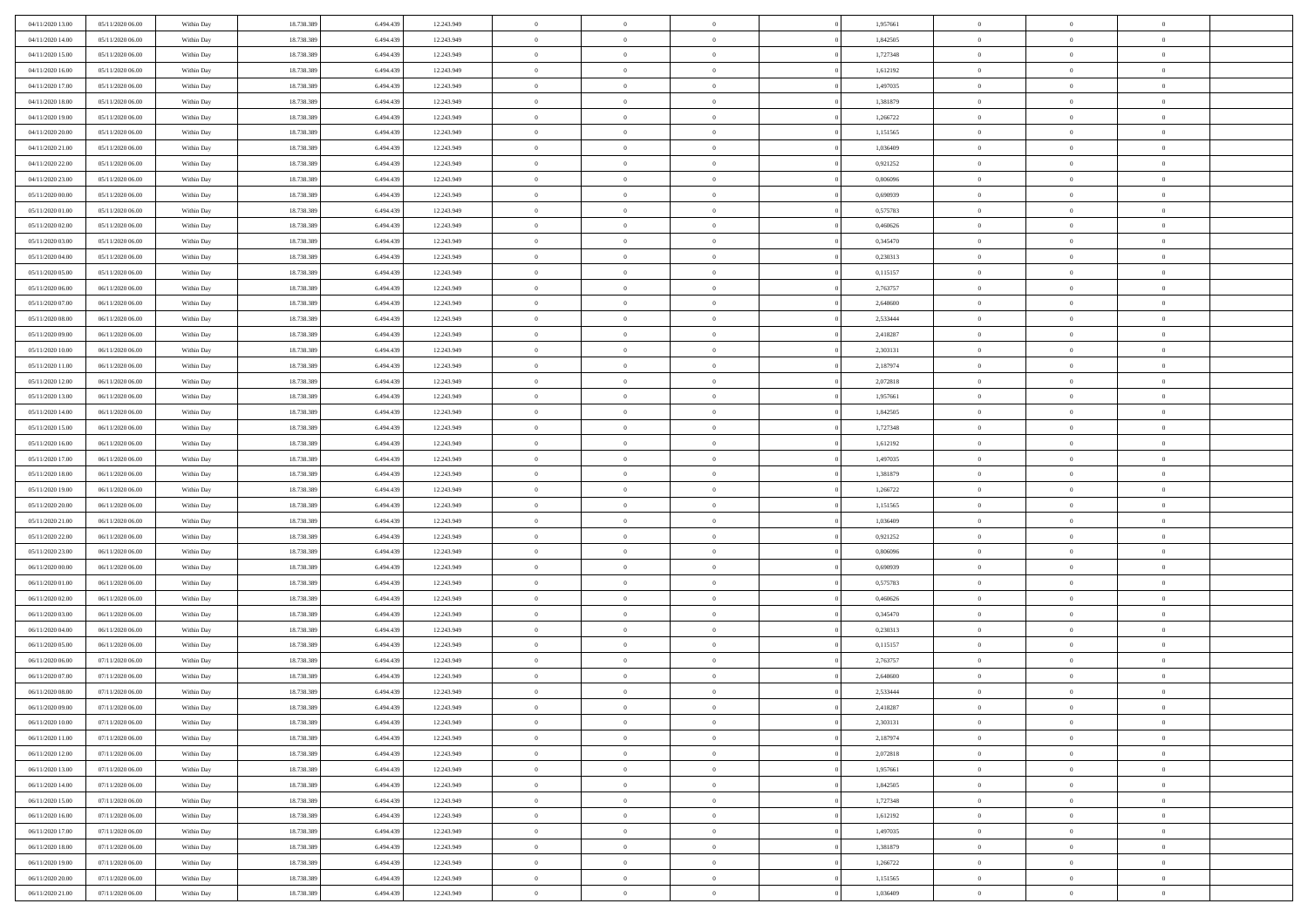| 04/11/2020 13:00                     | 05/11/2020 06:00                     | Within Day               | 18.738.389               | 6.494.439              | 12.243.949               | $\,$ 0 $\,$          | $\overline{0}$                   | $\overline{0}$                 | 1,957661             | $\bf{0}$           | $\overline{0}$                 | $\,0\,$                          |  |
|--------------------------------------|--------------------------------------|--------------------------|--------------------------|------------------------|--------------------------|----------------------|----------------------------------|--------------------------------|----------------------|--------------------|--------------------------------|----------------------------------|--|
| 04/11/2020 14:00                     | 05/11/2020 06.00                     | Within Day               | 18.738.389               | 6,494.43               | 12.243.949               | $\theta$             | $\overline{0}$                   | $\mathbf{0}$                   | 1,842505             | $\theta$           | $\mathbf{0}$                   | $\theta$                         |  |
| 04/11/2020 15:00                     | 05/11/2020 06:00                     | Within Day               | 18.738.389               | 6.494.439              | 12.243.949               | $\theta$             | $\overline{0}$                   | $\mathbf{0}$                   | 1,727348             | $\mathbf{0}$       | $\overline{0}$                 | $\overline{0}$                   |  |
| 04/11/2020 16:00                     | 05/11/2020 06.00                     | Within Day               | 18.738.389               | 6.494.439              | 12.243.949               | $\,$ 0 $\,$          | $\overline{0}$                   | $\overline{0}$                 | 1,612192             | $\bf{0}$           | $\overline{0}$                 | $\bf{0}$                         |  |
| 04/11/2020 17.00                     | 05/11/2020 06:00                     | Within Day               | 18.738.389               | 6.494.439              | 12.243.949               | $\bf{0}$             | $\overline{0}$                   | $\mathbf{0}$                   | 1,497035             | $\bf{0}$           | $\theta$                       | $\,0\,$                          |  |
| 04/11/2020 18:00                     | 05/11/2020 06:00                     | Within Day               | 18.738.389               | 6.494.439              | 12.243.949               | $\theta$             | $\overline{0}$                   | $\mathbf{0}$                   | 1,381879             | $\mathbf{0}$       | $\overline{0}$                 | $\overline{0}$                   |  |
| 04/11/2020 19:00                     | 05/11/2020 06:00                     | Within Day               | 18.738.389               | 6.494.439              | 12.243.949               | $\,$ 0 $\,$          | $\overline{0}$                   | $\overline{0}$                 | 1,266722             | $\bf{0}$           | $\overline{0}$                 | $\,0\,$                          |  |
| 04/11/2020 20:00                     | 05/11/2020 06.00                     | Within Day               | 18.738.389               | 6.494.439              | 12.243.949               | $\,$ 0 $\,$          | $\overline{0}$                   | $\mathbf{0}$                   | 1,151565             | $\,$ 0 $\,$        | $\overline{0}$                 | $\theta$                         |  |
| 04/11/2020 21:00                     | 05/11/2020 06:00                     | Within Day               | 18.738.389               | 6.494.439              | 12.243.949               | $\theta$             | $\overline{0}$                   | $\overline{0}$                 | 1,036409             | $\mathbf{0}$       | $\bf{0}$                       | $\overline{0}$                   |  |
| 04/11/2020 22.00                     | 05/11/2020 06.00                     | Within Day               | 18.738.389               | 6.494.439              | 12.243.949               | $\,$ 0 $\,$          | $\overline{0}$                   | $\Omega$                       | 0,921252             | $\bf{0}$           | $\overline{0}$                 | $\,0\,$                          |  |
| 04/11/2020 23.00                     | 05/11/2020 06.00                     | Within Day               | 18.738.389               | 6.494.439              | 12.243.949               | $\bf{0}$             | $\overline{0}$                   | $\mathbf{0}$                   | 0.806096             | $\bf{0}$           | $\mathbf{0}$                   | $\theta$                         |  |
| 05/11/2020 00:00                     | 05/11/2020 06:00                     | Within Day               | 18.738.389               | 6.494.439              | 12.243.949               | $\theta$             | $\overline{0}$                   | $\mathbf{0}$                   | 0,690939             | $\mathbf{0}$       | $\overline{0}$                 | $\overline{0}$                   |  |
| 05/11/2020 01:00                     | 05/11/2020 06:00                     | Within Day               | 18.738.389               | 6.494.439              | 12.243.949               | $\,$ 0 $\,$          | $\overline{0}$                   | $\overline{0}$                 | 0,575783             | $\bf{0}$           | $\overline{0}$                 | $\bf{0}$                         |  |
| 05/11/2020 02.00                     | 05/11/2020 06:00                     | Within Day               | 18.738.389               | 6.494.439              | 12.243.949               | $\bf{0}$             | $\overline{0}$                   | $\mathbf{0}$                   | 0,460626             | $\bf{0}$           | $\theta$                       | $\,0\,$                          |  |
| 05/11/2020 03:00                     | 05/11/2020 06:00                     | Within Day               | 18.738.389               | 6.494.439              | 12.243.949               | $\theta$             | $\overline{0}$                   | $\mathbf{0}$                   | 0,345470             | $\mathbf{0}$       | $\overline{0}$                 | $\overline{0}$                   |  |
| 05/11/2020 04:00                     | 05/11/2020 06.00                     | Within Day               | 18.738.389               | 6.494.439              | 12.243.949               | $\,$ 0 $\,$          | $\overline{0}$                   | $\overline{0}$                 | 0,230313             | $\bf{0}$           | $\overline{0}$                 | $\bf{0}$                         |  |
| 05/11/2020 05:00                     | 05/11/2020 06.00                     | Within Day               | 18.738.389               | 6,494,439              | 12.243.949               | $\,$ 0               | $\overline{0}$                   | $\mathbf{0}$                   | 0,115157             | $\bf{0}$           | $\overline{0}$                 | $\theta$                         |  |
| 05/11/2020 06:00                     | 06/11/2020 06:00                     | Within Day               | 18.738.389               | 6.494.439              | 12.243.949               | $\theta$             | $\overline{0}$                   | $\mathbf{0}$                   | 2,763757             | $\mathbf{0}$       | $\overline{0}$                 | $\overline{0}$                   |  |
| 05/11/2020 07.00                     | 06/11/2020 06.00                     | Within Day               | 18.738.389               | 6.494.439              | 12.243.949               | $\,$ 0 $\,$          | $\overline{0}$                   | $\Omega$                       | 2,648600             | $\bf{0}$           | $\overline{0}$                 | $\,0\,$                          |  |
| 05/11/2020 08:00                     | 06/11/2020 06.00                     | Within Day               | 18.738.389               | 6.494.439              | 12.243.949               | $\bf{0}$             | $\overline{0}$                   | $\mathbf{0}$                   | 2,533444             | $\bf{0}$           | $\mathbf{0}$                   | $\theta$                         |  |
| 05/11/2020 09:00                     | 06/11/2020 06:00                     | Within Day               | 18.738.389               | 6.494.439              | 12.243.949               | $\theta$             | $\overline{0}$                   | $\mathbf{0}$                   | 2,418287             | $\mathbf{0}$       | $\overline{0}$                 | $\overline{0}$                   |  |
| 05/11/2020 10:00                     | 06/11/2020 06.00                     | Within Day               | 18.738.389               | 6.494.439              | 12.243.949               | $\,$ 0 $\,$          | $\overline{0}$                   | $\overline{0}$                 | 2,303131             | $\bf{0}$           | $\overline{0}$                 | $\bf{0}$                         |  |
| 05/11/2020 11:00                     | 06/11/2020 06:00                     | Within Day               | 18.738.389               | 6.494.439              | 12.243.949               | $\,$ 0               | $\overline{0}$                   | $\mathbf{0}$                   | 2,187974             | $\bf{0}$           | $\theta$                       | $\,0\,$                          |  |
| 05/11/2020 12:00                     | 06/11/2020 06:00                     | Within Day               | 18.738.389               | 6.494.439              | 12.243.949               | $\theta$             | $\overline{0}$                   | $\mathbf{0}$                   | 2,072818             | $\mathbf{0}$       | $\overline{0}$                 | $\overline{0}$                   |  |
| 05/11/2020 13:00                     | 06/11/2020 06:00                     | Within Day               | 18.738.389               | 6.494.439              | 12.243.949               | $\,$ 0 $\,$          | $\overline{0}$                   | $\overline{0}$                 | 1,957661             | $\bf{0}$           | $\overline{0}$                 | $\,0\,$                          |  |
| 05/11/2020 14:00                     | 06/11/2020 06:00                     | Within Day               | 18.738.389               | 6,494,439              | 12.243.949               | $\,$ 0               | $\overline{0}$                   | $\mathbf{0}$                   | 1,842505             | $\bf{0}$           | $\overline{0}$                 | $\theta$                         |  |
| 05/11/2020 15:00                     | 06/11/2020 06:00                     | Within Day               | 18.738.389               | 6.494.439              | 12.243.949               | $\theta$             | $\overline{0}$                   | $\overline{0}$                 | 1,727348             | $\mathbf{0}$       | $\bf{0}$                       | $\overline{0}$                   |  |
| 05/11/2020 16:00                     | 06/11/2020 06:00                     | Within Day               | 18.738.389               | 6.494.439              | 12.243.949               | $\,$ 0 $\,$          | $\overline{0}$                   | $\Omega$                       | 1,612192             | $\bf{0}$           | $\overline{0}$                 | $\,0\,$                          |  |
| 05/11/2020 17.00                     | 06/11/2020 06.00                     | Within Day               | 18.738.389               | 6.494.439              | 12.243.949               | $\bf{0}$             | $\overline{0}$                   | $\mathbf{0}$                   | 1,497035             | $\bf{0}$           | $\mathbf{0}$                   | $\theta$                         |  |
| 05/11/2020 18:00                     | 06/11/2020 06:00                     | Within Day               | 18.738.389               | 6.494.439              | 12.243.949               | $\theta$             | $\overline{0}$                   | $\overline{0}$                 | 1,381879             | $\mathbf{0}$       | $\overline{0}$                 | $\overline{0}$                   |  |
| 05/11/2020 19:00                     | 06/11/2020 06:00                     | Within Day               | 18.738.389               | 6.494.439              | 12.243.949               | $\theta$             | $\overline{0}$                   | $\overline{0}$                 | 1,266722             | $\,$ 0             | $\overline{0}$                 | $\,$ 0 $\,$                      |  |
| 05/11/2020 20:00                     | 06/11/2020 06:00                     | Within Day               | 18.738.389               | 6.494.439              | 12.243.949               | $\,$ 0               | $\overline{0}$                   | $\mathbf{0}$                   | 1,151565             | $\bf{0}$           | $\mathbf{0}$                   | $\overline{0}$                   |  |
| 05/11/2020 21:00                     | 06/11/2020 06:00                     | Within Day               | 18.738.389               | 6.494.439              | 12.243.949               | $\theta$             | $\overline{0}$                   | $\mathbf{0}$                   | 1,036409             | $\mathbf{0}$       | $\overline{0}$                 | $\overline{0}$                   |  |
| 05/11/2020 22.00                     | 06/11/2020 06:00                     | Within Day               | 18.738.389               | 6.494.439              | 12.243.949               | $\theta$             | $\overline{0}$                   | $\overline{0}$                 | 0,921252             | $\,$ 0             | $\overline{0}$                 | $\theta$                         |  |
| 05/11/2020 23.00                     | 06/11/2020 06.00                     | Within Day               | 18.738.389               | 6.494.439              | 12.243.949               | $\bf{0}$             | $\overline{0}$                   | $\mathbf{0}$                   | 0.806096             | $\mathbf{0}$       | $\overline{0}$                 | $\overline{0}$                   |  |
| 06/11/2020 00:00                     | 06/11/2020 06:00                     | Within Day               | 18.738.389               | 6.494.439              | 12.243.949               | $\theta$             | $\overline{0}$                   | $\mathbf{0}$                   | 0,690939             | $\mathbf{0}$       | $\overline{0}$                 | $\overline{0}$<br>$\theta$       |  |
| 06/11/2020 01:00                     | 06/11/2020 06:00                     | Within Day               | 18.738.389               | 6.494.439              | 12.243.949               | $\theta$<br>$\bf{0}$ | $\overline{0}$                   | $\overline{0}$<br>$\mathbf{0}$ | 0,575783             | $\,$ 0<br>$\bf{0}$ | $\overline{0}$<br>$\mathbf{0}$ |                                  |  |
| 06/11/2020 02.00<br>06/11/2020 03:00 | 06/11/2020 06:00<br>06/11/2020 06:00 | Within Day<br>Within Day | 18.738.389<br>18.738.389 | 6.494.439<br>6.494.439 | 12.243.949<br>12.243.949 | $\theta$             | $\overline{0}$<br>$\overline{0}$ | $\mathbf{0}$                   | 0,460626<br>0,345470 | $\mathbf{0}$       | $\overline{0}$                 | $\overline{0}$<br>$\overline{0}$ |  |
| 06/11/2020 04:00                     | 06/11/2020 06:00                     |                          | 18.738.389               | 6.494.439              | 12.243.949               | $\,$ 0 $\,$          | $\overline{0}$                   | $\overline{0}$                 | 0,230313             | $\,$ 0             | $\overline{0}$                 | $\,$ 0 $\,$                      |  |
| 06/11/2020 05:00                     | 06/11/2020 06:00                     | Within Day<br>Within Day | 18.738.389               | 6.494.439              | 12.243.949               | $\,$ 0               | $\,$ 0 $\,$                      | $\overline{0}$                 | 0,115157             | $\,$ 0 $\,$        | $\overline{0}$                 | $\bf{0}$                         |  |
| 06/11/2020 06:00                     | 07/11/2020 06:00                     | Within Day               | 18.738.389               | 6.494.439              | 12.243.949               | $\theta$             | $\overline{0}$                   | $\mathbf{0}$                   | 2,763757             | $\mathbf{0}$       | $\overline{0}$                 | $\overline{0}$                   |  |
| 06/11/2020 07:00                     | 07/11/2020 06.00                     | Within Day               | 18.738.389               | 6.494.439              | 12.243.949               | $\overline{0}$       | $\overline{0}$                   | $\overline{0}$                 | 2,648600             | $\,$ 0             | $\overline{0}$                 | $\theta$                         |  |
| 06/11/2020 08:00                     | 07/11/2020 06.00                     | Within Day               | 18.738.389               | 6.494.439              | 12.243.949               | $\bf{0}$             | $\,$ 0 $\,$                      | $\mathbf{0}$                   | 2,533444             | $\bf{0}$           | $\overline{0}$                 | $\bf{0}$                         |  |
| 06/11/2020 09:00                     | 07/11/2020 06:00                     | Within Day               | 18.738.389               | 6.494.439              | 12.243.949               | $\overline{0}$       | $\theta$                         |                                | 2,418287             | $\overline{0}$     | $\theta$                       | $\theta$                         |  |
| 06/11/2020 10:00                     | 07/11/2020 06:00                     | Within Day               | 18.738.389               | 6.494.439              | 12.243.949               | $\,$ 0 $\,$          | $\overline{0}$                   | $\overline{0}$                 | 2,303131             | $\,$ 0 $\,$        | $\bf{0}$                       | $\theta$                         |  |
| 06/11/2020 11:00                     | 07/11/2020 06.00                     | Within Day               | 18.738.389               | 6.494.439              | 12.243.949               | $\bf{0}$             | $\,$ 0 $\,$                      | $\overline{0}$                 | 2,187974             | $\,$ 0 $\,$        | $\overline{0}$                 | $\overline{0}$                   |  |
| 06/11/2020 12:00                     | 07/11/2020 06:00                     | Within Day               | 18.738.389               | 6.494.439              | 12.243.949               | $\mathbf{0}$         | $\overline{0}$                   | $\overline{0}$                 | 2,072818             | $\,$ 0 $\,$        | $\bf{0}$                       | $\mathbf{0}$                     |  |
| 06/11/2020 13:00                     | 07/11/2020 06:00                     | Within Day               | 18.738.389               | 6.494.439              | 12.243.949               | $\,$ 0 $\,$          | $\overline{0}$                   | $\overline{0}$                 | 1,957661             | $\,$ 0 $\,$        | $\bf{0}$                       | $\,$ 0 $\,$                      |  |
| 06/11/2020 14:00                     | 07/11/2020 06.00                     | Within Day               | 18.738.389               | 6.494.439              | 12.243.949               | $\,$ 0 $\,$          | $\,$ 0 $\,$                      | $\overline{0}$                 | 1,842505             | $\,$ 0 $\,$        | $\overline{0}$                 | $\overline{0}$                   |  |
| 06/11/2020 15:00                     | 07/11/2020 06:00                     | Within Day               | 18.738.389               | 6.494.439              | 12.243.949               | $\mathbf{0}$         | $\overline{0}$                   | $\overline{0}$                 | 1,727348             | $\mathbf{0}$       | $\overline{0}$                 | $\overline{0}$                   |  |
| 06/11/2020 16:00                     | 07/11/2020 06:00                     | Within Day               | 18.738.389               | 6.494.439              | 12.243.949               | $\,$ 0 $\,$          | $\overline{0}$                   | $\overline{0}$                 | 1,612192             | $\,$ 0 $\,$        | $\overline{0}$                 | $\,$ 0 $\,$                      |  |
| 06/11/2020 17:00                     | 07/11/2020 06.00                     | Within Day               | 18.738.389               | 6,494,439              | 12.243.949               | $\overline{0}$       | $\overline{0}$                   | $\overline{0}$                 | 1,497035             | $\,$ 0 $\,$        | $\overline{0}$                 | $\overline{0}$                   |  |
| 06/11/2020 18:00                     | 07/11/2020 06:00                     | Within Day               | 18.738.389               | 6.494.439              | 12.243.949               | $\mathbf{0}$         | $\overline{0}$                   | $\overline{0}$                 | 1,381879             | $\mathbf{0}$       | $\bf{0}$                       | $\overline{0}$                   |  |
| 06/11/2020 19:00                     | 07/11/2020 06:00                     | Within Day               | 18.738.389               | 6.494.439              | 12.243.949               | $\,$ 0 $\,$          | $\overline{0}$                   | $\overline{0}$                 | 1,266722             | $\,$ 0 $\,$        | $\overline{0}$                 | $\,$ 0 $\,$                      |  |
| 06/11/2020 20:00                     | 07/11/2020 06.00                     | Within Day               | 18.738.389               | 6.494.439              | 12.243.949               | $\,$ 0 $\,$          | $\,$ 0 $\,$                      | $\overline{0}$                 | 1,151565             | $\,$ 0 $\,$        | $\overline{0}$                 | $\overline{0}$                   |  |
| 06/11/2020 21:00                     | 07/11/2020 06:00                     | Within Day               | 18.738.389               | 6.494.439              | 12.243.949               | $\theta$             | $\overline{0}$                   | $\overline{0}$                 | 1,036409             | $\mathbf{0}$       | $\overline{0}$                 | $\overline{0}$                   |  |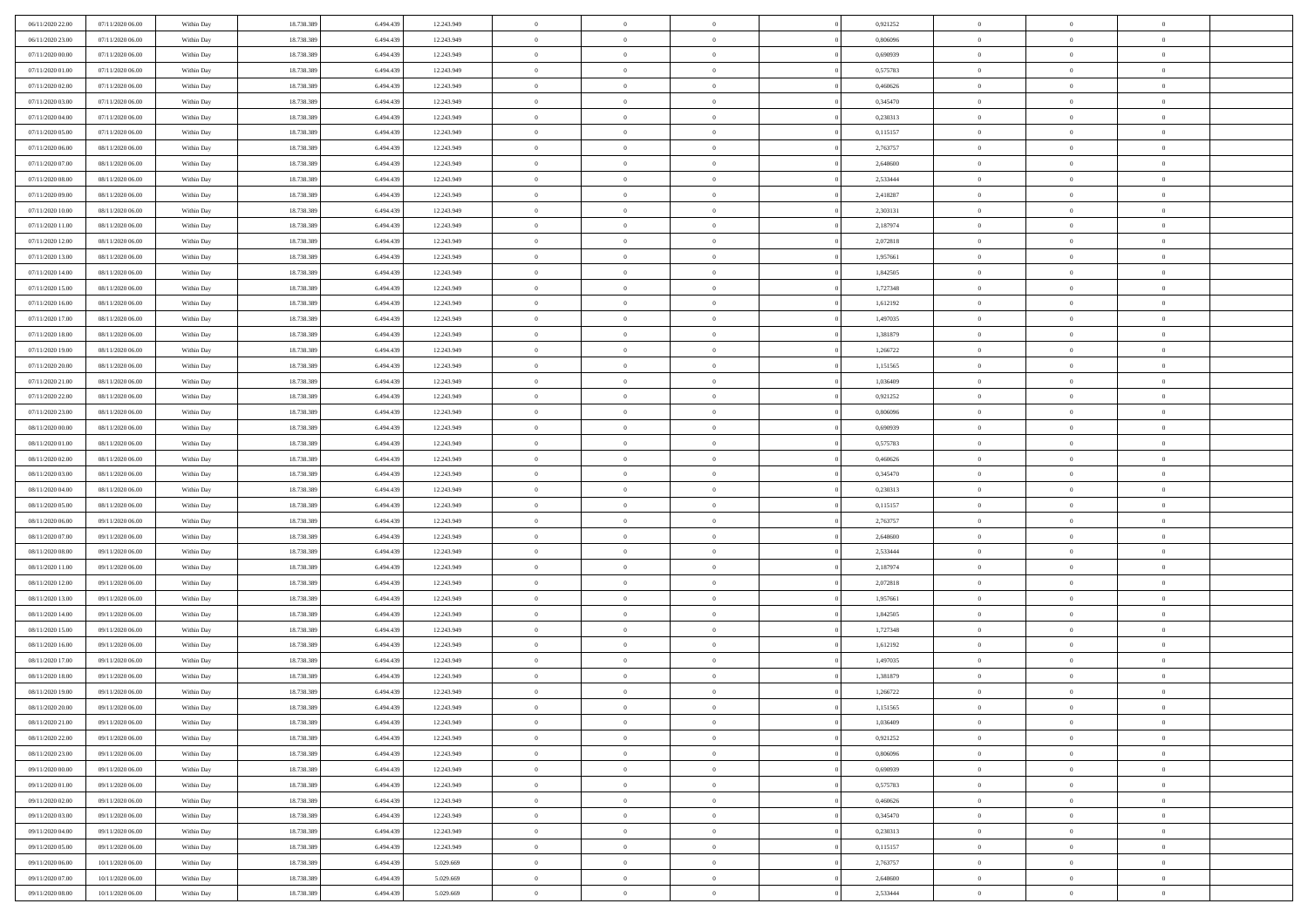| 06/11/2020 23.00<br>07/11/2020 06:00<br>18.738.389<br>6,494,439<br>12.243.949<br>$\theta$<br>$\overline{0}$<br>0.806096<br>$\overline{0}$<br>Within Day<br>$\overline{0}$<br>07/11/2020 00:00<br>07/11/2020 06:00<br>18.738.389<br>6.494.439<br>12.243.949<br>$\mathbf{0}$<br>$\overline{0}$<br>0,690939<br>$\mathbf{0}$<br>Within Dav<br>$\overline{0}$<br>07/11/2020 01:00<br>07/11/2020 06:00<br>Within Day<br>18.738.389<br>6.494.439<br>12.243.949<br>$\bf{0}$<br>$\overline{0}$<br>$\bf{0}$<br>0,575783<br>$\bf{0}$<br>18.738.389<br>07/11/2020 02.00<br>07/11/2020 06:00<br>6,494,439<br>12.243.949<br>$\bf{0}$<br>$\overline{0}$<br>0,460626<br>$\bf{0}$<br>Within Day<br>$\overline{0}$ | $\overline{0}$<br>$\overline{0}$ | $\theta$       |  |
|--------------------------------------------------------------------------------------------------------------------------------------------------------------------------------------------------------------------------------------------------------------------------------------------------------------------------------------------------------------------------------------------------------------------------------------------------------------------------------------------------------------------------------------------------------------------------------------------------------------------------------------------------------------------------------------------------|----------------------------------|----------------|--|
|                                                                                                                                                                                                                                                                                                                                                                                                                                                                                                                                                                                                                                                                                                  |                                  |                |  |
|                                                                                                                                                                                                                                                                                                                                                                                                                                                                                                                                                                                                                                                                                                  |                                  | $\overline{0}$ |  |
|                                                                                                                                                                                                                                                                                                                                                                                                                                                                                                                                                                                                                                                                                                  | $\overline{0}$                   | $\bf{0}$       |  |
|                                                                                                                                                                                                                                                                                                                                                                                                                                                                                                                                                                                                                                                                                                  | $\bf{0}$                         | $\,0\,$        |  |
| 07/11/2020 03:00<br>07/11/2020 06:00<br>18.738.389<br>6.494.439<br>12.243.949<br>$\mathbf{0}$<br>$\overline{0}$<br>0,345470<br>$\mathbf{0}$<br>Within Dav<br>$\overline{0}$                                                                                                                                                                                                                                                                                                                                                                                                                                                                                                                      | $\overline{0}$                   | $\overline{0}$ |  |
|                                                                                                                                                                                                                                                                                                                                                                                                                                                                                                                                                                                                                                                                                                  |                                  |                |  |
| 07/11/2020 04.00<br>07/11/2020 06:00<br>Within Day<br>18.738.389<br>6.494.439<br>12.243.949<br>$\bf{0}$<br>$\overline{0}$<br>$\overline{0}$<br>0,230313<br>$\bf{0}$                                                                                                                                                                                                                                                                                                                                                                                                                                                                                                                              | $\overline{0}$                   | $\,0\,$        |  |
| $\,$ 0 $\,$<br>07/11/2020 05:00<br>07/11/2020 06:00<br>18.738.389<br>6,494,439<br>12.243.949<br>$\theta$<br>$\overline{0}$<br>0,115157<br>Within Day<br>$\overline{0}$                                                                                                                                                                                                                                                                                                                                                                                                                                                                                                                           | $\overline{0}$                   | $\theta$       |  |
| 07/11/2020 06:00<br>08/11/2020 06:00<br>Within Day<br>18.738.389<br>6.494.439<br>12.243.949<br>$\mathbf{0}$<br>$\overline{0}$<br>2,763757<br>$\mathbf{0}$<br>$\overline{0}$                                                                                                                                                                                                                                                                                                                                                                                                                                                                                                                      | $\overline{0}$                   | $\overline{0}$ |  |
| 07/11/2020 07.00<br>08/11/2020 06:00<br>Within Day<br>18.738.389<br>6.494.439<br>12.243.949<br>$\,$ 0<br>$\bf{0}$<br>$\theta$<br>2,648600<br>$\bf{0}$                                                                                                                                                                                                                                                                                                                                                                                                                                                                                                                                            | $\overline{0}$                   | $\,0\,$        |  |
| 2,533444<br>07/11/2020 08:00<br>08/11/2020 06:00<br>18.738.389<br>6,494,439<br>12.243.949<br>$\bf{0}$<br>$\overline{0}$<br>$\bf{0}$<br>Within Day<br>$\overline{0}$                                                                                                                                                                                                                                                                                                                                                                                                                                                                                                                              | $\mathbf{0}$                     | $\theta$       |  |
| 07/11/2020 09:00<br>08/11/2020 06:00<br>18.738.389<br>6.494.439<br>12.243.949<br>$\mathbf{0}$<br>$\overline{0}$<br>2,418287<br>$\mathbf{0}$<br>Within Dav<br>$\overline{0}$                                                                                                                                                                                                                                                                                                                                                                                                                                                                                                                      | $\overline{0}$                   | $\overline{0}$ |  |
| 07/11/2020 10:00<br>08/11/2020 06:00<br>Within Day<br>18.738.389<br>6.494.439<br>12.243.949<br>$\bf{0}$<br>$\overline{0}$<br>$\bf{0}$<br>2,303131<br>$\bf{0}$                                                                                                                                                                                                                                                                                                                                                                                                                                                                                                                                    | $\overline{0}$                   | $\bf{0}$       |  |
| 18.738.389<br>2,187974<br>07/11/2020 11:00<br>08/11/2020 06:00<br>6.494.439<br>12.243.949<br>$\bf{0}$<br>$\overline{0}$<br>$\bf{0}$<br>Within Day<br>$\overline{0}$                                                                                                                                                                                                                                                                                                                                                                                                                                                                                                                              | $\theta$                         | $\,0\,$        |  |
| 07/11/2020 12:00<br>08/11/2020 06:00<br>18.738.389<br>6.494.439<br>12.243.949<br>$\mathbf{0}$<br>$\overline{0}$<br>2,072818<br>$\mathbf{0}$<br>Within Dav<br>$\overline{0}$                                                                                                                                                                                                                                                                                                                                                                                                                                                                                                                      | $\overline{0}$                   | $\overline{0}$ |  |
| 07/11/2020 13.00<br>08/11/2020 06:00<br>Within Day<br>18.738.389<br>6.494.439<br>12.243.949<br>$\bf{0}$<br>$\bf{0}$<br>$\overline{0}$<br>1,957661<br>$\bf{0}$                                                                                                                                                                                                                                                                                                                                                                                                                                                                                                                                    | $\overline{0}$                   | $\,0\,$        |  |
| 18.738.389<br>$\overline{0}$<br>07/11/2020 14.00<br>08/11/2020 06:00<br>6,494,439<br>12.243.949<br>$\overline{0}$<br>1,842505<br>$\bf{0}$<br>Within Day<br>$\overline{0}$                                                                                                                                                                                                                                                                                                                                                                                                                                                                                                                        | $\overline{0}$                   | $\theta$       |  |
| 07/11/2020 15:00<br>08/11/2020 06:00<br>Within Day<br>18.738.389<br>6.494.439<br>12.243.949<br>$\mathbf{0}$<br>$\overline{0}$<br>1,727348<br>$\mathbf{0}$<br>$\overline{0}$                                                                                                                                                                                                                                                                                                                                                                                                                                                                                                                      | $\overline{0}$                   | $\overline{0}$ |  |
| 18.738.389<br>07/11/2020 16.00<br>08/11/2020 06:00<br>Within Day<br>6.494.439<br>12.243.949<br>$\,$ 0<br>$\bf{0}$<br>$\overline{0}$<br>1,612192<br>$\bf{0}$                                                                                                                                                                                                                                                                                                                                                                                                                                                                                                                                      | $\overline{0}$                   | $\,0\,$        |  |
| 07/11/2020 17.00<br>08/11/2020 06:00<br>18.738.389<br>6,494,439<br>12.243.949<br>$\bf{0}$<br>$\bf{0}$<br>1,497035<br>$\bf{0}$<br>Within Day<br>$\overline{0}$                                                                                                                                                                                                                                                                                                                                                                                                                                                                                                                                    | $\overline{0}$                   | $\overline{0}$ |  |
| 07/11/2020 18.00<br>08/11/2020 06:00<br>18.738.389<br>6.494.439<br>12.243.949<br>$\mathbf{0}$<br>$\overline{0}$<br>1,381879<br>$\mathbf{0}$<br>Within Dav<br>$\overline{0}$                                                                                                                                                                                                                                                                                                                                                                                                                                                                                                                      | $\overline{0}$                   | $\overline{0}$ |  |
| 07/11/2020 19.00<br>08/11/2020 06:00<br>Within Day<br>18.738.389<br>6.494.439<br>12.243.949<br>$\bf{0}$<br>$\overline{0}$<br>$\bf{0}$<br>1,266722<br>$\bf{0}$                                                                                                                                                                                                                                                                                                                                                                                                                                                                                                                                    | $\overline{0}$                   | $\bf{0}$       |  |
| 18.738.389<br>07/11/2020 20.00<br>08/11/2020 06:00<br>6,494,439<br>12.243.949<br>$\bf{0}$<br>$\overline{0}$<br>1,151565<br>$\bf{0}$<br>Within Day<br>$\overline{0}$                                                                                                                                                                                                                                                                                                                                                                                                                                                                                                                              | $\bf{0}$                         | $\,0\,$        |  |
| 07/11/2020 21.00<br>08/11/2020 06:00<br>18.738.389<br>6.494.439<br>12.243.949<br>$\mathbf{0}$<br>$\overline{0}$<br>1,036409<br>$\mathbf{0}$<br>Within Dav<br>$\overline{0}$                                                                                                                                                                                                                                                                                                                                                                                                                                                                                                                      | $\overline{0}$                   | $\overline{0}$ |  |
| 07/11/2020 22.00<br>08/11/2020 06:00<br>Within Day<br>18.738.389<br>6.494.439<br>12.243.949<br>$\bf{0}$<br>$\overline{0}$<br>$\overline{0}$<br>0,921252<br>$\bf{0}$                                                                                                                                                                                                                                                                                                                                                                                                                                                                                                                              | $\overline{0}$                   | $\,0\,$        |  |
| $\overline{0}$<br>07/11/2020 23.00<br>08/11/2020 06:00<br>18.738.389<br>6.494.439<br>12.243.949<br>$\overline{0}$<br>0.806096<br>$\bf{0}$<br>Within Day<br>$\overline{0}$                                                                                                                                                                                                                                                                                                                                                                                                                                                                                                                        | $\overline{0}$                   | $\theta$       |  |
| 08/11/2020 00:00<br>08/11/2020 06:00<br>18.738.389<br>6.494.439<br>12.243.949<br>$\mathbf{0}$<br>$\overline{0}$<br>0,690939<br>$\mathbf{0}$<br>Within Dav<br>$\overline{0}$                                                                                                                                                                                                                                                                                                                                                                                                                                                                                                                      | $\overline{0}$                   | $\overline{0}$ |  |
| 08/11/2020 01:00<br>08/11/2020 06:00<br>Within Day<br>18.738.389<br>6.494.439<br>12.243.949<br>$\bf{0}$<br>$\overline{0}$<br>$\overline{0}$<br>0,575783<br>$\bf{0}$                                                                                                                                                                                                                                                                                                                                                                                                                                                                                                                              | $\overline{0}$                   | $\,0\,$        |  |
| 08/11/2020 02.00<br>08/11/2020 06:00<br>18.738.389<br>6,494,439<br>12.243.949<br>$\bf{0}$<br>$\overline{0}$<br>0,460626<br>$\bf{0}$<br>Within Day<br>$\overline{0}$                                                                                                                                                                                                                                                                                                                                                                                                                                                                                                                              | $\mathbf{0}$                     | $\bf{0}$       |  |
| 08/11/2020 03:00<br>08/11/2020 06:00<br>18.738.389<br>6.494.439<br>12.243.949<br>$\mathbf{0}$<br>$\overline{0}$<br>0,345470<br>$\mathbf{0}$<br>Within Day<br>$\overline{0}$                                                                                                                                                                                                                                                                                                                                                                                                                                                                                                                      | $\overline{0}$                   | $\overline{0}$ |  |
| 08/11/2020 04:00<br>08/11/2020 06:00<br>18.738.389<br>6.494.439<br>$\bf{0}$<br>$\overline{0}$<br>0,230313<br>$\,$ 0<br>Within Day<br>12.243.949<br>$\theta$                                                                                                                                                                                                                                                                                                                                                                                                                                                                                                                                      | $\overline{0}$                   | $\theta$       |  |
| 18.738.389<br>08/11/2020 05.00<br>08/11/2020 06:00<br>6.494.439<br>12.243.949<br>$\bf{0}$<br>$\overline{0}$<br>0,115157<br>$\bf{0}$<br>Within Day<br>$\overline{0}$                                                                                                                                                                                                                                                                                                                                                                                                                                                                                                                              | $\mathbf{0}$                     | $\bf{0}$       |  |
| 08/11/2020 06:00<br>09/11/2020 06:00<br>18.738.389<br>6.494.439<br>12.243.949<br>$\mathbf{0}$<br>$\overline{0}$<br>2,763757<br>$\mathbf{0}$<br>Within Dav<br>$\overline{0}$                                                                                                                                                                                                                                                                                                                                                                                                                                                                                                                      | $\overline{0}$                   | $\overline{0}$ |  |
| 08/11/2020 07:00<br>09/11/2020 06:00<br>18.738.389<br>6.494.439<br>$\bf{0}$<br>$\overline{0}$<br>2,648600<br>$\,$ 0<br>$\theta$                                                                                                                                                                                                                                                                                                                                                                                                                                                                                                                                                                  | $\overline{0}$                   | $\theta$       |  |
| Within Day<br>12.243.949<br>6,494,439<br>$\overline{0}$                                                                                                                                                                                                                                                                                                                                                                                                                                                                                                                                                                                                                                          | $\mathbf{0}$                     | $\overline{0}$ |  |
| 08/11/2020 08:00<br>09/11/2020 06:00<br>18.738.389<br>12.243.949<br>$\bf{0}$<br>2,533444<br>$\bf{0}$<br>Within Day<br>$\overline{0}$                                                                                                                                                                                                                                                                                                                                                                                                                                                                                                                                                             |                                  |                |  |
| 08/11/2020 11:00<br>09/11/2020 06:00<br>Within Day<br>18.738.389<br>6.494.439<br>12.243.949<br>$\mathbf{0}$<br>$\overline{0}$<br>2,187974<br>$\mathbf{0}$<br>$\overline{0}$                                                                                                                                                                                                                                                                                                                                                                                                                                                                                                                      | $\overline{0}$                   | $\overline{0}$ |  |
| 08/11/2020 12:00<br>09/11/2020 06:00<br>18.738.389<br>6.494.439<br>12.243.949<br>$\bf{0}$<br>$\overline{0}$<br>2,072818<br>$\,$ 0<br>Within Day<br>$\theta$                                                                                                                                                                                                                                                                                                                                                                                                                                                                                                                                      | $\overline{0}$                   | $\theta$       |  |
| 08/11/2020 13.00<br>09/11/2020 06:00<br>18.738.389<br>6.494.439<br>12.243.949<br>$\bf{0}$<br>$\overline{0}$<br>1,957661<br>$\bf{0}$<br>Within Day<br>$\overline{0}$                                                                                                                                                                                                                                                                                                                                                                                                                                                                                                                              | $\mathbf{0}$                     | $\bf{0}$       |  |
| 08/11/2020 14:00<br>09/11/2020 06:00<br>18.738.389<br>6.494.439<br>12.243.949<br>$\mathbf{0}$<br>$\overline{0}$<br>1,842505<br>$\mathbf{0}$<br>Within Dav<br>$\overline{0}$                                                                                                                                                                                                                                                                                                                                                                                                                                                                                                                      | $\overline{0}$                   | $\overline{0}$ |  |
| 08/11/2020 15:00<br>09/11/2020 06:00<br>Within Day<br>18.738.389<br>6.494.439<br>12.243.949<br>$\bf{0}$<br>$\overline{0}$<br>1,727348<br>$\,$ 0<br>$\theta$                                                                                                                                                                                                                                                                                                                                                                                                                                                                                                                                      | $\overline{0}$                   | $\theta$       |  |
| 18.738.389<br>08/11/2020 16:00<br>09/11/2020 06:00<br>6.494.439<br>12.243.949<br>$\bf{0}$<br>$\overline{0}$<br>1,612192<br>$\bf{0}$<br>Within Day<br>$\overline{0}$                                                                                                                                                                                                                                                                                                                                                                                                                                                                                                                              | $\overline{0}$                   | $\bf{0}$       |  |
| 08/11/2020 17:00<br>09/11/2020 06:00<br>18.738.389<br>6.494.439<br>12.243.949<br>$\mathbf{0}$<br>$\overline{0}$<br>1,497035<br>$\mathbf{0}$<br>Within Dav<br>$\overline{0}$                                                                                                                                                                                                                                                                                                                                                                                                                                                                                                                      | $\overline{0}$                   | $\overline{0}$ |  |
| 18.738.389<br>6.494.439<br>$\bf{0}$<br>$\overline{0}$<br>1,381879<br>$\,$ 0<br>08/11/2020 18:00<br>09/11/2020 06:00<br>Within Day<br>12.243.949<br>$\theta$                                                                                                                                                                                                                                                                                                                                                                                                                                                                                                                                      | $\overline{0}$                   | $\theta$       |  |
| $\overline{0}$<br>08/11/2020 19:00<br>09/11/2020 06:00<br>18.738.389<br>6.494.439<br>12.243.949<br>$\bf{0}$<br>$\overline{0}$<br>1,266722<br>$\bf{0}$<br>Within Day                                                                                                                                                                                                                                                                                                                                                                                                                                                                                                                              | $\overline{0}$                   | $\bf{0}$       |  |
| 08/11/2020 20:00<br>18.738.389<br>6.494.439<br>12.243.949<br>09/11/2020 06.00<br>Within Day<br>1,151565<br>$\bf{0}$<br>$\overline{0}$<br>$\overline{0}$                                                                                                                                                                                                                                                                                                                                                                                                                                                                                                                                          | $\theta$                         | $\theta$       |  |
| 08/11/2020 21:00<br>09/11/2020 06:00<br>18.738.389<br>6.494.439<br>12.243.949<br>$\,0\,$<br>$\overline{0}$<br>1,036409<br>$\,$ 0 $\,$<br>Within Day<br>$\theta$                                                                                                                                                                                                                                                                                                                                                                                                                                                                                                                                  | $\bf{0}$                         | $\theta$       |  |
| 18.738.389<br>6.494.439<br>12.243.949<br>$\overline{0}$<br>$\overline{0}$<br>08/11/2020 22.00<br>09/11/2020 06:00<br>Within Day<br>$\overline{0}$<br>$\overline{0}$<br>0,921252                                                                                                                                                                                                                                                                                                                                                                                                                                                                                                                  | $\overline{0}$                   | $\overline{0}$ |  |
| $\overline{0}$<br>08/11/2020 23.00<br>09/11/2020 06.00<br>Within Day<br>18.738.389<br>6.494.439<br>12.243.949<br>$\bf{0}$<br>$\overline{0}$<br>$\overline{0}$<br>0,806096                                                                                                                                                                                                                                                                                                                                                                                                                                                                                                                        | $\bf{0}$                         | $\mathbf{0}$   |  |
| 09/11/2020 00:00<br>09/11/2020 06:00<br>Within Day<br>18.738.389<br>6.494.439<br>12.243.949<br>$\bf{0}$<br>$\overline{0}$<br>$\overline{0}$<br>0,690939<br>$\mathbf{0}$<br>$\theta$                                                                                                                                                                                                                                                                                                                                                                                                                                                                                                              | $\bf{0}$                         | $\,$ 0 $\,$    |  |
| 18.738.389<br>6.494.439<br>12.243.949<br>$\bf{0}$<br>$\overline{0}$<br>0,575783<br>$\,$ 0 $\,$<br>09/11/2020 01:00<br>09/11/2020 06.00<br>Within Day<br>$\overline{0}$                                                                                                                                                                                                                                                                                                                                                                                                                                                                                                                           | $\overline{0}$                   | $\overline{0}$ |  |
| 09/11/2020 02.00<br>09/11/2020 06.00<br>Within Day<br>18.738.389<br>6.494.439<br>12.243.949<br>$\bf{0}$<br>$\overline{0}$<br>0,460626<br>$\mathbf{0}$<br>$\overline{0}$                                                                                                                                                                                                                                                                                                                                                                                                                                                                                                                          | $\overline{0}$                   | $\overline{0}$ |  |
| 09/11/2020 03.00<br>09/11/2020 06:00<br>Within Day<br>18.738.389<br>6.494.439<br>12.243.949<br>$\,0\,$<br>$\overline{0}$<br>$\overline{0}$<br>0,345470<br>$\,$ 0 $\,$<br>$\theta$                                                                                                                                                                                                                                                                                                                                                                                                                                                                                                                | $\overline{0}$                   | $\overline{0}$ |  |
| 18.738.389<br>$\bf{0}$<br>$\overline{0}$<br>$\overline{0}$<br>09/11/2020 04.00<br>09/11/2020 06:00<br>6.494.439<br>12.243.949<br>$\overline{0}$<br>0,230313<br>Within Day                                                                                                                                                                                                                                                                                                                                                                                                                                                                                                                        | $\overline{0}$                   | $\overline{0}$ |  |
| 18.738.389<br>09/11/2020 05:00<br>09/11/2020 06.00<br>Within Day<br>6.494.439<br>12.243.949<br>$\bf{0}$<br>$\overline{0}$<br>0,115157<br>$\mathbf{0}$<br>$\overline{0}$                                                                                                                                                                                                                                                                                                                                                                                                                                                                                                                          | $\overline{0}$                   | $\mathbf{0}$   |  |
| 09/11/2020 06:00<br>10/11/2020 06:00<br>Within Day<br>18.738.389<br>6.494.439<br>5.029.669<br>$\,0\,$<br>$\overline{0}$<br>2,763757<br>$\,$ 0 $\,$<br>$\overline{0}$                                                                                                                                                                                                                                                                                                                                                                                                                                                                                                                             | $\mathbf{0}$                     | $\theta$       |  |
|                                                                                                                                                                                                                                                                                                                                                                                                                                                                                                                                                                                                                                                                                                  |                                  | $\overline{0}$ |  |
| 18.738.389<br>09/11/2020 07:00<br>10/11/2020 06:00<br>Within Day<br>6.494.439<br>5.029.669<br>$\bf{0}$<br>$\overline{0}$<br>$\overline{0}$<br>2,648600<br>$\bf{0}$                                                                                                                                                                                                                                                                                                                                                                                                                                                                                                                               | $\mathbf{0}$                     |                |  |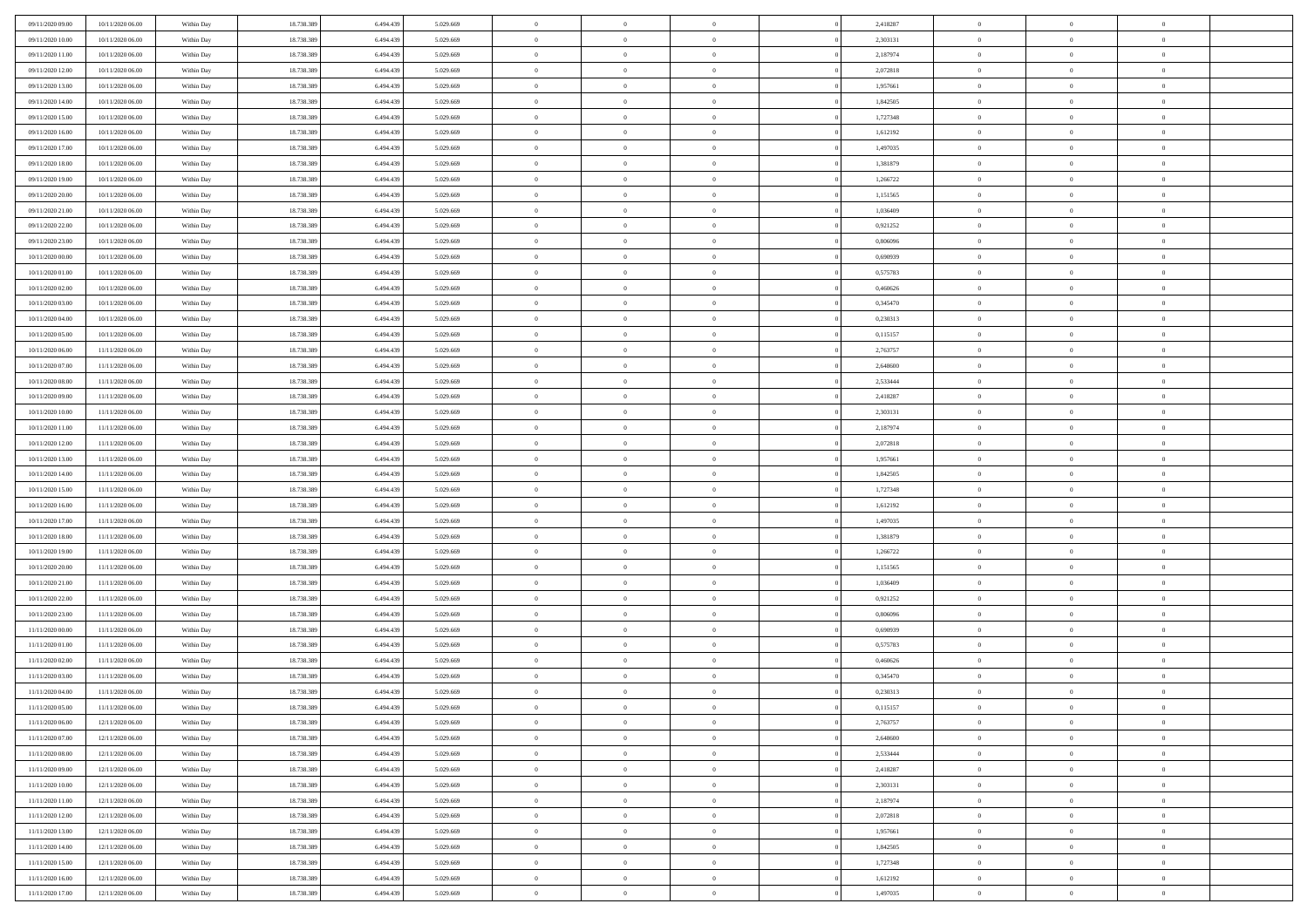| 09/11/2020 09:00 | 10/11/2020 06:00 | Within Day | 18.738.389 | 6.494.439 | 5.029.669 | $\,$ 0         | $\bf{0}$       | $\theta$       |                | 2,418287 | $\bf{0}$             | $\overline{0}$ | $\theta$       |  |
|------------------|------------------|------------|------------|-----------|-----------|----------------|----------------|----------------|----------------|----------|----------------------|----------------|----------------|--|
| 09/11/2020 10:00 | 10/11/2020 06:00 | Within Day | 18.738.389 | 6.494.439 | 5.029.669 | $\theta$       | $\overline{0}$ | $\overline{0}$ |                | 2,303131 | $\theta$             | $\theta$       | $\overline{0}$ |  |
| 09/11/2020 11:00 | 10/11/2020 06:00 | Within Day | 18.738.389 | 6.494.439 | 5.029.669 | $\mathbf{0}$   | $\overline{0}$ | $\overline{0}$ |                | 2,187974 | $\theta$             | $\overline{0}$ | $\theta$       |  |
| 09/11/2020 12:00 | 10/11/2020 06:00 | Within Day | 18.738.389 | 6.494.439 | 5.029.669 | $\bf{0}$       | $\overline{0}$ | $\bf{0}$       |                | 2,072818 | $\bf{0}$             | $\overline{0}$ | $\bf{0}$       |  |
| 09/11/2020 13:00 | 10/11/2020 06:00 | Within Day | 18.738.389 | 6.494.439 | 5.029.669 | $\bf{0}$       | $\bf{0}$       | $\overline{0}$ |                | 1,957661 | $\bf{0}$             | $\Omega$       | $\bf{0}$       |  |
| 09/11/2020 14:00 | 10/11/2020 06:00 | Within Day | 18.738.389 | 6.494.439 | 5.029.669 | $\mathbf{0}$   | $\overline{0}$ | $\overline{0}$ |                | 1,842505 | $\theta$             | $\overline{0}$ | $\theta$       |  |
| 09/11/2020 15:00 | 10/11/2020 06:00 | Within Day | 18.738.389 | 6.494.439 | 5.029.669 | $\bf{0}$       | $\bf{0}$       | $\overline{0}$ |                | 1,727348 | $\bf{0}$             | $\overline{0}$ | $\theta$       |  |
|                  |                  |            |            |           |           | $\overline{0}$ | $\overline{0}$ |                |                |          | $\,$ 0 $\,$          | $\theta$       | $\overline{0}$ |  |
| 09/11/2020 16:00 | 10/11/2020 06:00 | Within Day | 18.738.389 | 6.494.439 | 5.029.669 |                |                | $\overline{0}$ |                | 1,612192 |                      |                |                |  |
| 09/11/2020 17:00 | 10/11/2020 06:00 | Within Day | 18.738.389 | 6.494.439 | 5.029.669 | $\mathbf{0}$   | $\overline{0}$ | $\overline{0}$ |                | 1,497035 | $\theta$             | $\overline{0}$ | $\theta$       |  |
| 09/11/2020 18:00 | 10/11/2020 06:00 | Within Day | 18.738.389 | 6.494.439 | 5.029.669 | $\bf{0}$       | $\bf{0}$       | $\overline{0}$ |                | 1,381879 | $\bf{0}$             | $\overline{0}$ | $\theta$       |  |
| 09/11/2020 19:00 | 10/11/2020 06:00 | Within Day | 18.738.389 | 6.494.439 | 5.029.669 | $\bf{0}$       | $\overline{0}$ | $\overline{0}$ |                | 1,266722 | $\bf{0}$             | $\theta$       | $\overline{0}$ |  |
| 09/11/2020 20:00 | 10/11/2020 06:00 | Within Day | 18.738.389 | 6.494.439 | 5.029.669 | $\mathbf{0}$   | $\overline{0}$ | $\overline{0}$ |                | 1,151565 | $\theta$             | $\overline{0}$ | $\theta$       |  |
| 09/11/2020 21:00 | 10/11/2020 06:00 | Within Day | 18.738.389 | 6.494.439 | 5.029.669 | $\bf{0}$       | $\overline{0}$ | $\bf{0}$       |                | 1,036409 | $\bf{0}$             | $\overline{0}$ | $\bf{0}$       |  |
| 09/11/2020 22.00 | 10/11/2020 06:00 | Within Day | 18.738.389 | 6.494.439 | 5.029.669 | $\bf{0}$       | $\overline{0}$ | $\overline{0}$ |                | 0,921252 | $\bf{0}$             | $\Omega$       | $\bf{0}$       |  |
| 09/11/2020 23:00 | 10/11/2020 06:00 | Within Day | 18.738.389 | 6.494.439 | 5.029.669 | $\mathbf{0}$   | $\overline{0}$ | $\overline{0}$ |                | 0,806096 | $\theta$             | $\overline{0}$ | $\theta$       |  |
| 10/11/2020 00:00 | 10/11/2020 06:00 | Within Day | 18.738.389 | 6.494.439 | 5.029.669 | $\bf{0}$       | $\bf{0}$       | $\overline{0}$ |                | 0,690939 | $\bf{0}$             | $\overline{0}$ | $\theta$       |  |
| 10/11/2020 01:00 | 10/11/2020 06:00 | Within Day | 18.738.389 | 6,494,439 | 5.029.669 | $\bf{0}$       | $\overline{0}$ | $\overline{0}$ |                | 0,575783 | $\,$ 0 $\,$          | $\overline{0}$ | $\overline{0}$ |  |
| 10/11/2020 02.00 | 10/11/2020 06:00 | Within Day | 18.738.389 | 6.494.439 | 5.029.669 | $\mathbf{0}$   | $\overline{0}$ | $\overline{0}$ |                | 0,460626 | $\theta$             | $\overline{0}$ | $\theta$       |  |
| 10/11/2020 03:00 | 10/11/2020 06:00 | Within Day | 18.738.389 | 6.494.439 | 5.029.669 | $\bf{0}$       | $\bf{0}$       | $\overline{0}$ |                | 0,345470 | $\bf{0}$             | $\overline{0}$ | $\theta$       |  |
| 10/11/2020 04:00 | 10/11/2020 06:00 | Within Day | 18.738.389 | 6.494.439 | 5.029.669 | $\bf{0}$       | $\overline{0}$ | $\overline{0}$ |                | 0,230313 | $\bf{0}$             | $\theta$       | $\bf{0}$       |  |
| 10/11/2020 05:00 | 10/11/2020 06:00 | Within Day | 18.738.389 | 6.494.439 | 5.029.669 | $\mathbf{0}$   | $\overline{0}$ | $\overline{0}$ |                | 0,115157 | $\theta$             | $\overline{0}$ | $\theta$       |  |
| 10/11/2020 06:00 | 11/11/2020 06.00 | Within Day | 18.738.389 | 6.494.439 | 5.029.669 | $\bf{0}$       | $\bf{0}$       | $\bf{0}$       |                | 2,763757 | $\bf{0}$             | $\overline{0}$ | $\bf{0}$       |  |
| 10/11/2020 07:00 | 11/11/2020 06:00 | Within Day | 18.738.389 | 6.494.439 | 5.029.669 | $\bf{0}$       | $\bf{0}$       | $\overline{0}$ |                | 2,648600 | $\bf{0}$             | $\overline{0}$ | $\bf{0}$       |  |
| 10/11/2020 08:00 | 11/11/2020 06:00 | Within Day | 18.738.389 | 6.494.439 | 5.029.669 | $\mathbf{0}$   | $\overline{0}$ | $\overline{0}$ |                | 2,533444 | $\theta$             | $\overline{0}$ | $\theta$       |  |
| 10/11/2020 09:00 | 11/11/2020 06:00 | Within Day | 18.738.389 | 6.494.439 | 5.029.669 | $\bf{0}$       | $\overline{0}$ | $\overline{0}$ |                | 2,418287 | $\bf{0}$             | $\overline{0}$ | $\theta$       |  |
| 10/11/2020 10:00 | 11/11/2020 06.00 | Within Day | 18.738.389 | 6.494.439 | 5.029.669 | $\bf{0}$       | $\overline{0}$ | $\overline{0}$ |                | 2,303131 | $\,$ 0 $\,$          | $\theta$       | $\bf{0}$       |  |
| 10/11/2020 11:00 | 11/11/2020 06:00 | Within Day | 18.738.389 | 6.494.439 | 5.029.669 | $\mathbf{0}$   | $\overline{0}$ | $\overline{0}$ |                | 2,187974 | $\theta$             | $\overline{0}$ | $\theta$       |  |
| 10/11/2020 12:00 | 11/11/2020 06.00 | Within Day | 18.738.389 | 6.494.439 | 5.029.669 | $\bf{0}$       | $\overline{0}$ | $\overline{0}$ |                | 2,072818 | $\bf{0}$             | $\overline{0}$ | $\theta$       |  |
|                  |                  |            |            |           |           | $\bf{0}$       | $\overline{0}$ |                |                |          |                      | $\theta$       | $\bf{0}$       |  |
| 10/11/2020 13:00 | 11/11/2020 06.00 | Within Day | 18.738.389 | 6.494.439 | 5.029.669 | $\mathbf{0}$   |                | $\overline{0}$ |                | 1,957661 | $\bf{0}$<br>$\theta$ |                | $\theta$       |  |
| 10/11/2020 14:00 | 11/11/2020 06:00 | Within Day | 18.738.389 | 6.494.439 | 5.029.669 |                | $\overline{0}$ | $\overline{0}$ |                | 1,842505 |                      | $\overline{0}$ |                |  |
| 10/11/2020 15:00 | 11/11/2020 06:00 | Within Day | 18.738.389 | 6.494.439 | 5.029.669 | $\bf{0}$       | $\overline{0}$ | $\overline{0}$ |                | 1,727348 | $\,0\,$              | $\overline{0}$ | $\theta$       |  |
| 10/11/2020 16:00 | 11/11/2020 06:00 | Within Day | 18.738.389 | 6.494.439 | 5.029.669 | $\bf{0}$       | $\overline{0}$ | $\overline{0}$ |                | 1,612192 | $\bf{0}$             | $\overline{0}$ | $\bf{0}$       |  |
| 10/11/2020 17:00 | 11/11/2020 06:00 | Within Day | 18.738.389 | 6.494.439 | 5.029.669 | $\mathbf{0}$   | $\overline{0}$ | $\overline{0}$ |                | 1,497035 | $\theta$             | $\overline{0}$ | $\theta$       |  |
| 10/11/2020 18:00 | 11/11/2020 06.00 | Within Day | 18.738.389 | 6.494.439 | 5.029.669 | $\bf{0}$       | $\overline{0}$ | $\theta$       |                | 1,381879 | $\,0\,$              | $\overline{0}$ | $\theta$       |  |
| 10/11/2020 19:00 | 11/11/2020 06.00 | Within Day | 18.738.389 | 6.494.439 | 5.029.669 | $\bf{0}$       | $\overline{0}$ | $\overline{0}$ |                | 1,266722 | $\bf{0}$             | $\overline{0}$ | $\bf{0}$       |  |
| 10/11/2020 20:00 | 11/11/2020 06:00 | Within Day | 18.738.389 | 6.494.439 | 5.029.669 | $\mathbf{0}$   | $\overline{0}$ | $\overline{0}$ |                | 1,151565 | $\theta$             | $\overline{0}$ | $\theta$       |  |
| 10/11/2020 21:00 | 11/11/2020 06:00 | Within Day | 18.738.389 | 6.494.439 | 5.029.669 | $\bf{0}$       | $\overline{0}$ | $\theta$       |                | 1,036409 | $\,0\,$              | $\overline{0}$ | $\theta$       |  |
| 10/11/2020 22.00 | 11/11/2020 06.00 | Within Day | 18.738.389 | 6.494.439 | 5.029.669 | $\bf{0}$       | $\overline{0}$ | $\overline{0}$ |                | 0,921252 | $\bf{0}$             | $\theta$       | $\bf{0}$       |  |
| 10/11/2020 23:00 | 11/11/2020 06:00 | Within Day | 18.738.389 | 6.494.439 | 5.029.669 | $\mathbf{0}$   | $\overline{0}$ | $\overline{0}$ |                | 0,806096 | $\theta$             | $\overline{0}$ | $\theta$       |  |
| 11/11/2020 00:00 | 11/11/2020 06:00 | Within Day | 18.738.389 | 6.494.439 | 5.029.669 | $\,0\,$        | $\overline{0}$ | $\theta$       |                | 0,690939 | $\,0\,$              | $\overline{0}$ | $\theta$       |  |
| 11/11/2020 01:00 | 11/11/2020 06:00 | Within Day | 18.738.389 | 6.494.439 | 5.029.669 | $\bf{0}$       | $\overline{0}$ | $\overline{0}$ |                | 0,575783 | $\bf{0}$             | $\overline{0}$ | $\bf{0}$       |  |
| 11/11/2020 02.00 | 11/11/2020 06:00 | Within Day | 18.738.389 | 6.494.439 | 5.029.669 | $\mathbf{0}$   | $\overline{0}$ | $\overline{0}$ |                | 0,460626 | $\theta$             | $\overline{0}$ | $\theta$       |  |
| 11/11/2020 03.00 | 11/11/2020 06.00 | Within Day | 18.738.389 | 6.494.439 | 5.029.669 | $\bf{0}$       | $\overline{0}$ | $\theta$       |                | 0,345470 | $\,0\,$              | $\overline{0}$ | $\theta$       |  |
| 11/11/2020 04:00 | 11/11/2020 06.00 | Within Day | 18.738.389 | 6.494.439 | 5.029.669 | $\bf{0}$       | $\overline{0}$ | $\overline{0}$ |                | 0,230313 | $\,$ 0 $\,$          | $\overline{0}$ | $\bf{0}$       |  |
| 11/11/2020 05:00 | 11/11/2020 06:00 | Within Day | 18.738.389 | 6.494.439 | 5.029.669 | $\bf{0}$       | $\overline{0}$ |                |                | 0,115157 | $\bf{0}$             | $\Omega$       | $\theta$       |  |
| 11/11/2020 06:00 | 12/11/2020 06:00 | Within Day | 18.738.389 | 6.494.439 | 5.029.669 | $\,0\,$        | $\overline{0}$ | $\theta$       |                | 2,763757 | $\,$ 0 $\,$          | $\overline{0}$ | $\theta$       |  |
| 11/11/2020 07.00 | 12/11/2020 06.00 | Within Day | 18.738.389 | 6.494.439 | 5.029.669 | $\overline{0}$ | $\overline{0}$ | $\overline{0}$ |                | 2,648600 | $\overline{0}$       | $\overline{0}$ | $\overline{0}$ |  |
| 11/11/2020 08:00 | 12/11/2020 06:00 | Within Day | 18.738.389 | 6.494.439 | 5.029.669 | $\mathbf{0}$   | $\overline{0}$ | $\overline{0}$ |                | 2,533444 | $\mathbf{0}$         | $\overline{0}$ | $\overline{0}$ |  |
| 11/11/2020 09:00 | 12/11/2020 06:00 | Within Day | 18.738.389 | 6.494.439 | 5.029.669 | $\,$ 0 $\,$    | $\overline{0}$ | $\overline{0}$ | $\overline{0}$ | 2,418287 | $\,$ 0 $\,$          | $\mathbf{0}$   | $\,$ 0         |  |
| 11/11/2020 10:00 | 12/11/2020 06:00 | Within Day | 18.738.389 | 6.494.439 | 5.029.669 | $\bf{0}$       | $\overline{0}$ | $\overline{0}$ |                | 2,303131 | $\,$ 0 $\,$          | $\overline{0}$ | $\overline{0}$ |  |
| 11/11/2020 11:00 | 12/11/2020 06:00 | Within Day | 18.738.389 | 6.494.439 | 5.029.669 | $\mathbf{0}$   | $\overline{0}$ | $\overline{0}$ |                | 2,187974 | $\overline{0}$       | $\overline{0}$ | $\overline{0}$ |  |
|                  |                  |            |            |           |           |                |                |                |                |          |                      |                |                |  |
| 11/11/2020 12:00 | 12/11/2020 06:00 | Within Day | 18.738.389 | 6.494.439 | 5.029.669 | $\,$ 0 $\,$    | $\overline{0}$ | $\overline{0}$ | $\theta$       | 2,072818 | $\,$ 0 $\,$          | $\overline{0}$ | $\theta$       |  |
| 11/11/2020 13:00 | 12/11/2020 06.00 | Within Day | 18.738.389 | 6.494.439 | 5.029.669 | $\bf{0}$       | $\overline{0}$ | $\overline{0}$ |                | 1,957661 | $\,$ 0 $\,$          | $\overline{0}$ | $\overline{0}$ |  |
| 11/11/2020 14:00 | 12/11/2020 06:00 | Within Day | 18.738.389 | 6.494.439 | 5.029.669 | $\,$ 0 $\,$    | $\overline{0}$ | $\overline{0}$ |                | 1,842505 | $\mathbf{0}$         | $\overline{0}$ | $\overline{0}$ |  |
| 11/11/2020 15:00 | 12/11/2020 06:00 | Within Day | 18.738.389 | 6.494.439 | 5.029.669 | $\,$ 0 $\,$    | $\overline{0}$ | $\overline{0}$ |                | 1,727348 | $\,$ 0 $\,$          | $\overline{0}$ | $\,$ 0 $\,$    |  |
| 11/11/2020 16.00 | 12/11/2020 06.00 | Within Day | 18.738.389 | 6.494.439 | 5.029.669 | $\bf{0}$       | $\bf{0}$       | $\overline{0}$ |                | 1,612192 | $\,$ 0 $\,$          | $\overline{0}$ | $\overline{0}$ |  |
| 11/11/2020 17:00 | 12/11/2020 06:00 | Within Day | 18.738.389 | 6.494.439 | 5.029.669 | $\mathbf{0}$   | $\overline{0}$ | $\overline{0}$ |                | 1,497035 | $\mathbf{0}$         | $\overline{0}$ | $\overline{0}$ |  |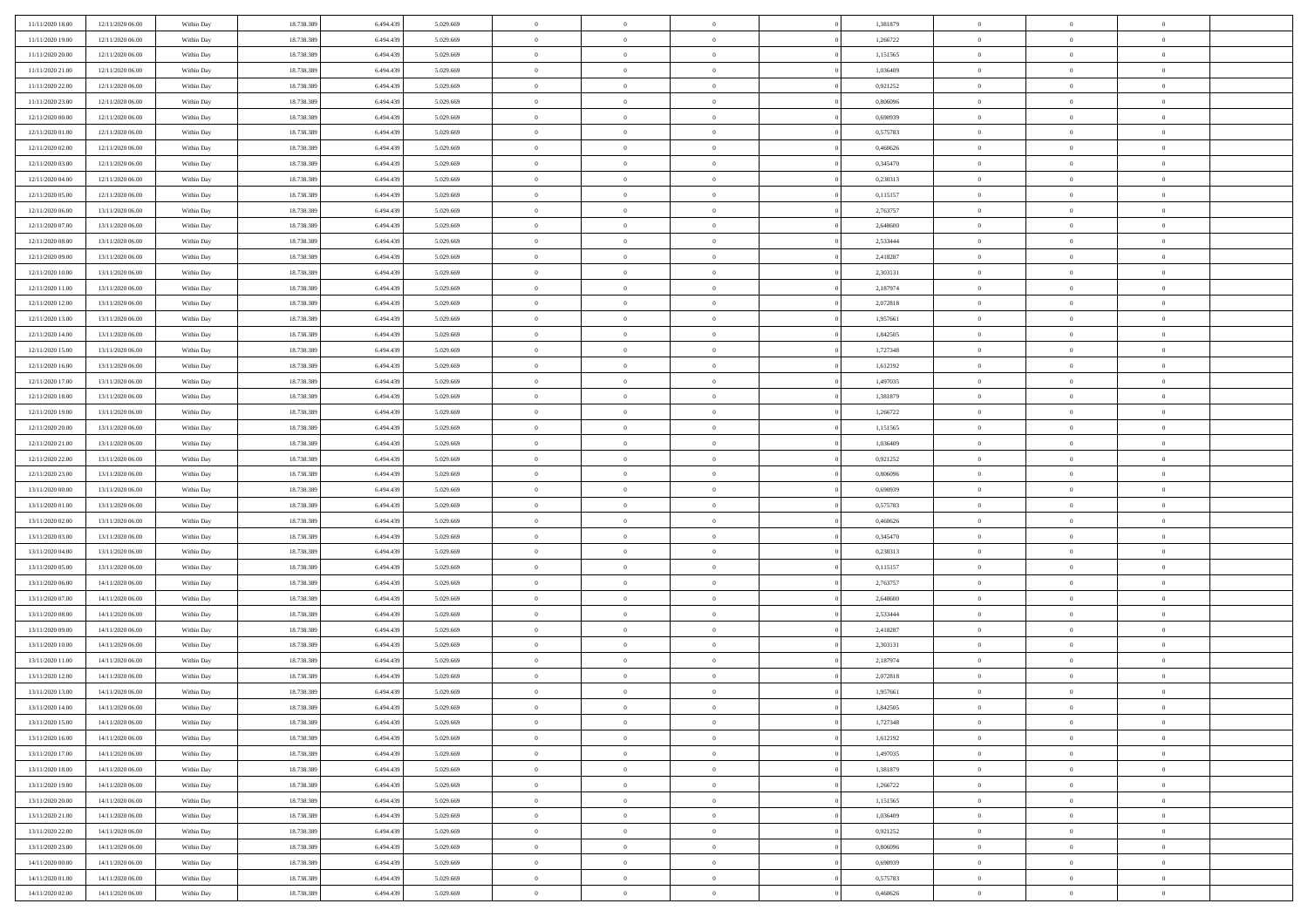| 11/11/2020 18:00                     | 12/11/2020 06:00                     | Within Day               | 18.738.389               | 6.494.439              | 5.029.669              | $\bf{0}$                | $\overline{0}$                   | $\overline{0}$                   |          | 1,381879             | $\bf{0}$              | $\overline{0}$                   | $\,0\,$                          |  |
|--------------------------------------|--------------------------------------|--------------------------|--------------------------|------------------------|------------------------|-------------------------|----------------------------------|----------------------------------|----------|----------------------|-----------------------|----------------------------------|----------------------------------|--|
| 11/11/2020 19:00                     | 12/11/2020 06:00                     | Within Day               | 18.738.389               | 6.494.439              | 5.029.669              | $\theta$                | $\overline{0}$                   | $\mathbf{0}$                     |          | 1,266722             | $\theta$              | $\overline{0}$                   | $\theta$                         |  |
| 11/11/2020 20:00                     | 12/11/2020 06:00                     | Within Day               | 18.738.389               | 6.494.439              | 5.029.669              | $\theta$                | $\overline{0}$                   | $\overline{0}$                   |          | 1,151565             | $\mathbf{0}$          | $\overline{0}$                   | $\overline{0}$                   |  |
| 11/11/2020 21:00                     | 12/11/2020 06:00                     | Within Day               | 18.738.389               | 6.494.439              | 5.029.669              | $\,$ 0 $\,$             | $\overline{0}$                   | $\overline{0}$                   |          | 1,036409             | $\bf{0}$              | $\overline{0}$                   | $\bf{0}$                         |  |
| 11/11/2020 22.00                     | 12/11/2020 06:00                     | Within Day               | 18.738.389               | 6.494.439              | 5.029.669              | $\,$ 0                  | $\overline{0}$                   | $\mathbf{0}$                     |          | 0,921252             | $\bf{0}$              | $\bf{0}$                         | $\,0\,$                          |  |
| 11/11/2020 23:00                     | 12/11/2020 06:00                     | Within Day               | 18.738.389               | 6.494.439              | 5.029.669              | $\theta$                | $\overline{0}$                   | $\mathbf{0}$                     |          | 0,806096             | $\mathbf{0}$          | $\overline{0}$                   | $\overline{0}$                   |  |
| 12/11/2020 00:00                     | 12/11/2020 06:00                     | Within Day               | 18.738.389               | 6.494.439              | 5.029.669              | $\,$ 0 $\,$             | $\overline{0}$                   | $\overline{0}$                   |          | 0,690939             | $\bf{0}$              | $\overline{0}$                   | $\bf{0}$                         |  |
| 12/11/2020 01:00                     | 12/11/2020 06:00                     | Within Day               | 18.738.389               | 6.494.439              | 5.029.669              | $\,$ 0                  | $\overline{0}$                   | $\mathbf{0}$                     |          | 0,575783             | $\,$ 0 $\,$           | $\overline{0}$                   | $\overline{0}$                   |  |
| 12/11/2020 02.00                     | 12/11/2020 06:00                     | Within Day               | 18.738.389               | 6.494.439              | 5.029.669              | $\theta$                | $\overline{0}$                   | $\mathbf{0}$                     |          | 0,460626             | $\mathbf{0}$          | $\overline{0}$                   | $\overline{0}$                   |  |
| 12/11/2020 03:00                     | 12/11/2020 06:00                     | Within Day               | 18.738.389               | 6.494.439              | 5.029.669              | $\,$ 0 $\,$             | $\overline{0}$                   | $\Omega$                         |          | 0,345470             | $\bf{0}$              | $\overline{0}$                   | $\bf{0}$                         |  |
| 12/11/2020 04:00                     | 12/11/2020 06.00                     | Within Day               | 18.738.389               | 6.494.439              | 5.029.669              | $\bf{0}$                | $\overline{0}$                   | $\mathbf{0}$                     |          | 0,230313             | $\bf{0}$              | $\mathbf{0}$                     | $\theta$                         |  |
| 12/11/2020 05:00                     | 12/11/2020 06:00                     | Within Day               | 18.738.389               | 6.494.439              | 5.029.669              | $\theta$                | $\overline{0}$                   | $\overline{0}$                   |          | 0,115157             | $\mathbf{0}$          | $\overline{0}$                   | $\overline{0}$                   |  |
| 12/11/2020 06:00                     | 13/11/2020 06:00                     | Within Day               | 18.738.389               | 6.494.439              | 5.029.669              | $\,$ 0 $\,$             | $\overline{0}$                   | $\overline{0}$                   |          | 2,763757             | $\bf{0}$              | $\overline{0}$                   | $\bf{0}$                         |  |
| 12/11/2020 07:00                     | 13/11/2020 06:00                     | Within Day               | 18.738.389               | 6.494.439              | 5.029.669              | $\,$ 0                  | $\overline{0}$                   | $\mathbf{0}$                     |          | 2,648600             | $\bf{0}$              | $\theta$                         | $\,0\,$                          |  |
| 12/11/2020 08:00                     | 13/11/2020 06:00                     | Within Day               | 18.738.389               | 6.494.439              | 5.029.669              | $\theta$                | $\overline{0}$                   | $\mathbf{0}$                     |          | 2,533444             | $\mathbf{0}$          | $\overline{0}$                   | $\overline{0}$                   |  |
| 12/11/2020 09:00                     | 13/11/2020 06.00                     | Within Day               | 18.738.389               | 6.494.439              | 5.029.669              | $\,$ 0 $\,$             | $\overline{0}$                   | $\overline{0}$                   |          | 2,418287             | $\bf{0}$              | $\overline{0}$                   | $\bf{0}$                         |  |
| 12/11/2020 10:00                     | 13/11/2020 06.00                     | Within Day               | 18.738.389               | 6.494.439              | 5.029.669              | $\,$ 0 $\,$             | $\overline{0}$                   | $\mathbf{0}$                     |          | 2,303131             | $\,$ 0 $\,$           | $\overline{0}$                   | $\theta$                         |  |
| 12/11/2020 11:00                     | 13/11/2020 06:00                     | Within Day               | 18.738.389               | 6.494.439              | 5.029.669              | $\theta$                | $\overline{0}$                   | $\mathbf{0}$                     |          | 2,187974             | $\mathbf{0}$          | $\overline{0}$                   | $\overline{0}$                   |  |
| 12/11/2020 12:00                     | 13/11/2020 06:00                     | Within Day               | 18.738.389               | 6.494.439              | 5.029.669              | $\,$ 0 $\,$             | $\overline{0}$                   | $\overline{0}$                   |          | 2,072818             | $\bf{0}$              | $\overline{0}$                   | $\,0\,$                          |  |
| 12/11/2020 13:00                     | 13/11/2020 06.00                     | Within Day               | 18.738.389               | 6.494.439              | 5.029.669              | $\bf{0}$                | $\overline{0}$                   | $\mathbf{0}$                     |          | 1,957661             | $\bf{0}$              | $\mathbf{0}$                     | $\bf{0}$                         |  |
| 12/11/2020 14:00                     | 13/11/2020 06:00                     | Within Day               | 18.738.389               | 6.494.439              | 5.029.669              | $\theta$                | $\overline{0}$                   | $\mathbf{0}$                     |          | 1,842505             | $\mathbf{0}$          | $\overline{0}$                   | $\overline{0}$                   |  |
| 12/11/2020 15:00                     | 13/11/2020 06:00                     | Within Day               | 18.738.389               | 6.494.439              | 5.029.669              | $\,$ 0 $\,$             | $\overline{0}$                   | $\overline{0}$                   |          | 1,727348             | $\bf{0}$              | $\overline{0}$                   | $\bf{0}$                         |  |
| 12/11/2020 16:00                     | 13/11/2020 06:00                     | Within Day               | 18.738.389               | 6.494.439              | 5.029.669              | $\,$ 0                  | $\overline{0}$                   | $\mathbf{0}$                     |          | 1,612192             | $\,$ 0 $\,$           | $\overline{0}$                   | $\,0\,$                          |  |
| 12/11/2020 17:00                     | 13/11/2020 06:00                     | Within Day               | 18.738.389               | 6.494.439              | 5.029.669              | $\theta$                | $\overline{0}$                   | $\mathbf{0}$                     |          | 1,497035             | $\mathbf{0}$          | $\overline{0}$                   | $\overline{0}$                   |  |
| 12/11/2020 18:00                     | 13/11/2020 06:00                     | Within Day               | 18.738.389               | 6.494.439              | 5.029.669              | $\,$ 0 $\,$             | $\overline{0}$                   | $\overline{0}$                   |          | 1,381879             | $\bf{0}$              | $\overline{0}$                   | $\bf{0}$                         |  |
| 12/11/2020 19:00                     | 13/11/2020 06.00                     | Within Day               | 18.738.389               | 6.494.439              | 5.029.669              | $\,$ 0 $\,$             | $\overline{0}$                   | $\mathbf{0}$                     |          | 1,266722             | $\mathbf{0}$          | $\overline{0}$                   | $\theta$                         |  |
| 12/11/2020 20:00                     | 13/11/2020 06:00                     | Within Day               | 18.738.389               | 6.494.439              | 5.029.669              | $\theta$                | $\overline{0}$                   | $\overline{0}$                   |          | 1,151565             | $\mathbf{0}$          | $\overline{0}$                   | $\overline{0}$                   |  |
| 12/11/2020 21:00                     | 13/11/2020 06:00                     | Within Day               | 18.738.389               | 6.494.439              | 5.029.669              | $\,$ 0 $\,$             | $\overline{0}$                   | $\Omega$                         |          | 1,036409             | $\bf{0}$              | $\overline{0}$                   | $\bf{0}$                         |  |
| 12/11/2020 22.00                     | 13/11/2020 06.00                     | Within Day               | 18.738.389               | 6.494.439              | 5.029.669              | $\bf{0}$                | $\overline{0}$                   | $\mathbf{0}$                     |          | 0,921252             | $\bf{0}$              | $\mathbf{0}$                     | $\overline{0}$                   |  |
| 12/11/2020 23:00                     | 13/11/2020 06:00                     | Within Day               | 18.738.389               | 6.494.439              | 5.029.669              | $\theta$                | $\overline{0}$                   | $\overline{0}$                   |          | 0,806096             | $\mathbf{0}$          | $\overline{0}$                   | $\overline{0}$                   |  |
| 13/11/2020 00:00                     | 13/11/2020 06:00                     | Within Day               | 18.738.389               | 6.494.439              | 5.029.669              | $\,$ 0 $\,$             | $\overline{0}$                   | $\overline{0}$                   |          | 0,690939             | $\,$ 0                | $\overline{0}$                   | $\,$ 0 $\,$                      |  |
| 13/11/2020 01:00                     | 13/11/2020 06:00                     | Within Day               | 18.738.389               | 6.494.439              | 5.029.669              | $\,$ 0                  | $\overline{0}$                   | $\mathbf{0}$                     |          | 0,575783             | $\bf{0}$              | $\overline{0}$                   | $\overline{0}$                   |  |
| 13/11/2020 02.00                     | 13/11/2020 06:00                     | Within Day               | 18.738.389               | 6.494.439              | 5.029.669              | $\theta$                | $\overline{0}$                   | $\mathbf{0}$                     |          | 0,460626             | $\mathbf{0}$          | $\overline{0}$                   | $\overline{0}$                   |  |
| 13/11/2020 03:00                     | 13/11/2020 06:00                     | Within Day               | 18.738.389               | 6.494.439              | 5.029.669              | $\theta$                | $\overline{0}$                   | $\overline{0}$                   |          | 0,345470             | $\,$ 0                | $\overline{0}$                   | $\theta$                         |  |
| 13/11/2020 04:00                     | 13/11/2020 06.00                     | Within Day               | 18.738.389               | 6.494.439              | 5.029.669              | $\,$ 0 $\,$             | $\overline{0}$                   | $\mathbf{0}$                     |          | 0,230313             | $\mathbf{0}$          | $\overline{0}$                   | $\overline{0}$                   |  |
| 13/11/2020 05:00                     | 13/11/2020 06:00                     | Within Day               | 18.738.389               | 6.494.439              | 5.029.669              | $\theta$                | $\overline{0}$                   | $\mathbf{0}$                     |          | 0,115157             | $\mathbf{0}$          | $\overline{0}$                   | $\overline{0}$<br>$\theta$       |  |
| 13/11/2020 06:00                     | 14/11/2020 06:00                     | Within Day               | 18.738.389               | 6.494.439              | 5.029.669              | $\theta$<br>$\bf{0}$    | $\overline{0}$                   | $\overline{0}$<br>$\mathbf{0}$   |          | 2,763757             | $\,$ 0<br>$\bf{0}$    | $\overline{0}$<br>$\mathbf{0}$   |                                  |  |
| 13/11/2020 07:00<br>13/11/2020 08:00 | 14/11/2020 06:00<br>14/11/2020 06:00 | Within Day<br>Within Day | 18.738.389<br>18.738.389 | 6.494.439<br>6.494.439 | 5.029.669<br>5.029.669 | $\theta$                | $\overline{0}$<br>$\overline{0}$ | $\overline{0}$                   |          | 2,648600<br>2,533444 | $\mathbf{0}$          | $\overline{0}$                   | $\overline{0}$<br>$\overline{0}$ |  |
|                                      |                                      |                          |                          |                        |                        |                         |                                  |                                  |          |                      |                       |                                  |                                  |  |
| 13/11/2020 09:00<br>13/11/2020 10:00 | 14/11/2020 06:00<br>14/11/2020 06:00 | Within Day<br>Within Day | 18.738.389<br>18.738.389 | 6.494.439<br>6.494.439 | 5.029.669<br>5.029.669 | $\,$ 0 $\,$<br>$\bf{0}$ | $\overline{0}$<br>$\,$ 0 $\,$    | $\overline{0}$<br>$\overline{0}$ |          | 2,418287<br>2,303131 | $\,$ 0<br>$\,$ 0 $\,$ | $\overline{0}$<br>$\overline{0}$ | $\,$ 0 $\,$<br>$\overline{0}$    |  |
| 13/11/2020 11:00                     | 14/11/2020 06:00                     | Within Day               | 18.738.389               | 6.494.439              | 5.029.669              | $\theta$                | $\overline{0}$                   | $\mathbf{0}$                     |          | 2,187974             | $\mathbf{0}$          | $\overline{0}$                   | $\overline{0}$                   |  |
| 13/11/2020 12:00                     | 14/11/2020 06.00                     | Within Day               | 18.738.389               | 6.494.439              | 5.029.669              | $\theta$                | $\overline{0}$                   | $\overline{0}$                   |          | 2,072818             | $\,$ 0                | $\overline{0}$                   | $\theta$                         |  |
| 13/11/2020 13:00                     | 14/11/2020 06.00                     | Within Day               | 18.738.389               | 6.494.439              | 5.029.669              | $\,$ 0                  | $\,$ 0 $\,$                      | $\mathbf{0}$                     |          | 1,957661             | $\,$ 0 $\,$           | $\overline{0}$                   | $\bf{0}$                         |  |
| 13/11/2020 14:00                     | 14/11/2020 06:00                     | Within Day               | 18.738.389               | 6.494.439              | 5.029.669              | $\overline{0}$          | $\theta$                         |                                  |          | 1,842505             | $\overline{0}$        | $\theta$                         | $\theta$                         |  |
| 13/11/2020 15:00                     | 14/11/2020 06:00                     | Within Day               | 18.738.389               | 6.494.439              | 5.029.669              | $\,$ 0 $\,$             | $\overline{0}$                   | $\overline{0}$                   |          | 1,727348             | $\,$ 0 $\,$           | $\bf{0}$                         | $\theta$                         |  |
| 13/11/2020 16.00                     | 14/11/2020 06.00                     | Within Day               | 18.738.389               | 6.494.439              | 5.029.669              | $\overline{0}$          | $\,$ 0 $\,$                      | $\overline{0}$                   |          | 1,612192             | $\,$ 0 $\,$           | $\overline{0}$                   | $\overline{0}$                   |  |
| 13/11/2020 17:00                     | 14/11/2020 06:00                     | Within Day               | 18.738.389               | 6.494.439              | 5.029.669              | $\mathbf{0}$            | $\overline{0}$                   | $\overline{0}$                   |          | 1,497035             | $\,$ 0 $\,$           | $\bf{0}$                         | $\mathbf{0}$                     |  |
| 13/11/2020 18:00                     | 14/11/2020 06:00                     | Within Day               | 18.738.389               | 6.494.439              | 5.029.669              | $\,$ 0 $\,$             | $\overline{0}$                   | $\overline{0}$                   | $\theta$ | 1,381879             | $\,$ 0 $\,$           | $\bf{0}$                         | $\,$ 0 $\,$                      |  |
| 13/11/2020 19:00                     | 14/11/2020 06.00                     | Within Day               | 18.738.389               | 6.494.439              | 5.029.669              | $\,$ 0 $\,$             | $\,$ 0 $\,$                      | $\overline{0}$                   |          | 1,266722             | $\,$ 0 $\,$           | $\overline{0}$                   | $\overline{0}$                   |  |
| 13/11/2020 20:00                     | 14/11/2020 06:00                     | Within Day               | 18.738.389               | 6.494.439              | 5.029.669              | $\mathbf{0}$            | $\overline{0}$                   | $\overline{0}$                   |          | 1,151565             | $\mathbf{0}$          | $\overline{0}$                   | $\overline{0}$                   |  |
| 13/11/2020 21:00                     | 14/11/2020 06:00                     | Within Day               | 18.738.389               | 6.494.439              | 5.029.669              | $\,0\,$                 | $\overline{0}$                   | $\overline{0}$                   |          | 1,036409             | $\,$ 0 $\,$           | $\mathbf{0}$                     | $\,$ 0 $\,$                      |  |
| 13/11/2020 22.00                     | 14/11/2020 06.00                     | Within Day               | 18.738.389               | 6.494.439              | 5.029.669              | $\overline{0}$          | $\,$ 0 $\,$                      | $\overline{0}$                   |          | 0,921252             | $\,$ 0 $\,$           | $\overline{0}$                   | $\overline{0}$                   |  |
| 13/11/2020 23:00                     | 14/11/2020 06:00                     | Within Day               | 18.738.389               | 6.494.439              | 5.029.669              | $\,$ 0 $\,$             | $\overline{0}$                   | $\overline{0}$                   |          | 0,806096             | $\mathbf{0}$          | $\bf{0}$                         | $\overline{0}$                   |  |
| 14/11/2020 00:00                     | 14/11/2020 06:00                     | Within Day               | 18.738.389               | 6.494.439              | 5.029.669              | $\,0\,$                 | $\overline{0}$                   | $\overline{0}$                   |          | 0,690939             | $\,$ 0 $\,$           | $\mathbf{0}$                     | $\,$ 0 $\,$                      |  |
| 14/11/2020 01:00                     | 14/11/2020 06.00                     | Within Day               | 18.738.389               | 6.494.439              | 5.029.669              | $\,$ 0 $\,$             | $\,$ 0 $\,$                      | $\overline{0}$                   |          | 0,575783             | $\,$ 0 $\,$           | $\overline{0}$                   | $\overline{0}$                   |  |
| 14/11/2020 02.00                     | 14/11/2020 06:00                     | Within Day               | 18.738.389               | 6.494.439              | 5.029.669              | $\theta$                | $\overline{0}$                   | $\overline{0}$                   |          | 0,460626             | $\mathbf{0}$          | $\overline{0}$                   | $\overline{0}$                   |  |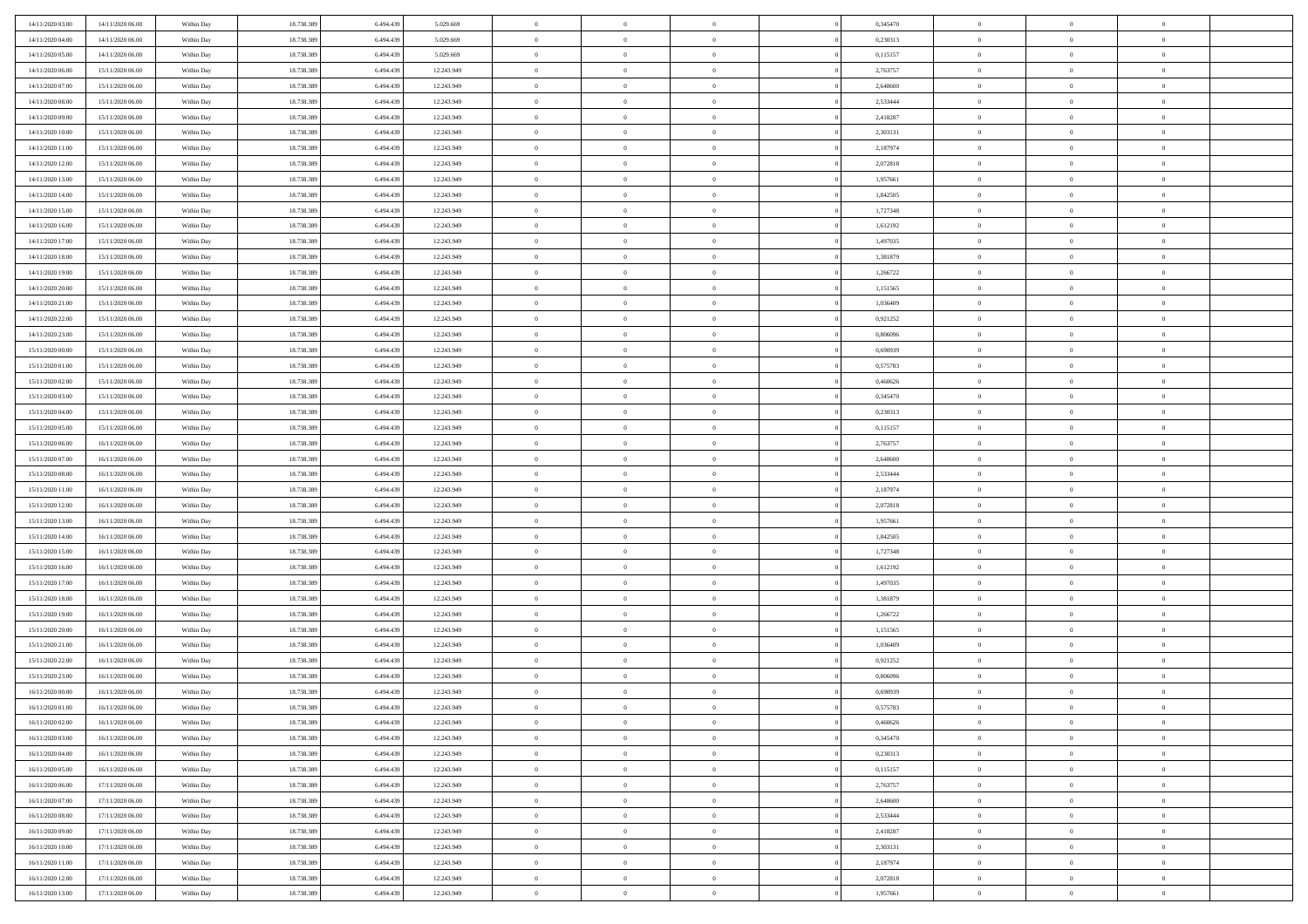| 14/11/2020 03:00 | 14/11/2020 06:00 | Within Day | 18.738.389 | 6.494.43  | 5.029.669  | $\bf{0}$                   | $\overline{0}$                   | $\Omega$       | 0,345470 | $\bf{0}$       | $\overline{0}$ | $\bf{0}$       |  |
|------------------|------------------|------------|------------|-----------|------------|----------------------------|----------------------------------|----------------|----------|----------------|----------------|----------------|--|
| 14/11/2020 04.00 | 14/11/2020 06:00 | Within Day | 18.738.389 | 6,494.43  | 5.029.669  | $\overline{0}$             | $\overline{0}$                   | $\Omega$       | 0,230313 | $\overline{0}$ | $\theta$       | $\theta$       |  |
| 14/11/2020 05:00 | 14/11/2020 06:00 | Within Day | 18.738.389 | 6.494.439 | 5.029.669  | $\overline{0}$             | $\overline{0}$                   | $\overline{0}$ | 0,115157 | $\mathbf{0}$   | $\overline{0}$ | $\theta$       |  |
| 14/11/2020 06:00 | 15/11/2020 06:00 | Within Day | 18.738.389 | 6.494.439 | 12.243.949 | $\bf{0}$                   | $\overline{0}$                   | $\overline{0}$ | 2,763757 | $\mathbf{0}$   | $\overline{0}$ | $\bf{0}$       |  |
| 14/11/2020 07:00 | 15/11/2020 06:00 | Within Day | 18.738.389 | 6.494.439 | 12.243.949 | $\bf{0}$                   | $\overline{0}$                   | $\overline{0}$ | 2,648600 | $\bf{0}$       | $\overline{0}$ | $\bf{0}$       |  |
| 14/11/2020 08:00 | 15/11/2020 06:00 | Within Day | 18.738.389 | 6.494.439 | 12.243.949 | $\overline{0}$             | $\overline{0}$                   | $\overline{0}$ | 2,533444 | $\mathbf{0}$   | $\overline{0}$ | $\theta$       |  |
| 14/11/2020 09:00 | 15/11/2020 06:00 | Within Day | 18.738.389 | 6.494.439 | 12.243.949 | $\bf{0}$                   | $\overline{0}$                   | $\overline{0}$ | 2,418287 | $\bf{0}$       | $\overline{0}$ | $\bf{0}$       |  |
| 14/11/2020 10:00 | 15/11/2020 06:00 | Within Day | 18.738.389 | 6.494.43  | 12.243.949 | $\overline{0}$             | $\overline{0}$                   | $\overline{0}$ | 2,303131 | $\mathbf{0}$   | $\theta$       | $\theta$       |  |
| 14/11/2020 11:00 | 15/11/2020 06:00 | Within Day | 18.738.389 | 6.494.439 | 12.243.949 | $\overline{0}$             | $\overline{0}$                   | $\overline{0}$ | 2,187974 | $\mathbf{0}$   | $\overline{0}$ | $\theta$       |  |
|                  |                  |            | 18.738.389 | 6.494.439 | 12.243.949 | $\bf{0}$                   | $\overline{0}$                   | $\Omega$       | 2,072818 | $\bf{0}$       | $\overline{0}$ | $\bf{0}$       |  |
| 14/11/2020 12:00 | 15/11/2020 06:00 | Within Day |            | 6.494.43  |            |                            |                                  |                |          |                | $\theta$       | $\theta$       |  |
| 14/11/2020 13:00 | 15/11/2020 06:00 | Within Day | 18.738.389 |           | 12.243.949 | $\bf{0}$<br>$\overline{0}$ | $\overline{0}$<br>$\overline{0}$ | $\overline{0}$ | 1,957661 | $\mathbf{0}$   |                | $\theta$       |  |
| 14/11/2020 14.00 | 15/11/2020 06:00 | Within Day | 18.738.389 | 6.494.439 | 12.243.949 |                            |                                  | $\overline{0}$ | 1,842505 | $\mathbf{0}$   | $\overline{0}$ |                |  |
| 14/11/2020 15.00 | 15/11/2020 06:00 | Within Day | 18.738.389 | 6.494.439 | 12.243.949 | $\bf{0}$                   | $\overline{0}$                   | $\overline{0}$ | 1,727348 | $\mathbf{0}$   | $\overline{0}$ | $\bf{0}$       |  |
| 14/11/2020 16:00 | 15/11/2020 06:00 | Within Day | 18.738.389 | 6.494.439 | 12.243.949 | $\bf{0}$                   | $\overline{0}$                   | $\overline{0}$ | 1,612192 | $\bf{0}$       | $\theta$       | $\bf{0}$       |  |
| 14/11/2020 17.00 | 15/11/2020 06:00 | Within Day | 18.738.389 | 6.494.439 | 12.243.949 | $\overline{0}$             | $\overline{0}$                   | $\overline{0}$ | 1,497035 | $\mathbf{0}$   | $\overline{0}$ | $\theta$       |  |
| 14/11/2020 18.00 | 15/11/2020 06:00 | Within Day | 18.738.389 | 6.494.439 | 12.243.949 | $\bf{0}$                   | $\overline{0}$                   | $\Omega$       | 1,381879 | $\bf{0}$       | $\overline{0}$ | $\bf{0}$       |  |
| 14/11/2020 19:00 | 15/11/2020 06:00 | Within Day | 18.738.389 | 6.494.439 | 12.243.949 | $\,$ 0 $\,$                | $\overline{0}$                   | $\overline{0}$ | 1,266722 | $\mathbf{0}$   | $\theta$       | $\theta$       |  |
| 14/11/2020 20.00 | 15/11/2020 06:00 | Within Day | 18.738.389 | 6.494.439 | 12.243.949 | $\overline{0}$             | $\overline{0}$                   | $\overline{0}$ | 1,151565 | $\mathbf{0}$   | $\overline{0}$ | $\theta$       |  |
| 14/11/2020 21.00 | 15/11/2020 06:00 | Within Day | 18.738.389 | 6.494.439 | 12.243.949 | $\bf{0}$                   | $\overline{0}$                   | $\Omega$       | 1,036409 | $\bf{0}$       | $\overline{0}$ | $\bf{0}$       |  |
| 14/11/2020 22.00 | 15/11/2020 06:00 | Within Day | 18.738.389 | 6.494.439 | 12.243.949 | $\bf{0}$                   | $\overline{0}$                   | $\overline{0}$ | 0,921252 | $\mathbf{0}$   | $\theta$       | $\overline{0}$ |  |
| 14/11/2020 23:00 | 15/11/2020 06:00 | Within Day | 18.738.389 | 6.494.439 | 12.243.949 | $\overline{0}$             | $\overline{0}$                   | $\overline{0}$ | 0,806096 | $\mathbf{0}$   | $\overline{0}$ | $\theta$       |  |
| 15/11/2020 00:00 | 15/11/2020 06:00 | Within Day | 18.738.389 | 6.494.439 | 12.243.949 | $\bf{0}$                   | $\overline{0}$                   | $\overline{0}$ | 0,690939 | $\mathbf{0}$   | $\overline{0}$ | $\bf{0}$       |  |
| 15/11/2020 01:00 | 15/11/2020 06:00 | Within Day | 18.738.389 | 6.494.439 | 12.243.949 | $\bf{0}$                   | $\overline{0}$                   | $\overline{0}$ | 0,575783 | $\,$ 0 $\,$    | $\overline{0}$ | $\bf{0}$       |  |
| 15/11/2020 02:00 | 15/11/2020 06:00 | Within Day | 18.738.389 | 6.494.439 | 12.243.949 | $\overline{0}$             | $\overline{0}$                   | $\overline{0}$ | 0,460626 | $\mathbf{0}$   | $\overline{0}$ | $\theta$       |  |
| 15/11/2020 03:00 | 15/11/2020 06:00 | Within Day | 18.738.389 | 6.494.439 | 12.243.949 | $\bf{0}$                   | $\overline{0}$                   | $\overline{0}$ | 0,345470 | $\bf{0}$       | $\overline{0}$ | $\bf{0}$       |  |
| 15/11/2020 04:00 | 15/11/2020 06:00 | Within Day | 18.738.389 | 6.494.43  | 12.243.949 | $\bf{0}$                   | $\overline{0}$                   | $\overline{0}$ | 0,230313 | $\mathbf{0}$   | $\overline{0}$ | $\overline{0}$ |  |
| 15/11/2020 05:00 | 15/11/2020 06:00 | Within Day | 18.738.389 | 6.494.439 | 12.243.949 | $\overline{0}$             | $\overline{0}$                   | $\overline{0}$ | 0,115157 | $\mathbf{0}$   | $\overline{0}$ | $\theta$       |  |
| 15/11/2020 06.00 | 16/11/2020 06:00 | Within Day | 18.738.389 | 6.494.439 | 12.243.949 | $\bf{0}$                   | $\overline{0}$                   | $\Omega$       | 2,763757 | $\mathbf{0}$   | $\overline{0}$ | $\bf{0}$       |  |
| 15/11/2020 07:00 | 16/11/2020 06:00 | Within Day | 18.738.389 | 6.494.439 | 12.243.949 | $\bf{0}$                   | $\overline{0}$                   | $\overline{0}$ | 2,648600 | $\mathbf{0}$   | $\theta$       | $\overline{0}$ |  |
| 15/11/2020 08:00 | 16/11/2020 06:00 | Within Day | 18.738.389 | 6.494.439 | 12.243.949 | $\overline{0}$             | $\overline{0}$                   | $\overline{0}$ | 2,533444 | $\mathbf{0}$   | $\overline{0}$ | $\theta$       |  |
| 15/11/2020 11:00 | 16/11/2020 06:00 | Within Day | 18.738.389 | 6.494.439 | 12.243.949 | $\,$ 0                     | $\overline{0}$                   | $\overline{0}$ | 2,187974 | $\,$ 0 $\,$    | $\overline{0}$ | $\,0\,$        |  |
| 15/11/2020 12:00 | 16/11/2020 06:00 | Within Day | 18.738.389 | 6.494.439 | 12.243.949 | $\bf{0}$                   | $\overline{0}$                   | $\overline{0}$ | 2,072818 | $\,$ 0 $\,$    | $\theta$       | $\overline{0}$ |  |
| 15/11/2020 13:00 | 16/11/2020 06:00 | Within Day | 18.738.389 | 6.494.439 | 12.243.949 | $\overline{0}$             | $\overline{0}$                   | $\overline{0}$ | 1,957661 | $\mathbf{0}$   | $\overline{0}$ | $\theta$       |  |
| 15/11/2020 14:00 | 16/11/2020 06:00 | Within Day | 18.738.389 | 6.494.439 | 12.243.949 | $\,$ 0                     | $\overline{0}$                   | $\theta$       | 1,842505 | $\,$ 0         | $\overline{0}$ | $\mathbf{0}$   |  |
| 15/11/2020 15:00 | 16/11/2020 06:00 | Within Day | 18.738.389 | 6.494.439 | 12.243.949 | $\bf{0}$                   | $\overline{0}$                   | $\overline{0}$ | 1,727348 | $\mathbf{0}$   | $\overline{0}$ | $\overline{0}$ |  |
| 15/11/2020 16.00 | 16/11/2020 06:00 | Within Day | 18.738.389 | 6.494.439 | 12.243.949 | $\overline{0}$             | $\overline{0}$                   | $\overline{0}$ | 1,612192 | $\mathbf{0}$   | $\overline{0}$ | $\theta$       |  |
| 15/11/2020 17:00 | 16/11/2020 06:00 | Within Day | 18.738.389 | 6.494.439 | 12.243.949 | $\overline{0}$             | $\overline{0}$                   | $\overline{0}$ | 1,497035 | $\,$ 0 $\,$    | $\overline{0}$ | $\mathbf{0}$   |  |
| 15/11/2020 18:00 | 16/11/2020 06:00 | Within Day | 18.738.389 | 6.494.439 | 12.243.949 | $\bf{0}$                   | $\overline{0}$                   | $\overline{0}$ | 1,381879 | $\mathbf{0}$   | $\theta$       | $\overline{0}$ |  |
| 15/11/2020 19:00 | 16/11/2020 06:00 | Within Day | 18.738.389 | 6.494.439 | 12.243.949 | $\overline{0}$             | $\overline{0}$                   | $\overline{0}$ | 1,266722 | $\mathbf{0}$   | $\overline{0}$ | $\theta$       |  |
| 15/11/2020 20:00 | 16/11/2020 06:00 | Within Day | 18.738.389 | 6.494.439 | 12.243.949 | $\,$ 0                     | $\overline{0}$                   | $\overline{0}$ | 1,151565 | $\,$ 0 $\,$    | $\overline{0}$ | $\,0\,$        |  |
| 15/11/2020 21:00 | 16/11/2020 06:00 | Within Day | 18.738.389 | 6.494.439 | 12.243.949 | $\,$ 0 $\,$                | $\,$ 0 $\,$                      | $\overline{0}$ | 1,036409 | $\,$ 0 $\,$    | $\overline{0}$ | $\overline{0}$ |  |
| 15/11/2020 22:00 | 16/11/2020 06:00 | Within Day | 18.738.389 | 6.494.439 | 12.243.949 | $\overline{0}$             | $\overline{0}$                   | $\overline{0}$ | 0,921252 | $\mathbf{0}$   | $\overline{0}$ | $\theta$       |  |
| 15/11/2020 23.00 | 16/11/2020 06:00 | Within Day | 18.738.389 | 6.494.439 | 12.243.949 | $\overline{0}$             | $\overline{0}$                   | $\overline{0}$ | 0,806096 | $\overline{0}$ | $\overline{0}$ | $\mathbf{0}$   |  |
| 16/11/2020 00:00 | 16/11/2020 06:00 | Within Day | 18.738.389 | 6.494.43  | 12.243.949 | $\bf{0}$                   | $\overline{0}$                   | $\overline{0}$ | 0.690939 | $\mathbf{0}$   | $\overline{0}$ | $\overline{0}$ |  |
| 16/11/2020 01:00 | 16/11/2020 06:00 | Within Day | 18.738.389 | 6.494.439 | 12.243.949 | $\overline{0}$             | $\theta$                         |                | 0,575783 | $\overline{0}$ | $\Omega$       | $\overline{0}$ |  |
| 16/11/2020 02:00 | 16/11/2020 06:00 | Within Day | 18.738.389 | 6.494.439 | 12.243.949 | $\,$ 0                     | $\overline{0}$                   | $\overline{0}$ | 0,460626 | $\,$ 0 $\,$    | $\bf{0}$       | $\mathbf{0}$   |  |
| 16/11/2020 03:00 | 16/11/2020 06:00 | Within Day | 18.738.389 | 6,494.43  | 12.243.949 | $\mathbf{0}$               | $\overline{0}$                   | $\overline{0}$ | 0.345470 | $\,$ 0 $\,$    | $\overline{0}$ | $\overline{0}$ |  |
| 16/11/2020 04:00 | 16/11/2020 06:00 | Within Day | 18.738.389 | 6.494.439 | 12.243.949 | $\mathbf{0}$               | $\overline{0}$                   | $\overline{0}$ | 0,230313 | $\mathbf{0}$   | $\bf{0}$       | $\overline{0}$ |  |
| 16/11/2020 05:00 | 16/11/2020 06:00 | Within Day | 18.738.389 | 6.494.439 | 12.243.949 | $\,$ 0 $\,$                | $\overline{0}$                   | $\overline{0}$ | 0,115157 | $\,$ 0 $\,$    | $\bf{0}$       | $\theta$       |  |
| 16/11/2020 06:00 | 17/11/2020 06:00 | Within Day | 18.738.389 | 6.494.439 | 12.243.949 | $\,$ 0 $\,$                | $\,$ 0 $\,$                      | $\overline{0}$ | 2,763757 | $\,$ 0 $\,$    | $\overline{0}$ | $\overline{0}$ |  |
| 16/11/2020 07:00 | 17/11/2020 06:00 | Within Day | 18.738.389 | 6.494.439 | 12.243.949 | $\mathbf{0}$               | $\overline{0}$                   | $\overline{0}$ | 2,648600 | $\mathbf{0}$   | $\bf{0}$       | $\overline{0}$ |  |
|                  |                  |            |            |           |            |                            |                                  |                |          |                |                |                |  |
| 16/11/2020 08:00 | 17/11/2020 06:00 | Within Day | 18.738.389 | 6.494.439 | 12.243.949 | $\,$ 0 $\,$                | $\overline{0}$                   | $\overline{0}$ | 2,533444 | $\,$ 0 $\,$    | $\mathbf{0}$   | $\theta$       |  |
| 16/11/2020 09:00 | 17/11/2020 06:00 | Within Day | 18.738.389 | 6.494.43  | 12.243.949 | $\mathbf{0}$               | $\overline{0}$                   | $\overline{0}$ | 2,418287 | $\,$ 0 $\,$    | $\overline{0}$ | $\overline{0}$ |  |
| 16/11/2020 10:00 | 17/11/2020 06:00 | Within Day | 18.738.389 | 6.494.439 | 12.243.949 | $\mathbf{0}$               | $\overline{0}$                   | $\overline{0}$ | 2,303131 | $\mathbf{0}$   | $\bf{0}$       | $\overline{0}$ |  |
| 16/11/2020 11:00 | 17/11/2020 06:00 | Within Day | 18.738.389 | 6.494.439 | 12.243.949 | $\,$ 0 $\,$                | $\overline{0}$                   | $\overline{0}$ | 2,187974 | $\,$ 0 $\,$    | $\mathbf{0}$   | $\theta$       |  |
| 16/11/2020 12:00 | 17/11/2020 06:00 | Within Day | 18.738.389 | 6.494.439 | 12.243.949 | $\mathbf{0}$               | $\overline{0}$                   | $\overline{0}$ | 2,072818 | $\,$ 0 $\,$    | $\overline{0}$ | $\overline{0}$ |  |
| 16/11/2020 13:00 | 17/11/2020 06:00 | Within Day | 18.738.389 | 6.494.439 | 12.243.949 | $\mathbf{0}$               | $\overline{0}$                   | $\overline{0}$ | 1,957661 | $\mathbf{0}$   | $\mathbf{0}$   | $\overline{0}$ |  |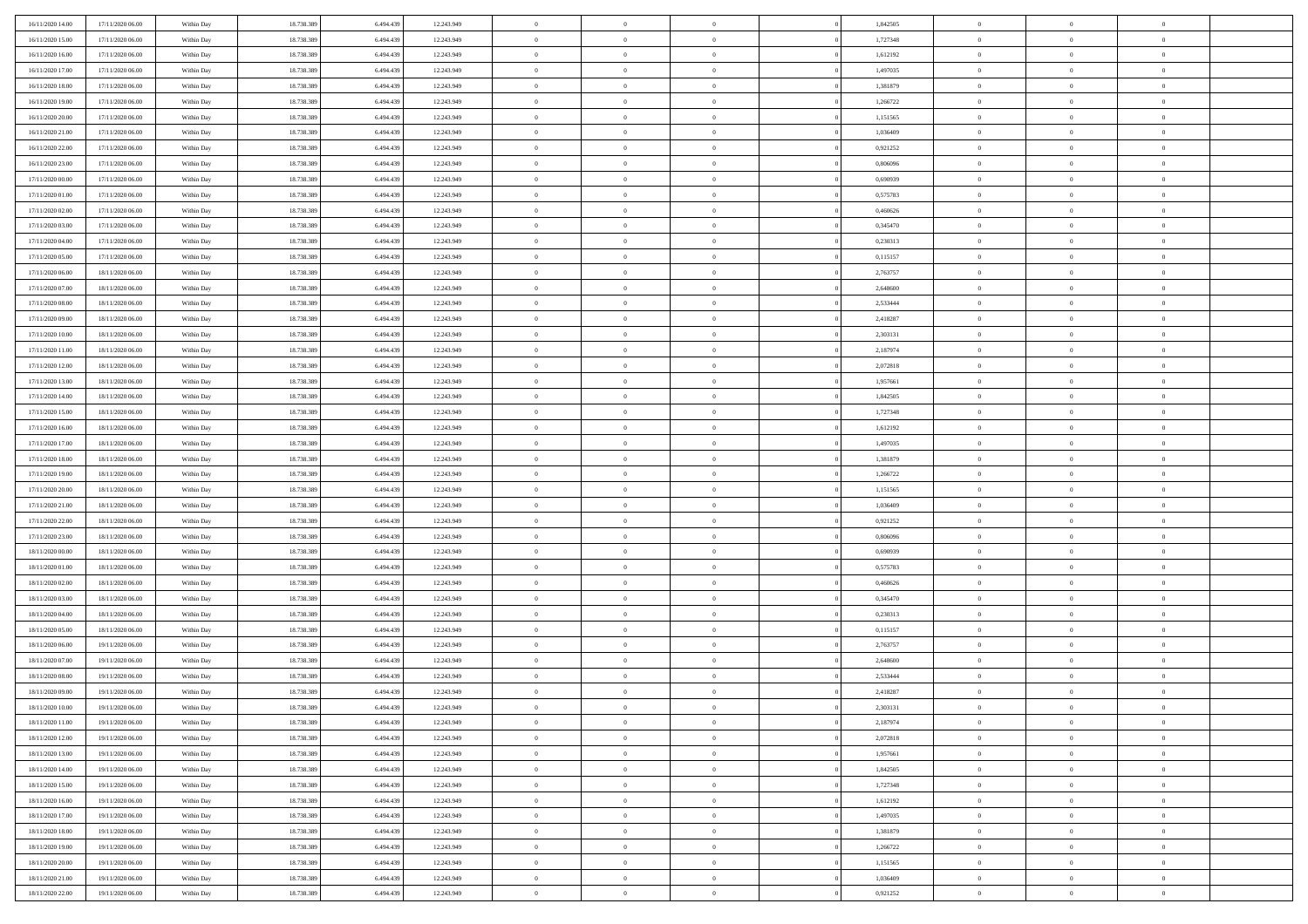| 16/11/2020 14:00<br>17/11/2020 06:00 | Within Day               | 18.738.389 | 6.494.439 | 12.243.949 | $\,$ 0         | $\bf{0}$       | $\theta$       |          | 1,842505 | $\bf{0}$       | $\overline{0}$ | $\,0\,$        |  |
|--------------------------------------|--------------------------|------------|-----------|------------|----------------|----------------|----------------|----------|----------|----------------|----------------|----------------|--|
| 16/11/2020 15:00<br>17/11/2020 06:00 | Within Day               | 18.738.389 | 6,494,439 | 12.243.949 | $\overline{0}$ | $\overline{0}$ | $\overline{0}$ |          | 1,727348 | $\overline{0}$ | $\overline{0}$ | $\theta$       |  |
| 16/11/2020 16:00<br>17/11/2020 06:00 | Within Dav               | 18.738.389 | 6.494.439 | 12.243.949 | $\mathbf{0}$   | $\overline{0}$ | $\overline{0}$ |          | 1,612192 | $\mathbf{0}$   | $\overline{0}$ | $\overline{0}$ |  |
| 16/11/2020 17.00<br>17/11/2020 06:00 | Within Day               | 18.738.389 | 6.494.439 | 12.243.949 | $\bf{0}$       | $\overline{0}$ | $\bf{0}$       |          | 1,497035 | $\bf{0}$       | $\overline{0}$ | $\bf{0}$       |  |
| 16/11/2020 18:00<br>17/11/2020 06:00 | Within Day               | 18.738.389 | 6.494.439 | 12.243.949 | $\bf{0}$       | $\bf{0}$       | $\overline{0}$ |          | 1,381879 | $\bf{0}$       | $\bf{0}$       | $\,0\,$        |  |
| 16/11/2020 19:00<br>17/11/2020 06:00 | Within Dav               | 18.738.389 | 6.494.439 | 12.243.949 | $\mathbf{0}$   | $\overline{0}$ | $\overline{0}$ |          | 1,266722 | $\mathbf{0}$   | $\overline{0}$ | $\overline{0}$ |  |
| 16/11/2020 20.00<br>17/11/2020 06:00 | Within Day               | 18.738.389 | 6.494.439 | 12.243.949 | $\bf{0}$       | $\bf{0}$       | $\overline{0}$ |          | 1,151565 | $\bf{0}$       | $\overline{0}$ | $\,0\,$        |  |
| 16/11/2020 21:00<br>17/11/2020 06:00 | Within Day               | 18.738.389 | 6,494,439 | 12.243.949 | $\overline{0}$ | $\overline{0}$ | $\overline{0}$ |          | 1,036409 | $\,$ 0 $\,$    | $\overline{0}$ | $\theta$       |  |
| 16/11/2020 22.00<br>17/11/2020 06:00 | Within Day               | 18.738.389 | 6.494.439 | 12.243.949 | $\mathbf{0}$   | $\overline{0}$ | $\overline{0}$ |          | 0,921252 | $\mathbf{0}$   | $\overline{0}$ | $\overline{0}$ |  |
| 16/11/2020 23.00<br>17/11/2020 06:00 | Within Day               | 18.738.389 | 6.494.439 | 12.243.949 | $\bf{0}$       | $\bf{0}$       | $\theta$       |          | 0,806096 | $\bf{0}$       | $\overline{0}$ | $\,0\,$        |  |
| 17/11/2020 00:00<br>17/11/2020 06:00 | Within Day               | 18.738.389 | 6,494,439 | 12.243.949 | $\bf{0}$       | $\overline{0}$ | $\overline{0}$ |          | 0.690939 | $\bf{0}$       | $\overline{0}$ | $\theta$       |  |
| 17/11/2020 01:00<br>17/11/2020 06:00 | Within Dav               | 18.738.389 | 6.494.439 | 12.243.949 | $\mathbf{0}$   | $\overline{0}$ | $\overline{0}$ |          | 0,575783 | $\mathbf{0}$   | $\overline{0}$ | $\overline{0}$ |  |
| 17/11/2020 02.00<br>17/11/2020 06:00 | Within Day               | 18.738.389 | 6.494.439 | 12.243.949 | $\bf{0}$       | $\overline{0}$ | $\bf{0}$       |          | 0,460626 | $\bf{0}$       | $\overline{0}$ | $\bf{0}$       |  |
| 17/11/2020 03:00<br>17/11/2020 06:00 |                          | 18.738.389 | 6.494.439 | 12.243.949 | $\bf{0}$       | $\overline{0}$ | $\overline{0}$ |          | 0,345470 | $\bf{0}$       | $\mathbf{0}$   | $\,0\,$        |  |
| 17/11/2020 04:00<br>17/11/2020 06:00 | Within Day<br>Within Dav | 18.738.389 | 6.494.439 | 12.243.949 | $\overline{0}$ | $\overline{0}$ | $\overline{0}$ |          | 0,230313 | $\mathbf{0}$   | $\overline{0}$ | $\overline{0}$ |  |
|                                      |                          |            |           |            | $\bf{0}$       |                | $\overline{0}$ |          |          | $\bf{0}$       | $\overline{0}$ | $\bf{0}$       |  |
| 17/11/2020 05.00<br>17/11/2020 06:00 | Within Day               | 18.738.389 | 6.494.439 | 12.243.949 |                | $\bf{0}$       |                |          | 0,115157 |                | $\overline{0}$ |                |  |
| 17/11/2020 06:00<br>18/11/2020 06:00 | Within Day               | 18.738.389 | 6,494,439 | 12.243.949 | $\bf{0}$       | $\overline{0}$ | $\overline{0}$ |          | 2,763757 | $\bf{0}$       |                | $\theta$       |  |
| 17/11/2020 07:00<br>18/11/2020 06:00 | Within Day               | 18.738.389 | 6.494.439 | 12.243.949 | $\mathbf{0}$   | $\overline{0}$ | $\overline{0}$ |          | 2,648600 | $\mathbf{0}$   | $\overline{0}$ | $\overline{0}$ |  |
| 17/11/2020 08:00<br>18/11/2020 06:00 | Within Day               | 18.738.389 | 6.494.439 | 12.243.949 | $\bf{0}$       | $\bf{0}$       | $\overline{0}$ |          | 2,533444 | $\bf{0}$       | $\overline{0}$ | $\,0\,$        |  |
| 17/11/2020 09:00<br>18/11/2020 06:00 | Within Day               | 18.738.389 | 6.494.439 | 12.243.949 | $\bf{0}$       | $\bf{0}$       | $\overline{0}$ |          | 2,418287 | $\bf{0}$       | $\overline{0}$ | $\bf{0}$       |  |
| 17/11/2020 10:00<br>18/11/2020 06:00 | Within Dav               | 18.738.389 | 6.494.439 | 12.243.949 | $\mathbf{0}$   | $\overline{0}$ | $\overline{0}$ |          | 2,303131 | $\mathbf{0}$   | $\overline{0}$ | $\overline{0}$ |  |
| 17/11/2020 11:00<br>18/11/2020 06:00 | Within Day               | 18.738.389 | 6.494.439 | 12.243.949 | $\bf{0}$       | $\overline{0}$ | $\bf{0}$       |          | 2,187974 | $\bf{0}$       | $\overline{0}$ | $\bf{0}$       |  |
| 17/11/2020 12:00<br>18/11/2020 06:00 | Within Day               | 18.738.389 | 6,494,439 | 12.243.949 | $\bf{0}$       | $\bf{0}$       | $\overline{0}$ |          | 2,072818 | $\bf{0}$       | $\bf{0}$       | $\,0\,$        |  |
| 17/11/2020 13:00<br>18/11/2020 06:00 | Within Dav               | 18.738.389 | 6.494.439 | 12.243.949 | $\mathbf{0}$   | $\overline{0}$ | $\overline{0}$ |          | 1,957661 | $\mathbf{0}$   | $\overline{0}$ | $\overline{0}$ |  |
| 17/11/2020 14.00<br>18/11/2020 06:00 | Within Day               | 18.738.389 | 6.494.439 | 12.243.949 | $\bf{0}$       | $\bf{0}$       | $\overline{0}$ |          | 1,842505 | $\bf{0}$       | $\overline{0}$ | $\,0\,$        |  |
| 17/11/2020 15:00<br>18/11/2020 06:00 | Within Day               | 18.738.389 | 6.494.439 | 12.243.949 | $\bf{0}$       | $\overline{0}$ | $\overline{0}$ |          | 1,727348 | $\bf{0}$       | $\overline{0}$ | $\overline{0}$ |  |
| 17/11/2020 16:00<br>18/11/2020 06:00 | Within Dav               | 18.738.389 | 6.494.439 | 12.243.949 | $\mathbf{0}$   | $\overline{0}$ | $\overline{0}$ |          | 1,612192 | $\mathbf{0}$   | $\overline{0}$ | $\overline{0}$ |  |
| 17/11/2020 17.00<br>18/11/2020 06:00 | Within Day               | 18.738.389 | 6.494.439 | 12.243.949 | $\bf{0}$       | $\bf{0}$       | $\overline{0}$ |          | 1,497035 | $\bf{0}$       | $\overline{0}$ | $\,0\,$        |  |
| 17/11/2020 18.00<br>18/11/2020 06:00 | Within Day               | 18.738.389 | 6,494,439 | 12.243.949 | $\bf{0}$       | $\bf{0}$       | $\overline{0}$ |          | 1,381879 | $\bf{0}$       | $\bf{0}$       | $\overline{0}$ |  |
| 17/11/2020 19:00<br>18/11/2020 06:00 | Within Day               | 18.738.389 | 6.494.439 | 12.243.949 | $\mathbf{0}$   | $\overline{0}$ | $\overline{0}$ |          | 1,266722 | $\mathbf{0}$   | $\overline{0}$ | $\overline{0}$ |  |
| 17/11/2020 20:00<br>18/11/2020 06:00 | Within Day               | 18.738.389 | 6.494.439 | 12.243.949 | $\bf{0}$       | $\overline{0}$ | $\theta$       |          | 1,151565 | $\,$ 0         | $\overline{0}$ | $\theta$       |  |
| 17/11/2020 21:00<br>18/11/2020 06:00 | Within Day               | 18.738.389 | 6.494.439 | 12.243.949 | $\bf{0}$       | $\bf{0}$       | $\overline{0}$ |          | 1,036409 | $\bf{0}$       | $\bf{0}$       | $\overline{0}$ |  |
| 17/11/2020 22.00<br>18/11/2020 06:00 | Within Dav               | 18.738.389 | 6.494.439 | 12.243.949 | $\mathbf{0}$   | $\overline{0}$ | $\overline{0}$ |          | 0,921252 | $\mathbf{0}$   | $\overline{0}$ | $\overline{0}$ |  |
| 17/11/2020 23.00<br>18/11/2020 06:00 | Within Day               | 18.738.389 | 6.494.439 | 12.243.949 | $\bf{0}$       | $\overline{0}$ | $\theta$       |          | 0,806096 | $\,$ 0         | $\overline{0}$ | $\theta$       |  |
| 18/11/2020 00:00<br>18/11/2020 06:00 | Within Day               | 18.738.389 | 6,494,439 | 12.243.949 | $\bf{0}$       | $\overline{0}$ | $\overline{0}$ |          | 0.690939 | $\bf{0}$       | $\overline{0}$ | $\overline{0}$ |  |
| 18/11/2020 01:00<br>18/11/2020 06:00 | Within Day               | 18.738.389 | 6.494.439 | 12.243.949 | $\mathbf{0}$   | $\overline{0}$ | $\overline{0}$ |          | 0,575783 | $\mathbf{0}$   | $\overline{0}$ | $\overline{0}$ |  |
| 18/11/2020 02:00<br>18/11/2020 06:00 | Within Day               | 18.738.389 | 6.494.439 | 12.243.949 | $\bf{0}$       | $\overline{0}$ | $\theta$       |          | 0,460626 | $\,$ 0         | $\overline{0}$ | $\theta$       |  |
| 18/11/2020 03:00<br>18/11/2020 06:00 | Within Day               | 18.738.389 | 6.494.439 | 12.243.949 | $\bf{0}$       | $\overline{0}$ | $\overline{0}$ |          | 0,345470 | $\bf{0}$       | $\bf{0}$       | $\overline{0}$ |  |
| 18/11/2020 04:00<br>18/11/2020 06:00 | Within Dav               | 18.738.389 | 6.494.439 | 12.243.949 | $\mathbf{0}$   | $\overline{0}$ | $\overline{0}$ |          | 0,230313 | $\mathbf{0}$   | $\overline{0}$ | $\overline{0}$ |  |
| 18/11/2020 05:00<br>18/11/2020 06:00 | Within Day               | 18.738.389 | 6.494.439 | 12.243.949 | $\bf{0}$       | $\overline{0}$ | $\theta$       |          | 0,115157 | $\,$ 0         | $\overline{0}$ | $\theta$       |  |
| 18/11/2020 06:00<br>19/11/2020 06:00 | Within Day               | 18.738.389 | 6.494.439 | 12.243.949 | $\bf{0}$       | $\overline{0}$ | $\overline{0}$ |          | 2,763757 | $\bf{0}$       | $\overline{0}$ | $\bf{0}$       |  |
| 18/11/2020 07:00<br>19/11/2020 06:00 | Within Dav               | 18.738.389 | 6.494.439 | 12.243.949 | $\mathbf{0}$   | $\overline{0}$ | $\overline{0}$ |          | 2,648600 | $\mathbf{0}$   | $\overline{0}$ | $\overline{0}$ |  |
| 18/11/2020 08:00<br>19/11/2020 06:00 | Within Day               | 18.738.389 | 6.494.439 | 12.243.949 | $\bf{0}$       | $\overline{0}$ | $\theta$       |          | 2,533444 | $\,$ 0         | $\overline{0}$ | $\theta$       |  |
| 18/11/2020 09:00<br>19/11/2020 06:00 | Within Day               | 18.738.389 | 6.494.439 | 12.243.949 | $\bf{0}$       | $\overline{0}$ | $\overline{0}$ |          | 2,418287 | $\bf{0}$       | $\overline{0}$ | $\bf{0}$       |  |
| 18/11/2020 10:00<br>19/11/2020 06:00 | Within Day               | 18.738.389 | 6.494.439 | 12.243.949 | $\bf{0}$       | $\overline{0}$ |                |          | 2,303131 | $\overline{0}$ | $\theta$       | $\theta$       |  |
| 18/11/2020 11:00<br>19/11/2020 06:00 | Within Day               | 18.738.389 | 6.494.439 | 12.243.949 | $\,0\,$        | $\overline{0}$ | $\theta$       |          | 2,187974 | $\,$ 0 $\,$    | $\bf{0}$       | $\theta$       |  |
| 18/11/2020 12:00<br>19/11/2020 06:00 | Within Day               | 18.738.389 | 6.494.439 | 12.243.949 | $\overline{0}$ | $\overline{0}$ | $\overline{0}$ |          | 2,072818 | $\overline{0}$ | $\overline{0}$ | $\overline{0}$ |  |
| 18/11/2020 13:00<br>19/11/2020 06.00 | Within Day               | 18.738.389 | 6.494.439 | 12.243.949 | $\bf{0}$       | $\overline{0}$ | $\overline{0}$ |          | 1,957661 | $\overline{0}$ | $\bf{0}$       | $\mathbf{0}$   |  |
| 18/11/2020 14:00<br>19/11/2020 06:00 | Within Day               | 18.738.389 | 6.494.439 | 12.243.949 | $\bf{0}$       | $\overline{0}$ | $\overline{0}$ | $\theta$ | 1,842505 | $\mathbf{0}$   | $\bf{0}$       | $\,$ 0 $\,$    |  |
| 18/11/2020 15.00<br>19/11/2020 06.00 | Within Day               | 18.738.389 | 6.494.439 | 12.243.949 | $\bf{0}$       | $\overline{0}$ | $\overline{0}$ |          | 1,727348 | $\,$ 0 $\,$    | $\overline{0}$ | $\overline{0}$ |  |
| 18/11/2020 16:00<br>19/11/2020 06.00 | Within Day               | 18.738.389 | 6.494.439 | 12.243.949 | $\bf{0}$       | $\overline{0}$ | $\overline{0}$ |          | 1,612192 | $\mathbf{0}$   | $\overline{0}$ | $\overline{0}$ |  |
| 18/11/2020 17.00<br>19/11/2020 06:00 | Within Day               | 18.738.389 | 6.494.439 | 12.243.949 | $\,0\,$        | $\overline{0}$ | $\overline{0}$ | $\theta$ | 1,497035 | $\,$ 0 $\,$    | $\overline{0}$ | $\,$ 0 $\,$    |  |
| 18/11/2020 18:00<br>19/11/2020 06:00 | Within Day               | 18.738.389 | 6.494.439 | 12.243.949 | $\bf{0}$       | $\overline{0}$ | $\overline{0}$ |          | 1,381879 | $\overline{0}$ | $\overline{0}$ | $\overline{0}$ |  |
| 18/11/2020 19:00<br>19/11/2020 06.00 | Within Day               | 18.738.389 | 6.494.439 | 12.243.949 | $\bf{0}$       | $\overline{0}$ | $\overline{0}$ |          | 1,266722 | $\mathbf{0}$   | $\overline{0}$ | $\overline{0}$ |  |
| 18/11/2020 20:00<br>19/11/2020 06:00 | Within Day               | 18.738.389 | 6.494.439 | 12.243.949 | $\,0\,$        | $\overline{0}$ | $\overline{0}$ |          | 1,151565 | $\,$ 0 $\,$    | $\overline{0}$ | $\,$ 0 $\,$    |  |
| 18/11/2020 21.00<br>19/11/2020 06:00 | Within Day               | 18.738.389 | 6.494.439 | 12.243.949 | $\overline{0}$ | $\overline{0}$ | $\overline{0}$ |          | 1,036409 | $\bf{0}$       | $\mathbf{0}$   | $\overline{0}$ |  |
| 18/11/2020 22.00<br>19/11/2020 06:00 | Within Day               | 18.738.389 | 6.494.439 | 12.243.949 | $\bf{0}$       | $\overline{0}$ | $\overline{0}$ |          | 0,921252 | $\mathbf{0}$   | $\overline{0}$ | $\overline{0}$ |  |
|                                      |                          |            |           |            |                |                |                |          |          |                |                |                |  |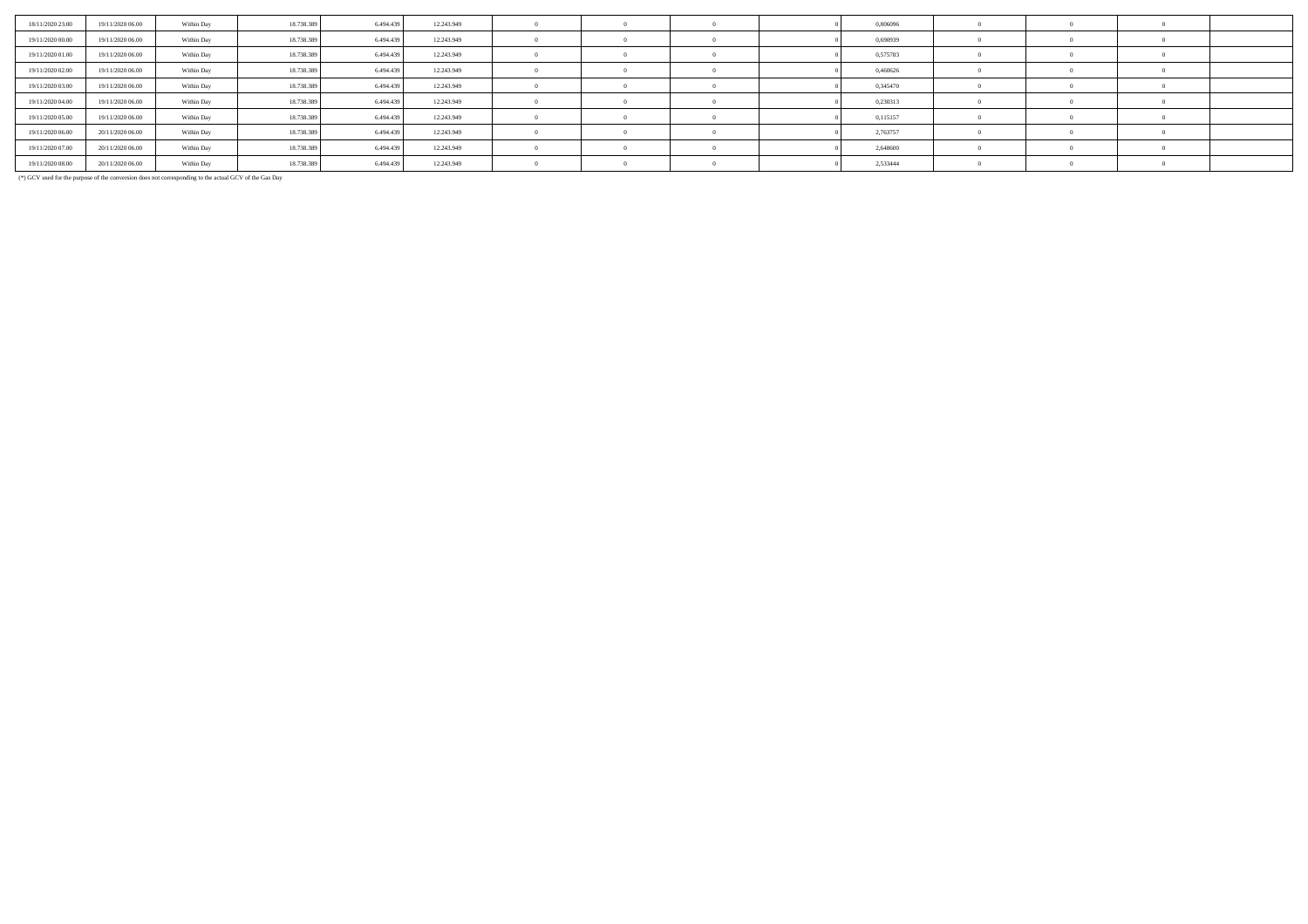| 18/11/2020 23.00 | 19/11/2020 06:00 | Within Day | 18.738.389 | 6.494.439 | 12.243.949 |  |  | 0,806096 |  |  |
|------------------|------------------|------------|------------|-----------|------------|--|--|----------|--|--|
| 19/11/2020 00:00 | 19/11/2020 06.00 | Within Day | 18.738.389 | 6.494.439 | 12.243.949 |  |  | 0,690939 |  |  |
| 19/11/2020 01:00 | 19/11/2020 06.00 | Within Day | 18.738.389 | 6.494.439 | 12.243.949 |  |  | 0,575783 |  |  |
| 19/11/2020 02.00 | 19/11/2020 06.00 | Within Day | 18.738.389 | 6.494.439 | 12.243.949 |  |  | 0,460626 |  |  |
| 19/11/2020 03:00 | 19/11/2020 06.00 | Within Day | 18.738.389 | 6.494.439 | 12.243.949 |  |  | 0,345470 |  |  |
| 19/11/2020 04:00 | 19/11/2020 06:00 | Within Day | 18.738.389 | 6.494.439 | 12.243.949 |  |  | 0,230313 |  |  |
| 19/11/2020 05:00 | 19/11/2020 06.00 | Within Day | 18.738.389 | 6.494.439 | 12.243.949 |  |  | 0,115157 |  |  |
| 19/11/2020 06:00 | 20/11/2020 06:00 | Within Day | 18.738.389 | 6.494.439 | 12.243.949 |  |  | 2,763757 |  |  |
| 19/11/2020 07:00 | 20/11/2020 06.00 | Within Day | 18.738.389 | 6.494.439 | 12.243.949 |  |  | 2,648600 |  |  |
| 19/11/2020 08:00 | 20/11/2020 06:00 | Within Day | 18.738.389 | 6.494.439 | 12.243.949 |  |  | 2,533444 |  |  |

(\*) GCV used for the purpose of the conversion does not corresponding to the actual GCV of the Gas Day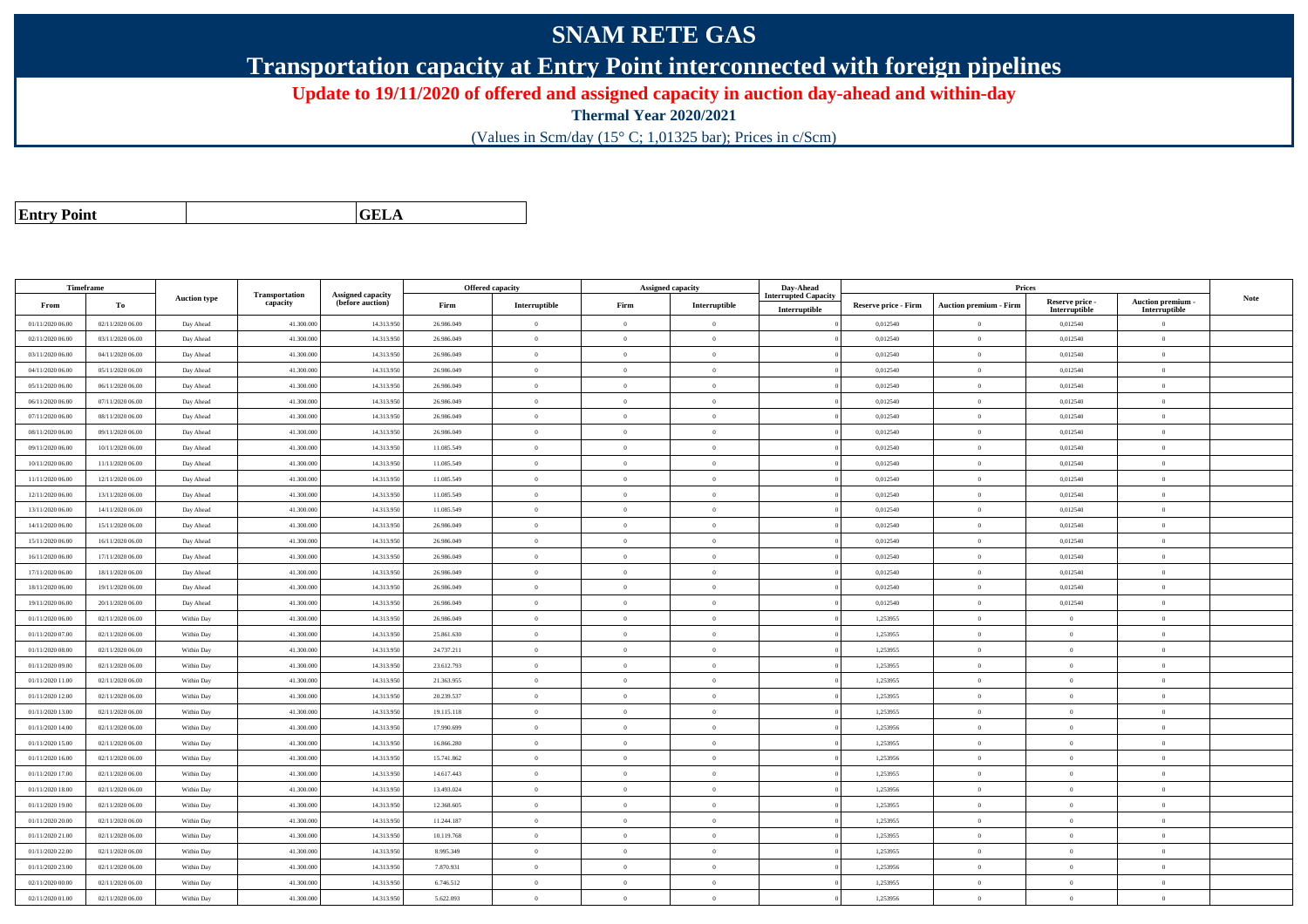## **SNAM RETE GAS**

**Transportation capacity at Entry Point interconnected with foreign pipelines**

**Update to 19/11/2020 of offered and assigned capacity in auction day-ahead and within-day**

**Thermal Year 2020/2021**

(Values in Scm/day (15° C; 1,01325 bar); Prices in c/Scm)

| <b>Entry Point</b> |  |
|--------------------|--|
|--------------------|--|

**a CELA** 

| Timeframe        |                  |                     |                            |                                       |            | Offered capacity |                | <b>Assigned capacity</b> | Day-Ahead          |                             | Prices                        |                           |                                 |      |
|------------------|------------------|---------------------|----------------------------|---------------------------------------|------------|------------------|----------------|--------------------------|--------------------|-----------------------------|-------------------------------|---------------------------|---------------------------------|------|
| From             | To               | <b>Auction type</b> | Transportation<br>capacity | Assigned capacity<br>(before auction) | Firm       | Interruptible    | Firm           | Interruptible            | terrupted Capacity | <b>Reserve price - Firm</b> | <b>Auction premium - Firm</b> | Reserve price -           | Auction premium -               | Note |
| 01/11/2020 06:00 | 02/11/2020 06:00 | Day Ahead           | 41.300.000                 | 14.313.95                             | 26.986.049 | $\overline{0}$   | $\theta$       | $\overline{0}$           | Interruptible      | 0,012540                    | $\bf{0}$                      | Interruptible<br>0,012540 | Interruptible<br>$\overline{0}$ |      |
| 02/11/2020 06.00 | 03/11/2020 06:00 | Day Ahead           | 41.300.000                 | 14.313.95                             | 26.986.049 | $\overline{0}$   | $\theta$       | $\theta$                 |                    | 0,012540                    | $\overline{0}$                | 0,012540                  | $\theta$                        |      |
| 03/11/2020 06.00 | 04/11/2020 06.00 | Day Ahead           | 41.300.00                  | 14.313.95                             | 26.986.049 | $\overline{0}$   | $\overline{0}$ | $\theta$                 |                    | 0,012540                    | $\bf{0}$                      | 0,012540                  | $\overline{0}$                  |      |
|                  |                  |                     |                            |                                       |            |                  |                |                          |                    |                             |                               |                           |                                 |      |
| 04/11/2020 06:00 | 05/11/2020 06:00 | Day Ahead           | 41.300.000                 | 14.313.95                             | 26.986.049 | $\overline{0}$   | $\overline{0}$ | $\theta$                 |                    | 0,012540                    | $\bf{0}$                      | 0,012540                  | $\theta$                        |      |
| 05/11/2020 06:00 | 06/11/2020 06:00 | Day Ahead           | 41,300,00                  | 14.313.95                             | 26.986.049 | $\overline{0}$   | $\overline{0}$ | $\theta$                 |                    | 0.012540                    | $\bf{0}$                      | 0,012540                  | $\theta$                        |      |
| 06/11/2020 06:00 | 07/11/2020 06.00 | Day Ahead           | 41,300,000                 | 14.313.95                             | 26.986.049 | $\theta$         | $\Omega$       | $\Omega$                 |                    | 0,012540                    | $\bf{0}$                      | 0,012540                  | $\mathbf{0}$                    |      |
| 07/11/2020 06:00 | 08/11/2020 06:00 | Day Ahead           | 41.300.000                 | 14.313.95                             | 26.986.049 | $\overline{0}$   | $\theta$       | $\theta$                 |                    | 0,012540                    | $\bf{0}$                      | 0,012540                  | $\overline{0}$                  |      |
| 08/11/2020 06:00 | 09/11/2020 06:00 | Day Ahead           | 41,300,000                 | 14.313.95                             | 26.986.049 | $\overline{0}$   | $\theta$       | $\theta$                 |                    | 0.012540                    | $\mathbf{0}$                  | 0.012540                  | $\overline{0}$                  |      |
| 09/11/2020 06:00 | 10/11/2020 06:00 | Day Ahead           | 41,300,000                 | 14.313.95                             | 11.085.549 | $\overline{0}$   | $\Omega$       | $\overline{0}$           |                    | 0.012540                    | $\overline{0}$                | 0.012540                  | $\Omega$                        |      |
| 10/11/2020 06:00 | 11/11/2020 06:00 | Day Ahead           | 41.300.00                  | 14.313.95                             | 11.085.549 | $\bf{0}$         | $\theta$       | $\Omega$                 |                    | 0,012540                    | $\bf{0}$                      | 0,012540                  | $\theta$                        |      |
| 11/11/2020 06:00 | 12/11/2020 06:00 | Day Ahead           | 41.300.00                  | 14.313.95                             | 11.085.549 | $\mathbf{0}$     | $\theta$       | $\theta$                 |                    | 0,012540                    | $\bf{0}$                      | 0,012540                  | $\mathbf{0}$                    |      |
| 12/11/2020 06:00 | 13/11/2020 06:00 | Day Ahead           | 41,300,000                 | 14.313.95                             | 11.085.549 | $\overline{0}$   | $\theta$       | $\theta$                 |                    | 0.012540                    | $\mathbf{0}$                  | 0,012540                  | $\Omega$                        |      |
| 13/11/2020 06:00 | 14/11/2020 06:00 | Day Ahead           | 41,300,000                 | 14.313.95                             | 11.085.549 | $\theta$         | $\theta$       | $\theta$                 |                    | 0,012540                    | $\theta$                      | 0,012540                  | $\Omega$                        |      |
| 14/11/2020 06.00 | 15/11/2020 06:00 | Day Ahead           | 41.300.00                  | 14.313.95                             | 26.986.049 | $\theta$         | $\Omega$       | $\theta$                 |                    | 0,012540                    | $\bf{0}$                      | 0,012540                  | $\Omega$                        |      |
| 15/11/2020 06:00 | 16/11/2020 06:00 | Day Ahead           | 41.300.000                 | 14.313.95                             | 26.986.049 | $\mathbf{0}$     | $\theta$       | $\theta$                 |                    | 0,012540                    | $\bf{0}$                      | 0,012540                  | $\theta$                        |      |
| 16/11/2020 06:00 | 17/11/2020 06.00 | Day Ahead           | 41.300.00                  | 14.313.95                             | 26.986.049 | $\overline{0}$   | $\theta$       | $\theta$                 |                    | 0,012540                    | $\bf{0}$                      | 0,012540                  | $\overline{0}$                  |      |
| 17/11/2020 06:00 | 18/11/2020 06:00 | Day Ahead           | 41.300.000                 | 14.313.95                             | 26.986.049 | $\mathbf{0}$     | $\theta$       | $\overline{0}$           |                    | 0,012540                    | $\bf{0}$                      | 0,012540                  | $\mathbf{0}$                    |      |
| 18/11/2020 06:00 | 19/11/2020 06:00 | Day Ahead           | 41.300.000                 | 14.313.95                             | 26.986.049 | $\overline{0}$   | $\theta$       | $\theta$                 |                    | 0,012540                    | $\bf{0}$                      | 0,012540                  | $\overline{0}$                  |      |
| 19/11/2020 06:00 | 20/11/2020 06:00 | Day Ahead           | 41.300.00                  | 14.313.95                             | 26.986.049 | $\overline{0}$   | $\overline{0}$ | $\overline{0}$           |                    | 0,012540                    | $\bf{0}$                      | 0,012540                  | $\overline{0}$                  |      |
| 01/11/2020 06:00 | 02/11/2020 06:00 | Within Day          | 41,300,000                 | 14.313.95                             | 26.986.049 | $\overline{0}$   | $\theta$       | $\overline{0}$           |                    | 1.253955                    | $\mathbf{0}$                  | $\theta$                  | $\Omega$                        |      |
| 01/11/2020 07.00 | 02/11/2020 06.00 | Within Day          | 41.300.000                 | 14.313.95                             | 25.861.630 | $\overline{0}$   | $\overline{0}$ | $\Omega$                 |                    | 1,253955                    | $\bf{0}$                      | $\mathbf{0}$              | $\theta$                        |      |
| 01/11/2020 08:00 | 02/11/2020 06.00 | Within Day          | 41.300.00                  | 14.313.95                             | 24.737.211 | $\overline{0}$   | $\bf{0}$       | $\theta$                 |                    | 1,253955                    | $\bf{0}$                      | $\theta$                  | $\bf{0}$                        |      |
| 01/11/2020 09:00 | 02/11/2020 06:00 | Within Day          | 41.300.000                 | 14.313.950                            | 23.612.793 | $\mathbf{0}$     | $\theta$       | $\theta$                 |                    | 1,253955                    | $\bf{0}$                      | $\theta$                  | $\mathbf{0}$                    |      |
| 01/11/2020 11:00 | 02/11/2020 06:00 | Within Day          | 41,300,000                 | 14.313.95                             | 21.363.955 | $\overline{0}$   | $\theta$       | $\sqrt{2}$               |                    | 1.253955                    | $\mathbf{0}$                  | $\sqrt{2}$                | $\Omega$                        |      |
| 01/11/2020 12:00 | 02/11/2020 06:00 | Within Day          | 41.300.000                 | 14.313.95                             | 20.239.537 | $\theta$         | $\overline{0}$ | $\Omega$                 |                    | 1,253955                    | $\bf{0}$                      | $\theta$                  | $\theta$                        |      |
| 01/11/2020 13:00 | 02/11/2020 06.00 | Within Day          | 41.300.00                  | 14.313.95                             | 19.115.118 | $\overline{0}$   | $\theta$       | $\theta$                 |                    | 1,253955                    | $\bf{0}$                      | $\sqrt{2}$                | $\theta$                        |      |
| 01/11/2020 14:00 | 02/11/2020 06:00 | Within Day          | 41.300.00                  | 14.313.95                             | 17.990.699 | $\overline{0}$   | $\theta$       | $\theta$                 |                    | 1,253956                    | $\bf{0}$                      | $\theta$                  | $\overline{0}$                  |      |
| 01/11/2020 15:00 | 02/11/2020 06:00 | Within Day          | 41.300.000                 | 14.313.95                             | 16.866.280 | $\mathbf{0}$     | $\theta$       | $\overline{0}$           |                    | 1,253955                    | $\bf{0}$                      | $\theta$                  | $\mathbf{0}$                    |      |
| 01/11/2020 16.00 | 02/11/2020 06:00 | Within Day          | 41.300.000                 | 14.313.95                             | 15.741.862 | $\theta$         | $\theta$       | $\Omega$                 |                    | 1,253956                    | $\mathbf{0}$                  | $\Omega$                  | $\Omega$                        |      |
| 01/11/2020 17.00 | 02/11/2020 06.00 | Within Day          | 41.300.00                  | 14.313.95                             | 14.617.443 | $\overline{0}$   | $\theta$       | $\theta$                 |                    | 1,253955                    | $\bf{0}$                      | $\sqrt{2}$                | $\overline{0}$                  |      |
| 01/11/2020 18:00 | 02/11/2020 06:00 | Within Day          | 41.300.00                  | 14.313.95                             | 13.493.024 | $\mathbf{0}$     | $\overline{0}$ | $\overline{0}$           |                    | 1,253956                    | $\bf{0}$                      | $\overline{0}$            | $\theta$                        |      |
| 01/11/2020 19:00 | 02/11/2020 06:00 | Within Day          | 41,300,00                  | 14.313.95                             | 12.368.605 | $\theta$         | $\Omega$       | $\theta$                 |                    | 1.253955                    | $\mathbf{0}$                  | $\theta$                  | $\Omega$                        |      |
| 01/11/2020 20:00 | 02/11/2020 06.00 | Within Day          | 41.300.00                  | 14.313.95                             | 11.244.187 | $\overline{0}$   | $\theta$       | $\theta$                 |                    | 1,253955                    | $\bf{0}$                      | $\theta$                  | $\overline{0}$                  |      |
| 01/11/2020 21.00 | 02/11/2020 06:00 | Within Day          | 41.300.000                 | 14.313.95                             | 10.119.768 | $\overline{0}$   | $\overline{0}$ | $\theta$                 |                    | 1,253955                    | $\bf{0}$                      | $\theta$                  | $\theta$                        |      |
| 01/11/2020 22.00 | 02/11/2020 06:00 | Within Day          | 41.300.00                  | 14.313.95                             | 8.995.349  | $\theta$         | $\theta$       | $\Omega$                 |                    | 1,253955                    | $\bf{0}$                      | $\theta$                  | $\overline{0}$                  |      |
| 01/11/2020 23.00 | 02/11/2020 06:00 | Within Day          | 41.300.000                 | 14.313.95                             | 7.870.931  | $\overline{0}$   | $\Omega$       | $\theta$                 |                    | 1,253956                    | $\bf{0}$                      | $\theta$                  | $\Omega$                        |      |
| 02/11/2020 00:00 | 02/11/2020 06:00 | Within Day          | 41,300,00                  | 14.313.95                             | 6.746.512  | $\overline{0}$   | $\overline{0}$ | $\theta$                 |                    | 1.253955                    | $\overline{0}$                | $\overline{0}$            | $\theta$                        |      |
| 02/11/2020 01:00 | 02/11/2020 06:00 | Within Day          | 41.300.00                  | 14.313.95                             | 5.622.093  | $\overline{0}$   | $\theta$       | $\theta$                 |                    | 1,253956                    | $\bf{0}$                      | $\theta$                  | $\overline{0}$                  |      |
|                  |                  |                     |                            |                                       |            |                  |                |                          |                    |                             |                               |                           |                                 |      |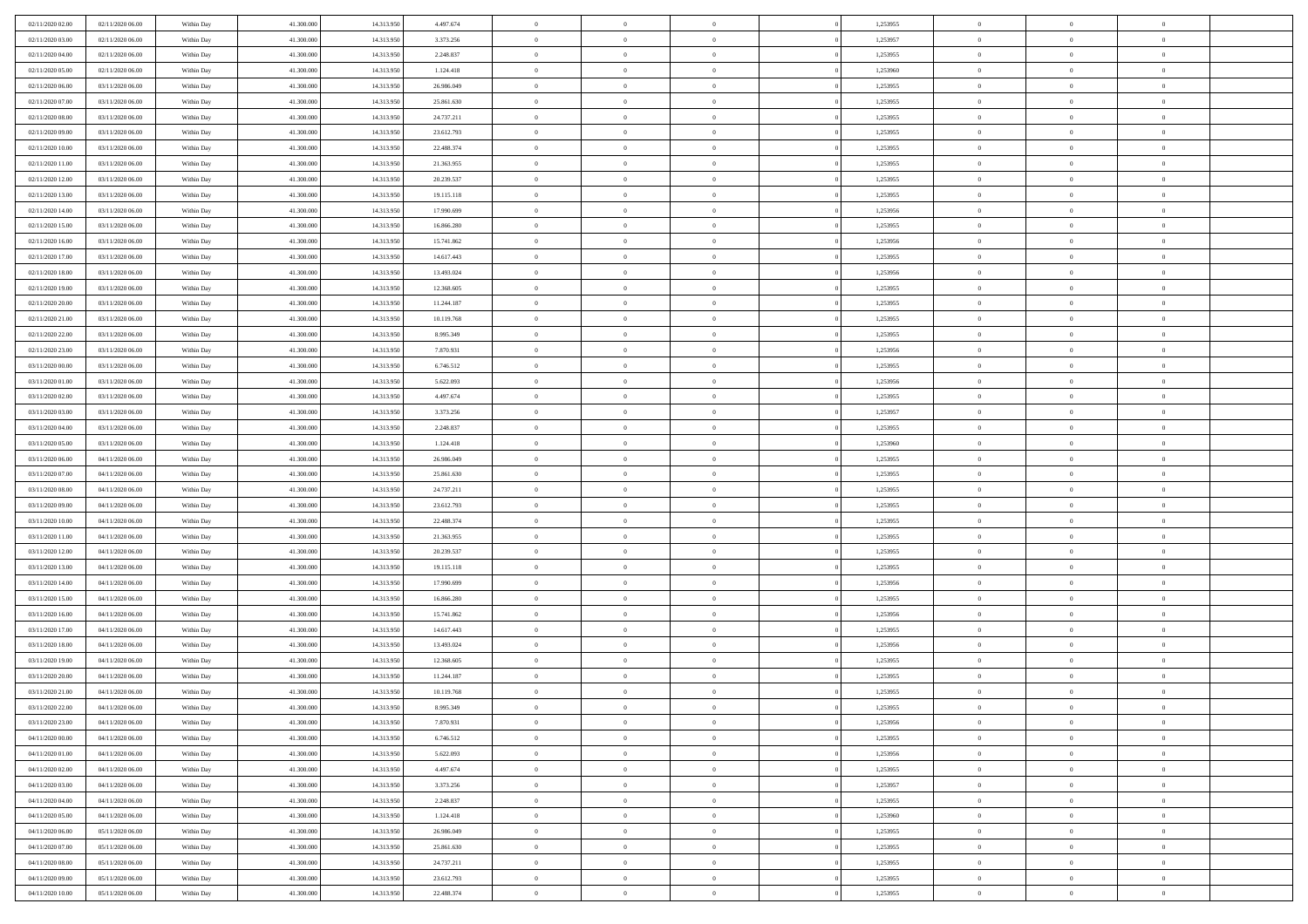| 02/11/2020 02.00<br>02/11/2020 06.00 | Within Day | 41.300.000 | 14.313.950 | 4.497.674  | $\bf{0}$       | $\overline{0}$ | $\Omega$       | 1,253955 | $\bf{0}$       | $\mathbf{0}$   | $\bf{0}$       |  |
|--------------------------------------|------------|------------|------------|------------|----------------|----------------|----------------|----------|----------------|----------------|----------------|--|
| 02/11/2020 03:00<br>02/11/2020 06:00 | Within Day | 41.300.000 | 14.313.950 | 3.373.256  | $\mathbf{0}$   | $\overline{0}$ | $\overline{0}$ | 1,253957 | $\overline{0}$ | $\overline{0}$ | $\theta$       |  |
| 02/11/2020 04:00<br>02/11/2020 06:00 | Within Day | 41.300.000 | 14.313.950 | 2.248.837  | $\,$ 0         | $\overline{0}$ | $\bf{0}$       | 1,253955 | $\,$ 0         | $\overline{0}$ | $\,$ 0 $\,$    |  |
| 02/11/2020 05.00<br>02/11/2020 06.00 | Within Day | 41.300,000 | 14.313.950 | 1.124.418  | $\bf{0}$       | $\overline{0}$ | $\Omega$       | 1,253960 | $\bf{0}$       | $\mathbf{0}$   | $\theta$       |  |
| 02/11/2020 06:00<br>03/11/2020 06:00 | Within Day | 41.300.000 | 14.313.950 | 26.986.049 | $\bf{0}$       | $\overline{0}$ | $\overline{0}$ | 1,253955 | $\mathbf{0}$   | $\overline{0}$ | $\overline{0}$ |  |
| 02/11/2020 07.00<br>03/11/2020 06:00 | Within Day | 41.300.000 | 14.313.950 | 25.861.630 | $\bf{0}$       | $\overline{0}$ | $\bf{0}$       | 1,253955 | $\,$ 0         | $\overline{0}$ | $\,$ 0 $\,$    |  |
| 02/11/2020 08:00<br>03/11/2020 06:00 | Within Day | 41.300,000 | 14.313.950 | 24.737.211 | $\bf{0}$       | $\overline{0}$ | $\overline{0}$ | 1,253955 | $\theta$       | $\mathbf{0}$   | $\theta$       |  |
| 02/11/2020 09:00<br>03/11/2020 06:00 | Within Day | 41.300.000 | 14.313.950 | 23.612.793 | $\overline{0}$ | $\overline{0}$ | $\overline{0}$ | 1,253955 | $\mathbf{0}$   | $\overline{0}$ | $\overline{0}$ |  |
| 02/11/2020 10:00<br>03/11/2020 06:00 | Within Day | 41.300.000 | 14.313.950 | 22.488.374 | $\bf{0}$       | $\overline{0}$ | $\bf{0}$       | 1,253955 | $\,$ 0         | $\overline{0}$ | $\,$ 0 $\,$    |  |
| 02/11/2020 11:00<br>03/11/2020 06.00 | Within Day | 41.300,000 | 14.313.950 | 21.363.955 | $\bf{0}$       | $\overline{0}$ | $\Omega$       | 1,253955 | $\theta$       | $\mathbf{0}$   | $\theta$       |  |
| 02/11/2020 12:00<br>03/11/2020 06:00 | Within Day | 41.300.000 | 14.313.950 | 20.239.537 | $\overline{0}$ | $\overline{0}$ | $\overline{0}$ | 1,253955 | $\mathbf{0}$   | $\overline{0}$ | $\overline{0}$ |  |
| 02/11/2020 13:00<br>03/11/2020 06:00 | Within Day | 41.300.000 | 14.313.950 | 19.115.118 | $\bf{0}$       | $\overline{0}$ | $\bf{0}$       | 1,253955 | $\,$ 0         | $\overline{0}$ | $\,$ 0 $\,$    |  |
| 02/11/2020 14:00<br>03/11/2020 06.00 | Within Day | 41.300,000 | 14.313.950 | 17.990.699 | $\bf{0}$       | $\overline{0}$ | $\Omega$       | 1,253956 | $\bf{0}$       | $\mathbf{0}$   | $\theta$       |  |
| 03/11/2020 06:00<br>02/11/2020 15:00 | Within Day | 41.300.000 | 14.313.950 | 16.866.280 | $\overline{0}$ | $\overline{0}$ | $\overline{0}$ | 1,253955 | $\mathbf{0}$   | $\overline{0}$ | $\overline{0}$ |  |
| 02/11/2020 16:00<br>03/11/2020 06:00 | Within Day | 41.300.000 | 14.313.950 | 15.741.862 | $\bf{0}$       | $\overline{0}$ | $\bf{0}$       | 1,253956 | $\,$ 0         | $\overline{0}$ | $\,$ 0 $\,$    |  |
| 02/11/2020 17.00<br>03/11/2020 06.00 | Within Day | 41,300,000 | 14.313.950 | 14.617.443 | $\bf{0}$       | $\overline{0}$ | $\overline{0}$ | 1,253955 | $\bf{0}$       | $\mathbf{0}$   | $\bf{0}$       |  |
| 02/11/2020 18:00<br>03/11/2020 06:00 | Within Day | 41.300.000 | 14.313.950 | 13.493.024 | $\overline{0}$ | $\overline{0}$ | $\overline{0}$ | 1,253956 | $\mathbf{0}$   | $\overline{0}$ | $\overline{0}$ |  |
| 02/11/2020 19:00<br>03/11/2020 06:00 | Within Day | 41.300.000 | 14.313.950 | 12.368.605 | $\bf{0}$       | $\overline{0}$ | $\bf{0}$       | 1,253955 | $\,$ 0         | $\overline{0}$ | $\,$ 0 $\,$    |  |
| 02/11/2020 20:00<br>03/11/2020 06.00 | Within Day | 41.300,000 | 14.313.950 | 11.244.187 | $\bf{0}$       | $\overline{0}$ | $\Omega$       | 1,253955 | $\theta$       | $\mathbf{0}$   | $\theta$       |  |
| 02/11/2020 21:00<br>03/11/2020 06:00 | Within Day | 41.300.000 | 14.313.950 | 10.119.768 | $\overline{0}$ | $\overline{0}$ | $\overline{0}$ | 1,253955 | $\mathbf{0}$   | $\overline{0}$ | $\overline{0}$ |  |
| 02/11/2020 22.00<br>03/11/2020 06:00 | Within Day | 41.300.000 | 14.313.950 | 8.995.349  | $\bf{0}$       | $\overline{0}$ | $\bf{0}$       | 1,253955 | $\,$ 0         | $\overline{0}$ | $\,$ 0 $\,$    |  |
| 02/11/2020 23.00<br>03/11/2020 06:00 | Within Day | 41.300,000 | 14.313.950 | 7.870.931  | $\bf{0}$       | $\overline{0}$ | $\Omega$       | 1,253956 | $\bf{0}$       | $\mathbf{0}$   | $\theta$       |  |
| 03/11/2020 00:00<br>03/11/2020 06:00 | Within Day | 41.300.000 | 14.313.950 | 6.746.512  | $\overline{0}$ | $\overline{0}$ | $\overline{0}$ | 1,253955 | $\mathbf{0}$   | $\overline{0}$ | $\overline{0}$ |  |
| 03/11/2020 01:00<br>03/11/2020 06:00 | Within Day | 41.300.000 | 14.313.950 | 5.622.093  | $\bf{0}$       | $\overline{0}$ | $\bf{0}$       | 1,253956 | $\,$ 0         | $\overline{0}$ | $\,$ 0 $\,$    |  |
| 03/11/2020 02.00<br>03/11/2020 06.00 | Within Day | 41.300,000 | 14.313.950 | 4.497.674  | $\bf{0}$       | $\overline{0}$ | $\overline{0}$ | 1,253955 | $\bf{0}$       | $\overline{0}$ | $\bf{0}$       |  |
| 03/11/2020 03:00<br>03/11/2020 06:00 | Within Day | 41.300.000 | 14.313.950 | 3.373.256  | $\overline{0}$ | $\overline{0}$ | $\overline{0}$ | 1,253957 | $\mathbf{0}$   | $\overline{0}$ | $\overline{0}$ |  |
| 03/11/2020 04:00<br>03/11/2020 06:00 | Within Day | 41.300.000 | 14.313.950 | 2.248.837  | $\bf{0}$       | $\overline{0}$ | $\bf{0}$       | 1,253955 | $\,$ 0         | $\overline{0}$ | $\,$ 0 $\,$    |  |
| 03/11/2020 05:00<br>03/11/2020 06.00 | Within Day | 41.300,000 | 14.313.950 | 1.124.418  | $\bf{0}$       | $\overline{0}$ | $\Omega$       | 1,253960 | $\theta$       | $\mathbf{0}$   | $\theta$       |  |
| 03/11/2020 06:00<br>04/11/2020 06:00 | Within Day | 41.300.000 | 14.313.950 | 26.986.049 | $\overline{0}$ | $\overline{0}$ | $\overline{0}$ | 1,253955 | $\mathbf{0}$   | $\overline{0}$ | $\overline{0}$ |  |
| 03/11/2020 07.00<br>04/11/2020 06:00 | Within Day | 41.300.000 | 14.313.950 | 25.861.630 | $\bf{0}$       | $\overline{0}$ | $\bf{0}$       | 1,253955 | $\,$ 0         | $\overline{0}$ | $\,$ 0 $\,$    |  |
| 03/11/2020 08:00<br>04/11/2020 06.00 | Within Day | 41.300.000 | 14.313.950 | 24.737.211 | $\,$ 0         | $\overline{0}$ | $\overline{0}$ | 1,253955 | $\bf{0}$       | $\overline{0}$ | $\,0\,$        |  |
| 04/11/2020 06:00<br>03/11/2020 09:00 | Within Day | 41.300.000 | 14.313.950 | 23.612.793 | $\overline{0}$ | $\overline{0}$ | $\overline{0}$ | 1,253955 | $\mathbf{0}$   | $\overline{0}$ | $\overline{0}$ |  |
| 03/11/2020 10:00<br>04/11/2020 06:00 | Within Day | 41.300.000 | 14.313.950 | 22.488.374 | $\bf{0}$       | $\overline{0}$ | $\bf{0}$       | 1,253955 | $\,$ 0         | $\overline{0}$ | $\,$ 0 $\,$    |  |
| 03/11/2020 11:00<br>04/11/2020 06.00 | Within Day | 41.300.000 | 14.313.950 | 21.363.955 | $\bf{0}$       | $\overline{0}$ | $\bf{0}$       | 1,253955 | $\bf{0}$       | $\overline{0}$ | $\,0\,$        |  |
| 03/11/2020 12:00<br>04/11/2020 06:00 | Within Day | 41.300.000 | 14.313.950 | 20.239.537 | $\overline{0}$ | $\overline{0}$ | $\overline{0}$ | 1,253955 | $\overline{0}$ | $\overline{0}$ | $\overline{0}$ |  |
| 03/11/2020 13:00<br>04/11/2020 06:00 | Within Day | 41.300.000 | 14.313.950 | 19.115.118 | $\bf{0}$       | $\overline{0}$ | $\bf{0}$       | 1,253955 | $\,$ 0         | $\overline{0}$ | $\,$ 0 $\,$    |  |
| 03/11/2020 14:00<br>04/11/2020 06.00 | Within Day | 41.300.000 | 14.313.950 | 17.990.699 | $\,$ 0         | $\overline{0}$ | $\theta$       | 1,253956 | $\bf{0}$       | $\overline{0}$ | $\,0\,$        |  |
| 03/11/2020 15:00<br>04/11/2020 06:00 | Within Day | 41.300.000 | 14.313.950 | 16.866.280 | $\overline{0}$ | $\overline{0}$ | $\overline{0}$ | 1,253955 | $\mathbf{0}$   | $\overline{0}$ | $\overline{0}$ |  |
| 03/11/2020 16:00<br>04/11/2020 06:00 | Within Day | 41.300.000 | 14.313.950 | 15.741.862 | $\bf{0}$       | $\overline{0}$ | $\bf{0}$       | 1,253956 | $\,$ 0         | $\overline{0}$ | $\,$ 0 $\,$    |  |
| 03/11/2020 17.00<br>04/11/2020 06.00 | Within Day | 41.300.000 | 14.313.950 | 14.617.443 | $\bf{0}$       | $\overline{0}$ | $\overline{0}$ | 1,253955 | $\bf{0}$       | $\overline{0}$ | $\,0\,$        |  |
| 03/11/2020 18:00<br>04/11/2020 06:00 | Within Day | 41.300.000 | 14.313.950 | 13.493.024 | $\overline{0}$ | $\overline{0}$ | $\overline{0}$ | 1,253956 | $\overline{0}$ | $\overline{0}$ | $\overline{0}$ |  |
| 03/11/2020 19:00<br>04/11/2020 06:00 | Within Day | 41.300.000 | 14.313.950 | 12.368.605 | $\bf{0}$       | $\overline{0}$ | $\bf{0}$       | 1,253955 | $\,$ 0         | $\overline{0}$ | $\,$ 0 $\,$    |  |
| 03/11/2020 20:00<br>04/11/2020 06.00 | Within Day | 41.300.000 | 14.313.950 | 11.244.187 | $\bf{0}$       | $\overline{0}$ | $\bf{0}$       | 1,253955 | $\bf{0}$       | $\overline{0}$ | $\,0\,$        |  |
| 03/11/2020 21.00<br>04/11/2020 06:00 | Within Day | 41.300.000 | 14.313.950 | 10.119.768 | $\mathbf{0}$   | $\overline{0}$ | $\overline{0}$ | 1,253955 | $\overline{0}$ | $\overline{0}$ | $\overline{0}$ |  |
| 03/11/2020 22.00<br>04/11/2020 06:00 | Within Day | 41.300.000 | 14.313.950 | 8.995.349  | $\bf{0}$       | $\overline{0}$ | $\theta$       | 1,253955 | $\overline{0}$ | $\theta$       | $\theta$       |  |
| 03/11/2020 23.00<br>04/11/2020 06.00 | Within Day | 41.300.000 | 14.313.950 | 7.870.931  | $\bf{0}$       | $\bf{0}$       | $\bf{0}$       | 1,253956 | $\bf{0}$       | $\overline{0}$ | $\,0\,$        |  |
| 04/11/2020 00:00<br>04/11/2020 06:00 | Within Day | 41.300.000 | 14.313.950 | 6.746.512  | $\overline{0}$ | $\overline{0}$ | $\overline{0}$ | 1,253955 | $\mathbf{0}$   | $\bf{0}$       | $\overline{0}$ |  |
| 04/11/2020 01:00<br>04/11/2020 06:00 | Within Day | 41.300.000 | 14.313.950 | 5.622.093  | $\,$ 0 $\,$    | $\overline{0}$ | $\overline{0}$ | 1,253956 | $\mathbf{0}$   | $\,$ 0 $\,$    | $\,$ 0 $\,$    |  |
| 04/11/2020 02.00<br>04/11/2020 06.00 | Within Day | 41.300.000 | 14.313.950 | 4.497.674  | $\bf{0}$       | $\bf{0}$       | $\overline{0}$ | 1,253955 | $\bf{0}$       | $\overline{0}$ | $\bf{0}$       |  |
| 04/11/2020 03:00<br>04/11/2020 06:00 | Within Day | 41.300.000 | 14.313.950 | 3.373.256  | $\bf{0}$       | $\overline{0}$ | $\overline{0}$ | 1,253957 | $\mathbf{0}$   | $\overline{0}$ | $\overline{0}$ |  |
| 04/11/2020 04.00<br>04/11/2020 06:00 | Within Day | 41.300.000 | 14.313.950 | 2.248.837  | $\,$ 0 $\,$    | $\overline{0}$ | $\overline{0}$ | 1,253955 | $\,$ 0 $\,$    | $\overline{0}$ | $\,$ 0 $\,$    |  |
| 04/11/2020 05.00<br>04/11/2020 06.00 | Within Day | 41.300.000 | 14.313.950 | 1.124.418  | $\bf{0}$       | $\overline{0}$ | $\overline{0}$ | 1,253960 | $\bf{0}$       | $\overline{0}$ | $\overline{0}$ |  |
| 04/11/2020 06:00<br>05/11/2020 06:00 | Within Day | 41.300.000 | 14.313.950 | 26.986.049 | $\overline{0}$ | $\overline{0}$ | $\overline{0}$ | 1,253955 | $\overline{0}$ | $\bf{0}$       | $\overline{0}$ |  |
| 04/11/2020 07.00<br>05/11/2020 06:00 | Within Day | 41.300.000 | 14.313.950 | 25.861.630 | $\,$ 0 $\,$    | $\overline{0}$ | $\overline{0}$ | 1,253955 | $\mathbf{0}$   | $\,$ 0 $\,$    | $\,$ 0 $\,$    |  |
| 04/11/2020 08:00<br>05/11/2020 06.00 | Within Day | 41.300.000 | 14.313.950 | 24.737.211 | $\bf{0}$       | $\bf{0}$       | $\overline{0}$ | 1,253955 | $\bf{0}$       | $\overline{0}$ | $\bf{0}$       |  |
| 04/11/2020 09:00<br>05/11/2020 06:00 | Within Day | 41.300.000 | 14.313.950 | 23.612.793 | $\bf{0}$       | $\overline{0}$ | $\overline{0}$ | 1,253955 | $\mathbf{0}$   | $\bf{0}$       | $\overline{0}$ |  |
| 04/11/2020 10:00<br>05/11/2020 06:00 | Within Day | 41.300.000 | 14.313.950 | 22.488.374 | $\,0\,$        | $\overline{0}$ | $\overline{0}$ | 1,253955 | $\,$ 0         | $\overline{0}$ | $\,$ 0 $\,$    |  |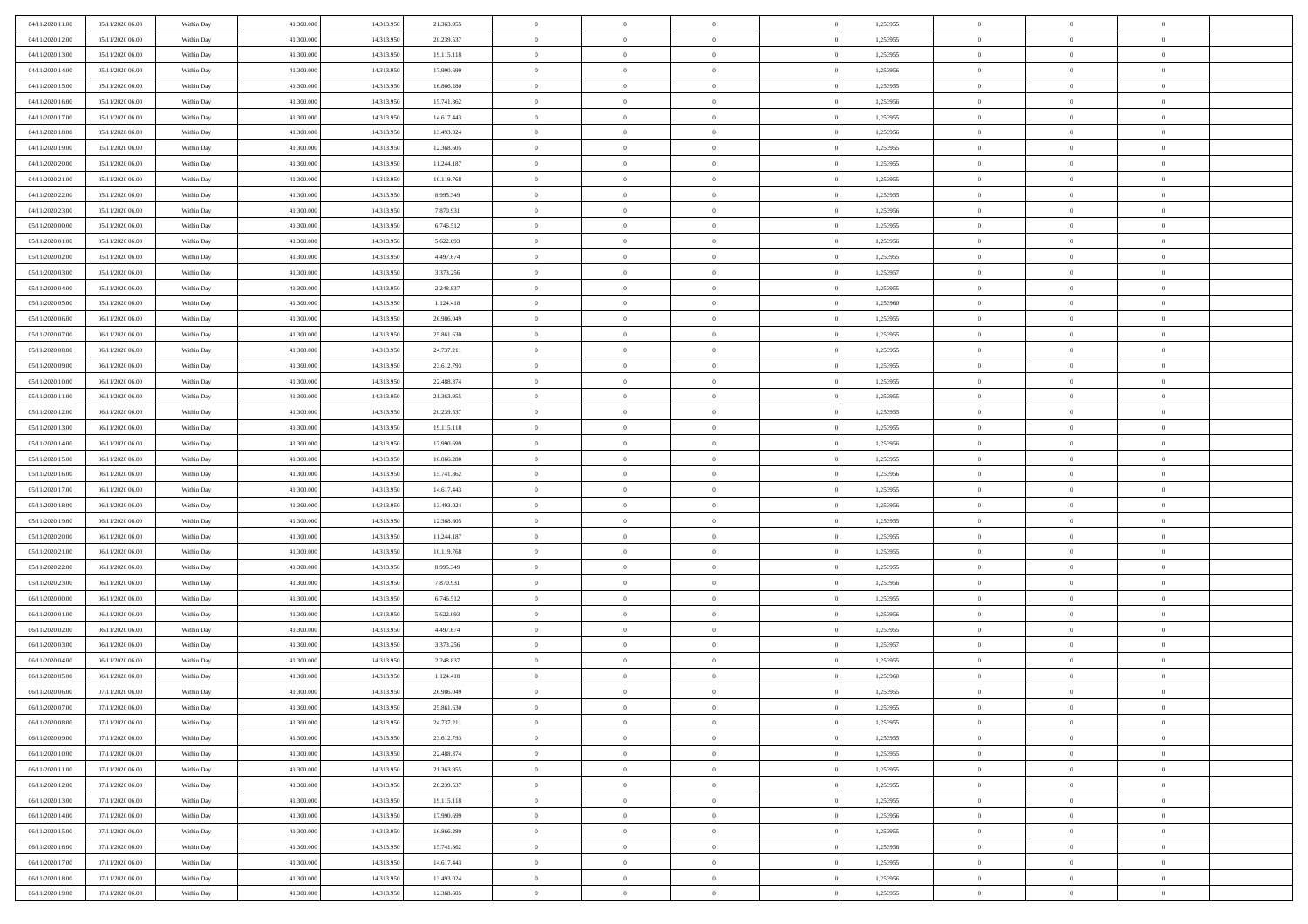| 04/11/2020 11:00<br>05/11/2020 06:00 | Within Day               | 41.300.000 | 14.313.950               | 21.363.955             | $\,$ 0         | $\bf{0}$       | $\theta$                         |          | 1,253955             | $\bf{0}$       | $\overline{0}$ | $\,0\,$        |  |
|--------------------------------------|--------------------------|------------|--------------------------|------------------------|----------------|----------------|----------------------------------|----------|----------------------|----------------|----------------|----------------|--|
| 04/11/2020 12:00<br>05/11/2020 06:00 | Within Day               | 41,300,000 | 14.313.950               | 20.239.537             | $\theta$       | $\overline{0}$ | $\overline{0}$                   |          | 1,253955             | $\overline{0}$ | $\overline{0}$ | $\theta$       |  |
| 04/11/2020 13:00<br>05/11/2020 06:00 | Within Dav               | 41.300.000 | 14.313.950               | 19.115.118             | $\mathbf{0}$   | $\overline{0}$ | $\overline{0}$                   |          | 1,253955             | $\mathbf{0}$   | $\overline{0}$ | $\overline{0}$ |  |
| 04/11/2020 14.00<br>05/11/2020 06:00 | Within Day               | 41.300.000 | 14.313.950               | 17.990.699             | $\bf{0}$       | $\overline{0}$ | $\bf{0}$                         |          | 1,253956             | $\bf{0}$       | $\overline{0}$ | $\bf{0}$       |  |
| 04/11/2020 15.00<br>05/11/2020 06:00 | Within Day               | 41.300.000 | 14.313.950               | 16.866.280             | $\bf{0}$       | $\bf{0}$       | $\overline{0}$                   |          | 1,253955             | $\bf{0}$       | $\bf{0}$       | $\,0\,$        |  |
| 04/11/2020 16:00<br>05/11/2020 06:00 | Within Dav               | 41.300.000 | 14.313.950               | 15.741.862             | $\mathbf{0}$   | $\overline{0}$ | $\overline{0}$                   |          | 1,253956             | $\mathbf{0}$   | $\overline{0}$ | $\overline{0}$ |  |
| 04/11/2020 17.00<br>05/11/2020 06:00 | Within Day               | 41.300.000 | 14.313.950               | 14.617.443             | $\bf{0}$       | $\bf{0}$       | $\overline{0}$                   |          | 1,253955             | $\bf{0}$       | $\overline{0}$ | $\,0\,$        |  |
| 04/11/2020 18:00<br>05/11/2020 06:00 | Within Day               | 41.300.000 | 14.313.950               | 13.493.024             | $\overline{0}$ | $\overline{0}$ | $\overline{0}$                   |          | 1,253956             | $\,$ 0 $\,$    | $\overline{0}$ | $\theta$       |  |
| 04/11/2020 19:00<br>05/11/2020 06:00 | Within Dav               | 41.300.000 | 14.313.950               | 12.368.605             | $\mathbf{0}$   | $\overline{0}$ | $\overline{0}$                   |          | 1,253955             | $\mathbf{0}$   | $\overline{0}$ | $\overline{0}$ |  |
| 04/11/2020 20.00<br>05/11/2020 06:00 | Within Day               | 41.300.000 | 14.313.950               | 11.244.187             | $\bf{0}$       | $\bf{0}$       | $\theta$                         |          | 1,253955             | $\bf{0}$       | $\overline{0}$ | $\,0\,$        |  |
| 04/11/2020 21.00<br>05/11/2020 06:00 |                          | 41,300,000 | 14.313.950               | 10.119.768             | $\bf{0}$       | $\overline{0}$ | $\overline{0}$                   |          | 1,253955             | $\bf{0}$       | $\mathbf{0}$   | $\theta$       |  |
| 04/11/2020 22.00<br>05/11/2020 06:00 | Within Day<br>Within Dav | 41.300.000 | 14.313.950               | 8.995.349              | $\mathbf{0}$   | $\overline{0}$ | $\overline{0}$                   |          | 1,253955             | $\mathbf{0}$   | $\overline{0}$ | $\overline{0}$ |  |
| 04/11/2020 23.00<br>05/11/2020 06:00 | Within Day               | 41.300.000 | 14.313.950               | 7.870.931              | $\bf{0}$       | $\overline{0}$ | $\bf{0}$                         |          | 1,253956             | $\bf{0}$       | $\overline{0}$ | $\bf{0}$       |  |
| 05/11/2020 00:00<br>05/11/2020 06:00 |                          | 41.300.000 |                          |                        | $\bf{0}$       | $\overline{0}$ | $\overline{0}$                   |          |                      | $\bf{0}$       | $\theta$       | $\,0\,$        |  |
| 05/11/2020 01:00<br>05/11/2020 06:00 | Within Day<br>Within Dav | 41.300.000 | 14.313.950<br>14.313.950 | 6.746.512<br>5.622.093 | $\overline{0}$ | $\overline{0}$ |                                  |          | 1,253955<br>1,253956 | $\mathbf{0}$   | $\overline{0}$ | $\overline{0}$ |  |
|                                      |                          |            |                          |                        |                |                | $\overline{0}$<br>$\overline{0}$ |          |                      |                | $\overline{0}$ |                |  |
| 05/11/2020 02.00<br>05/11/2020 06:00 | Within Day               | 41.300.000 | 14.313.950               | 4.497.674              | $\bf{0}$       | $\bf{0}$       |                                  |          | 1,253955             | $\bf{0}$       | $\overline{0}$ | $\,0\,$        |  |
| 05/11/2020 03:00<br>05/11/2020 06:00 | Within Day               | 41,300,000 | 14.313.950               | 3.373.256              | $\overline{0}$ | $\overline{0}$ | $\overline{0}$                   |          | 1,253957             | $\bf{0}$       |                | $\theta$       |  |
| 05/11/2020 04:00<br>05/11/2020 06:00 | Within Day               | 41.300.000 | 14.313.950               | 2.248.837              | $\mathbf{0}$   | $\overline{0}$ | $\overline{0}$                   |          | 1,253955             | $\mathbf{0}$   | $\overline{0}$ | $\overline{0}$ |  |
| 05/11/2020 05.00<br>05/11/2020 06:00 | Within Day               | 41.300.000 | 14.313.950               | 1.124.418              | $\bf{0}$       | $\bf{0}$       | $\overline{0}$                   |          | 1,253960             | $\bf{0}$       | $\overline{0}$ | $\,0\,$        |  |
| 05/11/2020 06:00<br>06/11/2020 06:00 | Within Day               | 41.300.000 | 14.313.950               | 26.986.049             | $\bf{0}$       | $\overline{0}$ | $\overline{0}$                   |          | 1,253955             | $\bf{0}$       | $\overline{0}$ | $\overline{0}$ |  |
| 05/11/2020 07:00<br>06/11/2020 06:00 | Within Dav               | 41.300.000 | 14.313.950               | 25.861.630             | $\mathbf{0}$   | $\overline{0}$ | $\overline{0}$                   |          | 1,253955             | $\mathbf{0}$   | $\overline{0}$ | $\overline{0}$ |  |
| 05/11/2020 08:00<br>06/11/2020 06:00 | Within Day               | 41.300.000 | 14.313.950               | 24.737.211             | $\bf{0}$       | $\overline{0}$ | $\bf{0}$                         |          | 1,253955             | $\bf{0}$       | $\overline{0}$ | $\bf{0}$       |  |
| 05/11/2020 09:00<br>06/11/2020 06:00 | Within Day               | 41,300,000 | 14.313.950               | 23.612.793             | $\bf{0}$       | $\bf{0}$       | $\overline{0}$                   |          | 1,253955             | $\bf{0}$       | $\overline{0}$ | $\,0\,$        |  |
| 05/11/2020 10:00<br>06/11/2020 06:00 | Within Dav               | 41.300.000 | 14.313.950               | 22.488.374             | $\mathbf{0}$   | $\overline{0}$ | $\overline{0}$                   |          | 1,253955             | $\mathbf{0}$   | $\overline{0}$ | $\overline{0}$ |  |
| 05/11/2020 11:00<br>06/11/2020 06:00 | Within Day               | 41.300.000 | 14.313.950               | 21.363.955             | $\bf{0}$       | $\bf{0}$       | $\overline{0}$                   |          | 1,253955             | $\bf{0}$       | $\overline{0}$ | $\,0\,$        |  |
| 05/11/2020 12:00<br>06/11/2020 06:00 | Within Day               | 41.300.000 | 14.313.950               | 20.239.537             | $\overline{0}$ | $\overline{0}$ | $\overline{0}$                   |          | 1,253955             | $\bf{0}$       | $\overline{0}$ | $\theta$       |  |
| 05/11/2020 13:00<br>06/11/2020 06:00 | Within Dav               | 41.300.000 | 14.313.950               | 19.115.118             | $\mathbf{0}$   | $\overline{0}$ | $\overline{0}$                   |          | 1,253955             | $\mathbf{0}$   | $\overline{0}$ | $\overline{0}$ |  |
| 05/11/2020 14:00<br>06/11/2020 06:00 | Within Day               | 41.300.000 | 14.313.950               | 17.990.699             | $\bf{0}$       | $\bf{0}$       | $\overline{0}$                   |          | 1,253956             | $\bf{0}$       | $\overline{0}$ | $\,0\,$        |  |
| 05/11/2020 15.00<br>06/11/2020 06:00 | Within Day               | 41,300,000 | 14.313.950               | 16.866.280             | $\bf{0}$       | $\bf{0}$       | $\overline{0}$                   |          | 1,253955             | $\bf{0}$       | $\overline{0}$ | $\overline{0}$ |  |
| 05/11/2020 16:00<br>06/11/2020 06:00 | Within Day               | 41.300.000 | 14.313.950               | 15.741.862             | $\mathbf{0}$   | $\overline{0}$ | $\overline{0}$                   |          | 1,253956             | $\mathbf{0}$   | $\overline{0}$ | $\overline{0}$ |  |
| 05/11/2020 17.00<br>06/11/2020 06:00 | Within Day               | 41.300.000 | 14.313.950               | 14.617.443             | $\bf{0}$       | $\overline{0}$ | $\theta$                         |          | 1,253955             | $\,$ 0         | $\overline{0}$ | $\theta$       |  |
| 05/11/2020 18:00<br>06/11/2020 06:00 | Within Day               | 41.300.000 | 14.313.950               | 13.493.024             | $\bf{0}$       | $\bf{0}$       | $\overline{0}$                   |          | 1,253956             | $\bf{0}$       | $\mathbf{0}$   | $\overline{0}$ |  |
| 05/11/2020 19:00<br>06/11/2020 06:00 | Within Dav               | 41.300.000 | 14.313.950               | 12.368.605             | $\mathbf{0}$   | $\overline{0}$ | $\overline{0}$                   |          | 1,253955             | $\mathbf{0}$   | $\overline{0}$ | $\overline{0}$ |  |
| 06/11/2020 06:00<br>05/11/2020 20:00 | Within Day               | 41.300.000 | 14.313.950               | 11.244.187             | $\bf{0}$       | $\overline{0}$ | $\theta$                         |          | 1,253955             | $\,$ 0         | $\overline{0}$ | $\theta$       |  |
| 05/11/2020 21:00<br>06/11/2020 06:00 | Within Day               | 41,300,000 | 14.313.950               | 10.119.768             | $\bf{0}$       | $\overline{0}$ | $\overline{0}$                   |          | 1,253955             | $\bf{0}$       | $\overline{0}$ | $\overline{0}$ |  |
| 05/11/2020 22.00<br>06/11/2020 06:00 | Within Day               | 41.300.000 | 14.313.950               | 8.995.349              | $\mathbf{0}$   | $\overline{0}$ | $\overline{0}$                   |          | 1,253955             | $\mathbf{0}$   | $\overline{0}$ | $\overline{0}$ |  |
| 05/11/2020 23.00<br>06/11/2020 06:00 | Within Day               | 41.300.000 | 14.313.950               | 7.870.931              | $\bf{0}$       | $\overline{0}$ | $\theta$                         |          | 1,253956             | $\,$ 0         | $\overline{0}$ | $\theta$       |  |
| 06/11/2020 00:00<br>06/11/2020 06:00 | Within Day               | 41.300.000 | 14.313.950               | 6.746.512              | $\bf{0}$       | $\bf{0}$       | $\overline{0}$                   |          | 1,253955             | $\bf{0}$       | $\mathbf{0}$   | $\overline{0}$ |  |
| 06/11/2020 01:00<br>06/11/2020 06:00 | Within Dav               | 41.300.000 | 14.313.950               | 5.622.093              | $\mathbf{0}$   | $\overline{0}$ | $\overline{0}$                   |          | 1,253956             | $\mathbf{0}$   | $\overline{0}$ | $\overline{0}$ |  |
| 06/11/2020 02.00<br>06/11/2020 06:00 | Within Day               | 41.300.000 | 14.313.950               | 4.497.674              | $\bf{0}$       | $\overline{0}$ | $\theta$                         |          | 1,253955             | $\,$ 0         | $\overline{0}$ | $\theta$       |  |
| 06/11/2020 03:00<br>06/11/2020 06:00 | Within Day               | 41.300.000 | 14.313.950               | 3.373.256              | $\bf{0}$       | $\bf{0}$       | $\overline{0}$                   |          | 1,253957             | $\bf{0}$       | $\overline{0}$ | $\overline{0}$ |  |
| 06/11/2020 04:00<br>06/11/2020 06:00 | Within Dav               | 41.300.000 | 14.313.950               | 2.248.837              | $\mathbf{0}$   | $\overline{0}$ | $\overline{0}$                   |          | 1,253955             | $\mathbf{0}$   | $\overline{0}$ | $\overline{0}$ |  |
| 06/11/2020 05:00<br>06/11/2020 06:00 | Within Day               | 41.300.000 | 14.313.950               | 1.124.418              | $\bf{0}$       | $\overline{0}$ | $\theta$                         |          | 1,253960             | $\,$ 0         | $\overline{0}$ | $\theta$       |  |
| 06/11/2020 06:00<br>07/11/2020 06:00 | Within Day               | 41.300.000 | 14.313.950               | 26.986.049             | $\bf{0}$       | $\overline{0}$ | $\overline{0}$                   |          | 1,253955             | $\bf{0}$       | $\overline{0}$ | $\overline{0}$ |  |
| 06/11/2020 07:00<br>07/11/2020 06:00 | Within Day               | 41.300.000 | 14.313.950               | 25.861.630             | $\bf{0}$       | $\overline{0}$ |                                  |          | 1,253955             | $\overline{0}$ | $\theta$       | $\theta$       |  |
| 06/11/2020 08:00<br>07/11/2020 06.00 | Within Day               | 41.300.000 | 14.313.950               | 24.737.211             | $\,0\,$        | $\overline{0}$ | $\theta$                         |          | 1,253955             | $\,$ 0 $\,$    | $\overline{0}$ | $\theta$       |  |
| 06/11/2020 09:00<br>07/11/2020 06:00 | Within Day               | 41.300.000 | 14.313.950               | 23.612.793             | $\overline{0}$ | $\overline{0}$ | $\overline{0}$                   |          | 1,253955             | $\overline{0}$ | $\overline{0}$ | $\overline{0}$ |  |
| 06/11/2020 10:00<br>07/11/2020 06:00 | Within Day               | 41.300.000 | 14.313.950               | 22.488.374             | $\bf{0}$       | $\overline{0}$ | $\overline{0}$                   |          | 1,253955             | $\overline{0}$ | $\bf{0}$       | $\mathbf{0}$   |  |
| 06/11/2020 11:00<br>07/11/2020 06:00 | Within Day               | 41.300.000 | 14.313.950               | 21.363.955             | $\bf{0}$       | $\overline{0}$ | $\overline{0}$                   | $\theta$ | 1,253955             | $\,$ 0 $\,$    | $\bf{0}$       | $\,$ 0 $\,$    |  |
| 06/11/2020 12:00<br>07/11/2020 06.00 | Within Day               | 41.300.000 | 14.313.950               | 20.239.537             | $\bf{0}$       | $\overline{0}$ | $\overline{0}$                   |          | 1,253955             | $\,$ 0 $\,$    | $\overline{0}$ | $\overline{0}$ |  |
| 06/11/2020 13.00<br>07/11/2020 06.00 | Within Day               | 41.300.000 | 14.313.950               | 19.115.118             | $\bf{0}$       | $\overline{0}$ | $\overline{0}$                   |          | 1,253955             | $\mathbf{0}$   | $\overline{0}$ | $\overline{0}$ |  |
| 06/11/2020 14:00<br>07/11/2020 06:00 | Within Day               | 41.300.000 | 14.313.950               | 17.990.699             | $\,0\,$        | $\overline{0}$ | $\overline{0}$                   | $\theta$ | 1,253956             | $\,$ 0 $\,$    | $\overline{0}$ | $\overline{0}$ |  |
| 06/11/2020 15.00<br>07/11/2020 06:00 | Within Day               | 41.300.000 | 14.313.950               | 16.866.280             | $\bf{0}$       | $\overline{0}$ | $\overline{0}$                   |          | 1,253955             | $\overline{0}$ | $\overline{0}$ | $\overline{0}$ |  |
| 06/11/2020 16.00<br>07/11/2020 06:00 | Within Day               | 41.300.000 | 14.313.950               | 15.741.862             | $\bf{0}$       | $\overline{0}$ | $\overline{0}$                   |          | 1,253956             | $\mathbf{0}$   | $\overline{0}$ | $\mathbf{0}$   |  |
| 06/11/2020 17.00<br>07/11/2020 06:00 | Within Day               | 41.300.000 | 14.313.950               | 14.617.443             | $\,0\,$        | $\overline{0}$ | $\overline{0}$                   |          | 1,253955             | $\,$ 0 $\,$    | $\mathbf{0}$   | $\theta$       |  |
| 06/11/2020 18.00<br>07/11/2020 06:00 | Within Day               | 41.300.000 | 14.313.950               | 13.493.024             | $\bf{0}$       | $\bf{0}$       | $\overline{0}$                   |          | 1,253956             | $\bf{0}$       | $\mathbf{0}$   | $\overline{0}$ |  |
| 06/11/2020 19:00<br>07/11/2020 06:00 | Within Day               | 41.300.000 | 14.313.950               | 12.368.605             | $\mathbf{0}$   | $\overline{0}$ | $\overline{0}$                   |          | 1,253955             | $\mathbf{0}$   | $\overline{0}$ | $\overline{0}$ |  |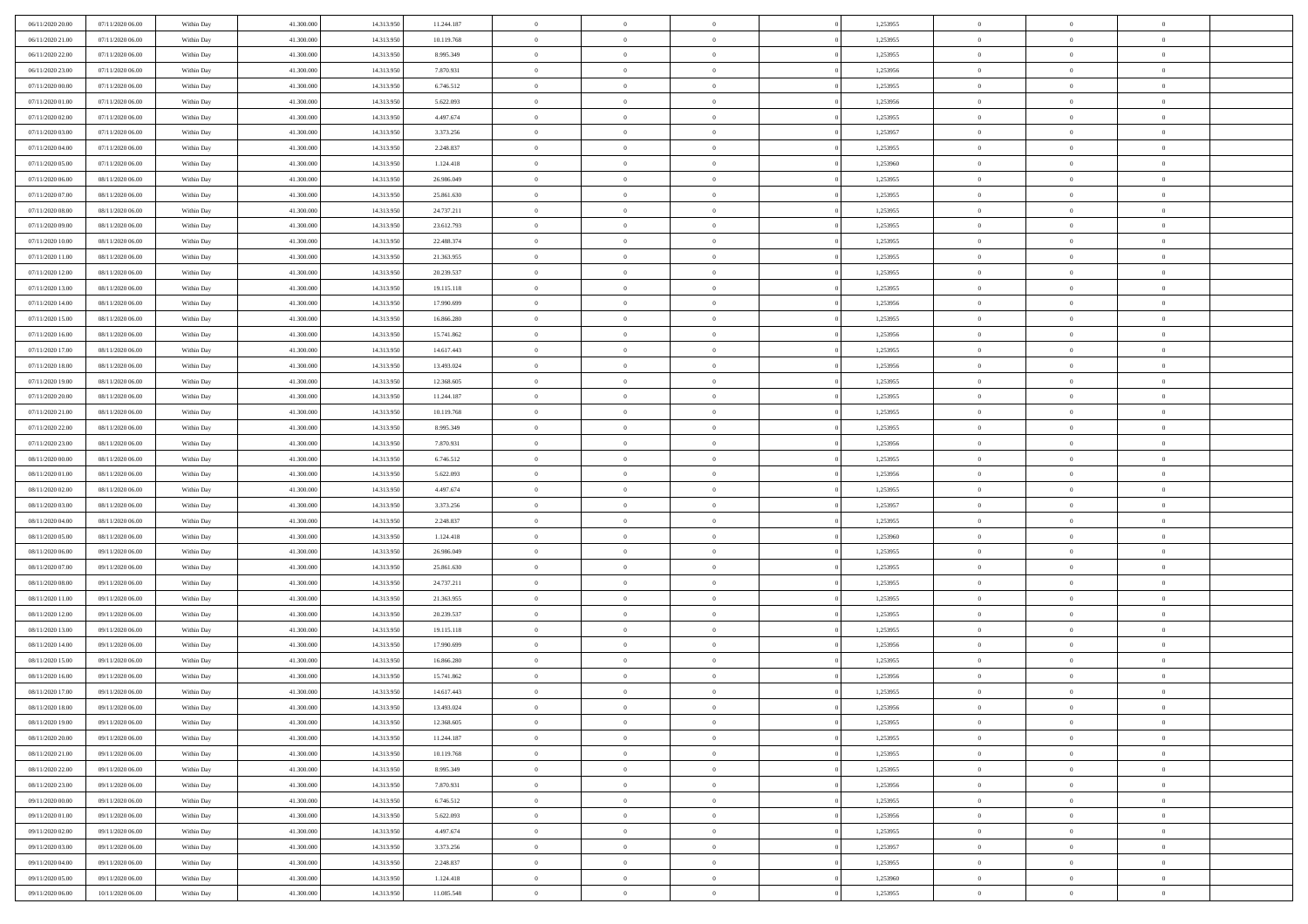| 06/11/2020 20:00                     | 07/11/2020 06.00                     | Within Day               | 41,300,000               | 14.313.950               | 11.244.187              | $\bf{0}$                | $\overline{0}$                   | $\Omega$                         | 1,253955             | $\bf{0}$                 | $\overline{0}$             | $\bf{0}$                  |  |
|--------------------------------------|--------------------------------------|--------------------------|--------------------------|--------------------------|-------------------------|-------------------------|----------------------------------|----------------------------------|----------------------|--------------------------|----------------------------|---------------------------|--|
| 06/11/2020 21:00                     | 07/11/2020 06:00                     | Within Day               | 41.300.000               | 14.313.950               | 10.119.768              | $\theta$                | $\overline{0}$                   | $\overline{0}$                   | 1,253955             | $\mathbf{0}$             | $\bf{0}$                   | $\overline{0}$            |  |
| 06/11/2020 22.00                     | 07/11/2020 06:00                     | Within Day               | 41.300.000               | 14.313.950               | 8.995.349               | $\theta$                | $\overline{0}$                   | $\overline{0}$                   | 1,253955             | $\,$ 0                   | $\overline{0}$             | $\,$ 0 $\,$               |  |
| 06/11/2020 23.00                     | 07/11/2020 06.00                     | Within Day               | 41,300,000               | 14.313.950               | 7.870.931               | $\overline{0}$          | $\overline{0}$                   | $\mathbf{0}$                     | 1,253956             | $\bf{0}$                 | $\mathbf{0}$               | $\theta$                  |  |
| 07/11/2020 00:00                     | 07/11/2020 06:00                     | Within Day               | 41.300.000               | 14.313.950               | 6.746.512               | $\mathbf{0}$            | $\overline{0}$                   | $\overline{0}$                   | 1,253955             | $\mathbf{0}$             | $\bf{0}$                   | $\overline{0}$            |  |
| 07/11/2020 01:00                     | 07/11/2020 06:00                     | Within Day               | 41.300.000               | 14.313.950               | 5.622.093               | $\theta$                | $\overline{0}$                   | $\bf{0}$                         | 1,253956             | $\,$ 0                   | $\overline{0}$             | $\,$ 0 $\,$               |  |
| 07/11/2020 02.00                     | 07/11/2020 06:00                     | Within Day               | 41,300,000               | 14.313.950               | 4.497.674               | $\,$ 0 $\,$             | $\overline{0}$                   | $\Omega$                         | 1,253955             | $\bf{0}$                 | $\mathbf{0}$               | $\theta$                  |  |
| 07/11/2020 03:00                     | 07/11/2020 06:00                     | Within Day               | 41.300.000               | 14.313.950               | 3.373.256               | $\overline{0}$          | $\overline{0}$                   | $\overline{0}$                   | 1,253957             | $\mathbf{0}$             | $\bf{0}$                   | $\overline{0}$            |  |
| 07/11/2020 04:00                     | 07/11/2020 06:00                     | Within Day               | 41.300.000               | 14.313.950               | 2.248.837               | $\theta$                | $\overline{0}$                   | $\bf{0}$                         | 1,253955             | $\,$ 0                   | $\overline{0}$             | $\,$ 0 $\,$               |  |
| 07/11/2020 05:00                     | 07/11/2020 06.00                     | Within Day               | 41,300,000               | 14.313.950               | 1.124.418               | $\overline{0}$          | $\overline{0}$                   | $\mathbf{0}$                     | 1,253960             | $\bf{0}$                 | $\mathbf{0}$               | $\theta$                  |  |
| 07/11/2020 06:00                     | 08/11/2020 06:00                     | Within Day               | 41.300.000               | 14.313.950               | 26.986.049              | $\overline{0}$          | $\overline{0}$                   | $\overline{0}$                   | 1,253955             | $\mathbf{0}$             | $\bf{0}$                   | $\overline{0}$            |  |
| 07/11/2020 07:00                     | 08/11/2020 06:00                     | Within Day               | 41.300.000               | 14.313.950               | 25.861.630              | $\theta$                | $\overline{0}$                   | $\bf{0}$                         | 1,253955             | $\,$ 0                   | $\overline{0}$             | $\,$ 0 $\,$               |  |
| 07/11/2020 08:00                     | 08/11/2020 06:00                     | Within Day               | 41,300,000               | 14.313.950               | 24.737.211              | $\theta$                | $\overline{0}$                   | $\mathbf{0}$                     | 1,253955             | $\bf{0}$                 | $\mathbf{0}$               | $\theta$                  |  |
| 07/11/2020 09:00                     | 08/11/2020 06:00                     | Within Day               | 41.300.000               | 14.313.950               | 23.612.793              | $\overline{0}$          | $\overline{0}$                   | $\overline{0}$                   | 1,253955             | $\mathbf{0}$             | $\bf{0}$                   | $\overline{0}$            |  |
| 07/11/2020 10:00                     | 08/11/2020 06:00                     | Within Day               | 41.300.000               | 14.313.950               | 22.488.374              | $\theta$                | $\overline{0}$                   | $\overline{0}$                   | 1,253955             | $\,$ 0                   | $\overline{0}$             | $\,$ 0 $\,$               |  |
| 07/11/2020 11:00                     | 08/11/2020 06.00                     | Within Day               | 41,300,000               | 14.313.950               | 21.363.955              | $\bf{0}$                | $\overline{0}$                   | $\mathbf{0}$                     | 1,253955             | $\bf{0}$                 | $\mathbf{0}$               | $\bf{0}$                  |  |
| 07/11/2020 12:00                     | 08/11/2020 06:00                     | Within Day               | 41.300.000               | 14.313.950               | 20.239.537              | $\overline{0}$          | $\overline{0}$                   | $\overline{0}$                   | 1,253955             | $\mathbf{0}$             | $\bf{0}$                   | $\overline{0}$            |  |
| 07/11/2020 13:00                     | 08/11/2020 06:00                     | Within Day               | 41.300.000               | 14.313.950               | 19.115.118              | $\theta$                | $\overline{0}$                   | $\bf{0}$                         | 1,253955             | $\,$ 0                   | $\overline{0}$             | $\,$ 0 $\,$               |  |
| 07/11/2020 14:00                     | 08/11/2020 06.00                     | Within Day               | 41,300,000               | 14.313.950               | 17.990.699              | $\overline{0}$          | $\overline{0}$                   | $\mathbf{0}$                     | 1,253956             | $\theta$                 | $\mathbf{0}$               | $\theta$                  |  |
| 07/11/2020 15:00                     | 08/11/2020 06:00                     | Within Day               | 41.300.000               | 14.313.950               | 16.866.280              | $\overline{0}$          | $\overline{0}$                   | $\overline{0}$                   | 1,253955             | $\mathbf{0}$             | $\bf{0}$                   | $\overline{0}$            |  |
| 07/11/2020 16:00                     | 08/11/2020 06:00                     | Within Day               | 41.300.000               | 14.313.950               | 15.741.862              | $\theta$                | $\overline{0}$                   | $\bf{0}$                         | 1,253956             | $\,$ 0                   | $\overline{0}$             | $\,$ 0 $\,$               |  |
| 07/11/2020 17.00                     | 08/11/2020 06:00                     | Within Day               | 41,300,000               | 14.313.950               | 14.617.443              | $\overline{0}$          | $\overline{0}$                   | $\mathbf{0}$                     | 1,253955             | $\bf{0}$                 | $\mathbf{0}$               | $\theta$                  |  |
| 07/11/2020 18:00                     | 08/11/2020 06:00                     | Within Day               | 41.300.000               | 14.313.950               | 13.493.024              | $\overline{0}$          | $\overline{0}$                   | $\overline{0}$                   | 1,253956             | $\mathbf{0}$             | $\bf{0}$                   | $\overline{0}$            |  |
| 07/11/2020 19:00                     | 08/11/2020 06:00                     | Within Day               | 41.300.000               | 14.313.950               | 12.368.605              | $\theta$                | $\overline{0}$                   | $\bf{0}$                         | 1,253955             | $\,$ 0                   | $\overline{0}$             | $\,$ 0 $\,$               |  |
| 07/11/2020 20:00                     | 08/11/2020 06:00                     | Within Day               | 41,300,000               | 14.313.950               | 11.244.187              | $\bf{0}$                | $\overline{0}$                   | $\mathbf{0}$                     | 1,253955             | $\bf{0}$                 | $\overline{0}$             | $\bf{0}$                  |  |
| 07/11/2020 21:00                     | 08/11/2020 06:00                     | Within Day               | 41.300.000               | 14.313.950               | 10.119.768              | $\overline{0}$          | $\overline{0}$                   | $\overline{0}$                   | 1,253955             | $\mathbf{0}$             | $\bf{0}$                   | $\overline{0}$            |  |
| 07/11/2020 22.00                     | 08/11/2020 06:00                     | Within Day               | 41.300.000               | 14.313.950               | 8.995.349               | $\theta$                | $\overline{0}$                   | $\overline{0}$                   | 1,253955             | $\,$ 0                   | $\overline{0}$             | $\,$ 0 $\,$               |  |
| 07/11/2020 23.00                     | 08/11/2020 06:00                     | Within Day               | 41,300,000               | 14.313.950               | 7.870.931               | $\mathbf{0}$            | $\overline{0}$                   | $\mathbf{0}$                     | 1.253956             | $\bf{0}$                 | $\mathbf{0}$               | $\theta$                  |  |
| 08/11/2020 00:00                     | 08/11/2020 06:00                     | Within Day               | 41.300.000               | 14.313.950               | 6.746.512               | $\mathbf{0}$            | $\overline{0}$                   | $\overline{0}$                   | 1,253955             | $\mathbf{0}$             | $\bf{0}$                   | $\overline{0}$            |  |
| 08/11/2020 01:00                     | 08/11/2020 06:00                     | Within Day               | 41.300.000               | 14.313.950               | 5.622.093               | $\theta$                | $\overline{0}$                   | $\bf{0}$                         | 1,253956             | $\,$ 0                   | $\overline{0}$             | $\,$ 0 $\,$               |  |
| 08/11/2020 02.00                     | 08/11/2020 06:00                     | Within Day               | 41.300.000               | 14.313.950               | 4.497.674               | $\,$ 0 $\,$             | $\overline{0}$                   | $\overline{0}$                   | 1,253955             | $\bf{0}$                 | $\overline{0}$             | $\,0\,$                   |  |
| 08/11/2020 03:00                     | 08/11/2020 06:00                     | Within Day               | 41.300.000               | 14.313.950               | 3.373.256               | $\overline{0}$          | $\overline{0}$                   | $\overline{0}$                   | 1,253957             | $\mathbf{0}$             | $\bf{0}$                   | $\overline{0}$            |  |
| 08/11/2020 04:00                     | 08/11/2020 06:00                     | Within Day               | 41.300.000               | 14.313.950               | 2.248.837               | $\theta$                | $\overline{0}$                   | $\overline{0}$                   | 1,253955             | $\,$ 0                   | $\overline{0}$             | $\,$ 0 $\,$               |  |
| 08/11/2020 05:00<br>08/11/2020 06:00 | 08/11/2020 06:00<br>09/11/2020 06:00 | Within Day<br>Within Day | 41.300.000<br>41.300.000 | 14.313.950<br>14.313.950 | 1.124.418<br>26.986.049 | $\,$ 0 $\,$<br>$\theta$ | $\overline{0}$<br>$\overline{0}$ | $\overline{0}$<br>$\overline{0}$ | 1,253960<br>1,253955 | $\bf{0}$<br>$\mathbf{0}$ | $\overline{0}$<br>$\bf{0}$ | $\,0\,$<br>$\overline{0}$ |  |
| 08/11/2020 07:00                     | 09/11/2020 06:00                     | Within Day               | 41.300.000               | 14.313.950               | 25.861.630              | $\theta$                | $\overline{0}$                   | $\bf{0}$                         | 1,253955             | $\,$ 0                   | $\overline{0}$             | $\,$ 0 $\,$               |  |
| 08/11/2020 08:00                     | 09/11/2020 06:00                     | Within Day               | 41.300.000               | 14.313.950               | 24.737.211              | $\,$ 0 $\,$             | $\overline{0}$                   | $\overline{0}$                   | 1,253955             | $\bf{0}$                 | $\overline{0}$             | $\,0\,$                   |  |
| 08/11/2020 11:00                     | 09/11/2020 06:00                     | Within Day               | 41.300.000               | 14.313.950               | 21.363.955              | $\overline{0}$          | $\overline{0}$                   | $\overline{0}$                   | 1,253955             | $\mathbf{0}$             | $\bf{0}$                   | $\overline{0}$            |  |
| 08/11/2020 12:00                     | 09/11/2020 06:00                     | Within Day               | 41.300.000               | 14.313.950               | 20.239.537              | $\theta$                | $\overline{0}$                   | $\bf{0}$                         | 1,253955             | $\,$ 0                   | $\overline{0}$             | $\,$ 0 $\,$               |  |
| 08/11/2020 13:00                     | 09/11/2020 06.00                     | Within Day               | 41.300.000               | 14.313.950               | 19.115.118              | $\,$ 0 $\,$             | $\overline{0}$                   | $\overline{0}$                   | 1,253955             | $\bf{0}$                 | $\overline{0}$             | $\,0\,$                   |  |
| 08/11/2020 14:00                     | 09/11/2020 06:00                     | Within Day               | 41.300.000               | 14.313.950               | 17.990.699              | $\theta$                | $\overline{0}$                   | $\overline{0}$                   | 1,253956             | $\mathbf{0}$             | $\bf{0}$                   | $\overline{0}$            |  |
| 08/11/2020 15:00                     | 09/11/2020 06:00                     | Within Day               | 41.300.000               | 14.313.950               | 16.866.280              | $\theta$                | $\overline{0}$                   | $\bf{0}$                         | 1,253955             | $\,$ 0                   | $\overline{0}$             | $\,$ 0 $\,$               |  |
| 08/11/2020 16:00                     | 09/11/2020 06.00                     | Within Day               | 41.300.000               | 14.313.950               | 15.741.862              | $\,$ 0 $\,$             | $\overline{0}$                   | $\overline{0}$                   | 1,253956             | $\bf{0}$                 | $\overline{0}$             | $\,0\,$                   |  |
| 08/11/2020 17:00                     | 09/11/2020 06:00                     | Within Dav               | 41.300.000               | 14.313.950               | 14.617.443              | $\theta$                | $\overline{0}$                   | $\overline{0}$                   | 1,253955             | $\mathbf{0}$             | $\bf{0}$                   | $\overline{0}$            |  |
| 08/11/2020 18:00                     | 09/11/2020 06:00                     | Within Day               | 41.300.000               | 14.313.950               | 13.493.024              | $\overline{0}$          | $\overline{0}$                   | $\overline{0}$                   | 1,253956             | $\overline{0}$           | $\overline{0}$             | $\theta$                  |  |
| 08/11/2020 19:00                     | 09/11/2020 06:00                     | Within Day               | 41.300.000               | 14.313.950               | 12.368.605              | $\bf{0}$                | $\overline{0}$                   | $\overline{0}$                   | 1,253955             | $\bf{0}$                 | $\overline{0}$             | $\bf{0}$                  |  |
| 08/11/2020 20:00                     | 09/11/2020 06:00                     | Within Day               | 41.300.000               | 14.313.950               | 11.244.187              | $\overline{0}$          | $\overline{0}$                   | $\overline{0}$                   | 1,253955             | $\overline{0}$           | $\bf{0}$                   | $\overline{0}$            |  |
| 08/11/2020 21:00                     | 09/11/2020 06:00                     | Within Day               | 41.300.000               | 14.313.950               | 10.119.768              | $\,$ 0                  | $\overline{0}$                   | $\overline{0}$                   | 1,253955             | $\,$ 0 $\,$              | $\,$ 0 $\,$                | $\,$ 0 $\,$               |  |
| 08/11/2020 22.00                     | 09/11/2020 06:00                     | Within Day               | 41.300.000               | 14.313.950               | 8.995.349               | $\bf{0}$                | $\overline{0}$                   | $\overline{0}$                   | 1,253955             | $\mathbf{0}$             | $\overline{0}$             | $\bf{0}$                  |  |
| 08/11/2020 23:00                     | 09/11/2020 06:00                     | Within Day               | 41.300.000               | 14.313.950               | 7.870.931               | $\mathbf{0}$            | $\overline{0}$                   | $\overline{0}$                   | 1,253956             | $\,$ 0 $\,$              | $\bf{0}$                   | $\overline{0}$            |  |
| 09/11/2020 00:00                     | 09/11/2020 06:00                     | Within Day               | 41.300.000               | 14.313.950               | 6.746.512               | $\,$ 0                  | $\overline{0}$                   | $\overline{0}$                   | 1,253955             | $\,$ 0 $\,$              | $\overline{0}$             | $\,$ 0 $\,$               |  |
| 09/11/2020 01:00                     | 09/11/2020 06:00                     | Within Day               | 41.300.000               | 14.313.950               | 5.622.093               | $\bf{0}$                | $\overline{0}$                   | $\overline{0}$                   | 1,253956             | $\overline{0}$           | $\overline{0}$             | $\overline{0}$            |  |
| 09/11/2020 02.00                     | 09/11/2020 06:00                     | Within Day               | 41.300.000               | 14.313.950               | 4.497.674               | $\mathbf{0}$            | $\overline{0}$                   | $\overline{0}$                   | 1,253955             | $\,$ 0 $\,$              | $\bf{0}$                   | $\overline{0}$            |  |
| 09/11/2020 03:00                     | 09/11/2020 06:00                     | Within Day               | 41.300.000               | 14.313.950               | 3.373.256               | $\,$ 0                  | $\overline{0}$                   | $\overline{0}$                   | 1,253957             | $\,$ 0 $\,$              | $\,$ 0 $\,$                | $\,$ 0 $\,$               |  |
| 09/11/2020 04:00                     | 09/11/2020 06.00                     | Within Day               | 41.300.000               | 14.313.950               | 2.248.837               | $\bf{0}$                | $\overline{0}$                   | $\overline{0}$                   | 1,253955             | $\mathbf{0}$             | $\overline{0}$             | $\bf{0}$                  |  |
| 09/11/2020 05:00                     | 09/11/2020 06:00                     | Within Day               | 41.300.000               | 14.313.950               | 1.124.418               | $\mathbf{0}$            | $\overline{0}$                   | $\overline{0}$                   | 1,253960             | $\overline{0}$           | $\bf{0}$                   | $\overline{0}$            |  |
| 09/11/2020 06:00                     | 10/11/2020 06:00                     | Within Day               | 41.300.000               | 14.313.950               | 11.085.548              | $\,$ 0 $\,$             | $\overline{0}$                   | $\overline{0}$                   | 1,253955             | $\,$ 0 $\,$              | $\overline{0}$             | $\,$ 0 $\,$               |  |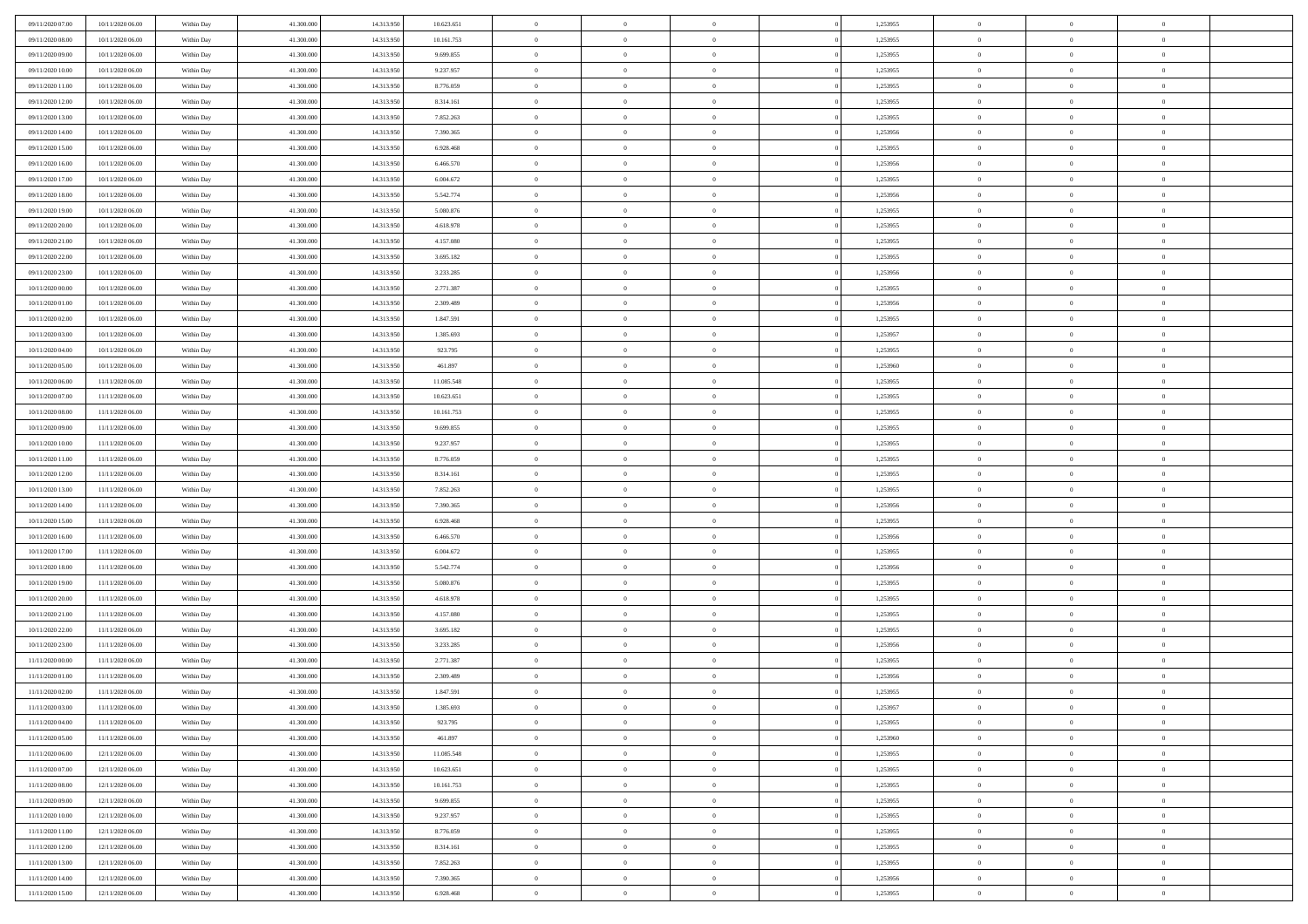| 09/11/2020 07:00 | 10/11/2020 06:00 | Within Day | 41.300.000 | 14.313.950 | 10.623.651 | $\,$ 0         | $\bf{0}$       | $\overline{0}$ |                | 1,253955 | $\bf{0}$                    | $\overline{0}$ | $\theta$                         |  |
|------------------|------------------|------------|------------|------------|------------|----------------|----------------|----------------|----------------|----------|-----------------------------|----------------|----------------------------------|--|
| 09/11/2020 08:00 | 10/11/2020 06:00 | Within Day | 41,300,000 | 14.313.950 | 10.161.753 | $\overline{0}$ | $\overline{0}$ | $\overline{0}$ |                | 1,253955 | $\theta$                    | $\theta$       | $\overline{0}$                   |  |
| 09/11/2020 09:00 | 10/11/2020 06:00 | Within Day | 41.300.000 | 14.313.950 | 9.699.855  | $\mathbf{0}$   | $\overline{0}$ | $\overline{0}$ |                | 1,253955 | $\theta$                    | $\overline{0}$ | $\theta$                         |  |
| 09/11/2020 10:00 | 10/11/2020 06:00 | Within Day | 41.300.000 | 14.313.950 | 9.237.957  | $\bf{0}$       | $\bf{0}$       | $\bf{0}$       |                | 1,253955 | $\bf{0}$                    | $\overline{0}$ | $\bf{0}$                         |  |
| 09/11/2020 11:00 | 10/11/2020 06:00 | Within Day | 41.300.000 | 14.313.950 | 8.776.059  | $\bf{0}$       | $\bf{0}$       | $\overline{0}$ |                | 1,253955 | $\bf{0}$                    | $\Omega$       | $\bf{0}$                         |  |
| 09/11/2020 12:00 | 10/11/2020 06:00 | Within Day | 41.300.000 | 14.313.950 | 8.314.161  | $\overline{0}$ | $\overline{0}$ | $\overline{0}$ |                | 1,253955 | $\theta$                    | $\overline{0}$ | $\theta$                         |  |
| 09/11/2020 13:00 | 10/11/2020 06:00 | Within Day | 41.300.000 | 14.313.950 | 7.852.263  | $\bf{0}$       | $\bf{0}$       | $\overline{0}$ |                | 1,253955 | $\bf{0}$                    | $\overline{0}$ | $\theta$                         |  |
|                  |                  |            |            |            |            | $\overline{0}$ | $\overline{0}$ | $\overline{0}$ |                |          | $\,0\,$                     | $\overline{0}$ | $\overline{0}$                   |  |
| 09/11/2020 14:00 | 10/11/2020 06:00 | Within Day | 41.300.000 | 14.313.950 | 7.390.365  | $\mathbf{0}$   |                |                |                | 1,253956 | $\theta$                    |                |                                  |  |
| 09/11/2020 15:00 | 10/11/2020 06:00 | Within Day | 41.300.000 | 14.313.950 | 6.928.468  |                | $\overline{0}$ | $\overline{0}$ |                | 1,253955 |                             | $\overline{0}$ | $\theta$                         |  |
| 09/11/2020 16:00 | 10/11/2020 06:00 | Within Day | 41.300.000 | 14.313.950 | 6.466.570  | $\bf{0}$       | $\bf{0}$       | $\overline{0}$ |                | 1,253956 | $\bf{0}$                    | $\overline{0}$ | $\theta$                         |  |
| 09/11/2020 17.00 | 10/11/2020 06:00 | Within Day | 41,300,000 | 14.313.950 | 6.004.672  | $\bf{0}$       | $\overline{0}$ | $\overline{0}$ |                | 1,253955 | $\bf{0}$                    | $\theta$       | $\overline{0}$                   |  |
| 09/11/2020 18:00 | 10/11/2020 06:00 | Within Day | 41.300.000 | 14.313.950 | 5.542.774  | $\mathbf{0}$   | $\overline{0}$ | $\overline{0}$ |                | 1,253956 | $\theta$                    | $\overline{0}$ | $\theta$                         |  |
| 09/11/2020 19:00 | 10/11/2020 06:00 | Within Day | 41.300.000 | 14.313.950 | 5.080.876  | $\bf{0}$       | $\overline{0}$ | $\bf{0}$       |                | 1,253955 | $\bf{0}$                    | $\overline{0}$ | $\bf{0}$                         |  |
| 09/11/2020 20:00 | 10/11/2020 06:00 | Within Day | 41.300.000 | 14.313.950 | 4.618.978  | $\bf{0}$       | $\overline{0}$ | $\overline{0}$ |                | 1,253955 | $\bf{0}$                    | $\Omega$       | $\bf{0}$                         |  |
| 09/11/2020 21:00 | 10/11/2020 06:00 | Within Day | 41.300.000 | 14.313.950 | 4.157.080  | $\overline{0}$ | $\overline{0}$ | $\overline{0}$ |                | 1,253955 | $\theta$                    | $\overline{0}$ | $\theta$                         |  |
| 09/11/2020 22.00 | 10/11/2020 06:00 | Within Day | 41.300.000 | 14.313.950 | 3.695.182  | $\bf{0}$       | $\bf{0}$       | $\overline{0}$ |                | 1,253955 | $\bf{0}$                    | $\overline{0}$ | $\theta$                         |  |
| 09/11/2020 23.00 | 10/11/2020 06:00 | Within Day | 41,300,000 | 14.313.950 | 3.233.285  | $\bf{0}$       | $\overline{0}$ | $\overline{0}$ |                | 1,253956 | $\,$ 0 $\,$                 | $\overline{0}$ | $\overline{0}$                   |  |
| 10/11/2020 00:00 | 10/11/2020 06:00 | Within Day | 41.300.000 | 14.313.950 | 2.771.387  | $\mathbf{0}$   | $\overline{0}$ | $\overline{0}$ |                | 1,253955 | $\theta$                    | $\overline{0}$ | $\theta$                         |  |
| 10/11/2020 01:00 | 10/11/2020 06:00 | Within Day | 41.300.000 | 14.313.950 | 2.309.489  | $\bf{0}$       | $\bf{0}$       | $\overline{0}$ |                | 1,253956 | $\bf{0}$                    | $\overline{0}$ | $\theta$                         |  |
| 10/11/2020 02.00 | 10/11/2020 06:00 | Within Day | 41.300.000 | 14.313.950 | 1.847.591  | $\bf{0}$       | $\overline{0}$ | $\overline{0}$ |                | 1,253955 | $\bf{0}$                    | $\theta$       | $\bf{0}$                         |  |
| 10/11/2020 03:00 | 10/11/2020 06:00 | Within Day | 41.300.000 | 14.313.950 | 1.385.693  | $\mathbf{0}$   | $\overline{0}$ | $\overline{0}$ |                | 1,253957 | $\theta$                    | $\overline{0}$ | $\theta$                         |  |
| 10/11/2020 04:00 | 10/11/2020 06:00 | Within Day | 41.300.000 | 14.313.950 | 923.795    | $\bf{0}$       | $\overline{0}$ | $\bf{0}$       |                | 1,253955 | $\bf{0}$                    | $\overline{0}$ | $\bf{0}$                         |  |
| 10/11/2020 05:00 | 10/11/2020 06:00 | Within Day | 41,300,000 | 14.313.950 | 461.897    | $\bf{0}$       | $\overline{0}$ | $\overline{0}$ |                | 1,253960 | $\bf{0}$                    | $\overline{0}$ | $\bf{0}$                         |  |
| 10/11/2020 06:00 | 11/11/2020 06:00 | Within Day | 41.300.000 | 14.313.950 | 11.085.548 | $\mathbf{0}$   | $\overline{0}$ | $\overline{0}$ |                | 1,253955 | $\theta$                    | $\overline{0}$ | $\theta$                         |  |
| 10/11/2020 07.00 | 11/11/2020 06:00 | Within Day | 41.300.000 | 14.313.950 | 10.623.651 | $\bf{0}$       | $\overline{0}$ | $\overline{0}$ |                | 1,253955 | $\bf{0}$                    | $\overline{0}$ | $\theta$                         |  |
| 10/11/2020 08:00 | 11/11/2020 06.00 | Within Day | 41,300,000 | 14.313.950 | 10.161.753 | $\bf{0}$       | $\overline{0}$ | $\overline{0}$ |                | 1,253955 | $\,$ 0 $\,$                 | $\theta$       | $\bf{0}$                         |  |
| 10/11/2020 09:00 | 11/11/2020 06:00 | Within Day | 41.300.000 | 14.313.950 | 9.699.855  | $\mathbf{0}$   | $\overline{0}$ | $\overline{0}$ |                | 1,253955 | $\theta$                    | $\overline{0}$ | $\theta$                         |  |
| 10/11/2020 10:00 | 11/11/2020 06.00 | Within Day | 41.300.000 | 14.313.950 | 9.237.957  | $\bf{0}$       | $\overline{0}$ | $\overline{0}$ |                | 1,253955 | $\bf{0}$                    | $\overline{0}$ | $\theta$                         |  |
| 10/11/2020 11:00 | 11/11/2020 06.00 | Within Day | 41,300,000 | 14.313.950 | 8.776.059  | $\bf{0}$       | $\overline{0}$ | $\overline{0}$ |                | 1,253955 | $\bf{0}$                    | $\theta$       | $\bf{0}$                         |  |
| 10/11/2020 12:00 | 11/11/2020 06:00 | Within Day | 41.300.000 | 14.313.950 | 8.314.161  | $\mathbf{0}$   | $\overline{0}$ | $\overline{0}$ |                | 1,253955 | $\theta$                    | $\overline{0}$ | $\theta$                         |  |
| 10/11/2020 13:00 | 11/11/2020 06:00 | Within Day | 41.300.000 | 14.313.950 | 7.852.263  | $\bf{0}$       | $\overline{0}$ | $\overline{0}$ |                | 1,253955 | $\,0\,$                     | $\overline{0}$ | $\theta$                         |  |
| 10/11/2020 14:00 | 11/11/2020 06:00 | Within Day | 41.300.000 | 14.313.950 | 7.390.365  | $\bf{0}$       | $\overline{0}$ | $\overline{0}$ |                | 1,253956 | $\bf{0}$                    | $\overline{0}$ | $\bf{0}$                         |  |
| 10/11/2020 15:00 | 11/11/2020 06:00 | Within Day | 41.300.000 | 14.313.950 | 6.928.468  | $\mathbf{0}$   | $\overline{0}$ | $\overline{0}$ |                | 1,253955 | $\theta$                    | $\overline{0}$ | $\theta$                         |  |
| 10/11/2020 16:00 | 11/11/2020 06.00 | Within Day | 41.300.000 | 14.313.950 | 6.466.570  | $\bf{0}$       | $\overline{0}$ | $\theta$       |                | 1,253956 | $\,0\,$                     | $\overline{0}$ | $\theta$                         |  |
| 10/11/2020 17:00 | 11/11/2020 06.00 | Within Day | 41,300,000 | 14.313.950 | 6.004.672  | $\bf{0}$       | $\overline{0}$ | $\overline{0}$ |                | 1,253955 | $\bf{0}$                    | $\overline{0}$ | $\bf{0}$                         |  |
| 10/11/2020 18:00 | 11/11/2020 06:00 | Within Day | 41.300.000 | 14.313.950 | 5.542.774  | $\mathbf{0}$   | $\overline{0}$ | $\overline{0}$ |                | 1,253956 | $\theta$                    | $\overline{0}$ | $\theta$                         |  |
| 10/11/2020 19:00 | 11/11/2020 06:00 | Within Day | 41.300.000 | 14.313.950 | 5.080.876  | $\bf{0}$       | $\overline{0}$ | $\theta$       |                | 1,253955 | $\,0\,$                     | $\overline{0}$ | $\theta$                         |  |
| 10/11/2020 20:00 | 11/11/2020 06.00 | Within Day | 41,300,000 | 14.313.950 | 4.618.978  | $\bf{0}$       | $\overline{0}$ | $\overline{0}$ |                | 1,253955 | $\bf{0}$                    | $\theta$       | $\bf{0}$                         |  |
| 10/11/2020 21:00 | 11/11/2020 06:00 | Within Day | 41.300.000 | 14.313.950 | 4.157.080  | $\mathbf{0}$   | $\overline{0}$ | $\overline{0}$ |                | 1,253955 | $\theta$                    | $\overline{0}$ | $\theta$                         |  |
| 10/11/2020 22.00 | 11/11/2020 06:00 | Within Day | 41.300.000 | 14.313.950 | 3.695.182  | $\,0\,$        | $\overline{0}$ | $\overline{0}$ |                | 1,253955 | $\,0\,$                     | $\overline{0}$ | $\theta$                         |  |
| 10/11/2020 23.00 | 11/11/2020 06:00 | Within Day | 41,300,000 | 14.313.950 | 3.233.285  | $\bf{0}$       | $\overline{0}$ | $\overline{0}$ |                | 1,253956 | $\bf{0}$                    | $\overline{0}$ | $\bf{0}$                         |  |
| 11/11/2020 00:00 | 11/11/2020 06:00 | Within Day | 41.300.000 | 14.313.950 | 2.771.387  | $\mathbf{0}$   | $\overline{0}$ | $\overline{0}$ |                | 1,253955 | $\theta$                    | $\overline{0}$ | $\theta$                         |  |
| 11/11/2020 01:00 | 11/11/2020 06.00 | Within Day | 41.300.000 | 14.313.950 | 2.309.489  | $\bf{0}$       | $\overline{0}$ | $\overline{0}$ |                | 1,253956 | $\,0\,$                     | $\overline{0}$ | $\theta$                         |  |
| 11/11/2020 02.00 | 11/11/2020 06.00 | Within Day | 41.300.000 | 14.313.950 | 1.847.591  | $\bf{0}$       | $\overline{0}$ | $\overline{0}$ |                | 1,253955 | $\,$ 0 $\,$                 | $\overline{0}$ | $\bf{0}$                         |  |
| 11/11/2020 03:00 | 11/11/2020 06:00 | Within Day | 41.300.000 | 14.313.950 | 1.385.693  | $\bf{0}$       | $\overline{0}$ |                |                | 1,253957 | $\bf{0}$                    | $\Omega$       | $\theta$                         |  |
| 11/11/2020 04:00 | 11/11/2020 06:00 | Within Day | 41.300.000 | 14.313.950 | 923.795    | $\,0\,$        | $\overline{0}$ | $\overline{0}$ |                | 1,253955 | $\,$ 0 $\,$                 | $\overline{0}$ | $\theta$                         |  |
| 11/11/2020 05.00 | 11/11/2020 06.00 | Within Day | 41.300.000 | 14.313.950 | 461.897    | $\overline{0}$ | $\overline{0}$ | $\overline{0}$ |                | 1,253960 | $\overline{0}$              | $\overline{0}$ | $\overline{0}$                   |  |
| 11/11/2020 06:00 | 12/11/2020 06:00 | Within Day | 41.300.000 | 14.313.950 | 11.085.548 | $\mathbf{0}$   | $\overline{0}$ | $\overline{0}$ |                | 1,253955 | $\mathbf{0}$                | $\overline{0}$ | $\overline{0}$                   |  |
| 11/11/2020 07:00 | 12/11/2020 06:00 | Within Day | 41.300.000 | 14.313.950 | 10.623.651 | $\,$ 0 $\,$    | $\overline{0}$ | $\overline{0}$ | $\overline{0}$ | 1,253955 | $\,$ 0 $\,$                 | $\overline{0}$ | $\,$ 0                           |  |
| 11/11/2020 08:00 | 12/11/2020 06:00 | Within Day | 41.300.000 | 14.313.950 | 10.161.753 | $\,$ 0 $\,$    | $\overline{0}$ | $\overline{0}$ |                | 1,253955 | $\,$ 0 $\,$                 | $\overline{0}$ | $\overline{0}$                   |  |
| 11/11/2020 09:00 | 12/11/2020 06:00 | Within Day | 41.300.000 | 14.313.950 | 9.699.855  | $\mathbf{0}$   | $\overline{0}$ | $\overline{0}$ |                | 1,253955 | $\overline{0}$              | $\overline{0}$ | $\overline{0}$                   |  |
| 11/11/2020 10:00 | 12/11/2020 06:00 |            | 41.300.000 | 14.313.950 | 9.237.957  | $\,$ 0 $\,$    | $\overline{0}$ | $\overline{0}$ | $\theta$       | 1,253955 | $\,$ 0 $\,$                 | $\overline{0}$ | $\theta$                         |  |
|                  |                  | Within Day | 41.300.000 | 14.313.950 |            | $\bf{0}$       | $\overline{0}$ |                |                |          |                             | $\overline{0}$ |                                  |  |
| 11/11/2020 11:00 | 12/11/2020 06.00 | Within Day |            |            | 8.776.059  |                |                | $\overline{0}$ |                | 1,253955 | $\,$ 0 $\,$<br>$\mathbf{0}$ |                | $\overline{0}$<br>$\overline{0}$ |  |
| 11/11/2020 12:00 | 12/11/2020 06:00 | Within Day | 41.300.000 | 14.313.950 | 8.314.161  | $\mathbf{0}$   | $\overline{0}$ | $\overline{0}$ |                | 1,253955 |                             | $\overline{0}$ |                                  |  |
| 11/11/2020 13:00 | 12/11/2020 06:00 | Within Day | 41.300.000 | 14.313.950 | 7.852.263  | $\,0\,$        | $\overline{0}$ | $\bf{0}$       |                | 1,253955 | $\,$ 0 $\,$                 | $\overline{0}$ | $\,$ 0 $\,$                      |  |
| 11/11/2020 14.00 | 12/11/2020 06.00 | Within Day | 41.300.000 | 14.313.950 | 7.390.365  | $\bf{0}$       | $\bf{0}$       | $\overline{0}$ |                | 1,253956 | $\bf{0}$                    | $\overline{0}$ | $\overline{0}$                   |  |
| 11/11/2020 15:00 | 12/11/2020 06:00 | Within Day | 41.300.000 | 14.313.950 | 6.928.468  | $\mathbf{0}$   | $\overline{0}$ | $\overline{0}$ |                | 1,253955 | $\mathbf{0}$                | $\overline{0}$ | $\overline{0}$                   |  |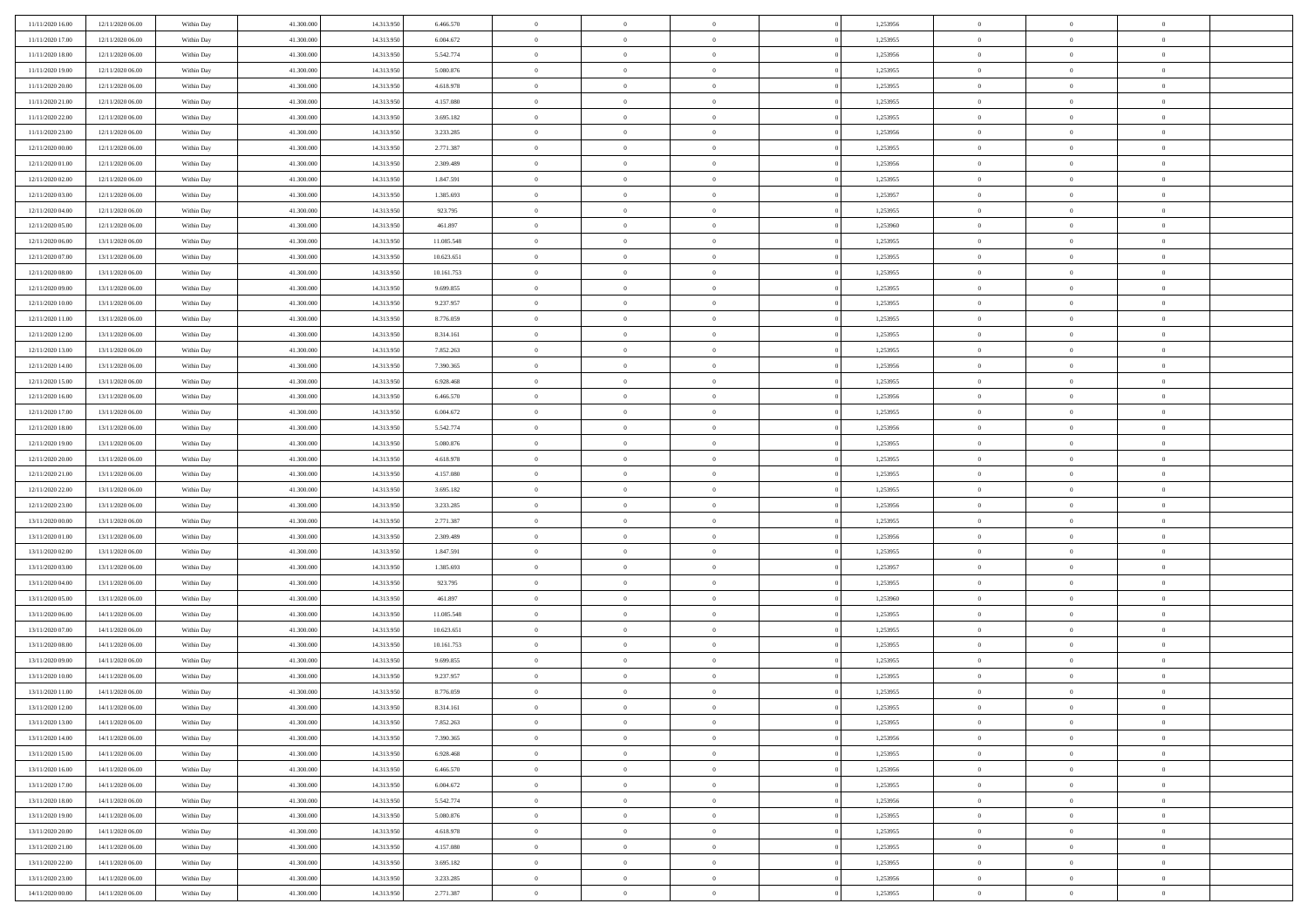| 11/11/2020 16:00                     | 12/11/2020 06.00                     | Within Day               | 41,300,000               | 14.313.950               | 6.466.570              | $\bf{0}$                   | $\overline{0}$                   | $\Omega$                         | 1,253956             | $\bf{0}$                   | $\overline{0}$             | $\bf{0}$                   |  |
|--------------------------------------|--------------------------------------|--------------------------|--------------------------|--------------------------|------------------------|----------------------------|----------------------------------|----------------------------------|----------------------|----------------------------|----------------------------|----------------------------|--|
| 11/11/2020 17:00                     | 12/11/2020 06:00                     | Within Day               | 41.300.000               | 14.313.950               | 6.004.672              | $\theta$                   | $\overline{0}$                   | $\overline{0}$                   | 1,253955             | $\mathbf{0}$               | $\bf{0}$                   | $\overline{0}$             |  |
| 11/11/2020 18:00                     | 12/11/2020 06:00                     | Within Day               | 41.300.000               | 14.313.950               | 5.542.774              | $\theta$                   | $\overline{0}$                   | $\overline{0}$                   | 1,253956             | $\,$ 0                     | $\overline{0}$             | $\,$ 0 $\,$                |  |
| 11/11/2020 19:00                     | 12/11/2020 06:00                     | Within Day               | 41,300,000               | 14.313.950               | 5.080.876              | $\theta$                   | $\overline{0}$                   | $\mathbf{0}$                     | 1,253955             | $\bf{0}$                   | $\mathbf{0}$               | $\theta$                   |  |
| 11/11/2020 20:00                     | 12/11/2020 06:00                     | Within Day               | 41.300.000               | 14.313.950               | 4.618.978              | $\overline{0}$             | $\overline{0}$                   | $\overline{0}$                   | 1,253955             | $\mathbf{0}$               | $\bf{0}$                   | $\mathbf{0}$               |  |
| 11/11/2020 21:00                     | 12/11/2020 06:00                     | Within Day               | 41.300.000               | 14.313.950               | 4.157.080              | $\theta$                   | $\overline{0}$                   | $\bf{0}$                         | 1,253955             | $\,$ 0                     | $\overline{0}$             | $\,$ 0 $\,$                |  |
| 11/11/2020 22.00                     | 12/11/2020 06:00                     | Within Day               | 41,300,000               | 14.313.950               | 3.695.182              | $\,$ 0 $\,$                | $\overline{0}$                   | $\Omega$                         | 1,253955             | $\bf{0}$                   | $\overline{0}$             | $\bf{0}$                   |  |
| 11/11/2020 23:00                     | 12/11/2020 06:00                     | Within Day               | 41.300.000               | 14.313.950               | 3.233.285              | $\overline{0}$             | $\overline{0}$                   | $\overline{0}$                   | 1,253956             | $\mathbf{0}$               | $\bf{0}$                   | $\overline{0}$             |  |
| 12/11/2020 00:00                     | 12/11/2020 06:00                     | Within Day               | 41.300.000               | 14.313.950               | 2.771.387              | $\theta$                   | $\overline{0}$                   | $\bf{0}$                         | 1,253955             | $\,$ 0                     | $\overline{0}$             | $\,$ 0 $\,$                |  |
| 12/11/2020 01:00                     | 12/11/2020 06.00                     | Within Day               | 41,300,000               | 14.313.950               | 2.309.489              | $\mathbf{0}$               | $\overline{0}$                   | $\mathbf{0}$                     | 1,253956             | $\theta$                   | $\mathbf{0}$               | $\theta$                   |  |
| 12/11/2020 02:00                     | 12/11/2020 06:00                     | Within Day               | 41.300.000               | 14.313.950               | 1.847.591              | $\overline{0}$             | $\overline{0}$                   | $\overline{0}$                   | 1,253955             | $\mathbf{0}$               | $\bf{0}$                   | $\overline{0}$             |  |
| 12/11/2020 03:00                     | 12/11/2020 06:00                     | Within Day               | 41.300.000               | 14.313.950               | 1.385.693              | $\theta$                   | $\overline{0}$                   | $\bf{0}$                         | 1,253957             | $\,$ 0                     | $\overline{0}$             | $\,$ 0 $\,$                |  |
| 12/11/2020 04:00                     | 12/11/2020 06.00                     | Within Day               | 41,300,000               | 14.313.950               | 923.795                | $\theta$                   | $\overline{0}$                   | $\mathbf{0}$                     | 1,253955             | $\bf{0}$                   | $\mathbf{0}$               | $\theta$                   |  |
| 12/11/2020 05:00                     | 12/11/2020 06:00                     | Within Day               | 41.300.000               | 14.313.950               | 461.897                | $\overline{0}$             | $\overline{0}$                   | $\overline{0}$                   | 1,253960             | $\mathbf{0}$               | $\bf{0}$                   | $\overline{0}$             |  |
| 12/11/2020 06:00                     | 13/11/2020 06:00                     | Within Day               | 41.300.000               | 14.313.950               | 11.085.548             | $\theta$                   | $\overline{0}$                   | $\overline{0}$                   | 1,253955             | $\,$ 0                     | $\overline{0}$             | $\,$ 0 $\,$                |  |
| 12/11/2020 07:00                     | 13/11/2020 06.00                     | Within Day               | 41,300,000               | 14.313.950               | 10.623.651             | $\,$ 0 $\,$                | $\overline{0}$                   | $\mathbf{0}$                     | 1,253955             | $\bf{0}$                   | $\mathbf{0}$               | $\bf{0}$                   |  |
| 12/11/2020 08:00                     | 13/11/2020 06:00                     | Within Day               | 41.300.000               | 14.313.950               | 10.161.753             | $\overline{0}$             | $\overline{0}$                   | $\overline{0}$                   | 1,253955             | $\mathbf{0}$               | $\bf{0}$                   | $\overline{0}$             |  |
| 12/11/2020 09:00                     | 13/11/2020 06:00                     | Within Day               | 41.300.000               | 14.313.950               | 9.699.855              | $\theta$                   | $\overline{0}$                   | $\bf{0}$                         | 1,253955             | $\,$ 0                     | $\overline{0}$             | $\,$ 0 $\,$                |  |
| 12/11/2020 10:00                     | 13/11/2020 06.00                     | Within Day               | 41,300,000               | 14.313.950               | 9.237.957              | $\,$ 0 $\,$                | $\overline{0}$                   | $\mathbf{0}$                     | 1,253955             | $\theta$                   | $\mathbf{0}$               | $\theta$                   |  |
| 12/11/2020 11:00                     | 13/11/2020 06:00                     | Within Day               | 41.300.000               | 14.313.950               | 8.776.059              | $\overline{0}$             | $\overline{0}$                   | $\overline{0}$                   | 1,253955             | $\mathbf{0}$               | $\bf{0}$                   | $\overline{0}$             |  |
| 12/11/2020 12:00                     | 13/11/2020 06:00                     | Within Day               | 41.300.000               | 14.313.950               | 8.314.161              | $\theta$                   | $\overline{0}$                   | $\bf{0}$                         | 1,253955             | $\,$ 0                     | $\overline{0}$             | $\,$ 0 $\,$                |  |
| 12/11/2020 13:00                     | 13/11/2020 06.00                     | Within Day               | 41,300,000               | 14.313.950               | 7.852.263              | $\theta$                   | $\overline{0}$                   | $\mathbf{0}$                     | 1,253955             | $\bf{0}$                   | $\mathbf{0}$               | $\theta$                   |  |
| 12/11/2020 14:00                     | 13/11/2020 06:00                     | Within Day               | 41.300.000               | 14.313.950               | 7.390.365              | $\overline{0}$             | $\overline{0}$                   | $\overline{0}$                   | 1,253956             | $\mathbf{0}$               | $\bf{0}$                   | $\overline{0}$             |  |
| 12/11/2020 15:00                     | 13/11/2020 06:00                     | Within Day               | 41.300.000               | 14.313.950               | 6.928.468              | $\theta$                   | $\overline{0}$                   | $\bf{0}$                         | 1,253955             | $\,$ 0                     | $\overline{0}$             | $\,$ 0 $\,$                |  |
| 12/11/2020 16:00                     | 13/11/2020 06.00                     | Within Day               | 41,300,000               | 14.313.950               | 6.466.570              | $\bf{0}$                   | $\overline{0}$                   | $\mathbf{0}$                     | 1,253956             | $\bf{0}$                   | $\overline{0}$             | $\bf{0}$                   |  |
| 12/11/2020 17:00                     | 13/11/2020 06:00                     | Within Day               | 41.300.000               | 14.313.950               | 6.004.672              | $\overline{0}$             | $\overline{0}$                   | $\overline{0}$                   | 1,253955             | $\mathbf{0}$               | $\bf{0}$                   | $\overline{0}$             |  |
| 12/11/2020 18:00                     | 13/11/2020 06:00                     | Within Day               | 41.300.000               | 14.313.950               | 5.542.774              | $\theta$                   | $\overline{0}$                   | $\bf{0}$                         | 1,253956             | $\,$ 0                     | $\overline{0}$             | $\,$ 0 $\,$                |  |
| 12/11/2020 19:00                     | 13/11/2020 06:00                     | Within Day               | 41,300,000               | 14.313.950               | 5.080.876              | $\mathbf{0}$               | $\overline{0}$                   | $\mathbf{0}$                     | 1.253955             | $\theta$                   | $\mathbf{0}$               | $\theta$                   |  |
| 12/11/2020 20:00                     | 13/11/2020 06:00                     | Within Day               | 41.300.000               | 14.313.950               | 4.618.978              | $\overline{0}$             | $\overline{0}$                   | $\overline{0}$                   | 1,253955             | $\mathbf{0}$               | $\bf{0}$                   | $\overline{0}$             |  |
| 12/11/2020 21:00                     | 13/11/2020 06:00                     | Within Day               | 41.300.000               | 14.313.950               | 4.157.080              | $\theta$                   | $\overline{0}$                   | $\bf{0}$                         | 1,253955             | $\,$ 0                     | $\overline{0}$             | $\,$ 0 $\,$                |  |
| 12/11/2020 22.00                     | 13/11/2020 06:00                     | Within Day               | 41.300.000               | 14.313.950               | 3.695.182              | $\,$ 0 $\,$                | $\overline{0}$                   | $\overline{0}$                   | 1,253955             | $\bf{0}$                   | $\overline{0}$             | $\,0\,$                    |  |
| 12/11/2020 23:00                     | 13/11/2020 06:00                     | Within Day               | 41.300.000               | 14.313.950               | 3.233.285              | $\overline{0}$             | $\overline{0}$                   | $\overline{0}$                   | 1,253956             | $\mathbf{0}$               | $\bf{0}$                   | $\overline{0}$             |  |
| 13/11/2020 00:00                     | 13/11/2020 06:00                     | Within Day               | 41.300.000               | 14.313.950               | 2.771.387              | $\theta$                   | $\overline{0}$                   | $\overline{0}$                   | 1,253955             | $\,$ 0                     | $\overline{0}$             | $\,$ 0 $\,$                |  |
| 13/11/2020 01:00                     | 13/11/2020 06.00                     | Within Day               | 41.300.000               | 14.313.950               | 2.309.489              | $\,$ 0 $\,$                | $\overline{0}$                   | $\overline{0}$                   | 1,253956             | $\bf{0}$                   | $\overline{0}$             | $\bf{0}$                   |  |
| 13/11/2020 02.00                     | 13/11/2020 06:00                     | Within Day               | 41.300.000               | 14.313.950               | 1.847.591              | $\overline{0}$             | $\overline{0}$                   | $\overline{0}$                   | 1,253955             | $\mathbf{0}$               | $\bf{0}$                   | $\overline{0}$             |  |
| 13/11/2020 03:00                     | 13/11/2020 06:00                     | Within Day               | 41.300.000               | 14.313.950               | 1.385.693              | $\theta$                   | $\overline{0}$                   | $\bf{0}$                         | 1,253957             | $\,$ 0                     | $\overline{0}$             | $\,$ 0 $\,$                |  |
| 13/11/2020 04:00                     | 13/11/2020 06:00                     | Within Day               | 41.300.000               | 14.313.950               | 923.795                | $\,$ 0 $\,$                | $\overline{0}$                   | $\overline{0}$                   | 1,253955             | $\bf{0}$                   | $\overline{0}$             | $\,0\,$                    |  |
| 13/11/2020 05:00                     | 13/11/2020 06:00                     | Within Day               | 41.300.000               | 14.313.950               | 461.897                | $\mathbf{0}$               | $\overline{0}$                   | $\overline{0}$                   | 1,253960             | $\mathbf{0}$               | $\bf{0}$                   | $\overline{0}$             |  |
| 13/11/2020 06:00                     | 14/11/2020 06:00                     | Within Day               | 41.300.000               | 14.313.950               | 11.085.548             | $\theta$                   | $\overline{0}$                   | $\bf{0}$                         | 1,253955             | $\,$ 0                     | $\overline{0}$             | $\,$ 0 $\,$                |  |
| 13/11/2020 07.00                     | 14/11/2020 06.00                     | Within Day               | 41.300.000               | 14.313.950               | 10.623.651             | $\,$ 0 $\,$                | $\overline{0}$                   | $\overline{0}$                   | 1,253955             | $\bf{0}$                   | $\overline{0}$             | $\,0\,$                    |  |
| 13/11/2020 08:00                     | 14/11/2020 06:00                     | Within Day               | 41.300.000               | 14.313.950               | 10.161.753             | $\overline{0}$             | $\overline{0}$                   | $\overline{0}$                   | 1,253955             | $\mathbf{0}$               | $\bf{0}$                   | $\overline{0}$             |  |
| 13/11/2020 09:00                     | 14/11/2020 06:00                     | Within Day               | 41.300.000               | 14.313.950               | 9.699.855              | $\theta$                   | $\overline{0}$                   | $\bf{0}$                         | 1,253955             | $\,$ 0                     | $\overline{0}$             | $\,$ 0 $\,$                |  |
| 13/11/2020 10:00                     | 14/11/2020 06.00                     | Within Day               | 41.300.000               | 14.313.950               | 9.237.957              | $\,$ 0 $\,$<br>$\theta$    | $\overline{0}$<br>$\overline{0}$ | $\overline{0}$                   | 1,253955             | $\bf{0}$<br>$\mathbf{0}$   | $\overline{0}$             | $\,0\,$<br>$\overline{0}$  |  |
| 13/11/2020 11:00                     | 14/11/2020 06:00                     | Within Dav               | 41.300.000               | 14.313.950               | 8.776.059              |                            |                                  | $\overline{0}$                   | 1,253955             |                            | $\bf{0}$                   |                            |  |
| 13/11/2020 12:00                     | 14/11/2020 06:00                     | Within Day               | 41.300.000               | 14.313.950               | 8.314.161              | $\overline{0}$             | $\overline{0}$                   | $\overline{0}$                   | 1,253955             | $\overline{0}$             | $\overline{0}$             | $\theta$                   |  |
| 13/11/2020 13:00<br>13/11/2020 14:00 | 14/11/2020 06:00<br>14/11/2020 06:00 | Within Day<br>Within Day | 41.300.000<br>41.300.000 | 14.313.950<br>14.313.950 | 7.852.263<br>7.390.365 | $\bf{0}$<br>$\overline{0}$ | $\overline{0}$<br>$\overline{0}$ | $\overline{0}$<br>$\overline{0}$ | 1,253955<br>1,253956 | $\bf{0}$<br>$\overline{0}$ | $\overline{0}$<br>$\bf{0}$ | $\bf{0}$<br>$\overline{0}$ |  |
| 13/11/2020 15:00                     | 14/11/2020 06:00                     | Within Day               | 41.300.000               | 14.313.950               | 6.928.468              | $\,$ 0                     | $\overline{0}$                   | $\overline{0}$                   | 1,253955             | $\,$ 0 $\,$                | $\,$ 0 $\,$                | $\,$ 0 $\,$                |  |
| 13/11/2020 16:00                     | 14/11/2020 06:00                     | Within Day               | 41.300.000               | 14.313.950               | 6.466.570              | $\bf{0}$                   | $\overline{0}$                   | $\overline{0}$                   | 1,253956             | $\mathbf{0}$               | $\overline{0}$             | $\bf{0}$                   |  |
| 13/11/2020 17:00                     | 14/11/2020 06:00                     | Within Day               | 41.300.000               | 14.313.950               | 6.004.672              | $\,$ 0 $\,$                | $\overline{0}$                   | $\overline{0}$                   | 1,253955             | $\,$ 0 $\,$                | $\bf{0}$                   | $\overline{0}$             |  |
| 13/11/2020 18:00                     | 14/11/2020 06:00                     | Within Day               | 41.300.000               | 14.313.950               | 5.542.774              | $\,$ 0                     | $\overline{0}$                   | $\overline{0}$                   | 1,253956             | $\,$ 0 $\,$                | $\overline{0}$             | $\,$ 0 $\,$                |  |
| 13/11/2020 19:00                     | 14/11/2020 06:00                     | Within Day               | 41.300.000               | 14.313.950               | 5.080.876              | $\bf{0}$                   | $\overline{0}$                   | $\overline{0}$                   | 1,253955             | $\overline{0}$             | $\overline{0}$             | $\overline{0}$             |  |
| 13/11/2020 20:00                     | 14/11/2020 06:00                     | Within Day               | 41.300.000               | 14.313.950               | 4.618.978              | $\,$ 0 $\,$                | $\overline{0}$                   | $\overline{0}$                   | 1,253955             | $\,$ 0 $\,$                | $\bf{0}$                   | $\overline{0}$             |  |
| 13/11/2020 21:00                     | 14/11/2020 06:00                     | Within Day               | 41.300.000               | 14.313.950               | 4.157.080              | $\,$ 0                     | $\overline{0}$                   | $\overline{0}$                   | 1,253955             | $\,$ 0 $\,$                | $\,$ 0 $\,$                | $\,$ 0 $\,$                |  |
| 13/11/2020 22.00                     | 14/11/2020 06.00                     | Within Day               | 41.300.000               | 14.313.950               | 3.695.182              | $\bf{0}$                   | $\overline{0}$                   | $\overline{0}$                   | 1,253955             | $\mathbf{0}$               | $\overline{0}$             | $\bf{0}$                   |  |
| 13/11/2020 23.00                     | 14/11/2020 06:00                     | Within Day               | 41.300.000               | 14.313.950               | 3.233.285              | $\mathbf{0}$               | $\overline{0}$                   | $\overline{0}$                   | 1,253956             | $\overline{0}$             | $\bf{0}$                   | $\overline{0}$             |  |
| 14/11/2020 00:00                     | 14/11/2020 06.00                     | Within Day               | 41.300.000               | 14.313.950               | 2.771.387              | $\,$ 0 $\,$                | $\overline{0}$                   | $\overline{0}$                   | 1,253955             | $\,$ 0 $\,$                | $\overline{0}$             | $\,$ 0 $\,$                |  |
|                                      |                                      |                          |                          |                          |                        |                            |                                  |                                  |                      |                            |                            |                            |  |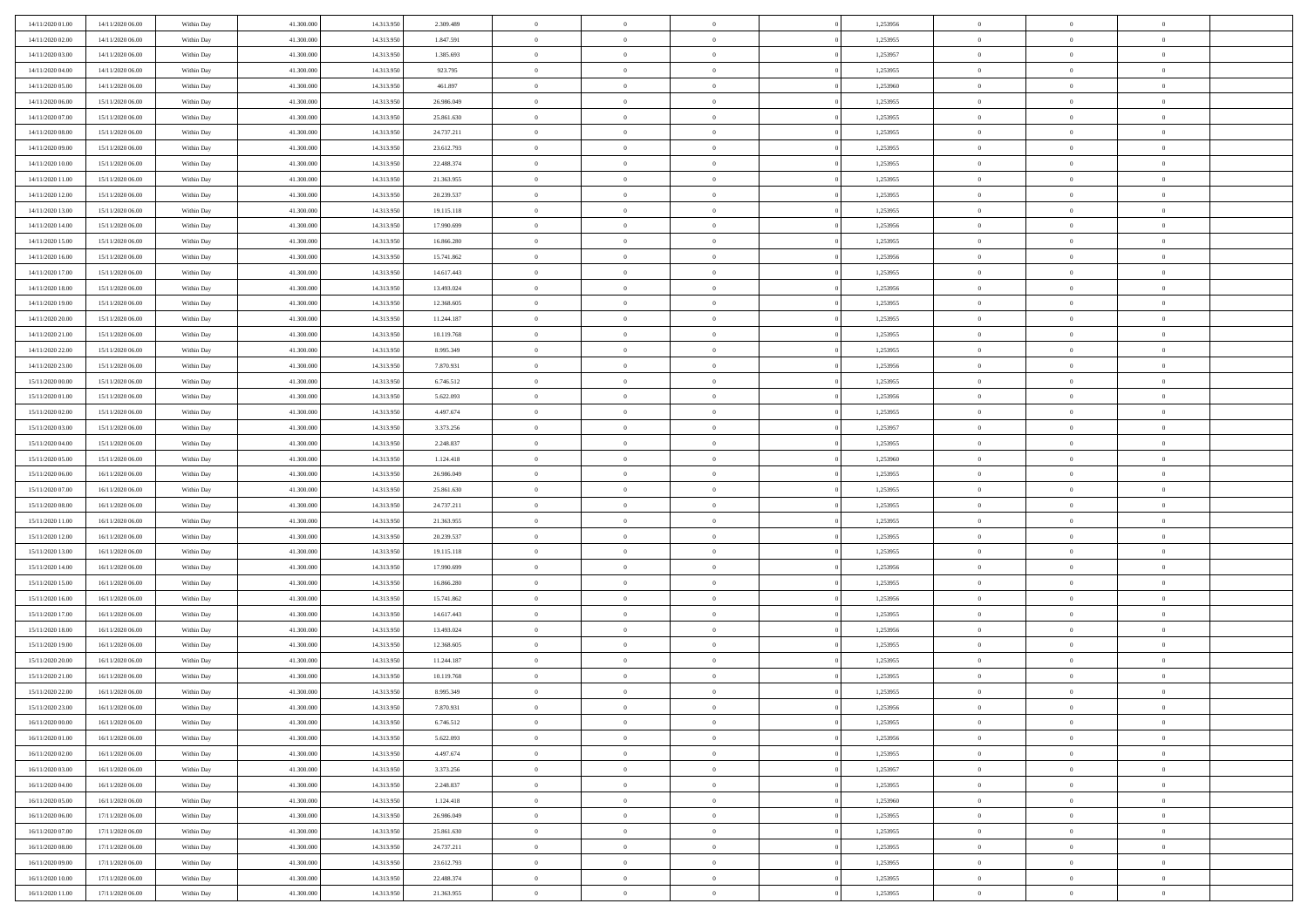| 14/11/2020 01:00 | 14/11/2020 06.00 | Within Day | 41.300,000 | 14.313.950 | 2.309.489  | $\bf{0}$       | $\overline{0}$ | $\overline{0}$ | 1,253956 | $\bf{0}$       | $\overline{0}$ | $\bf{0}$       |  |
|------------------|------------------|------------|------------|------------|------------|----------------|----------------|----------------|----------|----------------|----------------|----------------|--|
| 14/11/2020 02.00 | 14/11/2020 06:00 | Within Day | 41.300.000 | 14.313.950 | 1.847.591  | $\overline{0}$ | $\overline{0}$ | $\overline{0}$ | 1,253955 | $\overline{0}$ | $\bf{0}$       | $\theta$       |  |
| 14/11/2020 03:00 | 14/11/2020 06:00 | Within Day | 41.300.000 | 14.313.95  | 1.385.693  | $\overline{0}$ | $\overline{0}$ | $\overline{0}$ | 1,253957 | $\,$ 0 $\,$    | $\overline{0}$ | $\,$ 0 $\,$    |  |
| 14/11/2020 04.00 | 14/11/2020 06.00 | Within Day | 41.300,000 | 14.313.950 | 923.795    | $\overline{0}$ | $\overline{0}$ | $\Omega$       | 1,253955 | $\overline{0}$ | $\theta$       | $\overline{0}$ |  |
| 14/11/2020 05:00 | 14/11/2020 06:00 | Within Day | 41.300.000 | 14.313.950 | 461.897    | $\mathbf{0}$   | $\overline{0}$ | $\overline{0}$ | 1,253960 | $\mathbf{0}$   | $\bf{0}$       | $\overline{0}$ |  |
| 14/11/2020 06:00 | 15/11/2020 06:00 | Within Day | 41.300.000 | 14.313.950 | 26.986.049 | $\overline{0}$ | $\overline{0}$ | $\overline{0}$ | 1,253955 | $\,$ 0 $\,$    | $\overline{0}$ | $\,$ 0 $\,$    |  |
| 14/11/2020 07:00 | 15/11/2020 06.00 | Within Day | 41.300,000 | 14.313.950 | 25.861.630 | $\bf{0}$       | $\overline{0}$ | $\Omega$       | 1,253955 | $\bf{0}$       | $\theta$       | $\overline{0}$ |  |
| 14/11/2020 08:00 | 15/11/2020 06:00 | Within Day | 41.300.000 | 14.313.950 | 24.737.211 | $\overline{0}$ | $\overline{0}$ | $\overline{0}$ | 1,253955 | $\mathbf{0}$   | $\bf{0}$       | $\theta$       |  |
| 14/11/2020 09:00 | 15/11/2020 06:00 | Within Day | 41.300.000 | 14.313.950 | 23.612.793 | $\,$ 0         | $\overline{0}$ | $\overline{0}$ | 1,253955 | $\,$ 0 $\,$    | $\overline{0}$ | $\,$ 0 $\,$    |  |
| 14/11/2020 10:00 | 15/11/2020 06.00 | Within Day | 41.300,000 | 14.313.950 | 22.488.374 | $\overline{0}$ | $\overline{0}$ | $\Omega$       | 1,253955 | $\overline{0}$ | $\theta$       | $\overline{0}$ |  |
| 14/11/2020 11:00 | 15/11/2020 06:00 | Within Day | 41.300.000 | 14.313.950 | 21.363.955 | $\mathbf{0}$   | $\overline{0}$ | $\overline{0}$ | 1,253955 | $\mathbf{0}$   | $\bf{0}$       | $\theta$       |  |
| 14/11/2020 12:00 | 15/11/2020 06:00 | Within Day | 41.300.000 | 14.313.950 | 20.239.537 | $\overline{0}$ | $\overline{0}$ | $\overline{0}$ | 1,253955 | $\,$ 0 $\,$    | $\overline{0}$ | $\,$ 0 $\,$    |  |
| 14/11/2020 13.00 | 15/11/2020 06.00 | Within Day | 41.300,000 | 14.313.950 | 19.115.118 | $\overline{0}$ | $\overline{0}$ | $\Omega$       | 1,253955 | $\overline{0}$ | $\theta$       | $\overline{0}$ |  |
| 14/11/2020 14:00 | 15/11/2020 06:00 | Within Day | 41.300.000 | 14.313.950 | 17.990.699 | $\mathbf{0}$   | $\overline{0}$ | $\overline{0}$ | 1,253956 | $\mathbf{0}$   | $\bf{0}$       | $\theta$       |  |
| 14/11/2020 15:00 | 15/11/2020 06:00 | Within Day | 41.300.000 | 14.313.950 | 16.866.280 | $\,$ 0         | $\,$ 0 $\,$    | $\overline{0}$ | 1,253955 | $\,$ 0 $\,$    | $\overline{0}$ | $\,$ 0 $\,$    |  |
| 14/11/2020 16.00 | 15/11/2020 06.00 | Within Day | 41.300,000 | 14.313.950 | 15.741.862 | $\bf{0}$       | $\overline{0}$ | $\Omega$       | 1,253956 | $\bf{0}$       | $\theta$       | $\bf{0}$       |  |
| 14/11/2020 17.00 | 15/11/2020 06:00 | Within Day | 41.300.000 | 14.313.950 | 14.617.443 | $\overline{0}$ | $\overline{0}$ | $\overline{0}$ | 1,253955 | $\mathbf{0}$   | $\bf{0}$       | $\theta$       |  |
| 14/11/2020 18:00 | 15/11/2020 06:00 | Within Day | 41.300.000 | 14.313.950 | 13.493.024 | $\overline{0}$ | $\overline{0}$ | $\overline{0}$ | 1,253956 | $\,$ 0 $\,$    | $\overline{0}$ | $\,0\,$        |  |
| 14/11/2020 19.00 | 15/11/2020 06.00 | Within Day | 41.300,000 | 14.313.950 | 12.368.605 | $\overline{0}$ | $\overline{0}$ | $\Omega$       | 1.253955 | $\overline{0}$ | $\theta$       | $\overline{0}$ |  |
| 14/11/2020 20:00 | 15/11/2020 06:00 | Within Day | 41.300.000 | 14.313.950 | 11.244.187 | $\overline{0}$ | $\overline{0}$ | $\overline{0}$ | 1,253955 | $\mathbf{0}$   | $\bf{0}$       | $\theta$       |  |
| 14/11/2020 21:00 | 15/11/2020 06:00 | Within Day | 41.300.000 | 14.313.950 | 10.119.768 | $\,$ 0         | $\overline{0}$ | $\overline{0}$ | 1,253955 | $\,$ 0 $\,$    | $\overline{0}$ | $\,0\,$        |  |
| 14/11/2020 22.00 | 15/11/2020 06.00 | Within Day | 41.300,000 | 14.313.950 | 8.995.349  | $\overline{0}$ | $\overline{0}$ | $\Omega$       | 1,253955 | $\overline{0}$ | $\theta$       | $\overline{0}$ |  |
| 14/11/2020 23:00 | 15/11/2020 06:00 | Within Day | 41.300.000 | 14.313.950 | 7.870.931  | $\mathbf{0}$   | $\overline{0}$ | $\overline{0}$ | 1,253956 | $\mathbf{0}$   | $\bf{0}$       | $\theta$       |  |
| 15/11/2020 00:00 | 15/11/2020 06:00 | Within Day | 41.300.000 | 14.313.950 | 6.746.512  | $\overline{0}$ | $\overline{0}$ | $\overline{0}$ | 1,253955 | $\,$ 0 $\,$    | $\overline{0}$ | $\,0\,$        |  |
| 15/11/2020 01:00 | 15/11/2020 06.00 | Within Day | 41.300,000 | 14.313.950 | 5.622.093  | $\bf{0}$       | $\overline{0}$ | $\Omega$       | 1,253956 | $\bf{0}$       | $\theta$       | $\bf{0}$       |  |
| 15/11/2020 02:00 | 15/11/2020 06:00 | Within Day | 41.300.000 | 14.313.950 | 4.497.674  | $\overline{0}$ | $\overline{0}$ | $\overline{0}$ | 1,253955 | $\overline{0}$ | $\bf{0}$       | $\theta$       |  |
| 15/11/2020 03:00 | 15/11/2020 06:00 | Within Day | 41.300.000 | 14.313.950 | 3.373.256  | $\,$ 0         | $\overline{0}$ | $\overline{0}$ | 1,253957 | $\,$ 0 $\,$    | $\overline{0}$ | $\,0\,$        |  |
| 15/11/2020 04.00 | 15/11/2020 06.00 | Within Day | 41.300,000 | 14.313.950 | 2.248.837  | $\overline{0}$ | $\overline{0}$ | $\Omega$       | 1.253955 | $\overline{0}$ | $\theta$       | $\overline{0}$ |  |
| 15/11/2020 05:00 | 15/11/2020 06:00 | Within Day | 41.300.000 | 14.313.950 | 1.124.418  | $\mathbf{0}$   | $\overline{0}$ | $\overline{0}$ | 1,253960 | $\mathbf{0}$   | $\bf{0}$       | $\overline{0}$ |  |
| 15/11/2020 06:00 | 16/11/2020 06:00 | Within Day | 41.300.000 | 14.313.950 | 26.986.049 | $\overline{0}$ | $\overline{0}$ | $\overline{0}$ | 1,253955 | $\,$ 0 $\,$    | $\overline{0}$ | $\,0\,$        |  |
| 15/11/2020 07:00 | 16/11/2020 06:00 | Within Day | 41.300.000 | 14.313.950 | 25.861.630 | $\bf{0}$       | $\overline{0}$ | $\Omega$       | 1,253955 | $\bf{0}$       | $\overline{0}$ | $\bf{0}$       |  |
| 15/11/2020 08:00 | 16/11/2020 06:00 | Within Day | 41.300.000 | 14.313.950 | 24.737.211 | $\overline{0}$ | $\overline{0}$ | $\overline{0}$ | 1,253955 | $\mathbf{0}$   | $\bf{0}$       | $\theta$       |  |
| 15/11/2020 11:00 | 16/11/2020 06:00 | Within Day | 41.300.000 | 14.313.950 | 21.363.955 | $\,$ 0         | $\overline{0}$ | $\overline{0}$ | 1,253955 | $\,$ 0 $\,$    | $\overline{0}$ | $\,0\,$        |  |
| 15/11/2020 12:00 | 16/11/2020 06:00 | Within Day | 41.300.000 | 14.313.950 | 20.239.537 | $\bf{0}$       | $\overline{0}$ | $\overline{0}$ | 1,253955 | $\mathbf{0}$   | $\overline{0}$ | $\bf{0}$       |  |
| 15/11/2020 13:00 | 16/11/2020 06:00 | Within Day | 41.300.000 | 14.313.950 | 19.115.118 | $\overline{0}$ | $\overline{0}$ | $\overline{0}$ | 1,253955 | $\overline{0}$ | $\bf{0}$       | $\theta$       |  |
| 15/11/2020 14:00 | 16/11/2020 06:00 | Within Day | 41.300.000 | 14.313.950 | 17.990.699 | $\overline{0}$ | $\overline{0}$ | $\overline{0}$ | 1,253956 | $\,$ 0 $\,$    | $\overline{0}$ | $\,0\,$        |  |
| 15/11/2020 15:00 | 16/11/2020 06:00 | Within Day | 41.300.000 | 14.313.950 | 16.866.280 | $\bf{0}$       | $\overline{0}$ | $\Omega$       | 1,253955 | $\bf{0}$       | $\theta$       | $\bf{0}$       |  |
| 15/11/2020 16:00 | 16/11/2020 06:00 | Within Day | 41.300.000 | 14.313.950 | 15.741.862 | $\mathbf{0}$   | $\overline{0}$ | $\overline{0}$ | 1,253956 | $\mathbf{0}$   | $\bf{0}$       | $\overline{0}$ |  |
| 15/11/2020 17:00 | 16/11/2020 06:00 | Within Day | 41.300.000 | 14.313.950 | 14.617.443 | $\,$ 0         | $\overline{0}$ | $\overline{0}$ | 1,253955 | $\,$ 0 $\,$    | $\overline{0}$ | $\,$ 0 $\,$    |  |
| 15/11/2020 18:00 | 16/11/2020 06:00 | Within Day | 41.300.000 | 14.313.950 | 13.493.024 | $\bf{0}$       | $\overline{0}$ | $\Omega$       | 1,253956 | $\bf{0}$       | $\overline{0}$ | $\bf{0}$       |  |
| 15/11/2020 19:00 | 16/11/2020 06:00 | Within Day | 41.300.000 | 14.313.950 | 12.368.605 | $\mathbf{0}$   | $\overline{0}$ | $\overline{0}$ | 1,253955 | $\overline{0}$ | $\overline{0}$ | $\theta$       |  |
| 15/11/2020 20:00 | 16/11/2020 06:00 | Within Day | 41.300.000 | 14.313.950 | 11.244.187 | $\,$ 0         | $\overline{0}$ | $\overline{0}$ | 1,253955 | $\,$ 0 $\,$    | $\overline{0}$ | $\,$ 0 $\,$    |  |
| 15/11/2020 21:00 | 16/11/2020 06:00 | Within Day | 41.300.000 | 14.313.950 | 10.119.768 | $\bf{0}$       | $\overline{0}$ | $\overline{0}$ | 1,253955 | $\bf{0}$       | $\overline{0}$ | $\bf{0}$       |  |
| 15/11/2020 22.00 | 16/11/2020 06:00 | Within Day | 41.300.000 | 14.313.950 | 8.995.349  | $\mathbf{0}$   | $\overline{0}$ | $\overline{0}$ | 1,253955 | $\overline{0}$ | $\bf{0}$       | $\theta$       |  |
| 15/11/2020 23.00 | 16/11/2020 06:00 | Within Day | 41.300.000 | 14.313.950 | 7.870.931  | $\theta$       | $\overline{0}$ | $\theta$       | 1,253956 | $\overline{0}$ | $\overline{0}$ | $\overline{0}$ |  |
| 16/11/2020 00:00 | 16/11/2020 06:00 | Within Day | 41.300.000 | 14.313.950 | 6.746.512  | $\bf{0}$       | $\overline{0}$ | $\overline{0}$ | 1,253955 | $\mathbf{0}$   | $\overline{0}$ | $\bf{0}$       |  |
| 16/11/2020 01:00 | 16/11/2020 06:00 | Within Day | 41.300.000 | 14.313.950 | 5.622.093  | $\overline{0}$ | $\overline{0}$ | $\overline{0}$ | 1,253956 | $\mathbf{0}$   | $\bf{0}$       | $\overline{0}$ |  |
| 16/11/2020 02:00 | 16/11/2020 06:00 | Within Day | 41.300.000 | 14.313.950 | 4.497.674  | $\,$ 0 $\,$    | $\overline{0}$ | $\overline{0}$ | 1,253955 | $\,$ 0 $\,$    | $\,$ 0 $\,$    | $\theta$       |  |
| 16/11/2020 03:00 | 16/11/2020 06:00 | Within Day | 41.300.000 | 14.313.950 | 3.373.256  | $\bf{0}$       | $\overline{0}$ | $\overline{0}$ | 1,253957 | $\mathbf{0}$   | $\overline{0}$ | $\bf{0}$       |  |
| 16/11/2020 04:00 | 16/11/2020 06:00 | Within Day | 41.300.000 | 14.313.950 | 2.248.837  | $\mathbf{0}$   | $\overline{0}$ | $\overline{0}$ | 1,253955 | $\mathbf{0}$   | $\bf{0}$       | $\theta$       |  |
| 16/11/2020 05:00 | 16/11/2020 06:00 | Within Day | 41.300.000 | 14.313.950 | 1.124.418  | $\,$ 0 $\,$    | $\overline{0}$ | $\overline{0}$ | 1,253960 | $\,$ 0 $\,$    | $\overline{0}$ | $\theta$       |  |
| 16/11/2020 06.00 | 17/11/2020 06:00 | Within Day | 41.300.000 | 14.313.950 | 26.986.049 | $\bf{0}$       | $\overline{0}$ | $\overline{0}$ | 1,253955 | $\mathbf{0}$   | $\overline{0}$ | $\overline{0}$ |  |
| 16/11/2020 07:00 | 17/11/2020 06:00 | Within Day | 41.300.000 | 14.313.950 | 25.861.630 | $\mathbf{0}$   | $\overline{0}$ | $\overline{0}$ | 1,253955 | $\,$ 0 $\,$    | $\bf{0}$       | $\overline{0}$ |  |
| 16/11/2020 08:00 | 17/11/2020 06:00 | Within Day | 41.300.000 | 14.313.950 | 24.737.211 | $\,$ 0         | $\overline{0}$ | $\overline{0}$ | 1,253955 | $\,$ 0 $\,$    | $\,$ 0         | $\theta$       |  |
| 16/11/2020 09:00 | 17/11/2020 06:00 | Within Day | 41.300.000 | 14.313.950 | 23.612.793 | $\bf{0}$       | $\overline{0}$ | $\overline{0}$ | 1,253955 | $\mathbf{0}$   | $\overline{0}$ | $\bf{0}$       |  |
| 16/11/2020 10:00 | 17/11/2020 06:00 | Within Day | 41.300.000 | 14.313.950 | 22.488.374 | $\mathbf{0}$   | $\overline{0}$ | $\overline{0}$ | 1,253955 | $\mathbf{0}$   | $\bf{0}$       | $\overline{0}$ |  |
| 16/11/2020 11:00 | 17/11/2020 06:00 | Within Day | 41.300.000 | 14.313.950 | 21.363.955 | $\,$ 0         | $\overline{0}$ | $\overline{0}$ | 1,253955 | $\,$ 0 $\,$    | $\overline{0}$ | $\theta$       |  |
|                  |                  |            |            |            |            |                |                |                |          |                |                |                |  |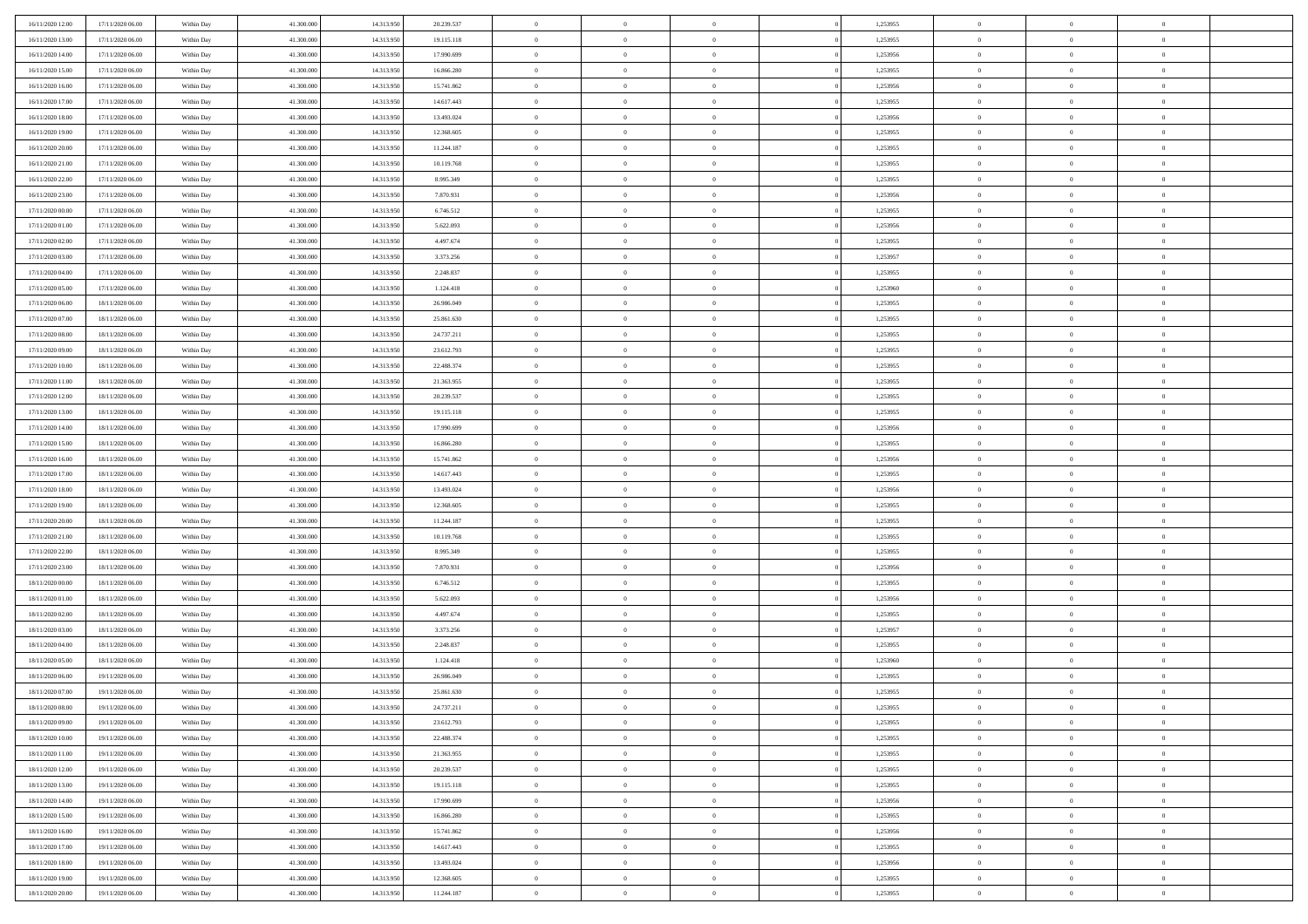| 16/11/2020 12:00 | 17/11/2020 06:00 | Within Day | 41.300.000 | 14.313.950 | 20.239.537 | $\bf{0}$       | $\overline{0}$ | $\Omega$       | 1,253955 | $\bf{0}$       | $\overline{0}$ | $\bf{0}$       |  |
|------------------|------------------|------------|------------|------------|------------|----------------|----------------|----------------|----------|----------------|----------------|----------------|--|
| 16/11/2020 13:00 | 17/11/2020 06:00 | Within Day | 41.300,000 | 14.313.95  | 19.115.118 | $\overline{0}$ | $\overline{0}$ | $\Omega$       | 1,253955 | $\overline{0}$ | $\theta$       | $\theta$       |  |
| 16/11/2020 14:00 | 17/11/2020 06:00 | Within Day | 41.300.000 | 14.313.950 | 17.990.699 | $\overline{0}$ | $\overline{0}$ | $\overline{0}$ | 1,253956 | $\mathbf{0}$   | $\overline{0}$ | $\theta$       |  |
| 16/11/2020 15:00 | 17/11/2020 06:00 | Within Day | 41.300.000 | 14.313.950 | 16.866.280 | $\bf{0}$       | $\overline{0}$ | $\overline{0}$ | 1,253955 | $\mathbf{0}$   | $\overline{0}$ | $\bf{0}$       |  |
| 16/11/2020 16:00 | 17/11/2020 06:00 | Within Day | 41.300,000 | 14.313.950 | 15.741.862 | $\bf{0}$       | $\overline{0}$ | $\overline{0}$ | 1,253956 | $\bf{0}$       | $\overline{0}$ | $\bf{0}$       |  |
| 16/11/2020 17:00 | 17/11/2020 06:00 | Within Day | 41.300.000 | 14.313.950 | 14.617.443 | $\overline{0}$ | $\overline{0}$ | $\overline{0}$ | 1,253955 | $\mathbf{0}$   | $\overline{0}$ | $\theta$       |  |
| 16/11/2020 18.00 | 17/11/2020 06:00 | Within Day | 41.300.000 | 14.313.950 | 13.493.024 | $\bf{0}$       | $\overline{0}$ | $\overline{0}$ | 1,253956 | $\bf{0}$       | $\overline{0}$ | $\bf{0}$       |  |
| 16/11/2020 19:00 | 17/11/2020 06:00 | Within Day | 41.300.000 | 14.313.950 | 12.368.605 | $\overline{0}$ | $\overline{0}$ | $\overline{0}$ | 1,253955 | $\mathbf{0}$   | $\theta$       | $\theta$       |  |
| 16/11/2020 20:00 | 17/11/2020 06:00 | Within Day | 41.300.000 | 14.313.950 | 11.244.187 | $\overline{0}$ | $\overline{0}$ | $\overline{0}$ | 1,253955 | $\mathbf{0}$   | $\overline{0}$ | $\theta$       |  |
|                  |                  |            | 41.300.000 | 14.313.950 | 10.119.768 | $\bf{0}$       | $\overline{0}$ | $\Omega$       | 1,253955 | $\bf{0}$       | $\overline{0}$ | $\bf{0}$       |  |
| 16/11/2020 21:00 | 17/11/2020 06:00 | Within Day | 41.300,000 |            |            |                |                |                |          |                | $\theta$       | $\theta$       |  |
| 16/11/2020 22.00 | 17/11/2020 06:00 | Within Day |            | 14.313.950 | 8.995.349  | $\bf{0}$       | $\overline{0}$ | $\overline{0}$ | 1,253955 | $\mathbf{0}$   |                |                |  |
| 16/11/2020 23.00 | 17/11/2020 06:00 | Within Day | 41.300.000 | 14.313.950 | 7.870.931  | $\overline{0}$ | $\overline{0}$ | $\overline{0}$ | 1,253956 | $\mathbf{0}$   | $\overline{0}$ | $\theta$       |  |
| 17/11/2020 00:00 | 17/11/2020 06:00 | Within Day | 41.300.000 | 14.313.950 | 6.746.512  | $\bf{0}$       | $\overline{0}$ | $\overline{0}$ | 1,253955 | $\mathbf{0}$   | $\overline{0}$ | $\bf{0}$       |  |
| 17/11/2020 01:00 | 17/11/2020 06:00 | Within Day | 41.300.000 | 14.313.950 | 5.622.093  | $\bf{0}$       | $\overline{0}$ | $\overline{0}$ | 1,253956 | $\bf{0}$       | $\theta$       | $\bf{0}$       |  |
| 17/11/2020 02:00 | 17/11/2020 06:00 | Within Day | 41.300.000 | 14.313.950 | 4.497.674  | $\overline{0}$ | $\overline{0}$ | $\overline{0}$ | 1,253955 | $\mathbf{0}$   | $\overline{0}$ | $\theta$       |  |
| 17/11/2020 03:00 | 17/11/2020 06:00 | Within Day | 41.300.000 | 14.313.950 | 3.373.256  | $\bf{0}$       | $\overline{0}$ | $\Omega$       | 1,253957 | $\bf{0}$       | $\overline{0}$ | $\bf{0}$       |  |
| 17/11/2020 04:00 | 17/11/2020 06:00 | Within Day | 41.300,000 | 14.313.950 | 2.248.837  | $\,$ 0 $\,$    | $\overline{0}$ | $\overline{0}$ | 1,253955 | $\mathbf{0}$   | $\theta$       | $\theta$       |  |
| 17/11/2020 05:00 | 17/11/2020 06:00 | Within Day | 41.300.000 | 14.313.950 | 1.124.418  | $\overline{0}$ | $\overline{0}$ | $\overline{0}$ | 1,253960 | $\mathbf{0}$   | $\overline{0}$ | $\theta$       |  |
| 17/11/2020 06:00 | 18/11/2020 06:00 | Within Day | 41.300.000 | 14.313.950 | 26.986.049 | $\bf{0}$       | $\overline{0}$ | $\Omega$       | 1,253955 | $\bf{0}$       | $\overline{0}$ | $\bf{0}$       |  |
| 17/11/2020 07:00 | 18/11/2020 06:00 | Within Day | 41.300.000 | 14.313.950 | 25.861.630 | $\bf{0}$       | $\overline{0}$ | $\overline{0}$ | 1,253955 | $\mathbf{0}$   | $\theta$       | $\overline{0}$ |  |
| 17/11/2020 08:00 | 18/11/2020 06:00 | Within Day | 41.300.000 | 14.313.950 | 24.737.211 | $\overline{0}$ | $\overline{0}$ | $\overline{0}$ | 1,253955 | $\mathbf{0}$   | $\overline{0}$ | $\theta$       |  |
| 17/11/2020 09:00 | 18/11/2020 06:00 | Within Day | 41.300.000 | 14.313.950 | 23.612.793 | $\bf{0}$       | $\overline{0}$ | $\overline{0}$ | 1,253955 | $\mathbf{0}$   | $\overline{0}$ | $\bf{0}$       |  |
| 17/11/2020 10:00 | 18/11/2020 06:00 | Within Day | 41.300,000 | 14.313.950 | 22.488.374 | $\bf{0}$       | $\overline{0}$ | $\overline{0}$ | 1,253955 | $\,$ 0 $\,$    | $\overline{0}$ | $\bf{0}$       |  |
| 17/11/2020 11:00 | 18/11/2020 06:00 | Within Day | 41.300.000 | 14.313.950 | 21.363.955 | $\overline{0}$ | $\overline{0}$ | $\overline{0}$ | 1,253955 | $\mathbf{0}$   | $\overline{0}$ | $\theta$       |  |
| 17/11/2020 12:00 | 18/11/2020 06:00 | Within Day | 41.300.000 | 14.313.950 | 20.239.537 | $\bf{0}$       | $\overline{0}$ | $\overline{0}$ | 1,253955 | $\bf{0}$       | $\overline{0}$ | $\bf{0}$       |  |
| 17/11/2020 13:00 | 18/11/2020 06:00 | Within Day | 41.300.000 | 14.313.950 | 19.115.118 | $\,$ 0 $\,$    | $\overline{0}$ | $\overline{0}$ | 1,253955 | $\mathbf{0}$   | $\overline{0}$ | $\overline{0}$ |  |
| 17/11/2020 14.00 | 18/11/2020 06:00 | Within Day | 41.300.000 | 14.313.950 | 17.990.699 | $\overline{0}$ | $\overline{0}$ | $\overline{0}$ | 1,253956 | $\mathbf{0}$   | $\overline{0}$ | $\theta$       |  |
| 17/11/2020 15:00 | 18/11/2020 06:00 | Within Day | 41.300.000 | 14.313.950 | 16.866.280 | $\bf{0}$       | $\overline{0}$ | $\Omega$       | 1,253955 | $\mathbf{0}$   | $\overline{0}$ | $\bf{0}$       |  |
| 17/11/2020 16.00 | 18/11/2020 06:00 | Within Day | 41.300,000 | 14.313.950 | 15.741.862 | $\bf{0}$       | $\overline{0}$ | $\overline{0}$ | 1,253956 | $\mathbf{0}$   | $\theta$       | $\overline{0}$ |  |
| 17/11/2020 17.00 | 18/11/2020 06:00 | Within Day | 41.300.000 | 14.313.950 | 14.617.443 | $\overline{0}$ | $\overline{0}$ | $\overline{0}$ | 1,253955 | $\mathbf{0}$   | $\overline{0}$ | $\theta$       |  |
| 17/11/2020 18:00 | 18/11/2020 06:00 | Within Day | 41.300.000 | 14.313.950 | 13.493.024 | $\,$ 0         | $\overline{0}$ | $\overline{0}$ | 1,253956 | $\,$ 0 $\,$    | $\overline{0}$ | $\,$ 0 $\,$    |  |
| 17/11/2020 19:00 | 18/11/2020 06:00 | Within Day | 41.300.000 | 14.313.950 | 12.368.605 | $\bf{0}$       | $\overline{0}$ | $\overline{0}$ | 1,253955 | $\,$ 0 $\,$    | $\theta$       | $\overline{0}$ |  |
| 17/11/2020 20.00 | 18/11/2020 06:00 | Within Day | 41.300.000 | 14.313.950 | 11.244.187 | $\overline{0}$ | $\overline{0}$ | $\overline{0}$ | 1,253955 | $\mathbf{0}$   | $\overline{0}$ | $\theta$       |  |
| 17/11/2020 21:00 | 18/11/2020 06:00 | Within Day | 41.300.000 | 14.313.950 | 10.119.768 | $\,$ 0         | $\overline{0}$ | $\theta$       | 1,253955 | $\,$ 0 $\,$    | $\overline{0}$ | $\mathbf{0}$   |  |
| 17/11/2020 22.00 | 18/11/2020 06:00 | Within Day | 41.300,000 | 14.313.950 | 8.995.349  | $\,$ 0 $\,$    | $\overline{0}$ | $\overline{0}$ | 1,253955 | $\mathbf{0}$   | $\overline{0}$ | $\overline{0}$ |  |
| 17/11/2020 23.00 | 18/11/2020 06:00 | Within Day | 41.300.000 | 14.313.950 | 7.870.931  | $\overline{0}$ | $\overline{0}$ | $\overline{0}$ | 1,253956 | $\mathbf{0}$   | $\overline{0}$ | $\theta$       |  |
| 18/11/2020 00:00 | 18/11/2020 06:00 | Within Day | 41.300.000 | 14.313.950 | 6.746.512  | $\,$ 0         | $\overline{0}$ | $\overline{0}$ | 1,253955 | $\,$ 0 $\,$    | $\overline{0}$ | $\mathbf{0}$   |  |
| 18/11/2020 01:00 | 18/11/2020 06:00 | Within Day | 41.300,000 | 14.313.950 | 5.622.093  | $\bf{0}$       | $\overline{0}$ | $\overline{0}$ | 1,253956 | $\mathbf{0}$   | $\theta$       | $\overline{0}$ |  |
| 18/11/2020 02:00 | 18/11/2020 06:00 | Within Day | 41.300.000 | 14.313.950 | 4.497.674  | $\overline{0}$ | $\overline{0}$ | $\overline{0}$ | 1,253955 | $\mathbf{0}$   | $\overline{0}$ | $\theta$       |  |
| 18/11/2020 03:00 | 18/11/2020 06:00 | Within Day | 41.300.000 | 14.313.950 | 3.373.256  | $\,$ 0         | $\overline{0}$ | $\overline{0}$ | 1,253957 | $\,$ 0 $\,$    | $\overline{0}$ | $\,0\,$        |  |
| 18/11/2020 04:00 | 18/11/2020 06:00 | Within Day | 41.300.000 | 14.313.950 | 2.248.837  | $\,$ 0 $\,$    | $\,$ 0 $\,$    | $\overline{0}$ | 1,253955 | $\,$ 0 $\,$    | $\overline{0}$ | $\overline{0}$ |  |
| 18/11/2020 05:00 | 18/11/2020 06:00 | Within Day | 41.300.000 | 14.313.950 | 1.124.418  | $\overline{0}$ | $\overline{0}$ | $\overline{0}$ | 1,253960 | $\mathbf{0}$   | $\overline{0}$ | $\theta$       |  |
| 18/11/2020 06:00 | 19/11/2020 06:00 | Within Day | 41.300.000 | 14.313.950 | 26.986.049 | $\overline{0}$ | $\overline{0}$ | $\overline{0}$ | 1,253955 | $\,$ 0         | $\overline{0}$ | $\mathbf{0}$   |  |
| 18/11/2020 07:00 | 19/11/2020 06:00 | Within Day | 41.300.000 | 14.313.950 | 25.861.630 | $\bf{0}$       | $\overline{0}$ | $\overline{0}$ | 1,253955 | $\mathbf{0}$   | $\overline{0}$ | $\overline{0}$ |  |
| 18/11/2020 08:00 | 19/11/2020 06:00 | Within Day | 41.300.000 | 14.313.950 | 24.737.211 | $\overline{0}$ | $\theta$       |                | 1,253955 | $\overline{0}$ | $\Omega$       | $\overline{0}$ |  |
| 18/11/2020 09:00 | 19/11/2020 06:00 | Within Day | 41.300.000 | 14.313.950 | 23.612.793 | $\,$ 0 $\,$    | $\overline{0}$ | $\overline{0}$ | 1,253955 | $\,$ 0 $\,$    | $\bf{0}$       | $\mathbf{0}$   |  |
| 18/11/2020 10:00 | 19/11/2020 06:00 | Within Day | 41.300.000 | 14.313.950 | 22.488.374 | $\mathbf{0}$   | $\overline{0}$ | $\overline{0}$ | 1,253955 | $\,$ 0 $\,$    | $\overline{0}$ | $\overline{0}$ |  |
| 18/11/2020 11:00 | 19/11/2020 06:00 | Within Day | 41.300.000 | 14.313.950 | 21.363.955 | $\mathbf{0}$   | $\overline{0}$ | $\overline{0}$ | 1,253955 | $\mathbf{0}$   | $\bf{0}$       | $\overline{0}$ |  |
|                  |                  |            |            |            |            | $\,$ 0 $\,$    | $\overline{0}$ | $\overline{0}$ |          |                | $\bf{0}$       | $\theta$       |  |
| 18/11/2020 12:00 | 19/11/2020 06:00 | Within Day | 41.300.000 | 14.313.950 | 20.239.537 |                |                |                | 1,253955 | $\,$ 0 $\,$    | $\overline{0}$ |                |  |
| 18/11/2020 13:00 | 19/11/2020 06:00 | Within Day | 41.300.000 | 14.313.950 | 19.115.118 | $\,$ 0 $\,$    | $\,$ 0 $\,$    | $\overline{0}$ | 1,253955 | $\,$ 0 $\,$    |                | $\overline{0}$ |  |
| 18/11/2020 14:00 | 19/11/2020 06:00 | Within Day | 41.300.000 | 14.313.950 | 17.990.699 | $\mathbf{0}$   | $\overline{0}$ | $\overline{0}$ | 1,253956 | $\mathbf{0}$   | $\bf{0}$       | $\overline{0}$ |  |
| 18/11/2020 15:00 | 19/11/2020 06:00 | Within Day | 41.300.000 | 14.313.950 | 16.866.280 | $\,$ 0 $\,$    | $\overline{0}$ | $\overline{0}$ | 1,253955 | $\,$ 0 $\,$    | $\overline{0}$ | $\theta$       |  |
| 18/11/2020 16.00 | 19/11/2020 06:00 | Within Day | 41.300.000 | 14.313.950 | 15.741.862 | $\mathbf{0}$   | $\overline{0}$ | $\overline{0}$ | 1,253956 | $\,$ 0 $\,$    | $\overline{0}$ | $\overline{0}$ |  |
| 18/11/2020 17:00 | 19/11/2020 06:00 | Within Day | 41.300.000 | 14.313.950 | 14.617.443 | $\mathbf{0}$   | $\overline{0}$ | $\overline{0}$ | 1,253955 | $\mathbf{0}$   | $\bf{0}$       | $\overline{0}$ |  |
| 18/11/2020 18:00 | 19/11/2020 06:00 | Within Day | 41.300.000 | 14.313.950 | 13.493.024 | $\,$ 0 $\,$    | $\overline{0}$ | $\overline{0}$ | 1,253956 | $\,$ 0 $\,$    | $\overline{0}$ | $\theta$       |  |
| 18/11/2020 19:00 | 19/11/2020 06:00 | Within Day | 41.300,000 | 14.313.950 | 12.368.605 | $\mathbf{0}$   | $\overline{0}$ | $\overline{0}$ | 1,253955 | $\,$ 0 $\,$    | $\overline{0}$ | $\overline{0}$ |  |
| 18/11/2020 20.00 | 19/11/2020 06:00 | Within Day | 41.300.000 | 14.313.950 | 11.244.187 | $\overline{0}$ | $\overline{0}$ | $\overline{0}$ | 1,253955 | $\mathbf{0}$   | $\overline{0}$ | $\overline{0}$ |  |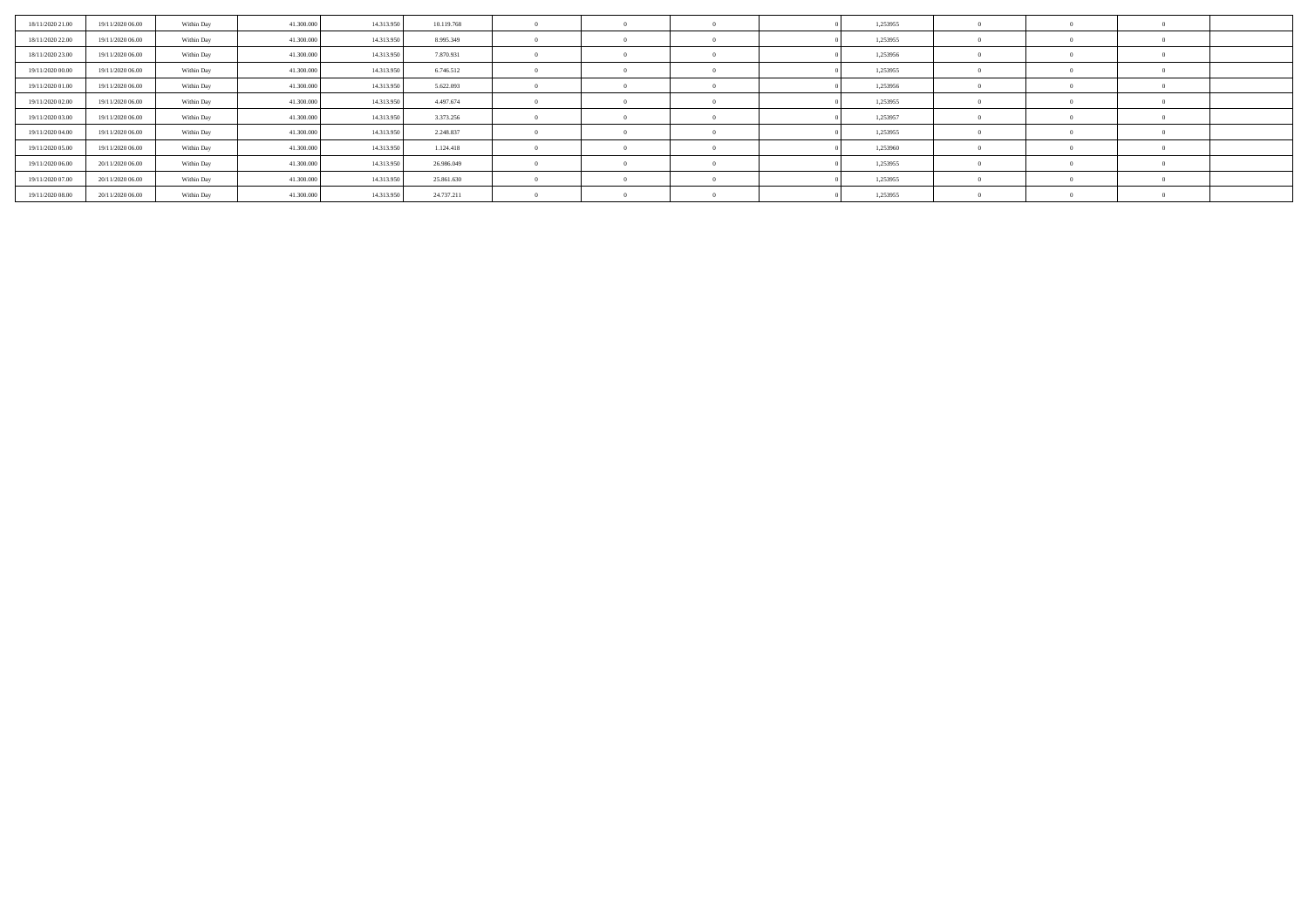| 18/11/2020 21.00 | 19/11/2020 06.00 | Within Day | 41.300.000 | 14.313.950 | 10.119.768 |  |  | 1,253955 |  |  |
|------------------|------------------|------------|------------|------------|------------|--|--|----------|--|--|
| 18/11/2020 22.00 | 19/11/2020 06.00 | Within Day | 41.300.000 | 14.313.950 | 8.995.349  |  |  | 1,253955 |  |  |
| 18/11/2020 23.00 | 19/11/2020 06:00 | Within Day | 41.300.000 | 14.313.950 | 7.870.931  |  |  | 1,253956 |  |  |
| 19/11/2020 00:00 | 19/11/2020 06.00 | Within Day | 41.300.000 | 14.313.950 | 6.746.512  |  |  | 1,253955 |  |  |
| 19/11/2020 01:00 | 19/11/2020 06:00 | Within Day | 41.300.000 | 14.313.950 | 5.622.093  |  |  | 1,253956 |  |  |
| 19/11/2020 02:00 | 19/11/2020 06:00 | Within Day | 41.300.000 | 14.313.950 | 4.497.674  |  |  | 1,253955 |  |  |
| 19/11/2020 03:00 | 19/11/2020 06:00 | Within Day | 41.300.000 | 14.313.950 | 3.373.256  |  |  | 1,253957 |  |  |
| 19/11/2020 04:00 | 19/11/2020 06.00 | Within Day | 41.300.000 | 14.313.950 | 2.248.837  |  |  | 1,253955 |  |  |
| 19/11/2020 05:00 | 19/11/2020 06.00 | Within Day | 41.300.000 | 14.313.950 | 1.124.418  |  |  | 1,253960 |  |  |
| 19/11/2020 06:00 | 20/11/2020 06.00 | Within Day | 41.300.000 | 14.313.950 | 26.986.049 |  |  | 1,253955 |  |  |
| 19/11/2020 07:00 | 20/11/2020 06:00 | Within Day | 41.300.000 | 14.313.950 | 25.861.630 |  |  | 1,253955 |  |  |
| 19/11/2020 08:00 | 20/11/2020 06.00 | Within Day | 41.300.000 | 14.313.950 | 24.737.211 |  |  | 1,253955 |  |  |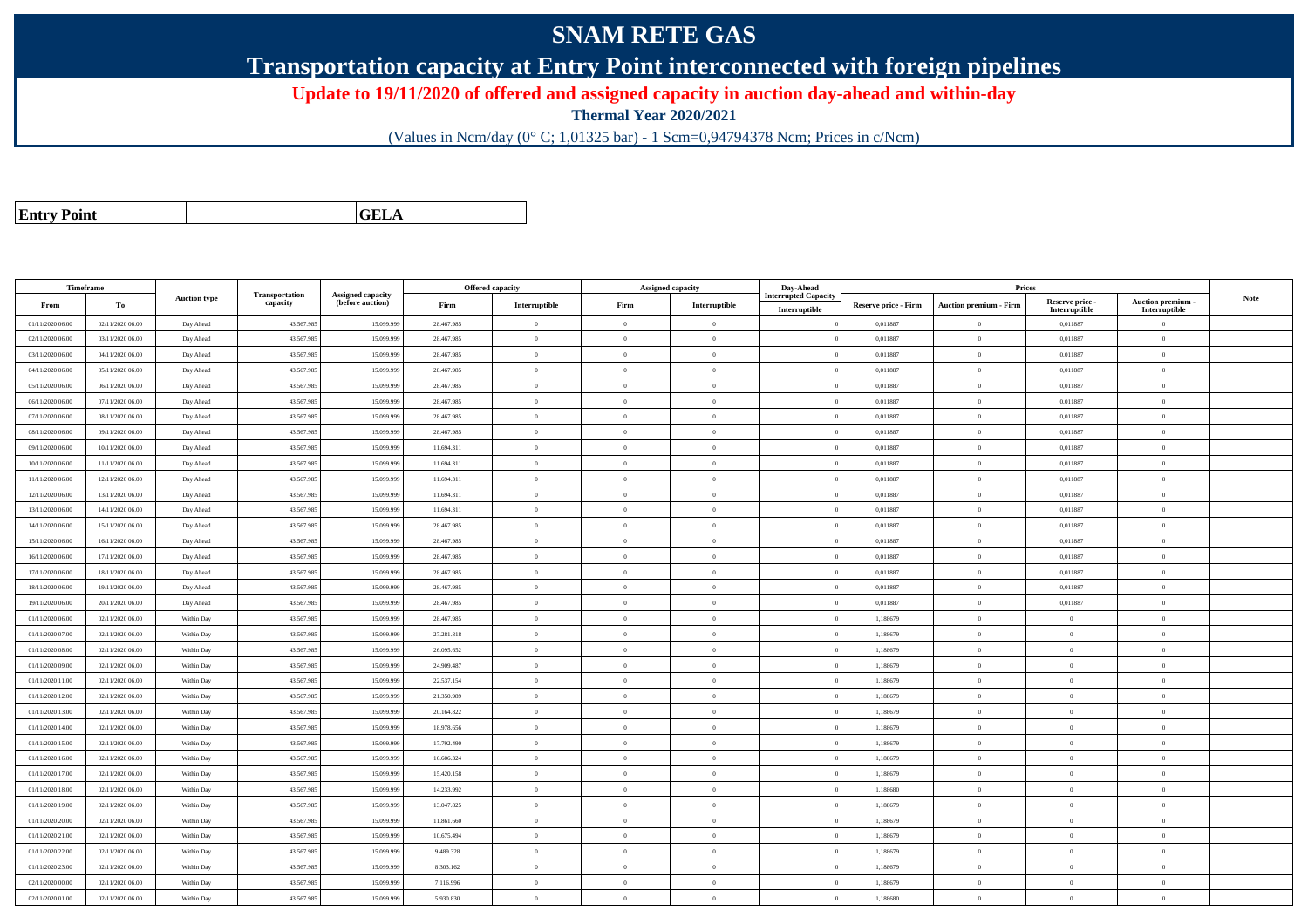## **SNAM RETE GAS**

**Transportation capacity at Entry Point interconnected with foreign pipelines**

**Update to 19/11/2020 of offered and assigned capacity in auction day-ahead and within-day**

**Thermal Year 2020/2021**

(Values in Ncm/day (0° C; 1,01325 bar) - 1 Scm=0,94794378 Ncm; Prices in c/Ncm)

| <b>Entry Point</b> |  |
|--------------------|--|
|                    |  |

**GELA**

| Timeframe        |                  |                     |                            |                                              |            | <b>Offered capacity</b> |                | <b>Assigned capacity</b> | Day-Ahead                            |                             | Prices                 |                                  |                                         |      |
|------------------|------------------|---------------------|----------------------------|----------------------------------------------|------------|-------------------------|----------------|--------------------------|--------------------------------------|-----------------------------|------------------------|----------------------------------|-----------------------------------------|------|
| From             | То               | <b>Auction type</b> | Transportation<br>capacity | <b>Assigned capacity</b><br>(before auction) | Firm       | Interruptible           | Firm           | Interruptible            | iterrupted Capacity<br>Interruptible | <b>Reserve price - Firm</b> | Auction premium - Firm | Reserve price -<br>Interruptible | <b>Auction premium</b><br>Interruptible | Note |
| 01/11/2020 06:00 | 02/11/2020 06:00 | Day Ahead           | 43.567.985                 | 15.099.999                                   | 28.467.985 | $\bf{0}$                | $\overline{0}$ | $\overline{0}$           |                                      | 0,011887                    | $\overline{0}$         | 0,011887                         | $\overline{0}$                          |      |
| 02/11/2020 06.00 | 03/11/2020 06.00 | Day Ahead           | 43.567.985                 | 15.099.99                                    | 28.467.985 | $\Omega$                | $\theta$       | $\overline{0}$           |                                      | 0,011887                    | $\theta$               | 0,011887                         | $\theta$                                |      |
| 03/11/2020 06:00 | 04/11/2020 06.00 | Day Ahead           | 43.567.985                 | 15.099.99                                    | 28.467.985 | $\bf{0}$                | $\overline{0}$ | $\overline{0}$           |                                      | 0,011887                    | $\overline{0}$         | 0,011887                         | $\overline{0}$                          |      |
| 04/11/2020 06.00 | 05/11/2020 06.00 | Day Ahead           | 43.567.985                 | 15.099.999                                   | 28.467.985 | $\bf{0}$                | $\overline{0}$ | $\overline{0}$           |                                      | 0,011887                    | $\overline{0}$         | 0,011887                         | $\theta$                                |      |
| 05/11/2020 06:00 | 06/11/2020 06:00 | Day Ahead           | 43.567.985                 | 15,099,999                                   | 28.467.985 | $\theta$                | $\theta$       | $\overline{0}$           |                                      | 0.011887                    | $\overline{0}$         | 0.011887                         | $\Omega$                                |      |
| 06/11/2020 06:00 | 07/11/2020 06.00 | Day Ahead           | 43.567.985                 | 15.099.99                                    | 28.467.985 | $\theta$                | $\overline{0}$ | $\overline{0}$           |                                      | 0,011887                    | $\bf{0}$               | 0,011887                         | $\mathbf{0}$                            |      |
| 07/11/2020 06.00 | 08/11/2020 06:00 | Day Ahead           | 43.567.985                 | 15.099.999                                   | 28.467.985 | $\mathbf{0}$            | $\overline{0}$ | $\overline{0}$           |                                      | 0,011887                    | $\mathbf{0}$           | 0,011887                         | $\theta$                                |      |
| 08/11/2020 06:00 | 09/11/2020 06:00 | Day Ahead           | 43.567.985                 | 15.099.999                                   | 28.467.985 | $\Omega$                | $\theta$       | $\theta$                 |                                      | 0.011887                    | $\overline{0}$         | 0.011887                         | $\theta$                                |      |
| 09/11/2020 06:00 | 10/11/2020 06:00 | Day Ahead           | 43.567.985                 | 15.099.999                                   | 11.694.311 | $\theta$                | $\theta$       | $\overline{0}$           |                                      | 0,011887                    | $\mathbf{0}$           | 0,011887                         | $\Omega$                                |      |
| 10/11/2020 06:00 | 11/11/2020 06:00 | Day Ahead           | 43.567.985                 | 15.099.999                                   | 11.694.311 | $\bf{0}$                | $\overline{0}$ | $\overline{0}$           |                                      | 0,011887                    | $\overline{0}$         | 0,011887                         | $\theta$                                |      |
| 11/11/2020 06:00 | 12/11/2020 06:00 | Day Ahead           | 43.567.985                 | 15.099.99                                    | 11.694.311 | $\Omega$                | $\overline{0}$ | $\Omega$                 |                                      | 0,011887                    | $\overline{0}$         | 0,011887                         | $\overline{0}$                          |      |
| 12/11/2020 06:00 | 13/11/2020 06:00 | Day Ahead           | 43.567.985                 | 15.099.999                                   | 11.694.311 | $\theta$                | $\overline{0}$ | $\overline{0}$           |                                      | 0,011887                    | $\overline{0}$         | 0,011887                         | $\mathbf{0}$                            |      |
| 13/11/2020 06:00 | 14/11/2020 06:00 | Day Ahead           | 43.567.985                 | 15,099,999                                   | 11.694.311 | $\theta$                | $\theta$       | $\overline{0}$           |                                      | 0.011887                    | $\theta$               | 0.011887                         | $\Omega$                                |      |
| 14/11/2020 06.00 | 15/11/2020 06.00 | Day Ahead           | 43.567.985                 | 15.099.99                                    | 28.467.985 | $\Omega$                | $\theta$       | $\overline{0}$           |                                      | 0,011887                    | $\overline{0}$         | 0,011887                         | $\overline{0}$                          |      |
| 15/11/2020 06:00 | 16/11/2020 06:00 | Day Ahead           | 43.567.985                 | 15.099.999                                   | 28.467.985 | $\overline{0}$          | $\overline{0}$ | $\overline{0}$           |                                      | 0,011887                    | $\mathbf{0}$           | 0,011887                         | $\mathbf{0}$                            |      |
| 16/11/2020 06:00 | 17/11/2020 06:00 | Day Ahead           | 43.567.985                 | 15.099.999                                   | 28.467.985 | $\theta$                | $\theta$       | $\overline{0}$           |                                      | 0.011887                    | $\overline{0}$         | 0.011887                         | $\Omega$                                |      |
| 17/11/2020 06.00 | 18/11/2020 06.00 | Day Ahead           | 43.567.985                 | 15.099.99                                    | 28.467.985 | $\theta$                | $\overline{0}$ | $\overline{0}$           |                                      | 0,011887                    | $\bf{0}$               | 0,011887                         | $\mathbf{0}$                            |      |
| 18/11/2020 06:00 | 19/11/2020 06:00 | Day Ahead           | 43.567.985                 | 15.099.999                                   | 28.467.985 | $\mathbf{0}$            | $\overline{0}$ | $\overline{0}$           |                                      | 0,011887                    | $\mathbf{0}$           | 0,011887                         | $\theta$                                |      |
| 19/11/2020 06:00 | 20/11/2020 06:00 | Day Ahead           | 43.567.985                 | 15.099.99                                    | 28.467.985 | $\theta$                | $\theta$       | $\Omega$                 |                                      | 0,011887                    | $\mathbf{0}$           | 0,011887                         | $\theta$                                |      |
| 01/11/2020 06.00 | 02/11/2020 06.00 | Within Day          | 43.567.985                 | 15.099.999                                   | 28.467.985 | $\theta$                | $\overline{0}$ | $\overline{0}$           |                                      | 1,188679                    | $\,$ 0 $\,$            | $\theta$                         | $\theta$                                |      |
| 01/11/2020 07.00 | 02/11/2020 06.00 | Within Day          | 43.567.985                 | 15.099.999                                   | 27.281.818 | $\bf{0}$                | $\overline{0}$ | $\overline{0}$           |                                      | 1,188679                    | $\mathbf{0}$           | $\theta$                         | $\theta$                                |      |
| 01/11/2020 08:00 | 02/11/2020 06.00 | Within Day          | 43.567.985                 | 15.099.99                                    | 26.095.652 | $\theta$                | $\theta$       | $\overline{0}$           |                                      | 1,188679                    | $\overline{0}$         | $\theta$                         | $\overline{0}$                          |      |
| 01/11/2020 09:00 | 02/11/2020 06:00 | Within Day          | 43.567.985                 | 15.099.999                                   | 24.909.487 | $\mathbf{0}$            | $\overline{0}$ | $\overline{0}$           |                                      | 1,188679                    | $\mathbf{0}$           | $\theta$                         | $\theta$                                |      |
| 01/11/2020 11:00 | 02/11/2020 06.00 | Within Day          | 43.567.985                 | 15,099,999                                   | 22.537.154 | $\Omega$                | $\theta$       | $\alpha$                 |                                      | 1.188679                    | $\theta$               | $\sqrt{2}$                       | $\Omega$                                |      |
| 01/11/2020 12.00 | 02/11/2020 06.00 | Within Day          | 43.567.985                 | 15.099.99                                    | 21.350.989 | $\mathbf{0}$            | $\overline{0}$ | $\overline{0}$           |                                      | 1,188679                    | $\bf{0}$               | $\mathbf{a}$                     | $\mathbf{0}$                            |      |
| 01/11/2020 13:00 | 02/11/2020 06:00 | Within Day          | 43.567.985                 | 15.099.999                                   | 20.164.822 | $\theta$                | $\overline{0}$ | $\overline{0}$           |                                      | 1,188679                    | $\mathbf{0}$           | $\overline{0}$                   | $\theta$                                |      |
| 01/11/2020 14:00 | 02/11/2020 06:00 | Within Day          | 43.567.985                 | 15.099.999                                   | 18.978.656 | $\theta$                | $\theta$       | $\overline{0}$           |                                      | 1.188679                    | $\overline{0}$         | $\theta$                         | $\Omega$                                |      |
| 01/11/2020 15:00 | 02/11/2020 06.00 | Within Day          | 43.567.985                 | 15.099.999                                   | 17.792.490 | $\theta$                | $\overline{0}$ | $\overline{0}$           |                                      | 1,188679                    | $\overline{0}$         | $\theta$                         | $\overline{0}$                          |      |
| 01/11/2020 16:00 | 02/11/2020 06.00 | Within Day          | 43.567.985                 | 15.099.999                                   | 16.606.324 | $\Omega$                | $\theta$       | $\overline{0}$           |                                      | 1,188679                    | $\theta$               | $\theta$                         | $\theta$                                |      |
| 01/11/2020 17:00 | 02/11/2020 06.00 | Within Day          | 43.567.985                 | 15.099.99                                    | 15.420.158 | $\Omega$                | $\theta$       | $\Omega$                 |                                      | 1,188679                    | $\overline{0}$         | $\Omega$                         | $\Omega$                                |      |
| 01/11/2020 18:00 | 02/11/2020 06.00 | Within Day          | 43.567.985                 | 15.099.999                                   | 14.233.992 | $\bf{0}$                | $\overline{0}$ | $\overline{0}$           |                                      | 1,188680                    | $\mathbf{0}$           | $\theta$                         | $\theta$                                |      |
| 01/11/2020 19:00 | 02/11/2020 06:00 | Within Day          | 43.567.985                 | 15,099.99                                    | 13.047.825 | $\theta$                | $\overline{0}$ | $\overline{0}$           |                                      | 1,188679                    | $\mathbf{0}$           | $\theta$                         | $\theta$                                |      |
| 01/11/2020 20.00 | 02/11/2020 06.00 | Within Day          | 43.567.985                 | 15.099.99                                    | 11.861.660 | $\bf{0}$                | $\theta$       | $\overline{0}$           |                                      | 1,188679                    | $\overline{0}$         | $\theta$                         | $\overline{0}$                          |      |
| 01/11/2020 21:00 | 02/11/2020 06:00 | Within Day          | 43.567.985                 | 15.099.999                                   | 10.675.494 | $\mathbf{0}$            | $\overline{0}$ | $\overline{0}$           |                                      | 1,188679                    | $\mathbf{0}$           | $\overline{0}$                   | $\,0\,$                                 |      |
| 01/11/2020 22.00 | 02/11/2020 06:00 | Within Day          | 43.567.985                 | 15.099.999                                   | 9.489.328  | $\Omega$                | $\theta$       | $\overline{0}$           |                                      | 1.188679                    | $\overline{0}$         | $\theta$                         | $\Omega$                                |      |
| 01/11/2020 23.00 | 02/11/2020 06.00 | Within Day          | 43.567.985                 | 15.099.99                                    | 8.303.162  | $\mathbf{0}$            | $\theta$       | $\overline{0}$           |                                      | 1,188679                    | $\bf{0}$               | $\theta$                         | $\overline{0}$                          |      |
| 02/11/2020 00:00 | 02/11/2020 06.00 | Within Day          | 43.567.985                 | 15.099.99                                    | 7.116.996  | $\bf{0}$                | $\overline{0}$ | $\overline{0}$           |                                      | 1,188679                    | $\overline{0}$         | $\bf{0}$                         | $\theta$                                |      |
| 02/11/2020 01:00 | 02/11/2020 06:00 | Within Day          | 43.567.985                 | 15.099.999                                   | 5.930.830  | $\theta$                | $\overline{0}$ | $\Omega$                 |                                      | 1,188680                    | $\Omega$               | $\theta$                         | $\overline{0}$                          |      |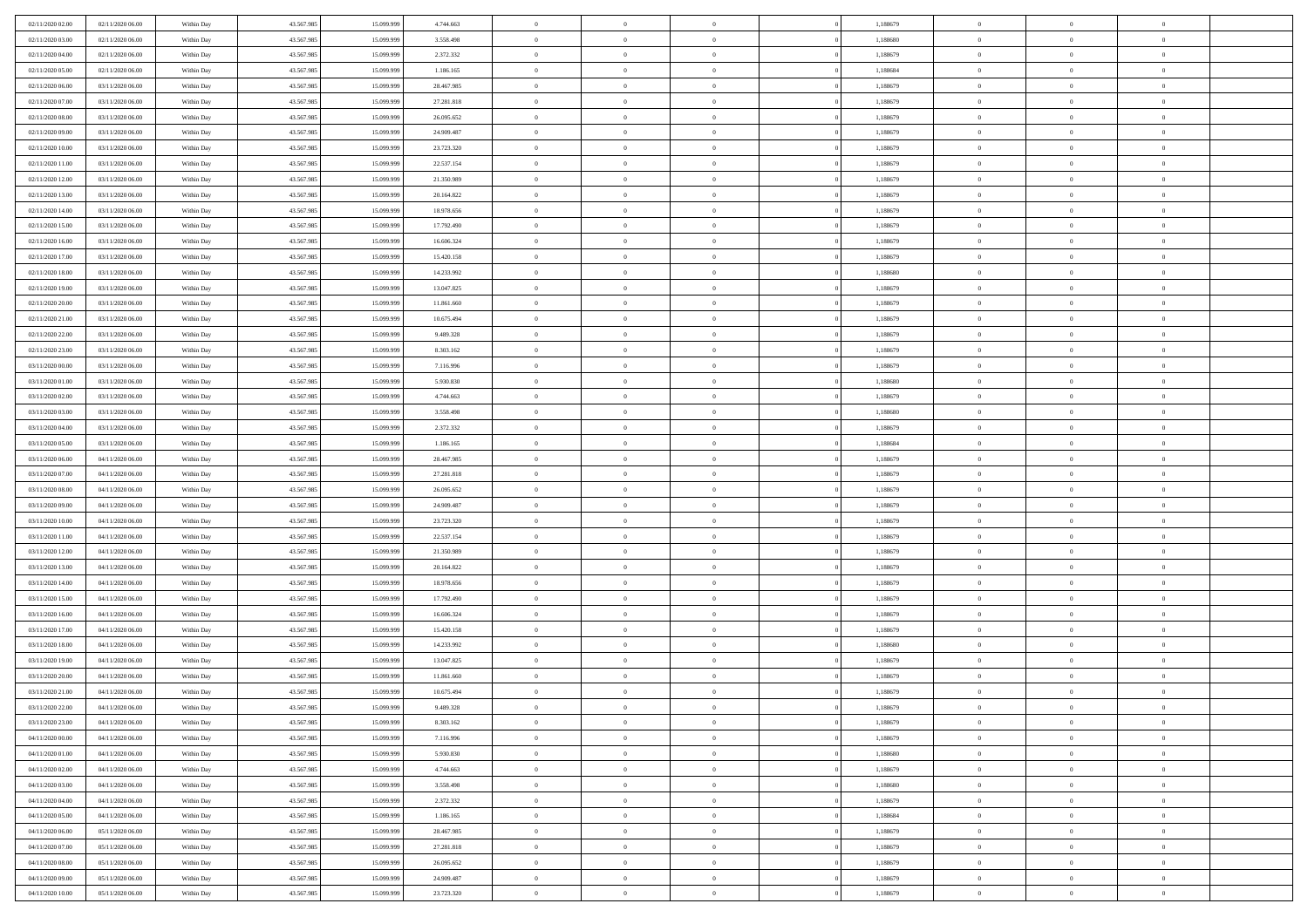| 02/11/2020 02.00<br>02/11/2020 06:00                                         | Within Day               | 43.567.985               | 15.099.999               | 4.744.663                | $\,$ 0         | $\bf{0}$                   | $\overline{0}$ |          | 1,188679             | $\bf{0}$       | $\overline{0}$ | $\,0\,$                    |  |
|------------------------------------------------------------------------------|--------------------------|--------------------------|--------------------------|--------------------------|----------------|----------------------------|----------------|----------|----------------------|----------------|----------------|----------------------------|--|
| 02/11/2020 03:00<br>02/11/2020 06:00                                         | Within Day               | 43.567.985               | 15.099.99                | 3.558.498                | $\overline{0}$ | $\overline{0}$             | $\overline{0}$ |          | 1,188680             | $\overline{0}$ | $\overline{0}$ | $\theta$                   |  |
| 02/11/2020 04:00<br>02/11/2020 06:00                                         | Within Dav               | 43.567.985               | 15.099.999               | 2.372.332                | $\mathbf{0}$   | $\overline{0}$             | $\overline{0}$ |          | 1,188679             | $\mathbf{0}$   | $\overline{0}$ | $\overline{0}$             |  |
| 02/11/2020 05.00<br>02/11/2020 06:00                                         | Within Day               | 43.567.985               | 15.099.999               | 1.186.165                | $\bf{0}$       | $\overline{0}$             | $\bf{0}$       |          | 1,188684             | $\bf{0}$       | $\overline{0}$ | $\,0\,$                    |  |
| 02/11/2020 06:00<br>03/11/2020 06:00                                         | Within Day               | 43.567.985               | 15.099.999               | 28.467.985               | $\bf{0}$       | $\overline{0}$             | $\overline{0}$ |          | 1,188679             | $\bf{0}$       | $\theta$       | $\,0\,$                    |  |
| 02/11/2020 07:00<br>03/11/2020 06:00                                         | Within Dav               | 43.567.985               | 15.099.999               | 27.281.818               | $\mathbf{0}$   | $\overline{0}$             | $\overline{0}$ |          | 1,188679             | $\mathbf{0}$   | $\overline{0}$ | $\overline{0}$             |  |
|                                                                              |                          |                          |                          |                          |                |                            |                |          |                      |                |                |                            |  |
| 02/11/2020 08:00<br>03/11/2020 06:00                                         | Within Day               | 43.567.985               | 15.099.999               | 26.095.652               | $\bf{0}$       | $\overline{0}$             | $\overline{0}$ |          | 1,188679             | $\bf{0}$       | $\overline{0}$ | $\,0\,$                    |  |
| 02/11/2020 09:00<br>03/11/2020 06:00                                         | Within Day               | 43.567.985               | 15.099.999               | 24.909.487               | $\theta$       | $\overline{0}$             | $\overline{0}$ |          | 1,188679             | $\,$ 0 $\,$    | $\overline{0}$ | $\theta$                   |  |
| 02/11/2020 10:00<br>03/11/2020 06:00                                         | Within Dav               | 43.567.985               | 15.099.999               | 23.723.320               | $\mathbf{0}$   | $\overline{0}$             | $\overline{0}$ |          | 1,188679             | $\mathbf{0}$   | $\bf{0}$       | $\overline{0}$             |  |
| 02/11/2020 11:00<br>03/11/2020 06:00                                         | Within Day               | 43.567.985               | 15.099.999               | 22.537.154               | $\bf{0}$       | $\overline{0}$             | $\overline{0}$ |          | 1,188679             | $\bf{0}$       | $\overline{0}$ | $\,0\,$                    |  |
| 02/11/2020 12.00<br>03/11/2020 06:00                                         | Within Day               | 43.567.985               | 15,099,999               | 21.350.989               | $\bf{0}$       | $\overline{0}$             | $\overline{0}$ |          | 1,188679             | $\bf{0}$       | $\mathbf{0}$   | $\theta$                   |  |
| 02/11/2020 13:00<br>03/11/2020 06:00                                         | Within Dav               | 43.567.985               | 15.099.999               | 20.164.822               | $\mathbf{0}$   | $\overline{0}$             | $\overline{0}$ |          | 1,188679             | $\mathbf{0}$   | $\overline{0}$ | $\overline{0}$             |  |
| 02/11/2020 14:00<br>03/11/2020 06:00                                         | Within Day               | 43.567.985               | 15.099.999               | 18.978.656               | $\bf{0}$       | $\overline{0}$             | $\bf{0}$       |          | 1,188679             | $\bf{0}$       | $\overline{0}$ | $\,0\,$                    |  |
| 02/11/2020 15:00<br>03/11/2020 06:00                                         | Within Day               | 43.567.985               | 15.099.999               | 17.792.490               | $\bf{0}$       | $\overline{0}$             | $\overline{0}$ |          | 1,188679             | $\bf{0}$       | $\theta$       | $\,0\,$                    |  |
| 02/11/2020 16:00<br>03/11/2020 06:00                                         | Within Dav               | 43.567.985               | 15.099.999               | 16.606.324               | $\mathbf{0}$   | $\overline{0}$             | $\overline{0}$ |          | 1,188679             | $\mathbf{0}$   | $\overline{0}$ | $\overline{0}$             |  |
| 02/11/2020 17.00<br>03/11/2020 06:00                                         | Within Day               | 43.567.985               | 15.099.999               | 15.420.158               | $\bf{0}$       | $\overline{0}$             | $\overline{0}$ |          | 1,188679             | $\bf{0}$       | $\overline{0}$ | $\,0\,$                    |  |
| 02/11/2020 18:00<br>03/11/2020 06:00                                         | Within Day               | 43.567.985               | 15.099.999               | 14.233.992               | $\overline{0}$ | $\overline{0}$             | $\overline{0}$ |          | 1,188680             | $\bf{0}$       | $\overline{0}$ | $\theta$                   |  |
| 02/11/2020 19:00<br>03/11/2020 06:00                                         | Within Day               | 43.567.985               | 15.099.999               | 13.047.825               | $\mathbf{0}$   | $\overline{0}$             | $\overline{0}$ |          | 1,188679             | $\mathbf{0}$   | $\overline{0}$ | $\overline{0}$             |  |
| 02/11/2020 20.00<br>03/11/2020 06:00                                         | Within Day               | 43.567.985               | 15.099.999               | 11.861.660               | $\,$ 0         | $\overline{0}$             | $\overline{0}$ |          | 1,188679             | $\bf{0}$       | $\overline{0}$ | $\,0\,$                    |  |
| 02/11/2020 21.00<br>03/11/2020 06:00                                         | Within Day               | 43.567.985               | 15.099.999               | 10.675.494               | $\bf{0}$       | $\overline{0}$             | $\overline{0}$ |          | 1,188679             | $\bf{0}$       | $\overline{0}$ | $\overline{0}$             |  |
| 02/11/2020 22.00<br>03/11/2020 06:00                                         | Within Dav               | 43.567.985               | 15.099.999               | 9.489.328                | $\mathbf{0}$   | $\overline{0}$             | $\overline{0}$ |          | 1,188679             | $\mathbf{0}$   | $\overline{0}$ | $\overline{0}$             |  |
| 02/11/2020 23.00<br>03/11/2020 06:00                                         | Within Day               | 43.567.985               | 15.099.999               | 8.303.162                | $\bf{0}$       | $\overline{0}$             | $\bf{0}$       |          | 1,188679             | $\bf{0}$       | $\overline{0}$ | $\bf{0}$                   |  |
| 03/11/2020 00:00<br>03/11/2020 06:00                                         | Within Day               | 43.567.985               | 15.099.999               | 7.116.996                | $\bf{0}$       | $\overline{0}$             | $\overline{0}$ |          | 1,188679             | $\bf{0}$       | $\bf{0}$       | $\,0\,$                    |  |
| 03/11/2020 01:00<br>03/11/2020 06:00                                         | Within Dav               | 43.567.985               | 15.099.999               | 5.930.830                | $\mathbf{0}$   | $\overline{0}$             | $\overline{0}$ |          | 1,188680             | $\mathbf{0}$   | $\overline{0}$ | $\overline{0}$             |  |
| 03/11/2020 02.00<br>03/11/2020 06:00                                         | Within Day               | 43.567.985               | 15.099.999               | 4.744.663                | $\bf{0}$       | $\overline{0}$             | $\overline{0}$ |          | 1,188679             | $\bf{0}$       | $\overline{0}$ | $\,0\,$                    |  |
| 03/11/2020 03:00<br>03/11/2020 06:00                                         | Within Day               | 43.567.985               | 15.099.999               | 3.558.498                | $\overline{0}$ | $\overline{0}$             | $\overline{0}$ |          | 1,188680             | $\bf{0}$       | $\overline{0}$ | $\theta$                   |  |
| 03/11/2020 04:00<br>03/11/2020 06:00                                         | Within Dav               | 43.567.985               | 15.099.999               | 2.372.332                | $\mathbf{0}$   | $\overline{0}$             | $\overline{0}$ |          | 1,188679             | $\mathbf{0}$   | $\overline{0}$ | $\overline{0}$             |  |
| 03/11/2020 05.00<br>03/11/2020 06:00                                         | Within Day               | 43.567.985               | 15.099.999               | 1.186.165                | $\bf{0}$       | $\bf{0}$                   | $\overline{0}$ |          | 1,188684             | $\bf{0}$       | $\overline{0}$ | $\,0\,$                    |  |
| 03/11/2020 06:00<br>04/11/2020 06.00                                         |                          | 43.567.985               | 15,099,999               | 28.467.985               | $\bf{0}$       | $\bf{0}$                   | $\overline{0}$ |          | 1,188679             | $\bf{0}$       | $\mathbf{0}$   | $\bf{0}$                   |  |
| 03/11/2020 07:00<br>04/11/2020 06:00                                         | Within Day<br>Within Dav | 43.567.985               | 15.099.999               | 27.281.818               | $\mathbf{0}$   | $\overline{0}$             | $\overline{0}$ |          | 1,188679             | $\mathbf{0}$   | $\overline{0}$ | $\overline{0}$             |  |
|                                                                              |                          |                          |                          |                          | $\bf{0}$       | $\overline{0}$             | $\overline{0}$ |          |                      | $\,$ 0         | $\overline{0}$ | $\theta$                   |  |
| 03/11/2020 08:00<br>04/11/2020 06:00                                         | Within Day               | 43.567.985<br>43.567.985 | 15.099.999               | 26.095.652               | $\bf{0}$       |                            |                |          | 1,188679             | $\bf{0}$       | $\mathbf{0}$   |                            |  |
| 03/11/2020 09:00<br>04/11/2020 06.00<br>03/11/2020 10:00<br>04/11/2020 06:00 | Within Day<br>Within Dav | 43.567.985               | 15.099.999<br>15.099.999 | 24.909.487<br>23.723.320 | $\mathbf{0}$   | $\bf{0}$<br>$\overline{0}$ | $\overline{0}$ |          | 1,188679<br>1,188679 | $\mathbf{0}$   | $\overline{0}$ | $\bf{0}$<br>$\overline{0}$ |  |
|                                                                              |                          |                          |                          |                          |                |                            | $\overline{0}$ |          |                      |                |                |                            |  |
| 04/11/2020 06:00<br>03/11/2020 11:00                                         | Within Day               | 43.567.985               | 15.099.999               | 22.537.154               | $\bf{0}$       | $\overline{0}$             | $\overline{0}$ |          | 1,188679             | $\,$ 0         | $\overline{0}$ | $\theta$                   |  |
| 03/11/2020 12:00<br>04/11/2020 06.00                                         | Within Day               | 43.567.985               | 15.099.999               | 21.350.989               | $\bf{0}$       | $\overline{0}$             | $\overline{0}$ |          | 1,188679             | $\bf{0}$       | $\overline{0}$ | $\overline{0}$             |  |
| 03/11/2020 13:00<br>04/11/2020 06:00                                         | Within Day               | 43.567.985               | 15.099.999               | 20.164.822               | $\mathbf{0}$   | $\overline{0}$             | $\overline{0}$ |          | 1,188679             | $\mathbf{0}$   | $\overline{0}$ | $\overline{0}$             |  |
| 03/11/2020 14:00<br>04/11/2020 06:00                                         | Within Day               | 43.567.985               | 15.099.999               | 18.978.656               | $\bf{0}$       | $\overline{0}$             | $\overline{0}$ |          | 1,188679             | $\,$ 0         | $\overline{0}$ | $\theta$                   |  |
| 03/11/2020 15.00<br>04/11/2020 06.00                                         | Within Day               | 43.567.985               | 15.099.999               | 17.792.490               | $\bf{0}$       | $\bf{0}$                   | $\overline{0}$ |          | 1,188679             | $\bf{0}$       | $\mathbf{0}$   | $\bf{0}$                   |  |
| 03/11/2020 16.00<br>04/11/2020 06:00                                         | Within Dav               | 43.567.985               | 15.099.999               | 16.606.324               | $\mathbf{0}$   | $\overline{0}$             | $\overline{0}$ |          | 1,188679             | $\mathbf{0}$   | $\overline{0}$ | $\overline{0}$             |  |
| 03/11/2020 17.00<br>04/11/2020 06:00                                         | Within Day               | 43.567.985               | 15.099.999               | 15.420.158               | $\bf{0}$       | $\overline{0}$             | $\overline{0}$ |          | 1,188679             | $\,$ 0         | $\overline{0}$ | $\theta$                   |  |
| 03/11/2020 18:00<br>04/11/2020 06.00                                         | Within Day               | 43.567.985               | 15.099.999               | 14.233.992               | $\bf{0}$       | $\bf{0}$                   | $\overline{0}$ |          | 1,188680             | $\,$ 0 $\,$    | $\overline{0}$ | $\overline{0}$             |  |
| 03/11/2020 19:00<br>04/11/2020 06:00                                         | Within Dav               | 43.567.985               | 15.099.999               | 13.047.825               | $\mathbf{0}$   | $\overline{0}$             | $\overline{0}$ |          | 1,188679             | $\mathbf{0}$   | $\overline{0}$ | $\overline{0}$             |  |
| 03/11/2020 20:00<br>04/11/2020 06.00                                         | Within Day               | 43.567.985               | 15.099.999               | 11.861.660               | $\bf{0}$       | $\overline{0}$             | $\overline{0}$ |          | 1,188679             | $\,$ 0         | $\overline{0}$ | $\theta$                   |  |
| 03/11/2020 21.00<br>04/11/2020 06.00                                         | Within Day               | 43.567.985               | 15.099.999               | 10.675.494               | $\bf{0}$       | $\overline{0}$             | $\overline{0}$ |          | 1,188679             | $\bf{0}$       | $\overline{0}$ | $\overline{0}$             |  |
| 03/11/2020 22.00<br>04/11/2020 06:00                                         | Within Day               | 43.567.985               | 15.099.999               | 9.489.328                | $\bf{0}$       | $\overline{0}$             |                |          | 1,188679             | $\overline{0}$ | $\theta$       | $\theta$                   |  |
| 03/11/2020 23.00<br>04/11/2020 06.00                                         | Within Day               | 43.567.985               | 15.099.999               | 8.303.162                | $\,0\,$        | $\overline{0}$             | $\overline{0}$ |          | 1,188679             | $\,$ 0 $\,$    | $\bf{0}$       | $\theta$                   |  |
| 04/11/2020 00:00<br>04/11/2020 06:00                                         | Within Day               | 43.567.985               | 15.099.999               | 7.116.996                | $\overline{0}$ | $\overline{0}$             | $\overline{0}$ |          | 1,188679             | $\,$ 0 $\,$    | $\overline{0}$ | $\overline{0}$             |  |
| 04/11/2020 01:00<br>04/11/2020 06:00                                         | Within Day               | 43.567.985               | 15.099.999               | 5.930.830                | $\bf{0}$       | $\overline{0}$             | $\overline{0}$ |          | 1,188680             | $\overline{0}$ | $\bf{0}$       | $\mathbf{0}$               |  |
| 04/11/2020 02.00<br>04/11/2020 06:00                                         | Within Day               | 43.567.985               | 15.099.999               | 4.744.663                | $\bf{0}$       | $\overline{0}$             | $\overline{0}$ | $\theta$ | 1,188679             | $\mathbf{0}$   | $\bf{0}$       | $\,$ 0 $\,$                |  |
| 04/11/2020 03.00<br>04/11/2020 06.00                                         | Within Day               | 43.567.985               | 15.099.999               | 3.558.498                | $\bf{0}$       | $\overline{0}$             | $\overline{0}$ |          | 1,188680             | $\,$ 0 $\,$    | $\overline{0}$ | $\overline{0}$             |  |
| 04/11/2020 04.00<br>04/11/2020 06.00                                         | Within Day               | 43.567.985               | 15.099.999               | 2.372.332                | $\bf{0}$       | $\overline{0}$             | $\overline{0}$ |          | 1,188679             | $\mathbf{0}$   | $\overline{0}$ | $\overline{0}$             |  |
| 04/11/2020 05.00<br>04/11/2020 06:00                                         | Within Day               | 43.567.985               | 15.099.999               | 1.186.165                | $\,0\,$        | $\overline{0}$             | $\overline{0}$ | $\theta$ | 1,188684             | $\,$ 0 $\,$    | $\overline{0}$ | $\overline{0}$             |  |
| 04/11/2020 06.00<br>05/11/2020 06:00                                         | Within Day               | 43.567.985               | 15.099.999               | 28.467.985               | $\bf{0}$       | $\overline{0}$             | $\overline{0}$ |          | 1,188679             | $\overline{0}$ | $\overline{0}$ | $\overline{0}$             |  |
| 04/11/2020 07.00<br>05/11/2020 06.00                                         | Within Day               | 43.567.985               | 15.099.999               | 27.281.818               | $\bf{0}$       | $\overline{0}$             | $\overline{0}$ |          | 1,188679             | $\mathbf{0}$   | $\overline{0}$ | $\overline{0}$             |  |
| 04/11/2020 08:00<br>05/11/2020 06:00                                         | Within Day               | 43.567.985               | 15.099.999               | 26.095.652               | $\,0\,$        | $\overline{0}$             | $\overline{0}$ |          | 1,188679             | $\,$ 0 $\,$    | $\mathbf{0}$   | $\theta$                   |  |
| 04/11/2020 09.00<br>05/11/2020 06:00                                         | Within Day               | 43.567.985               | 15.099.999               | 24.909.487               | $\bf{0}$       | $\bf{0}$                   | $\overline{0}$ |          | 1,188679             | $\mathbf{0}$   | $\mathbf{0}$   | $\overline{0}$             |  |
| 04/11/2020 10:00<br>05/11/2020 06:00                                         | Within Day               | 43.567.985               | 15.099.999               | 23.723.320               | $\mathbf{0}$   | $\overline{0}$             | $\overline{0}$ |          | 1,188679             | $\mathbf{0}$   | $\overline{0}$ | $\overline{0}$             |  |
|                                                                              |                          |                          |                          |                          |                |                            |                |          |                      |                |                |                            |  |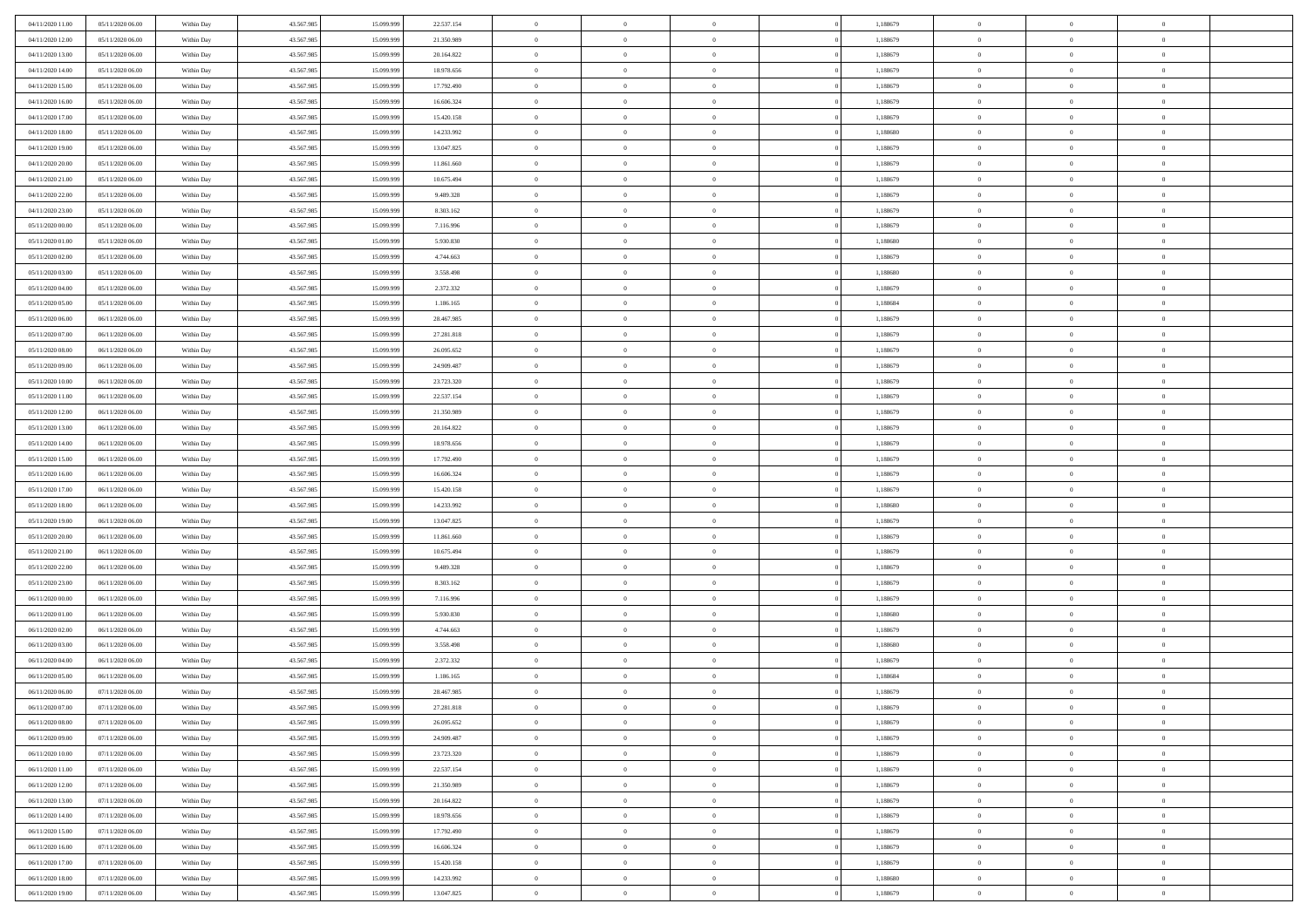| 04/11/2020 11:00 | 05/11/2020 06:00 | Within Day | 43.567.985 | 15.099.999 | 22.537.154 | $\bf{0}$       | $\overline{0}$ | $\overline{0}$ | 1,188679 | $\bf{0}$       | $\overline{0}$ | $\,0\,$        |  |
|------------------|------------------|------------|------------|------------|------------|----------------|----------------|----------------|----------|----------------|----------------|----------------|--|
| 04/11/2020 12.00 | 05/11/2020 06.00 | Within Day | 43.567.985 | 15.099.99  | 21.350.989 | $\theta$       | $\overline{0}$ | $\mathbf{0}$   | 1,188679 | $\theta$       | $\mathbf{0}$   | $\theta$       |  |
| 04/11/2020 13:00 | 05/11/2020 06:00 | Within Dav | 43.567.985 | 15.099.999 | 20.164.822 | $\theta$       | $\overline{0}$ | $\mathbf{0}$   | 1,188679 | $\mathbf{0}$   | $\overline{0}$ | $\overline{0}$ |  |
| 04/11/2020 14:00 | 05/11/2020 06.00 | Within Day | 43.567.985 | 15.099.999 | 18.978.656 | $\,$ 0 $\,$    | $\overline{0}$ | $\overline{0}$ | 1,188679 | $\bf{0}$       | $\overline{0}$ | $\bf{0}$       |  |
| 04/11/2020 15:00 | 05/11/2020 06:00 | Within Day | 43.567.985 | 15.099.999 | 17.792.490 | $\bf{0}$       | $\overline{0}$ | $\mathbf{0}$   | 1,188679 | $\bf{0}$       | $\theta$       | $\,0\,$        |  |
| 04/11/2020 16:00 | 05/11/2020 06:00 | Within Dav | 43.567.985 | 15.099.999 | 16.606.324 | $\theta$       | $\overline{0}$ | $\mathbf{0}$   | 1,188679 | $\mathbf{0}$   | $\overline{0}$ | $\overline{0}$ |  |
| 04/11/2020 17.00 | 05/11/2020 06:00 | Within Day | 43.567.985 | 15.099.999 | 15.420.158 | $\,$ 0 $\,$    | $\overline{0}$ | $\overline{0}$ | 1,188679 | $\bf{0}$       | $\overline{0}$ | $\,0\,$        |  |
|                  |                  |            |            | 15,099,999 |            | $\,$ 0         | $\overline{0}$ |                |          | $\,$ 0 $\,$    | $\overline{0}$ | $\theta$       |  |
| 04/11/2020 18:00 | 05/11/2020 06.00 | Within Day | 43.567.985 |            | 14.233.992 |                |                | $\mathbf{0}$   | 1,188680 |                |                |                |  |
| 04/11/2020 19:00 | 05/11/2020 06:00 | Within Day | 43.567.985 | 15.099.999 | 13.047.825 | $\theta$       | $\overline{0}$ | $\overline{0}$ | 1,188679 | $\mathbf{0}$   | $\bf{0}$       | $\overline{0}$ |  |
| 04/11/2020 20:00 | 05/11/2020 06:00 | Within Day | 43.567.985 | 15.099.999 | 11.861.660 | $\,$ 0 $\,$    | $\overline{0}$ | $\Omega$       | 1,188679 | $\bf{0}$       | $\overline{0}$ | $\,0\,$        |  |
| 04/11/2020 21:00 | 05/11/2020 06.00 | Within Day | 43.567.985 | 15,099,999 | 10.675.494 | $\bf{0}$       | $\overline{0}$ | $\mathbf{0}$   | 1,188679 | $\bf{0}$       | $\mathbf{0}$   | $\theta$       |  |
| 04/11/2020 22.00 | 05/11/2020 06:00 | Within Dav | 43.567.985 | 15.099.999 | 9.489.328  | $\theta$       | $\overline{0}$ | $\mathbf{0}$   | 1,188679 | $\mathbf{0}$   | $\overline{0}$ | $\overline{0}$ |  |
| 04/11/2020 23.00 | 05/11/2020 06.00 | Within Day | 43.567.985 | 15.099.999 | 8.303.162  | $\,$ 0 $\,$    | $\overline{0}$ | $\overline{0}$ | 1,188679 | $\bf{0}$       | $\overline{0}$ | $\bf{0}$       |  |
| 05/11/2020 00:00 | 05/11/2020 06:00 | Within Day | 43.567.985 | 15.099.999 | 7.116.996  | $\bf{0}$       | $\overline{0}$ | $\mathbf{0}$   | 1,188679 | $\bf{0}$       | $\theta$       | $\,0\,$        |  |
| 05/11/2020 01:00 | 05/11/2020 06:00 | Within Dav | 43.567.985 | 15.099.999 | 5.930.830  | $\theta$       | $\overline{0}$ | $\mathbf{0}$   | 1,188680 | $\mathbf{0}$   | $\overline{0}$ | $\overline{0}$ |  |
| 05/11/2020 02.00 | 05/11/2020 06.00 | Within Day | 43.567.985 | 15.099.999 | 4.744.663  | $\,$ 0 $\,$    | $\overline{0}$ | $\overline{0}$ | 1,188679 | $\bf{0}$       | $\overline{0}$ | $\bf{0}$       |  |
| 05/11/2020 03:00 | 05/11/2020 06.00 | Within Day | 43.567.985 | 15.099.999 | 3.558.498  | $\,$ 0         | $\overline{0}$ | $\mathbf{0}$   | 1,188680 | $\bf{0}$       | $\overline{0}$ | $\theta$       |  |
| 05/11/2020 04:00 | 05/11/2020 06:00 | Within Day | 43.567.985 | 15.099.999 | 2.372.332  | $\theta$       | $\overline{0}$ | $\mathbf{0}$   | 1,188679 | $\mathbf{0}$   | $\overline{0}$ | $\overline{0}$ |  |
| 05/11/2020 05:00 | 05/11/2020 06.00 | Within Day | 43.567.985 | 15.099.999 | 1.186.165  | $\,$ 0 $\,$    | $\overline{0}$ | $\Omega$       | 1,188684 | $\bf{0}$       | $\overline{0}$ | $\,0\,$        |  |
| 05/11/2020 06:00 | 06/11/2020 06:00 | Within Day | 43.567.985 | 15.099.999 | 28.467.985 | $\bf{0}$       | $\overline{0}$ | $\mathbf{0}$   | 1,188679 | $\bf{0}$       | $\mathbf{0}$   | $\theta$       |  |
| 05/11/2020 07:00 | 06/11/2020 06:00 | Within Dav | 43.567.985 | 15.099.999 | 27.281.818 | $\theta$       | $\overline{0}$ | $\overline{0}$ | 1,188679 | $\mathbf{0}$   | $\overline{0}$ | $\overline{0}$ |  |
| 05/11/2020 08:00 | 06/11/2020 06.00 | Within Day | 43.567.985 | 15.099.999 | 26.095.652 | $\,$ 0 $\,$    | $\overline{0}$ | $\overline{0}$ | 1,188679 | $\bf{0}$       | $\overline{0}$ | $\bf{0}$       |  |
| 05/11/2020 09:00 | 06/11/2020 06:00 | Within Day | 43.567.985 | 15.099.999 | 24.909.487 | $\,$ 0         | $\overline{0}$ | $\mathbf{0}$   | 1,188679 | $\bf{0}$       | $\theta$       | $\,0\,$        |  |
| 05/11/2020 10:00 | 06/11/2020 06:00 | Within Dav | 43.567.985 | 15.099.999 | 23.723.320 | $\theta$       | $\overline{0}$ | $\mathbf{0}$   | 1,188679 | $\mathbf{0}$   | $\overline{0}$ | $\overline{0}$ |  |
| 05/11/2020 11:00 | 06/11/2020 06:00 | Within Day | 43.567.985 | 15.099.999 | 22.537.154 | $\,$ 0 $\,$    | $\overline{0}$ | $\overline{0}$ | 1,188679 | $\bf{0}$       | $\overline{0}$ | $\,0\,$        |  |
| 05/11/2020 12:00 | 06/11/2020 06:00 | Within Day | 43.567.985 | 15.099.999 | 21.350.989 | $\,$ 0         | $\overline{0}$ | $\mathbf{0}$   | 1,188679 | $\bf{0}$       | $\overline{0}$ | $\theta$       |  |
| 05/11/2020 13:00 | 06/11/2020 06:00 | Within Day | 43.567.985 | 15.099.999 | 20.164.822 | $\theta$       | $\overline{0}$ | $\overline{0}$ | 1,188679 | $\mathbf{0}$   | $\bf{0}$       | $\overline{0}$ |  |
|                  |                  |            |            |            |            | $\,$ 0 $\,$    |                | $\Omega$       |          | $\bf{0}$       | $\overline{0}$ | $\,0\,$        |  |
| 05/11/2020 14:00 | 06/11/2020 06:00 | Within Day | 43.567.985 | 15.099.999 | 18.978.656 |                | $\overline{0}$ |                | 1,188679 |                |                |                |  |
| 05/11/2020 15:00 | 06/11/2020 06.00 | Within Day | 43.567.985 | 15,099,999 | 17.792.490 | $\bf{0}$       | $\overline{0}$ | $\mathbf{0}$   | 1,188679 | $\bf{0}$       | $\mathbf{0}$   | $\theta$       |  |
| 05/11/2020 16:00 | 06/11/2020 06:00 | Within Dav | 43.567.985 | 15.099.999 | 16.606.324 | $\theta$       | $\overline{0}$ | $\overline{0}$ | 1,188679 | $\mathbf{0}$   | $\overline{0}$ | $\overline{0}$ |  |
| 05/11/2020 17:00 | 06/11/2020 06:00 | Within Day | 43.567.985 | 15.099.999 | 15.420.158 | $\theta$       | $\overline{0}$ | $\overline{0}$ | 1,188679 | $\,$ 0         | $\overline{0}$ | $\,$ 0 $\,$    |  |
| 05/11/2020 18:00 | 06/11/2020 06:00 | Within Day | 43.567.985 | 15.099.999 | 14.233.992 | $\,$ 0         | $\overline{0}$ | $\mathbf{0}$   | 1,188680 | $\bf{0}$       | $\mathbf{0}$   | $\bf{0}$       |  |
| 05/11/2020 19:00 | 06/11/2020 06:00 | Within Dav | 43.567.985 | 15.099.999 | 13.047.825 | $\theta$       | $\overline{0}$ | $\mathbf{0}$   | 1,188679 | $\mathbf{0}$   | $\overline{0}$ | $\overline{0}$ |  |
| 05/11/2020 20:00 | 06/11/2020 06:00 | Within Day | 43.567.985 | 15.099.999 | 11.861.660 | $\theta$       | $\overline{0}$ | $\overline{0}$ | 1,188679 | $\,$ 0         | $\overline{0}$ | $\theta$       |  |
| 05/11/2020 21:00 | 06/11/2020 06.00 | Within Day | 43.567.985 | 15,099,999 | 10.675.494 | $\bf{0}$       | $\overline{0}$ | $\mathbf{0}$   | 1,188679 | $\mathbf{0}$   | $\overline{0}$ | $\overline{0}$ |  |
| 05/11/2020 22.00 | 06/11/2020 06:00 | Within Day | 43.567.985 | 15.099.999 | 9.489.328  | $\theta$       | $\overline{0}$ | $\mathbf{0}$   | 1,188679 | $\mathbf{0}$   | $\overline{0}$ | $\overline{0}$ |  |
| 05/11/2020 23:00 | 06/11/2020 06:00 | Within Day | 43.567.985 | 15.099.999 | 8.303.162  | $\theta$       | $\overline{0}$ | $\overline{0}$ | 1,188679 | $\,$ 0         | $\overline{0}$ | $\theta$       |  |
| 06/11/2020 00:00 | 06/11/2020 06:00 | Within Day | 43.567.985 | 15.099.999 | 7.116.996  | $\bf{0}$       | $\overline{0}$ | $\mathbf{0}$   | 1,188679 | $\bf{0}$       | $\mathbf{0}$   | $\overline{0}$ |  |
| 06/11/2020 01:00 | 06/11/2020 06:00 | Within Dav | 43.567.985 | 15.099.999 | 5.930.830  | $\theta$       | $\overline{0}$ | $\overline{0}$ | 1,188680 | $\mathbf{0}$   | $\overline{0}$ | $\overline{0}$ |  |
| 06/11/2020 02:00 | 06/11/2020 06:00 | Within Day | 43.567.985 | 15.099.999 | 4.744.663  | $\,$ 0 $\,$    | $\overline{0}$ | $\overline{0}$ | 1,188679 | $\,$ 0         | $\overline{0}$ | $\,$ 0 $\,$    |  |
| 06/11/2020 03:00 | 06/11/2020 06:00 | Within Day | 43.567.985 | 15.099.999 | 3.558.498  | $\,$ 0         | $\,$ 0 $\,$    | $\overline{0}$ | 1,188680 | $\,$ 0 $\,$    | $\overline{0}$ | $\overline{0}$ |  |
| 06/11/2020 04:00 | 06/11/2020 06:00 | Within Dav | 43.567.985 | 15.099.999 | 2.372.332  | $\theta$       | $\overline{0}$ | $\mathbf{0}$   | 1,188679 | $\mathbf{0}$   | $\overline{0}$ | $\theta$       |  |
| 06/11/2020 05:00 | 06/11/2020 06.00 | Within Day | 43.567.985 | 15.099.999 | 1.186.165  | $\overline{0}$ | $\overline{0}$ | $\overline{0}$ | 1,188684 | $\,$ 0         | $\overline{0}$ | $\theta$       |  |
| 06/11/2020 06:00 | 07/11/2020 06.00 | Within Day | 43.567.985 | 15.099.999 | 28.467.985 | $\bf{0}$       | $\,$ 0 $\,$    | $\mathbf{0}$   | 1,188679 | $\bf{0}$       | $\overline{0}$ | $\overline{0}$ |  |
| 06/11/2020 07:00 | 07/11/2020 06:00 | Within Day | 43.567.985 | 15.099.999 | 27.281.818 | $\overline{0}$ | $\theta$       |                | 1,188679 | $\overline{0}$ | $\theta$       | $\theta$       |  |
| 06/11/2020 08:00 | 07/11/2020 06:00 | Within Day | 43.567.985 | 15.099.999 | 26.095.652 | $\,$ 0 $\,$    | $\overline{0}$ | $\overline{0}$ | 1,188679 | $\,$ 0 $\,$    | $\bf{0}$       | $\theta$       |  |
| 06/11/2020 09:00 | 07/11/2020 06.00 | Within Day | 43.567.985 | 15.099.999 | 24.909.487 | $\bf{0}$       | $\,$ 0 $\,$    | $\overline{0}$ | 1,188679 | $\,$ 0 $\,$    | $\overline{0}$ | $\overline{0}$ |  |
| 06/11/2020 10:00 | 07/11/2020 06:00 | Within Day | 43.567.985 | 15.099.999 | 23.723.320 | $\overline{0}$ | $\overline{0}$ | $\overline{0}$ | 1,188679 | $\,$ 0 $\,$    | $\bf{0}$       | $\mathbf{0}$   |  |
| 06/11/2020 11:00 | 07/11/2020 06:00 | Within Day | 43.567.985 | 15.099.999 | 22.537.154 | $\,$ 0 $\,$    | $\overline{0}$ | $\overline{0}$ | 1,188679 | $\,$ 0 $\,$    | $\bf{0}$       | $\,$ 0 $\,$    |  |
| 06/11/2020 12:00 | 07/11/2020 06.00 | Within Day | 43.567.985 | 15.099.999 | 21.350.989 | $\,$ 0 $\,$    | $\,$ 0 $\,$    | $\overline{0}$ | 1,188679 | $\,$ 0 $\,$    | $\overline{0}$ | $\overline{0}$ |  |
| 06/11/2020 13:00 | 07/11/2020 06:00 | Within Day | 43.567.985 | 15.099.999 | 20.164.822 | $\overline{0}$ |                | $\overline{0}$ | 1,188679 | $\mathbf{0}$   | $\overline{0}$ | $\overline{0}$ |  |
|                  |                  |            |            |            |            |                | $\overline{0}$ |                |          |                |                |                |  |
| 06/11/2020 14:00 | 07/11/2020 06:00 | Within Day | 43.567.985 | 15.099.999 | 18.978.656 | $\,$ 0 $\,$    | $\overline{0}$ | $\overline{0}$ | 1,188679 | $\,$ 0 $\,$    | $\overline{0}$ | $\,$ 0 $\,$    |  |
| 06/11/2020 15:00 | 07/11/2020 06.00 | Within Day | 43.567.985 | 15.099.999 | 17.792.490 | $\bf{0}$       | $\overline{0}$ | $\overline{0}$ | 1,188679 | $\,$ 0 $\,$    | $\overline{0}$ | $\overline{0}$ |  |
| 06/11/2020 16:00 | 07/11/2020 06:00 | Within Day | 43.567.985 | 15.099.999 | 16.606.324 | $\mathbf{0}$   | $\overline{0}$ | $\overline{0}$ | 1,188679 | $\mathbf{0}$   | $\bf{0}$       | $\overline{0}$ |  |
| 06/11/2020 17:00 | 07/11/2020 06:00 | Within Day | 43.567.985 | 15.099.999 | 15.420.158 | $\,$ 0 $\,$    | $\overline{0}$ | $\overline{0}$ | 1,188679 | $\,$ 0 $\,$    | $\overline{0}$ | $\,$ 0 $\,$    |  |
| 06/11/2020 18:00 | 07/11/2020 06.00 | Within Day | 43.567.985 | 15.099.999 | 14.233.992 | $\,$ 0 $\,$    | $\,$ 0 $\,$    | $\overline{0}$ | 1,188680 | $\,$ 0 $\,$    | $\overline{0}$ | $\overline{0}$ |  |
| 06/11/2020 19:00 | 07/11/2020 06:00 | Within Day | 43.567.985 | 15.099.999 | 13.047.825 | $\theta$       | $\overline{0}$ | $\overline{0}$ | 1,188679 | $\mathbf{0}$   | $\overline{0}$ | $\overline{0}$ |  |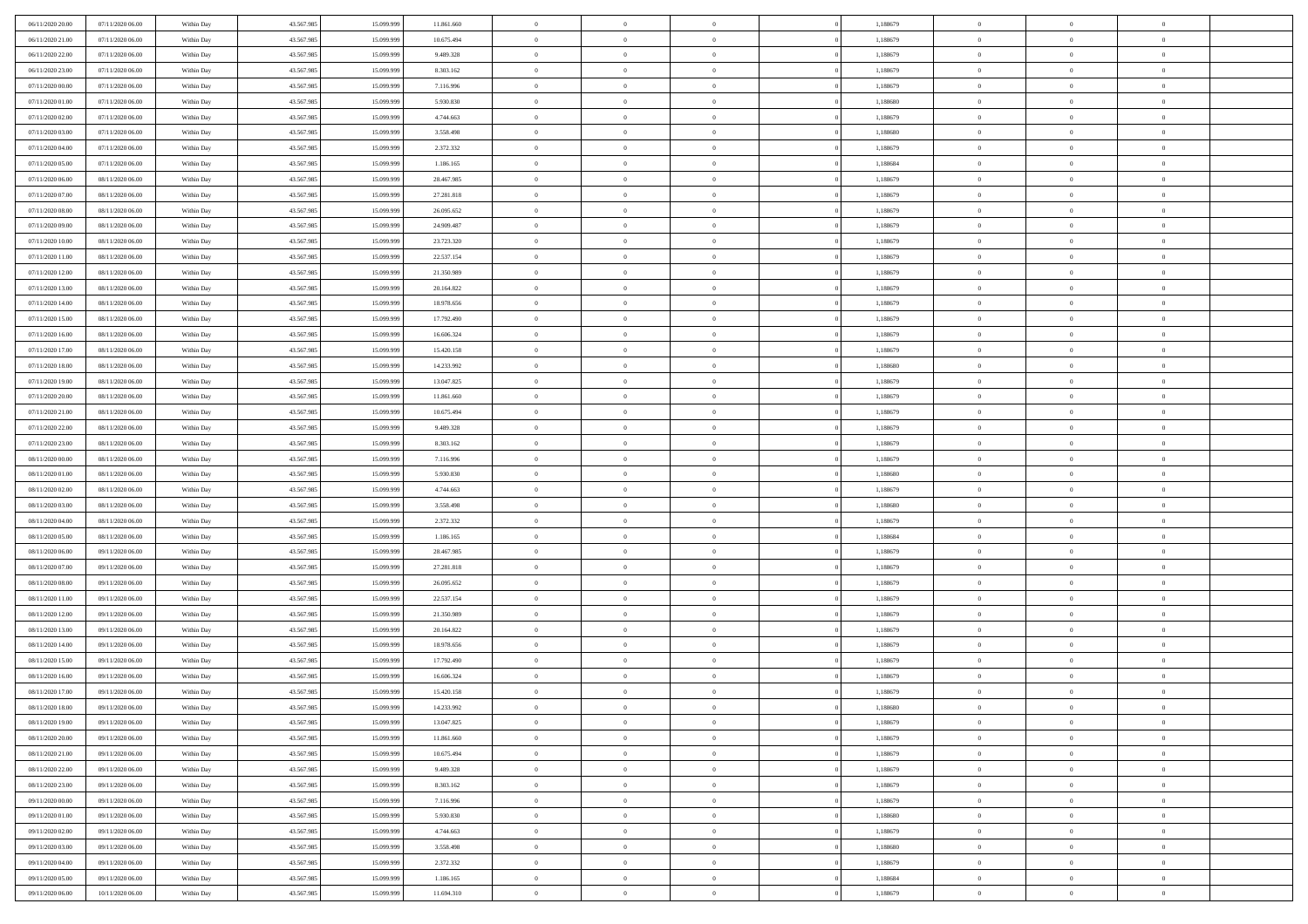| 06/11/2020 20:00 | 07/11/2020 06:00                     | Within Day               | 43.567.985 | 15.099.999 | 11.861.660               | $\bf{0}$           | $\overline{0}$ | $\overline{0}$                 | 1,188679 | $\bf{0}$                    | $\overline{0}$ | $\,0\,$                   |  |
|------------------|--------------------------------------|--------------------------|------------|------------|--------------------------|--------------------|----------------|--------------------------------|----------|-----------------------------|----------------|---------------------------|--|
| 06/11/2020 21:00 | 07/11/2020 06.00                     | Within Day               | 43.567.985 | 15.099.99  | 10.675.494               | $\theta$           | $\overline{0}$ | $\mathbf{0}$                   | 1,188679 | $\theta$                    | $\mathbf{0}$   | $\theta$                  |  |
| 06/11/2020 22:00 | 07/11/2020 06:00                     | Within Dav               | 43.567.985 | 15.099.999 | 9.489.328                | $\theta$           | $\overline{0}$ | $\mathbf{0}$                   | 1,188679 | $\mathbf{0}$                | $\overline{0}$ | $\overline{0}$            |  |
| 06/11/2020 23.00 | 07/11/2020 06.00                     | Within Day               | 43.567.985 | 15.099.999 | 8.303.162                | $\,$ 0 $\,$        | $\overline{0}$ | $\overline{0}$                 | 1,188679 | $\bf{0}$                    | $\overline{0}$ | $\bf{0}$                  |  |
| 07/11/2020 00:00 | 07/11/2020 06.00                     | Within Day               | 43.567.985 | 15.099.999 | 7.116.996                | $\,$ 0             | $\overline{0}$ | $\mathbf{0}$                   | 1,188679 | $\bf{0}$                    | $\theta$       | $\,0\,$                   |  |
| 07/11/2020 01:00 | 07/11/2020 06:00                     | Within Dav               | 43.567.985 | 15.099.999 | 5.930.830                | $\theta$           | $\overline{0}$ | $\mathbf{0}$                   | 1,188680 | $\mathbf{0}$                | $\overline{0}$ | $\overline{0}$            |  |
| 07/11/2020 02.00 | 07/11/2020 06:00                     | Within Day               | 43.567.985 | 15.099.999 | 4.744.663                | $\,$ 0 $\,$        | $\overline{0}$ | $\overline{0}$                 | 1,188679 | $\bf{0}$                    | $\overline{0}$ | $\,0\,$                   |  |
| 07/11/2020 03:00 | 07/11/2020 06.00                     | Within Day               | 43.567.985 | 15,099,999 | 3.558.498                | $\,$ 0 $\,$        | $\overline{0}$ | $\mathbf{0}$                   | 1,188680 | $\,$ 0 $\,$                 | $\overline{0}$ | $\theta$                  |  |
| 07/11/2020 04:00 | 07/11/2020 06:00                     | Within Day               | 43.567.985 | 15.099.999 | 2.372.332                | $\theta$           | $\overline{0}$ | $\overline{0}$                 | 1,188679 | $\mathbf{0}$                | $\bf{0}$       | $\overline{0}$            |  |
| 07/11/2020 05:00 | 07/11/2020 06.00                     | Within Day               | 43.567.985 | 15.099.999 | 1.186.165                | $\,$ 0 $\,$        | $\overline{0}$ | $\Omega$                       | 1,188684 | $\bf{0}$                    | $\overline{0}$ | $\,0\,$                   |  |
| 07/11/2020 06:00 | 08/11/2020 06:00                     | Within Day               | 43.567.985 | 15.099.999 | 28.467.985               | $\bf{0}$           | $\overline{0}$ | $\mathbf{0}$                   | 1,188679 | $\bf{0}$                    | $\mathbf{0}$   | $\theta$                  |  |
| 07/11/2020 07:00 | 08/11/2020 06:00                     | Within Dav               | 43.567.985 | 15.099.999 | 27.281.818               | $\theta$           | $\overline{0}$ | $\mathbf{0}$                   | 1,188679 | $\mathbf{0}$                | $\overline{0}$ | $\overline{0}$            |  |
| 07/11/2020 08:00 | 08/11/2020 06:00                     | Within Day               | 43.567.985 | 15.099.999 | 26.095.652               | $\,$ 0 $\,$        | $\overline{0}$ | $\overline{0}$                 | 1,188679 | $\bf{0}$                    | $\overline{0}$ | $\bf{0}$                  |  |
| 07/11/2020 09:00 | 08/11/2020 06:00                     | Within Day               | 43.567.985 | 15.099.999 | 24.909.487               | $\bf{0}$           | $\overline{0}$ | $\mathbf{0}$                   | 1,188679 | $\bf{0}$                    | $\theta$       | $\,0\,$                   |  |
| 07/11/2020 10:00 | 08/11/2020 06:00                     | Within Dav               | 43.567.985 | 15.099.999 | 23.723.320               | $\theta$           | $\overline{0}$ | $\mathbf{0}$                   | 1,188679 | $\mathbf{0}$                | $\overline{0}$ | $\overline{0}$            |  |
| 07/11/2020 11:00 | 08/11/2020 06:00                     | Within Day               | 43.567.985 | 15.099.999 | 22.537.154               | $\,$ 0 $\,$        | $\overline{0}$ | $\Omega$                       | 1,188679 | $\bf{0}$                    | $\overline{0}$ | $\bf{0}$                  |  |
| 07/11/2020 12:00 | 08/11/2020 06:00                     |                          | 43.567.985 | 15.099.999 | 21.350.989               | $\,$ 0             | $\overline{0}$ | $\mathbf{0}$                   | 1,188679 | $\bf{0}$                    | $\overline{0}$ | $\theta$                  |  |
| 07/11/2020 13:00 | 08/11/2020 06:00                     | Within Day<br>Within Day | 43.567.985 | 15.099.999 | 20.164.822               | $\theta$           | $\overline{0}$ | $\mathbf{0}$                   | 1,188679 | $\mathbf{0}$                | $\overline{0}$ | $\overline{0}$            |  |
| 07/11/2020 14:00 | 08/11/2020 06:00                     | Within Day               | 43.567.985 | 15.099.999 | 18.978.656               | $\,$ 0 $\,$        | $\overline{0}$ | $\Omega$                       | 1,188679 | $\bf{0}$                    | $\overline{0}$ | $\,0\,$                   |  |
| 07/11/2020 15:00 | 08/11/2020 06:00                     |                          | 43.567.985 | 15.099.999 |                          | $\bf{0}$           | $\overline{0}$ | $\mathbf{0}$                   | 1,188679 | $\bf{0}$                    | $\mathbf{0}$   | $\theta$                  |  |
| 07/11/2020 16:00 | 08/11/2020 06:00                     | Within Day<br>Within Dav | 43.567.985 | 15.099.999 | 17.792.490<br>16.606.324 | $\theta$           | $\overline{0}$ |                                | 1,188679 | $\mathbf{0}$                | $\overline{0}$ | $\overline{0}$            |  |
| 07/11/2020 17:00 |                                      |                          |            |            |                          | $\,$ 0 $\,$        |                | $\mathbf{0}$<br>$\overline{0}$ |          | $\bf{0}$                    | $\overline{0}$ | $\bf{0}$                  |  |
|                  | 08/11/2020 06:00                     | Within Day               | 43.567.985 | 15.099.999 | 15.420.158               |                    | $\overline{0}$ |                                | 1,188679 |                             | $\theta$       |                           |  |
| 07/11/2020 18:00 | 08/11/2020 06:00<br>08/11/2020 06:00 | Within Day               | 43.567.985 | 15.099.999 | 14.233.992               | $\,$ 0<br>$\theta$ | $\overline{0}$ | $\mathbf{0}$                   | 1,188680 | $\,$ 0 $\,$<br>$\mathbf{0}$ |                | $\,0\,$<br>$\overline{0}$ |  |
| 07/11/2020 19:00 |                                      | Within Dav               | 43.567.985 | 15.099.999 | 13.047.825               |                    | $\overline{0}$ | $\mathbf{0}$                   | 1,188679 |                             | $\overline{0}$ |                           |  |
| 07/11/2020 20:00 | 08/11/2020 06:00                     | Within Day               | 43.567.985 | 15.099.999 | 11.861.660               | $\,$ 0 $\,$        | $\overline{0}$ | $\overline{0}$                 | 1,188679 | $\bf{0}$                    | $\overline{0}$ | $\,0\,$                   |  |
| 07/11/2020 21:00 | 08/11/2020 06:00                     | Within Day               | 43.567.985 | 15.099.999 | 10.675.494               | $\,$ 0             | $\overline{0}$ | $\mathbf{0}$                   | 1,188679 | $\bf{0}$                    | $\overline{0}$ | $\theta$                  |  |
| 07/11/2020 22.00 | 08/11/2020 06:00                     | Within Day               | 43.567.985 | 15.099.999 | 9.489.328                | $\theta$           | $\overline{0}$ | $\overline{0}$                 | 1,188679 | $\mathbf{0}$                | $\bf{0}$       | $\overline{0}$            |  |
| 07/11/2020 23.00 | 08/11/2020 06:00                     | Within Day               | 43.567.985 | 15.099.999 | 8.303.162                | $\,$ 0 $\,$        | $\overline{0}$ | $\Omega$                       | 1,188679 | $\bf{0}$                    | $\overline{0}$ | $\,0\,$                   |  |
| 08/11/2020 00:00 | 08/11/2020 06:00                     | Within Day               | 43.567.985 | 15,099,999 | 7.116.996                | $\bf{0}$           | $\overline{0}$ | $\mathbf{0}$                   | 1,188679 | $\bf{0}$                    | $\mathbf{0}$   | $\theta$                  |  |
| 08/11/2020 01:00 | 08/11/2020 06:00                     | Within Dav               | 43.567.985 | 15.099.999 | 5.930.830                | $\theta$           | $\overline{0}$ | $\overline{0}$                 | 1,188680 | $\mathbf{0}$                | $\overline{0}$ | $\overline{0}$            |  |
| 08/11/2020 02:00 | 08/11/2020 06:00                     | Within Day               | 43.567.985 | 15.099.999 | 4.744.663                | $\theta$           | $\overline{0}$ | $\overline{0}$                 | 1,188679 | $\,$ 0                      | $\overline{0}$ | $\,$ 0 $\,$               |  |
| 08/11/2020 03:00 | 08/11/2020 06:00                     | Within Day               | 43.567.985 | 15.099.999 | 3.558.498                | $\,$ 0             | $\overline{0}$ | $\mathbf{0}$                   | 1,188680 | $\bf{0}$                    | $\mathbf{0}$   | $\bf{0}$                  |  |
| 08/11/2020 04:00 | 08/11/2020 06:00                     | Within Dav               | 43.567.985 | 15.099.999 | 2.372.332                | $\theta$           | $\overline{0}$ | $\mathbf{0}$                   | 1,188679 | $\mathbf{0}$                | $\overline{0}$ | $\overline{0}$            |  |
| 08/11/2020 05:00 | 08/11/2020 06:00                     | Within Day               | 43.567.985 | 15.099.999 | 1.186.165                | $\theta$           | $\overline{0}$ | $\overline{0}$                 | 1,188684 | $\,$ 0                      | $\overline{0}$ | $\theta$                  |  |
| 08/11/2020 06:00 | 09/11/2020 06.00                     | Within Day               | 43.567.985 | 15.099.999 | 28.467.985               | $\bf{0}$           | $\overline{0}$ | $\mathbf{0}$                   | 1,188679 | $\mathbf{0}$                | $\overline{0}$ | $\overline{0}$            |  |
| 08/11/2020 07:00 | 09/11/2020 06:00                     | Within Day               | 43.567.985 | 15.099.999 | 27.281.818               | $\theta$           | $\overline{0}$ | $\mathbf{0}$                   | 1,188679 | $\mathbf{0}$                | $\overline{0}$ | $\overline{0}$            |  |
| 08/11/2020 08:00 | 09/11/2020 06:00                     | Within Day               | 43.567.985 | 15.099.999 | 26.095.652               | $\theta$           | $\overline{0}$ | $\overline{0}$                 | 1,188679 | $\,$ 0                      | $\overline{0}$ | $\theta$                  |  |
| 08/11/2020 11:00 | 09/11/2020 06:00                     | Within Day               | 43.567.985 | 15.099.999 | 22.537.154               | $\bf{0}$           | $\overline{0}$ | $\mathbf{0}$                   | 1,188679 | $\bf{0}$                    | $\mathbf{0}$   | $\bf{0}$                  |  |
| 08/11/2020 12:00 | 09/11/2020 06:00                     | Within Dav               | 43.567.985 | 15.099.999 | 21.350.989               | $\theta$           | $\overline{0}$ | $\mathbf{0}$                   | 1,188679 | $\mathbf{0}$                | $\overline{0}$ | $\overline{0}$            |  |
| 08/11/2020 13:00 | 09/11/2020 06:00                     | Within Day               | 43.567.985 | 15.099.999 | 20.164.822               | $\,$ 0 $\,$        | $\overline{0}$ | $\overline{0}$                 | 1,188679 | $\,$ 0                      | $\overline{0}$ | $\,$ 0 $\,$               |  |
| 08/11/2020 14:00 | 09/11/2020 06:00                     | Within Day               | 43.567.985 | 15.099.999 | 18.978.656               | $\,$ 0             | $\,$ 0 $\,$    | $\overline{0}$                 | 1,188679 | $\,$ 0 $\,$                 | $\overline{0}$ | $\bf{0}$                  |  |
| 08/11/2020 15:00 | 09/11/2020 06:00                     | Within Dav               | 43.567.985 | 15.099.999 | 17.792.490               | $\theta$           | $\overline{0}$ | $\mathbf{0}$                   | 1,188679 | $\mathbf{0}$                | $\overline{0}$ | $\theta$                  |  |
| 08/11/2020 16:00 | 09/11/2020 06.00                     | Within Day               | 43.567.985 | 15.099.999 | 16.606.324               | $\overline{0}$     | $\overline{0}$ | $\overline{0}$                 | 1,188679 | $\,$ 0                      | $\overline{0}$ | $\theta$                  |  |
| 08/11/2020 17:00 | 09/11/2020 06.00                     | Within Day               | 43.567.985 | 15.099.999 | 15.420.158               | $\bf{0}$           | $\overline{0}$ | $\mathbf{0}$                   | 1,188679 | $\bf{0}$                    | $\overline{0}$ | $\bf{0}$                  |  |
| 08/11/2020 18:00 | 09/11/2020 06:00                     | Within Day               | 43.567.985 | 15.099.999 | 14.233.992               | $\overline{0}$     | $\theta$       |                                | 1,188680 | $\overline{0}$              | $\theta$       | $\theta$                  |  |
| 08/11/2020 19:00 | 09/11/2020 06:00                     | Within Day               | 43.567.985 | 15.099.999 | 13.047.825               | $\,$ 0 $\,$        | $\overline{0}$ | $\overline{0}$                 | 1,188679 | $\,$ 0 $\,$                 | $\bf{0}$       | $\theta$                  |  |
| 08/11/2020 20:00 | 09/11/2020 06.00                     | Within Day               | 43.567.985 | 15.099.999 | 11.861.660               | $\bf{0}$           | $\,$ 0 $\,$    | $\overline{0}$                 | 1,188679 | $\,$ 0 $\,$                 | $\overline{0}$ | $\overline{0}$            |  |
| 08/11/2020 21:00 | 09/11/2020 06:00                     | Within Day               | 43.567.985 | 15.099.999 | 10.675.494               | $\overline{0}$     | $\overline{0}$ | $\overline{0}$                 | 1,188679 | $\,$ 0 $\,$                 | $\bf{0}$       | $\mathbf{0}$              |  |
| 08/11/2020 22.00 | 09/11/2020 06:00                     | Within Day               | 43.567.985 | 15.099.999 | 9.489.328                | $\,$ 0 $\,$        | $\overline{0}$ | $\overline{0}$                 | 1,188679 | $\,$ 0 $\,$                 | $\bf{0}$       | $\,$ 0 $\,$               |  |
| 08/11/2020 23.00 | 09/11/2020 06.00                     | Within Day               | 43.567.985 | 15.099.999 | 8.303.162                | $\,$ 0 $\,$        | $\,$ 0 $\,$    | $\overline{0}$                 | 1,188679 | $\,$ 0 $\,$                 | $\overline{0}$ | $\overline{0}$            |  |
| 09/11/2020 00:00 | 09/11/2020 06:00                     | Within Day               | 43.567.985 | 15.099.999 | 7.116.996                | $\overline{0}$     | $\overline{0}$ | $\overline{0}$                 | 1,188679 | $\mathbf{0}$                | $\overline{0}$ | $\overline{0}$            |  |
| 09/11/2020 01:00 | 09/11/2020 06:00                     | Within Day               | 43.567.985 | 15.099.999 | 5.930.830                | $\,$ 0 $\,$        | $\overline{0}$ | $\overline{0}$                 | 1,188680 | $\,$ 0 $\,$                 | $\overline{0}$ | $\,$ 0 $\,$               |  |
| 09/11/2020 02.00 | 09/11/2020 06.00                     | Within Day               | 43.567.985 | 15.099.999 | 4.744.663                | $\bf{0}$           | $\overline{0}$ | $\overline{0}$                 | 1,188679 | $\,$ 0 $\,$                 | $\overline{0}$ | $\overline{0}$            |  |
| 09/11/2020 03:00 | 09/11/2020 06:00                     | Within Day               | 43.567.985 | 15.099.999 | 3.558.498                | $\mathbf{0}$       | $\overline{0}$ | $\overline{0}$                 | 1,188680 | $\mathbf{0}$                | $\bf{0}$       | $\overline{0}$            |  |
| 09/11/2020 04:00 | 09/11/2020 06:00                     | Within Day               | 43.567.985 | 15.099.999 | 2.372.332                | $\,$ 0 $\,$        | $\overline{0}$ | $\overline{0}$                 | 1,188679 | $\,$ 0 $\,$                 | $\overline{0}$ | $\,$ 0 $\,$               |  |
| 09/11/2020 05:00 | 09/11/2020 06.00                     | Within Day               | 43.567.985 | 15.099.999 | 1.186.165                | $\,$ 0 $\,$        | $\,$ 0 $\,$    | $\overline{0}$                 | 1,188684 | $\,$ 0 $\,$                 | $\overline{0}$ | $\overline{0}$            |  |
| 09/11/2020 06:00 | 10/11/2020 06:00                     | Within Day               | 43.567.985 | 15.099.999 | 11.694.310               | $\theta$           | $\overline{0}$ | $\overline{0}$                 | 1,188679 | $\mathbf{0}$                | $\overline{0}$ | $\overline{0}$            |  |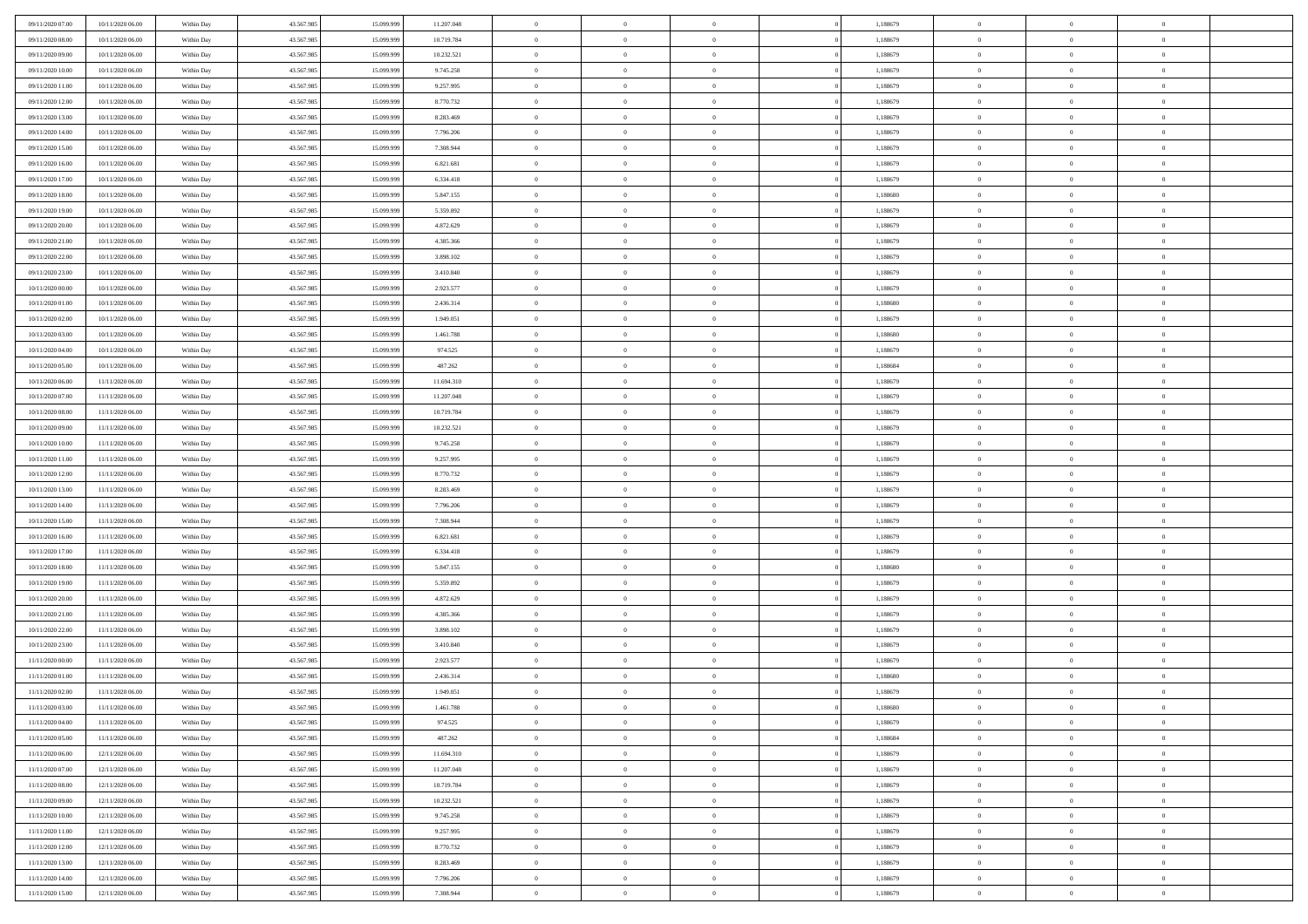| 09/11/2020 07:00 | 10/11/2020 06:00 | Within Day | 43.567.985 | 15.099.999 | 11.207.048 | $\bf{0}$       | $\overline{0}$ | $\overline{0}$             | 1,188679 | $\bf{0}$       | $\overline{0}$ | $\,0\,$        |  |
|------------------|------------------|------------|------------|------------|------------|----------------|----------------|----------------------------|----------|----------------|----------------|----------------|--|
| 09/11/2020 08:00 | 10/11/2020 06:00 | Within Day | 43.567.985 | 15.099.99  | 10.719.784 | $\theta$       | $\overline{0}$ | $\mathbf{0}$               | 1,188679 | $\theta$       | $\overline{0}$ | $\theta$       |  |
| 09/11/2020 09:00 | 10/11/2020 06:00 | Within Dav | 43.567.985 | 15.099.999 | 10.232.521 | $\theta$       | $\overline{0}$ | $\overline{0}$             | 1,188679 | $\mathbf{0}$   | $\overline{0}$ | $\overline{0}$ |  |
| 09/11/2020 10:00 | 10/11/2020 06:00 | Within Day | 43.567.985 | 15.099.999 | 9.745.258  | $\,$ 0 $\,$    | $\overline{0}$ | $\overline{0}$             | 1,188679 | $\bf{0}$       | $\overline{0}$ | $\bf{0}$       |  |
| 09/11/2020 11:00 | 10/11/2020 06:00 | Within Day | 43.567.985 | 15.099.999 | 9.257.995  | $\,$ 0         | $\overline{0}$ | $\mathbf{0}$               | 1,188679 | $\bf{0}$       | $\theta$       | $\,0\,$        |  |
| 09/11/2020 12:00 | 10/11/2020 06:00 | Within Dav | 43.567.985 | 15.099.999 | 8.770.732  | $\theta$       | $\overline{0}$ | $\mathbf{0}$               | 1,188679 | $\mathbf{0}$   | $\overline{0}$ | $\overline{0}$ |  |
| 09/11/2020 13:00 | 10/11/2020 06:00 | Within Day | 43.567.985 | 15.099.999 | 8.283.469  | $\,$ 0 $\,$    | $\overline{0}$ | $\overline{0}$             | 1,188679 | $\bf{0}$       | $\overline{0}$ | $\,0\,$        |  |
|                  |                  |            |            | 15,099,999 |            | $\,$ 0         | $\overline{0}$ | $\mathbf{0}$               |          | $\,$ 0 $\,$    | $\overline{0}$ | $\theta$       |  |
| 09/11/2020 14:00 | 10/11/2020 06:00 | Within Day | 43.567.985 |            | 7.796.206  | $\theta$       |                |                            | 1,188679 | $\mathbf{0}$   |                | $\overline{0}$ |  |
| 09/11/2020 15:00 | 10/11/2020 06:00 | Within Day | 43.567.985 | 15.099.999 | 7.308.944  |                | $\overline{0}$ | $\overline{0}$<br>$\Omega$ | 1,188679 |                | $\overline{0}$ |                |  |
| 09/11/2020 16:00 | 10/11/2020 06:00 | Within Day | 43.567.985 | 15.099.999 | 6.821.681  | $\,$ 0 $\,$    | $\overline{0}$ |                            | 1,188679 | $\bf{0}$       | $\overline{0}$ | $\,0\,$        |  |
| 09/11/2020 17.00 | 10/11/2020 06:00 | Within Day | 43.567.985 | 15,099,999 | 6.334.418  | $\bf{0}$       | $\overline{0}$ | $\mathbf{0}$               | 1,188679 | $\bf{0}$       | $\mathbf{0}$   | $\theta$       |  |
| 09/11/2020 18:00 | 10/11/2020 06:00 | Within Dav | 43.567.985 | 15.099.999 | 5.847.155  | $\theta$       | $\overline{0}$ | $\overline{0}$             | 1,188680 | $\mathbf{0}$   | $\overline{0}$ | $\overline{0}$ |  |
| 09/11/2020 19:00 | 10/11/2020 06:00 | Within Day | 43.567.985 | 15.099.999 | 5.359.892  | $\,$ 0 $\,$    | $\overline{0}$ | $\overline{0}$             | 1,188679 | $\bf{0}$       | $\overline{0}$ | $\bf{0}$       |  |
| 09/11/2020 20:00 | 10/11/2020 06:00 | Within Day | 43.567.985 | 15.099.999 | 4.872.629  | $\,$ 0         | $\overline{0}$ | $\mathbf{0}$               | 1,188679 | $\bf{0}$       | $\theta$       | $\,0\,$        |  |
| 09/11/2020 21:00 | 10/11/2020 06:00 | Within Dav | 43.567.985 | 15.099.999 | 4.385.366  | $\theta$       | $\overline{0}$ | $\mathbf{0}$               | 1,188679 | $\mathbf{0}$   | $\overline{0}$ | $\overline{0}$ |  |
| 09/11/2020 22.00 | 10/11/2020 06:00 | Within Day | 43.567.985 | 15.099.999 | 3.898.102  | $\,$ 0 $\,$    | $\overline{0}$ | $\overline{0}$             | 1,188679 | $\bf{0}$       | $\overline{0}$ | $\bf{0}$       |  |
| 09/11/2020 23.00 | 10/11/2020 06:00 | Within Day | 43.567.985 | 15.099.999 | 3.410.840  | $\,$ 0         | $\overline{0}$ | $\mathbf{0}$               | 1,188679 | $\bf{0}$       | $\overline{0}$ | $\theta$       |  |
| 10/11/2020 00:00 | 10/11/2020 06:00 | Within Day | 43.567.985 | 15.099.999 | 2.923.577  | $\theta$       | $\overline{0}$ | $\mathbf{0}$               | 1,188679 | $\mathbf{0}$   | $\overline{0}$ | $\overline{0}$ |  |
| 10/11/2020 01:00 | 10/11/2020 06:00 | Within Day | 43.567.985 | 15.099.999 | 2.436.314  | $\,$ 0 $\,$    | $\overline{0}$ | $\Omega$                   | 1,188680 | $\bf{0}$       | $\overline{0}$ | $\,0\,$        |  |
| 10/11/2020 02.00 | 10/11/2020 06:00 | Within Day | 43.567.985 | 15.099.999 | 1.949.051  | $\bf{0}$       | $\overline{0}$ | $\mathbf{0}$               | 1,188679 | $\bf{0}$       | $\mathbf{0}$   | $\theta$       |  |
| 10/11/2020 03:00 | 10/11/2020 06:00 | Within Dav | 43.567.985 | 15.099.999 | 1.461.788  | $\theta$       | $\overline{0}$ | $\mathbf{0}$               | 1,188680 | $\mathbf{0}$   | $\overline{0}$ | $\overline{0}$ |  |
| 10/11/2020 04:00 | 10/11/2020 06:00 | Within Day | 43.567.985 | 15.099.999 | 974.525    | $\,$ 0 $\,$    | $\overline{0}$ | $\overline{0}$             | 1,188679 | $\bf{0}$       | $\overline{0}$ | $\bf{0}$       |  |
| 10/11/2020 05:00 | 10/11/2020 06:00 | Within Day | 43.567.985 | 15.099.999 | 487.262    | $\,$ 0         | $\overline{0}$ | $\mathbf{0}$               | 1,188684 | $\,$ 0 $\,$    | $\bf{0}$       | $\,0\,$        |  |
| 10/11/2020 06:00 | 11/11/2020 06:00 | Within Dav | 43.567.985 | 15.099.999 | 11.694.310 | $\theta$       | $\overline{0}$ | $\mathbf{0}$               | 1,188679 | $\mathbf{0}$   | $\overline{0}$ | $\overline{0}$ |  |
| 10/11/2020 07.00 | 11/11/2020 06:00 | Within Day | 43.567.985 | 15.099.999 | 11.207.048 | $\,$ 0 $\,$    | $\overline{0}$ | $\overline{0}$             | 1,188679 | $\bf{0}$       | $\overline{0}$ | $\,0\,$        |  |
| 10/11/2020 08:00 | 11/11/2020 06.00 | Within Day | 43.567.985 | 15,099,999 | 10.719.784 | $\,$ 0         | $\overline{0}$ | $\mathbf{0}$               | 1,188679 | $\bf{0}$       | $\overline{0}$ | $\theta$       |  |
| 10/11/2020 09:00 | 11/11/2020 06:00 | Within Day | 43.567.985 | 15.099.999 | 10.232.521 | $\theta$       | $\overline{0}$ | $\overline{0}$             | 1,188679 | $\mathbf{0}$   | $\bf{0}$       | $\overline{0}$ |  |
| 10/11/2020 10:00 | 11/11/2020 06:00 | Within Day | 43.567.985 | 15.099.999 | 9.745.258  | $\,$ 0 $\,$    | $\overline{0}$ | $\Omega$                   | 1,188679 | $\bf{0}$       | $\overline{0}$ | $\bf{0}$       |  |
| 10/11/2020 11:00 | 11/11/2020 06.00 | Within Day | 43.567.985 | 15,099,999 | 9.257.995  | $\bf{0}$       | $\overline{0}$ | $\mathbf{0}$               | 1,188679 | $\bf{0}$       | $\mathbf{0}$   | $\overline{0}$ |  |
| 10/11/2020 12:00 | 11/11/2020 06:00 | Within Dav | 43.567.985 | 15.099.999 | 8.770.732  | $\theta$       | $\overline{0}$ | $\overline{0}$             | 1,188679 | $\mathbf{0}$   | $\overline{0}$ | $\overline{0}$ |  |
| 10/11/2020 13:00 | 11/11/2020 06:00 | Within Day | 43.567.985 | 15.099.999 | 8.283.469  | $\,$ 0 $\,$    | $\overline{0}$ | $\overline{0}$             | 1,188679 | $\,$ 0         | $\overline{0}$ | $\,$ 0 $\,$    |  |
| 10/11/2020 14:00 | 11/11/2020 06:00 | Within Day | 43.567.985 | 15.099.999 | 7.796.206  | $\,$ 0         | $\overline{0}$ | $\mathbf{0}$               | 1,188679 | $\bf{0}$       | $\mathbf{0}$   | $\bf{0}$       |  |
| 10/11/2020 15:00 | 11/11/2020 06:00 | Within Dav | 43.567.985 | 15.099.999 | 7.308.944  | $\theta$       | $\overline{0}$ | $\mathbf{0}$               | 1,188679 | $\mathbf{0}$   | $\overline{0}$ | $\overline{0}$ |  |
| 10/11/2020 16:00 | 11/11/2020 06:00 | Within Day | 43.567.985 | 15.099.999 | 6.821.681  | $\theta$       | $\overline{0}$ | $\overline{0}$             | 1,188679 | $\,$ 0         | $\overline{0}$ | $\theta$       |  |
| 10/11/2020 17:00 | 11/11/2020 06.00 | Within Day | 43.567.985 | 15,099,999 | 6.334.418  | $\bf{0}$       | $\overline{0}$ | $\mathbf{0}$               | 1,188679 | $\mathbf{0}$   | $\overline{0}$ | $\overline{0}$ |  |
| 10/11/2020 18:00 | 11/11/2020 06:00 | Within Day | 43.567.985 | 15.099.999 | 5.847.155  | $\theta$       | $\overline{0}$ | $\mathbf{0}$               | 1,188680 | $\mathbf{0}$   | $\overline{0}$ | $\overline{0}$ |  |
| 10/11/2020 19:00 | 11/11/2020 06:00 | Within Day | 43.567.985 | 15.099.999 | 5.359.892  | $\theta$       | $\overline{0}$ | $\overline{0}$             | 1,188679 | $\,$ 0         | $\overline{0}$ | $\theta$       |  |
| 10/11/2020 20:00 | 11/11/2020 06.00 | Within Day | 43.567.985 | 15.099.999 | 4.872.629  | $\bf{0}$       | $\overline{0}$ | $\mathbf{0}$               | 1,188679 | $\bf{0}$       | $\mathbf{0}$   | $\bf{0}$       |  |
| 10/11/2020 21:00 | 11/11/2020 06:00 | Within Dav | 43.567.985 | 15.099.999 | 4.385.366  | $\theta$       | $\overline{0}$ | $\overline{0}$             | 1,188679 | $\mathbf{0}$   | $\overline{0}$ | $\overline{0}$ |  |
| 10/11/2020 22.00 | 11/11/2020 06:00 | Within Day | 43.567.985 | 15.099.999 | 3.898.102  | $\,$ 0 $\,$    | $\overline{0}$ | $\overline{0}$             | 1,188679 | $\,$ 0         | $\overline{0}$ | $\,$ 0 $\,$    |  |
| 10/11/2020 23.00 | 11/11/2020 06:00 | Within Day | 43.567.985 | 15.099.999 | 3.410.840  | $\,$ 0         | $\,$ 0 $\,$    | $\overline{0}$             | 1,188679 | $\,$ 0 $\,$    | $\overline{0}$ | $\bf{0}$       |  |
| 11/11/2020 00:00 | 11/11/2020 06:00 | Within Day | 43.567.985 | 15.099.999 | 2.923.577  | $\theta$       | $\overline{0}$ | $\mathbf{0}$               | 1,188679 | $\mathbf{0}$   | $\overline{0}$ | $\overline{0}$ |  |
| 11/11/2020 01:00 | 11/11/2020 06.00 | Within Day | 43.567.985 | 15.099.999 | 2.436.314  | $\theta$       | $\overline{0}$ | $\overline{0}$             | 1,188680 | $\,$ 0         | $\overline{0}$ | $\theta$       |  |
| 11/11/2020 02.00 | 11/11/2020 06.00 | Within Day | 43.567.985 | 15.099.999 | 1.949.051  | $\bf{0}$       | $\,$ 0 $\,$    | $\mathbf{0}$               | 1,188679 | $\bf{0}$       | $\overline{0}$ | $\bf{0}$       |  |
| 11/11/2020 03:00 | 11/11/2020 06:00 | Within Day | 43.567.985 | 15.099.999 | 1.461.788  | $\overline{0}$ | $\theta$       |                            | 1,188680 | $\overline{0}$ | $\theta$       | $\theta$       |  |
|                  |                  |            |            |            |            |                |                |                            |          |                |                |                |  |
| 11/11/2020 04:00 | 11/11/2020 06:00 | Within Day | 43.567.985 | 15.099.999 | 974.525    | $\,$ 0 $\,$    | $\overline{0}$ | $\overline{0}$             | 1,188679 | $\,$ 0 $\,$    | $\bf{0}$       | $\theta$       |  |
| 11/11/2020 05.00 | 11/11/2020 06.00 | Within Day | 43.567.985 | 15.099.999 | 487.262    | $\bf{0}$       | $\,$ 0 $\,$    | $\overline{0}$             | 1,188684 | $\,$ 0 $\,$    | $\overline{0}$ | $\overline{0}$ |  |
| 11/11/2020 06:00 | 12/11/2020 06:00 | Within Day | 43.567.985 | 15.099.999 | 11.694.310 | $\mathbf{0}$   | $\overline{0}$ | $\overline{0}$             | 1,188679 | $\,$ 0 $\,$    | $\bf{0}$       | $\overline{0}$ |  |
| 11/11/2020 07:00 | 12/11/2020 06:00 | Within Day | 43.567.985 | 15.099.999 | 11.207.048 | $\,$ 0 $\,$    | $\overline{0}$ | $\overline{0}$             | 1,188679 | $\,$ 0 $\,$    | $\bf{0}$       | $\,$ 0 $\,$    |  |
| 11/11/2020 08:00 | 12/11/2020 06:00 | Within Day | 43.567.985 | 15.099.999 | 10.719.784 | $\,$ 0 $\,$    | $\,$ 0 $\,$    | $\overline{0}$             | 1,188679 | $\,$ 0 $\,$    | $\overline{0}$ | $\overline{0}$ |  |
| 11/11/2020 09:00 | 12/11/2020 06:00 | Within Day | 43.567.985 | 15.099.999 | 10.232.521 | $\mathbf{0}$   | $\overline{0}$ | $\overline{0}$             | 1,188679 | $\mathbf{0}$   | $\bf{0}$       | $\overline{0}$ |  |
| 11/11/2020 10:00 | 12/11/2020 06:00 | Within Day | 43.567.985 | 15.099.999 | 9.745.258  | $\,$ 0 $\,$    | $\overline{0}$ | $\overline{0}$             | 1,188679 | $\,$ 0 $\,$    | $\bf{0}$       | $\,$ 0 $\,$    |  |
| 11/11/2020 11:00 | 12/11/2020 06.00 | Within Day | 43.567.985 | 15.099.999 | 9.257.995  | $\bf{0}$       | $\,$ 0 $\,$    | $\overline{0}$             | 1,188679 | $\,$ 0 $\,$    | $\overline{0}$ | $\overline{0}$ |  |
| 11/11/2020 12:00 | 12/11/2020 06:00 | Within Day | 43.567.985 | 15.099.999 | 8.770.732  | $\,$ 0 $\,$    | $\overline{0}$ | $\overline{0}$             | 1,188679 | $\,$ 0 $\,$    | $\bf{0}$       | $\overline{0}$ |  |
| 11/11/2020 13:00 | 12/11/2020 06:00 | Within Day | 43.567.985 | 15.099.999 | 8.283.469  | $\,$ 0 $\,$    | $\overline{0}$ | $\overline{0}$             | 1,188679 | $\,$ 0 $\,$    | $\mathbf{0}$   | $\,$ 0 $\,$    |  |
| 11/11/2020 14.00 | 12/11/2020 06.00 | Within Day | 43.567.985 | 15.099.999 | 7.796.206  | $\,$ 0 $\,$    | $\,$ 0 $\,$    | $\overline{0}$             | 1,188679 | $\,$ 0 $\,$    | $\overline{0}$ | $\overline{0}$ |  |
| 11/11/2020 15:00 | 12/11/2020 06:00 | Within Day | 43.567.985 | 15.099.999 | 7.308.944  | $\theta$       | $\overline{0}$ | $\overline{0}$             | 1,188679 | $\mathbf{0}$   | $\overline{0}$ | $\overline{0}$ |  |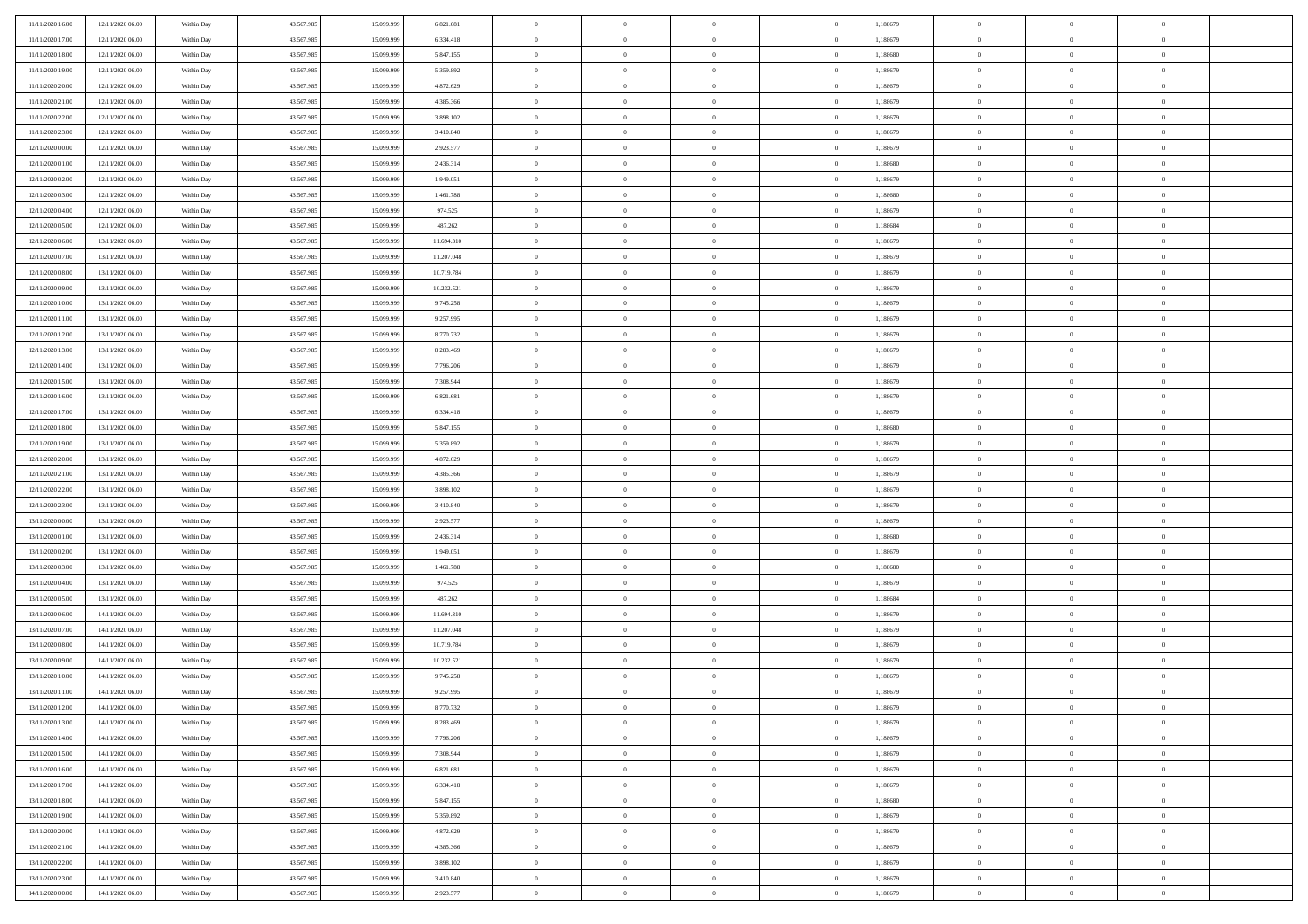| 11/11/2020 16:00 | 12/11/2020 06:00 | Within Day | 43.567.985 | 15.099.999 | 6.821.681  | $\,$ 0 $\,$    | $\overline{0}$ | $\overline{0}$ | 1,188679 | $\bf{0}$       | $\overline{0}$ | $\,0\,$        |  |
|------------------|------------------|------------|------------|------------|------------|----------------|----------------|----------------|----------|----------------|----------------|----------------|--|
| 11/11/2020 17.00 | 12/11/2020 06:00 | Within Day | 43.567.985 | 15.099.99  | 6.334.418  | $\theta$       | $\overline{0}$ | $\mathbf{0}$   | 1,188679 | $\theta$       | $\overline{0}$ | $\theta$       |  |
| 11/11/2020 18:00 | 12/11/2020 06:00 | Within Day | 43.567.985 | 15.099.999 | 5.847.155  | $\theta$       | $\overline{0}$ | $\overline{0}$ | 1,188680 | $\mathbf{0}$   | $\overline{0}$ | $\overline{0}$ |  |
| 11/11/2020 19:00 | 12/11/2020 06:00 | Within Day | 43.567.985 | 15.099.999 | 5.359.892  | $\,$ 0 $\,$    | $\overline{0}$ | $\overline{0}$ | 1,188679 | $\bf{0}$       | $\overline{0}$ | $\bf{0}$       |  |
| 11/11/2020 20:00 | 12/11/2020 06:00 | Within Day | 43.567.985 | 15.099.999 | 4.872.629  | $\,$ 0         | $\overline{0}$ | $\mathbf{0}$   | 1,188679 | $\bf{0}$       | $\bf{0}$       | $\,0\,$        |  |
| 11/11/2020 21:00 | 12/11/2020 06:00 | Within Day | 43.567.985 | 15.099.999 | 4.385.366  | $\theta$       | $\overline{0}$ | $\mathbf{0}$   | 1,188679 | $\mathbf{0}$   | $\overline{0}$ | $\overline{0}$ |  |
|                  |                  |            |            |            |            |                |                |                |          |                |                |                |  |
| 11/11/2020 22.00 | 12/11/2020 06:00 | Within Day | 43.567.985 | 15.099.999 | 3.898.102  | $\,$ 0 $\,$    | $\overline{0}$ | $\overline{0}$ | 1,188679 | $\bf{0}$       | $\overline{0}$ | $\bf{0}$       |  |
| 11/11/2020 23.00 | 12/11/2020 06:00 | Within Day | 43.567.985 | 15.099.999 | 3.410.840  | $\,$ 0         | $\overline{0}$ | $\mathbf{0}$   | 1,188679 | $\,$ 0 $\,$    | $\overline{0}$ | $\theta$       |  |
| 12/11/2020 00:00 | 12/11/2020 06:00 | Within Day | 43.567.985 | 15.099.999 | 2.923.577  | $\theta$       | $\overline{0}$ | $\mathbf{0}$   | 1,188679 | $\mathbf{0}$   | $\overline{0}$ | $\overline{0}$ |  |
| 12/11/2020 01:00 | 12/11/2020 06:00 | Within Day | 43.567.985 | 15.099.999 | 2.436.314  | $\,$ 0 $\,$    | $\overline{0}$ | $\Omega$       | 1,188680 | $\bf{0}$       | $\overline{0}$ | $\bf{0}$       |  |
| 12/11/2020 02.00 | 12/11/2020 06:00 | Within Day | 43.567.985 | 15.099.999 | 1.949.051  | $\bf{0}$       | $\overline{0}$ | $\mathbf{0}$   | 1,188679 | $\bf{0}$       | $\mathbf{0}$   | $\theta$       |  |
| 12/11/2020 03:00 | 12/11/2020 06:00 | Within Day | 43.567.985 | 15.099.999 | 1.461.788  | $\theta$       | $\overline{0}$ | $\overline{0}$ | 1,188680 | $\mathbf{0}$   | $\overline{0}$ | $\overline{0}$ |  |
| 12/11/2020 04:00 | 12/11/2020 06:00 | Within Day | 43.567.985 | 15.099.999 | 974.525    | $\,$ 0 $\,$    | $\overline{0}$ | $\overline{0}$ | 1,188679 | $\bf{0}$       | $\overline{0}$ | $\bf{0}$       |  |
| 12/11/2020 05:00 | 12/11/2020 06:00 | Within Day | 43.567.985 | 15.099.999 | 487.262    | $\,$ 0         | $\overline{0}$ | $\mathbf{0}$   | 1,188684 | $\bf{0}$       | $\theta$       | $\,0\,$        |  |
| 12/11/2020 06:00 | 13/11/2020 06:00 | Within Day | 43.567.985 | 15.099.999 | 11.694.310 | $\theta$       | $\overline{0}$ | $\mathbf{0}$   | 1,188679 | $\mathbf{0}$   | $\overline{0}$ | $\overline{0}$ |  |
| 12/11/2020 07.00 | 13/11/2020 06.00 | Within Day | 43.567.985 | 15.099.999 | 11.207.048 | $\,$ 0 $\,$    | $\overline{0}$ | $\Omega$       | 1,188679 | $\bf{0}$       | $\overline{0}$ | $\bf{0}$       |  |
| 12/11/2020 08:00 | 13/11/2020 06.00 | Within Day | 43.567.985 | 15.099.999 | 10.719.784 | $\,$ 0 $\,$    | $\overline{0}$ | $\mathbf{0}$   | 1,188679 | $\,$ 0 $\,$    | $\overline{0}$ | $\theta$       |  |
| 12/11/2020 09:00 | 13/11/2020 06:00 | Within Day | 43.567.985 | 15.099.999 | 10.232.521 | $\theta$       | $\overline{0}$ | $\mathbf{0}$   | 1,188679 | $\mathbf{0}$   | $\overline{0}$ | $\overline{0}$ |  |
| 12/11/2020 10:00 | 13/11/2020 06:00 | Within Day | 43.567.985 | 15.099.999 | 9.745.258  | $\,$ 0 $\,$    | $\overline{0}$ | $\overline{0}$ | 1,188679 | $\bf{0}$       | $\overline{0}$ | $\,0\,$        |  |
| 12/11/2020 11:00 | 13/11/2020 06.00 | Within Day | 43.567.985 | 15.099.999 | 9.257.995  | $\bf{0}$       | $\overline{0}$ | $\mathbf{0}$   | 1,188679 | $\bf{0}$       | $\mathbf{0}$   | $\bf{0}$       |  |
| 12/11/2020 12:00 | 13/11/2020 06:00 | Within Day | 43.567.985 | 15.099.999 | 8.770.732  | $\theta$       | $\overline{0}$ | $\mathbf{0}$   | 1,188679 | $\mathbf{0}$   | $\overline{0}$ | $\overline{0}$ |  |
| 12/11/2020 13:00 | 13/11/2020 06:00 | Within Day | 43.567.985 | 15.099.999 | 8.283.469  | $\,$ 0 $\,$    | $\overline{0}$ | $\overline{0}$ | 1,188679 | $\bf{0}$       | $\overline{0}$ | $\bf{0}$       |  |
| 12/11/2020 14:00 | 13/11/2020 06:00 | Within Day | 43.567.985 | 15.099.999 | 7.796.206  | $\,$ 0         | $\overline{0}$ | $\mathbf{0}$   | 1,188679 | $\,$ 0 $\,$    | $\overline{0}$ | $\,0\,$        |  |
| 12/11/2020 15:00 | 13/11/2020 06:00 | Within Day | 43.567.985 | 15.099.999 | 7.308.944  | $\theta$       | $\overline{0}$ | $\mathbf{0}$   | 1,188679 | $\mathbf{0}$   | $\overline{0}$ | $\overline{0}$ |  |
| 12/11/2020 16:00 | 13/11/2020 06:00 | Within Day | 43.567.985 | 15.099.999 | 6.821.681  | $\,$ 0 $\,$    | $\overline{0}$ | $\overline{0}$ | 1,188679 | $\bf{0}$       | $\overline{0}$ | $\bf{0}$       |  |
| 12/11/2020 17:00 | 13/11/2020 06.00 | Within Day | 43.567.985 | 15.099.999 | 6.334.418  | $\,$ 0 $\,$    | $\overline{0}$ | $\mathbf{0}$   | 1,188679 | $\mathbf{0}$   | $\overline{0}$ | $\theta$       |  |
| 12/11/2020 18:00 | 13/11/2020 06:00 | Within Day | 43.567.985 | 15.099.999 | 5.847.155  | $\theta$       | $\overline{0}$ | $\overline{0}$ | 1,188680 | $\mathbf{0}$   | $\overline{0}$ | $\overline{0}$ |  |
| 12/11/2020 19:00 | 13/11/2020 06:00 | Within Day | 43.567.985 | 15.099.999 | 5.359.892  | $\,$ 0 $\,$    | $\overline{0}$ | $\Omega$       | 1,188679 | $\bf{0}$       | $\overline{0}$ | $\bf{0}$       |  |
| 12/11/2020 20:00 | 13/11/2020 06.00 | Within Day | 43.567.985 | 15,099,999 | 4.872.629  | $\bf{0}$       | $\overline{0}$ | $\mathbf{0}$   | 1,188679 | $\bf{0}$       | $\mathbf{0}$   | $\overline{0}$ |  |
| 12/11/2020 21:00 | 13/11/2020 06:00 | Within Day | 43.567.985 | 15.099.999 | 4.385.366  | $\theta$       | $\overline{0}$ | $\overline{0}$ | 1,188679 | $\mathbf{0}$   | $\overline{0}$ | $\overline{0}$ |  |
| 12/11/2020 22.00 | 13/11/2020 06:00 | Within Day | 43.567.985 | 15.099.999 | 3.898.102  | $\,$ 0 $\,$    | $\overline{0}$ | $\overline{0}$ | 1,188679 | $\,$ 0         | $\overline{0}$ | $\,$ 0 $\,$    |  |
| 12/11/2020 23.00 | 13/11/2020 06:00 | Within Day | 43.567.985 | 15.099.999 | 3.410.840  | $\,$ 0         | $\overline{0}$ | $\mathbf{0}$   | 1,188679 | $\bf{0}$       | $\overline{0}$ | $\overline{0}$ |  |
| 13/11/2020 00:00 | 13/11/2020 06:00 | Within Day | 43.567.985 | 15.099.999 | 2.923.577  | $\theta$       | $\overline{0}$ | $\mathbf{0}$   | 1,188679 | $\mathbf{0}$   | $\overline{0}$ | $\overline{0}$ |  |
| 13/11/2020 01:00 | 13/11/2020 06:00 | Within Day | 43.567.985 | 15.099.999 | 2.436.314  | $\theta$       | $\overline{0}$ | $\overline{0}$ | 1,188680 | $\,$ 0         | $\overline{0}$ | $\theta$       |  |
| 13/11/2020 02:00 | 13/11/2020 06.00 | Within Day | 43.567.985 | 15,099,999 | 1.949.051  | $\,$ 0 $\,$    | $\overline{0}$ | $\mathbf{0}$   | 1,188679 | $\mathbf{0}$   | $\overline{0}$ | $\overline{0}$ |  |
| 13/11/2020 03:00 | 13/11/2020 06:00 | Within Day | 43.567.985 | 15.099.999 | 1.461.788  | $\theta$       | $\overline{0}$ | $\mathbf{0}$   | 1,188680 | $\mathbf{0}$   | $\overline{0}$ | $\overline{0}$ |  |
| 13/11/2020 04:00 | 13/11/2020 06:00 | Within Day | 43.567.985 | 15.099.999 | 974.525    | $\theta$       | $\overline{0}$ | $\overline{0}$ | 1,188679 | $\,$ 0         | $\overline{0}$ | $\theta$       |  |
| 13/11/2020 05:00 | 13/11/2020 06.00 | Within Day | 43.567.985 | 15.099.999 | 487.262    | $\bf{0}$       | $\overline{0}$ | $\mathbf{0}$   | 1,188684 | $\bf{0}$       | $\mathbf{0}$   | $\overline{0}$ |  |
| 13/11/2020 06:00 | 14/11/2020 06:00 | Within Day | 43.567.985 | 15.099.999 | 11.694.310 | $\theta$       | $\overline{0}$ | $\overline{0}$ | 1,188679 | $\mathbf{0}$   | $\overline{0}$ | $\overline{0}$ |  |
| 13/11/2020 07:00 | 14/11/2020 06:00 | Within Day | 43.567.985 | 15.099.999 | 11.207.048 | $\,$ 0 $\,$    | $\overline{0}$ | $\overline{0}$ | 1,188679 | $\,$ 0         | $\overline{0}$ | $\,$ 0 $\,$    |  |
| 13/11/2020 08:00 | 14/11/2020 06:00 | Within Day | 43.567.985 | 15.099.999 | 10.719.784 | $\,$ 0 $\,$    | $\,$ 0 $\,$    | $\overline{0}$ | 1,188679 | $\,$ 0 $\,$    | $\overline{0}$ | $\overline{0}$ |  |
| 13/11/2020 09:00 | 14/11/2020 06:00 | Within Day | 43.567.985 | 15.099.999 | 10.232.521 | $\theta$       | $\overline{0}$ | $\mathbf{0}$   | 1,188679 | $\mathbf{0}$   | $\overline{0}$ | $\overline{0}$ |  |
| 13/11/2020 10:00 | 14/11/2020 06.00 | Within Day | 43.567.985 | 15.099.999 | 9.745.258  | $\theta$       | $\overline{0}$ | $\overline{0}$ | 1,188679 | $\,$ 0         | $\overline{0}$ | $\theta$       |  |
| 13/11/2020 11:00 | 14/11/2020 06.00 | Within Day | 43.567.985 | 15.099.999 | 9.257.995  | $\,$ 0         | $\,$ 0 $\,$    | $\mathbf{0}$   | 1,188679 | $\bf{0}$       | $\overline{0}$ | $\overline{0}$ |  |
| 13/11/2020 12:00 | 14/11/2020 06:00 | Within Day | 43.567.985 | 15.099.999 | 8.770.732  | $\overline{0}$ | $\theta$       |                | 1,188679 | $\overline{0}$ | $\theta$       | $\theta$       |  |
| 13/11/2020 13:00 | 14/11/2020 06:00 | Within Day | 43.567.985 | 15.099.999 | 8.283.469  | $\,$ 0 $\,$    | $\overline{0}$ | $\overline{0}$ | 1,188679 | $\,$ 0 $\,$    | $\bf{0}$       | $\theta$       |  |
| 13/11/2020 14.00 | 14/11/2020 06.00 | Within Day | 43.567.985 | 15.099.999 | 7.796.206  | $\overline{0}$ | $\,$ 0 $\,$    | $\overline{0}$ | 1,188679 | $\,$ 0 $\,$    | $\overline{0}$ | $\overline{0}$ |  |
| 13/11/2020 15:00 | 14/11/2020 06:00 | Within Day | 43.567.985 | 15.099.999 | 7.308.944  | $\overline{0}$ | $\overline{0}$ | $\overline{0}$ | 1,188679 | $\,$ 0 $\,$    | $\bf{0}$       | $\mathbf{0}$   |  |
|                  |                  |            |            |            |            |                |                |                |          |                |                |                |  |
| 13/11/2020 16:00 | 14/11/2020 06:00 | Within Day | 43.567.985 | 15.099.999 | 6.821.681  | $\,$ 0 $\,$    | $\overline{0}$ | $\overline{0}$ | 1,188679 | $\,$ 0 $\,$    | $\bf{0}$       | $\,$ 0 $\,$    |  |
| 13/11/2020 17:00 | 14/11/2020 06.00 | Within Day | 43.567.985 | 15.099.999 | 6.334.418  | $\,$ 0 $\,$    | $\,$ 0 $\,$    | $\overline{0}$ | 1,188679 | $\,$ 0 $\,$    | $\overline{0}$ | $\overline{0}$ |  |
| 13/11/2020 18:00 | 14/11/2020 06:00 | Within Day | 43.567.985 | 15.099.999 | 5.847.155  | $\overline{0}$ | $\overline{0}$ | $\overline{0}$ | 1,188680 | $\mathbf{0}$   | $\overline{0}$ | $\overline{0}$ |  |
| 13/11/2020 19:00 | 14/11/2020 06:00 | Within Day | 43.567.985 | 15.099.999 | 5.359.892  | $\,$ 0 $\,$    | $\overline{0}$ | $\overline{0}$ | 1,188679 | $\,$ 0 $\,$    | $\overline{0}$ | $\,$ 0 $\,$    |  |
| 13/11/2020 20:00 | 14/11/2020 06.00 | Within Day | 43.567.985 | 15.099.999 | 4.872.629  | $\bf{0}$       | $\,$ 0 $\,$    | $\overline{0}$ | 1,188679 | $\,$ 0 $\,$    | $\overline{0}$ | $\overline{0}$ |  |
| 13/11/2020 21:00 | 14/11/2020 06:00 | Within Day | 43.567.985 | 15.099.999 | 4.385.366  | $\,$ 0 $\,$    | $\overline{0}$ | $\overline{0}$ | 1,188679 | $\mathbf{0}$   | $\bf{0}$       | $\overline{0}$ |  |
| 13/11/2020 22:00 | 14/11/2020 06:00 | Within Day | 43.567.985 | 15.099.999 | 3.898.102  | $\,$ 0 $\,$    | $\overline{0}$ | $\overline{0}$ | 1,188679 | $\,$ 0 $\,$    | $\mathbf{0}$   | $\,$ 0 $\,$    |  |
| 13/11/2020 23.00 | 14/11/2020 06.00 | Within Day | 43.567.985 | 15.099.999 | 3.410.840  | $\,$ 0 $\,$    | $\,$ 0 $\,$    | $\overline{0}$ | 1,188679 | $\,$ 0 $\,$    | $\overline{0}$ | $\overline{0}$ |  |
| 14/11/2020 00:00 | 14/11/2020 06:00 | Within Day | 43.567.985 | 15.099.999 | 2.923.577  | $\theta$       | $\overline{0}$ | $\overline{0}$ | 1,188679 | $\mathbf{0}$   | $\overline{0}$ | $\overline{0}$ |  |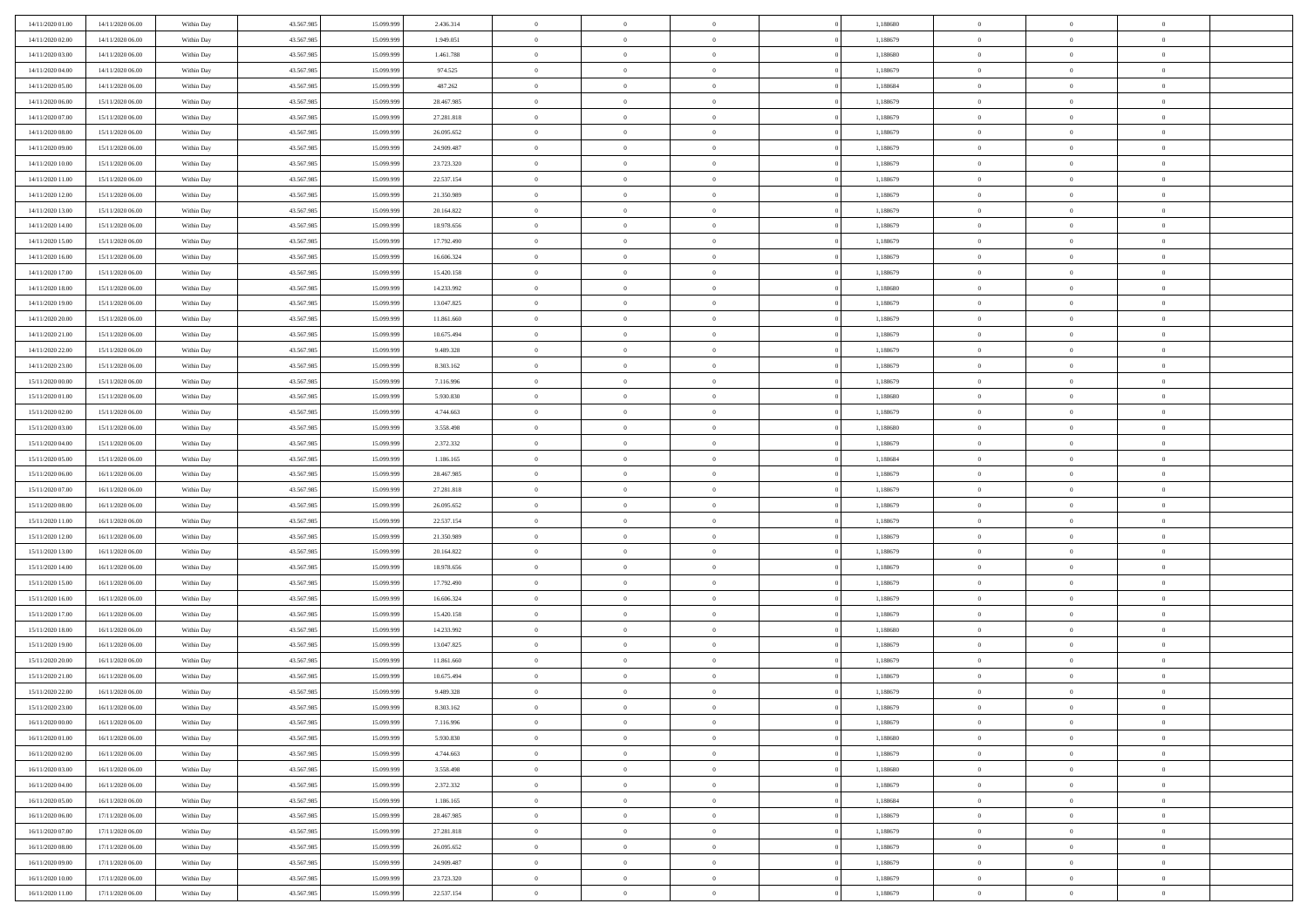| 14/11/2020 01:00                     | 14/11/2020 06:00                     | Within Day               | 43.567.985 | 15.099.999 | 2.436.314  | $\,$ 0 $\,$    | $\overline{0}$ | $\overline{0}$                 | 1,188680 | $\bf{0}$       | $\overline{0}$ | $\,0\,$        |  |
|--------------------------------------|--------------------------------------|--------------------------|------------|------------|------------|----------------|----------------|--------------------------------|----------|----------------|----------------|----------------|--|
| 14/11/2020 02.00                     | 14/11/2020 06.00                     | Within Day               | 43.567.985 | 15.099.99  | 1.949.051  | $\theta$       | $\overline{0}$ | $\mathbf{0}$                   | 1,188679 | $\theta$       | $\overline{0}$ | $\theta$       |  |
| 14/11/2020 03:00                     | 14/11/2020 06:00                     | Within Day               | 43.567.985 | 15.099.999 | 1.461.788  | $\theta$       | $\overline{0}$ | $\overline{0}$                 | 1,188680 | $\mathbf{0}$   | $\overline{0}$ | $\overline{0}$ |  |
| 14/11/2020 04:00                     | 14/11/2020 06.00                     | Within Day               | 43.567.985 | 15.099.999 | 974.525    | $\,$ 0 $\,$    | $\overline{0}$ | $\overline{0}$                 | 1,188679 | $\bf{0}$       | $\overline{0}$ | $\bf{0}$       |  |
| 14/11/2020 05:00                     | 14/11/2020 06:00                     | Within Day               | 43.567.985 | 15.099.999 | 487.262    | $\bf{0}$       | $\overline{0}$ | $\mathbf{0}$                   | 1,188684 | $\bf{0}$       | $\theta$       | $\,0\,$        |  |
| 14/11/2020 06:00                     | 15/11/2020 06:00                     | Within Day               | 43.567.985 | 15.099.999 | 28.467.985 | $\theta$       | $\overline{0}$ | $\mathbf{0}$                   | 1,188679 | $\mathbf{0}$   | $\overline{0}$ | $\overline{0}$ |  |
| 14/11/2020 07.00                     | 15/11/2020 06:00                     | Within Day               | 43.567.985 | 15.099.999 | 27.281.818 | $\,$ 0 $\,$    | $\overline{0}$ | $\overline{0}$                 | 1,188679 | $\bf{0}$       | $\overline{0}$ | $\,0\,$        |  |
| 14/11/2020 08:00                     | 15/11/2020 06:00                     | Within Day               | 43.567.985 | 15.099.999 | 26.095.652 | $\overline{0}$ | $\overline{0}$ | $\mathbf{0}$                   | 1,188679 | $\,$ 0 $\,$    | $\overline{0}$ | $\theta$       |  |
| 14/11/2020 09:00                     | 15/11/2020 06:00                     | Within Day               | 43.567.985 | 15.099.999 | 24.909.487 | $\theta$       | $\overline{0}$ | $\overline{0}$                 | 1,188679 | $\mathbf{0}$   | $\overline{0}$ | $\overline{0}$ |  |
| 14/11/2020 10:00                     | 15/11/2020 06.00                     | Within Day               | 43.567.985 | 15.099.999 | 23.723.320 | $\,$ 0 $\,$    | $\overline{0}$ | $\Omega$                       | 1,188679 | $\bf{0}$       | $\overline{0}$ | $\,0\,$        |  |
|                                      | 15/11/2020 06:00                     | Within Day               | 43.567.985 | 15,099,999 | 22.537.154 | $\bf{0}$       | $\overline{0}$ | $\mathbf{0}$                   | 1,188679 | $\bf{0}$       | $\mathbf{0}$   | $\theta$       |  |
| 14/11/2020 11:00<br>14/11/2020 12:00 | 15/11/2020 06:00                     | Within Day               | 43.567.985 | 15.099.999 | 21.350.989 | $\theta$       | $\overline{0}$ | $\overline{0}$                 | 1,188679 | $\mathbf{0}$   | $\overline{0}$ | $\overline{0}$ |  |
| 14/11/2020 13:00                     | 15/11/2020 06:00                     |                          | 43.567.985 | 15.099.999 | 20.164.822 | $\,$ 0 $\,$    | $\overline{0}$ | $\overline{0}$                 | 1,188679 | $\bf{0}$       | $\overline{0}$ | $\bf{0}$       |  |
|                                      |                                      | Within Day               | 43.567.985 | 15.099.999 | 18.978.656 | $\bf{0}$       | $\overline{0}$ | $\mathbf{0}$                   | 1,188679 | $\bf{0}$       | $\theta$       | $\,0\,$        |  |
| 14/11/2020 14:00<br>14/11/2020 15:00 | 15/11/2020 06:00<br>15/11/2020 06:00 | Within Day<br>Within Day | 43.567.985 | 15.099.999 | 17.792.490 | $\theta$       | $\overline{0}$ |                                | 1,188679 | $\mathbf{0}$   | $\overline{0}$ | $\overline{0}$ |  |
|                                      |                                      |                          |            |            |            |                |                | $\mathbf{0}$<br>$\overline{0}$ |          |                | $\overline{0}$ |                |  |
| 14/11/2020 16:00                     | 15/11/2020 06:00                     | Within Day               | 43.567.985 | 15.099.999 | 16.606.324 | $\,$ 0 $\,$    | $\overline{0}$ |                                | 1,188679 | $\bf{0}$       | $\overline{0}$ | $\bf{0}$       |  |
| 14/11/2020 17.00                     | 15/11/2020 06:00                     | Within Day               | 43.567.985 | 15.099.999 | 15.420.158 | $\,$ 0         | $\overline{0}$ | $\mathbf{0}$                   | 1,188679 | $\bf{0}$       |                | $\theta$       |  |
| 14/11/2020 18:00                     | 15/11/2020 06:00                     | Within Day               | 43.567.985 | 15.099.999 | 14.233.992 | $\theta$       | $\overline{0}$ | $\mathbf{0}$                   | 1,188680 | $\mathbf{0}$   | $\overline{0}$ | $\overline{0}$ |  |
| 14/11/2020 19:00                     | 15/11/2020 06:00                     | Within Day               | 43.567.985 | 15.099.999 | 13.047.825 | $\,$ 0 $\,$    | $\overline{0}$ | $\Omega$                       | 1,188679 | $\bf{0}$       | $\overline{0}$ | $\,0\,$        |  |
| 14/11/2020 20:00                     | 15/11/2020 06:00                     | Within Day               | 43.567.985 | 15.099.999 | 11.861.660 | $\bf{0}$       | $\overline{0}$ | $\mathbf{0}$                   | 1,188679 | $\bf{0}$       | $\mathbf{0}$   | $\theta$       |  |
| 14/11/2020 21:00                     | 15/11/2020 06:00                     | Within Day               | 43.567.985 | 15.099.999 | 10.675.494 | $\theta$       | $\overline{0}$ | $\mathbf{0}$                   | 1,188679 | $\mathbf{0}$   | $\overline{0}$ | $\overline{0}$ |  |
| 14/11/2020 22.00                     | 15/11/2020 06:00                     | Within Day               | 43.567.985 | 15.099.999 | 9.489.328  | $\,$ 0 $\,$    | $\overline{0}$ | $\overline{0}$                 | 1,188679 | $\bf{0}$       | $\overline{0}$ | $\bf{0}$       |  |
| 14/11/2020 23.00                     | 15/11/2020 06:00                     | Within Day               | 43.567.985 | 15.099.999 | 8.303.162  | $\,$ 0         | $\overline{0}$ | $\mathbf{0}$                   | 1,188679 | $\bf{0}$       | $\bf{0}$       | $\,0\,$        |  |
| 15/11/2020 00:00                     | 15/11/2020 06:00                     | Within Dav               | 43.567.985 | 15.099.999 | 7.116.996  | $\theta$       | $\overline{0}$ | $\mathbf{0}$                   | 1,188679 | $\mathbf{0}$   | $\overline{0}$ | $\overline{0}$ |  |
| 15/11/2020 01:00                     | 15/11/2020 06:00                     | Within Day               | 43.567.985 | 15.099.999 | 5.930.830  | $\,$ 0 $\,$    | $\overline{0}$ | $\overline{0}$                 | 1,188680 | $\bf{0}$       | $\overline{0}$ | $\,0\,$        |  |
| 15/11/2020 02.00                     | 15/11/2020 06:00                     | Within Day               | 43.567.985 | 15,099,999 | 4.744.663  | $\,$ 0         | $\overline{0}$ | $\mathbf{0}$                   | 1,188679 | $\bf{0}$       | $\overline{0}$ | $\theta$       |  |
| 15/11/2020 03:00                     | 15/11/2020 06:00                     | Within Day               | 43.567.985 | 15.099.999 | 3.558.498  | $\theta$       | $\overline{0}$ | $\overline{0}$                 | 1,188680 | $\mathbf{0}$   | $\overline{0}$ | $\overline{0}$ |  |
| 15/11/2020 04:00                     | 15/11/2020 06:00                     | Within Day               | 43.567.985 | 15.099.999 | 2.372.332  | $\,$ 0 $\,$    | $\overline{0}$ | $\Omega$                       | 1,188679 | $\bf{0}$       | $\overline{0}$ | $\bf{0}$       |  |
| 15/11/2020 05:00                     | 15/11/2020 06:00                     | Within Day               | 43.567.985 | 15.099.999 | 1.186.165  | $\bf{0}$       | $\overline{0}$ | $\mathbf{0}$                   | 1,188684 | $\bf{0}$       | $\mathbf{0}$   | $\overline{0}$ |  |
| 15/11/2020 06:00                     | 16/11/2020 06:00                     | Within Dav               | 43.567.985 | 15.099.999 | 28.467.985 | $\theta$       | $\overline{0}$ | $\overline{0}$                 | 1,188679 | $\mathbf{0}$   | $\overline{0}$ | $\overline{0}$ |  |
| 15/11/2020 07:00                     | 16/11/2020 06:00                     | Within Day               | 43.567.985 | 15.099.999 | 27.281.818 | $\theta$       | $\overline{0}$ | $\overline{0}$                 | 1,188679 | $\,$ 0         | $\overline{0}$ | $\,$ 0 $\,$    |  |
| 15/11/2020 08:00                     | 16/11/2020 06:00                     | Within Day               | 43.567.985 | 15.099.999 | 26.095.652 | $\,$ 0         | $\overline{0}$ | $\mathbf{0}$                   | 1,188679 | $\bf{0}$       | $\mathbf{0}$   | $\bf{0}$       |  |
| 15/11/2020 11:00                     | 16/11/2020 06:00                     | Within Dav               | 43.567.985 | 15.099.999 | 22.537.154 | $\theta$       | $\overline{0}$ | $\mathbf{0}$                   | 1,188679 | $\mathbf{0}$   | $\overline{0}$ | $\overline{0}$ |  |
| 15/11/2020 12:00                     | 16/11/2020 06:00                     | Within Day               | 43.567.985 | 15.099.999 | 21.350.989 | $\theta$       | $\overline{0}$ | $\overline{0}$                 | 1,188679 | $\,$ 0         | $\overline{0}$ | $\theta$       |  |
| 15/11/2020 13:00                     | 16/11/2020 06:00                     | Within Day               | 43.567.985 | 15.099.999 | 20.164.822 | $\bf{0}$       | $\overline{0}$ | $\mathbf{0}$                   | 1,188679 | $\mathbf{0}$   | $\overline{0}$ | $\overline{0}$ |  |
| 15/11/2020 14:00                     | 16/11/2020 06:00                     | Within Day               | 43.567.985 | 15.099.999 | 18.978.656 | $\theta$       | $\overline{0}$ | $\mathbf{0}$                   | 1,188679 | $\mathbf{0}$   | $\overline{0}$ | $\overline{0}$ |  |
| 15/11/2020 15:00                     | 16/11/2020 06:00                     | Within Day               | 43.567.985 | 15.099.999 | 17.792.490 | $\theta$       | $\overline{0}$ | $\overline{0}$                 | 1,188679 | $\,$ 0         | $\overline{0}$ | $\theta$       |  |
| 15/11/2020 16:00                     | 16/11/2020 06:00                     | Within Day               | 43.567.985 | 15.099.999 | 16.606.324 | $\bf{0}$       | $\overline{0}$ | $\mathbf{0}$                   | 1,188679 | $\bf{0}$       | $\mathbf{0}$   | $\bf{0}$       |  |
| 15/11/2020 17:00                     | 16/11/2020 06:00                     | Within Dav               | 43.567.985 | 15.099.999 | 15.420.158 | $\theta$       | $\overline{0}$ | $\overline{0}$                 | 1,188679 | $\mathbf{0}$   | $\overline{0}$ | $\overline{0}$ |  |
| 15/11/2020 18:00                     | 16/11/2020 06:00                     | Within Day               | 43.567.985 | 15.099.999 | 14.233.992 | $\,$ 0 $\,$    | $\overline{0}$ | $\overline{0}$                 | 1,188680 | $\,$ 0         | $\overline{0}$ | $\,$ 0 $\,$    |  |
| 15/11/2020 19:00                     | 16/11/2020 06:00                     | Within Day               | 43.567.985 | 15.099.999 | 13.047.825 | $\,$ 0         | $\,$ 0 $\,$    | $\overline{0}$                 | 1,188679 | $\,$ 0 $\,$    | $\overline{0}$ | $\bf{0}$       |  |
| 15/11/2020 20:00                     | 16/11/2020 06:00                     | Within Dav               | 43.567.985 | 15.099.999 | 11.861.660 | $\theta$       | $\overline{0}$ | $\mathbf{0}$                   | 1,188679 | $\mathbf{0}$   | $\overline{0}$ | $\theta$       |  |
| 15/11/2020 21:00                     | 16/11/2020 06.00                     | Within Day               | 43.567.985 | 15.099.999 | 10.675.494 | $\overline{0}$ | $\overline{0}$ | $\overline{0}$                 | 1,188679 | $\,$ 0         | $\overline{0}$ | $\theta$       |  |
| 15/11/2020 22.00                     | 16/11/2020 06.00                     | Within Day               | 43.567.985 | 15.099.999 | 9.489.328  | $\bf{0}$       | $\,$ 0 $\,$    | $\mathbf{0}$                   | 1,188679 | $\bf{0}$       | $\overline{0}$ | $\bf{0}$       |  |
| 15/11/2020 23.00                     | 16/11/2020 06:00                     | Within Day               | 43.567.985 | 15.099.999 | 8.303.162  | $\overline{0}$ | $\theta$       |                                | 1,188679 | $\overline{0}$ | $\theta$       | $\theta$       |  |
| 16/11/2020 00:00                     | 16/11/2020 06:00                     | Within Day               | 43.567.985 | 15.099.999 | 7.116.996  | $\,$ 0 $\,$    | $\overline{0}$ | $\overline{0}$                 | 1,188679 | $\,$ 0 $\,$    | $\bf{0}$       | $\theta$       |  |
| 16/11/2020 01:00                     | 16/11/2020 06:00                     | Within Day               | 43.567.985 | 15.099.999 | 5.930.830  | $\bf{0}$       | $\,$ 0 $\,$    | $\overline{0}$                 | 1,188680 | $\,$ 0 $\,$    | $\overline{0}$ | $\overline{0}$ |  |
| 16/11/2020 02.00                     | 16/11/2020 06:00                     | Within Day               | 43.567.985 | 15.099.999 | 4.744.663  | $\mathbf{0}$   | $\overline{0}$ | $\overline{0}$                 | 1,188679 | $\,$ 0 $\,$    | $\bf{0}$       | $\mathbf{0}$   |  |
| 16/11/2020 03:00                     | 16/11/2020 06:00                     | Within Day               | 43.567.985 | 15.099.999 | 3.558.498  | $\,$ 0 $\,$    | $\overline{0}$ | $\overline{0}$                 | 1,188680 | $\,$ 0 $\,$    | $\bf{0}$       | $\,$ 0 $\,$    |  |
| 16/11/2020 04:00                     | 16/11/2020 06:00                     | Within Day               | 43.567.985 | 15.099.999 | 2.372.332  | $\,$ 0 $\,$    | $\,$ 0 $\,$    | $\overline{0}$                 | 1,188679 | $\,$ 0 $\,$    | $\overline{0}$ | $\overline{0}$ |  |
| 16/11/2020 05:00                     | 16/11/2020 06:00                     | Within Day               | 43.567.985 | 15.099.999 | 1.186.165  | $\mathbf{0}$   | $\overline{0}$ | $\overline{0}$                 | 1,188684 | $\mathbf{0}$   | $\bf{0}$       | $\overline{0}$ |  |
| 16/11/2020 06:00                     | 17/11/2020 06:00                     | Within Day               | 43.567.985 | 15.099.999 | 28.467.985 | $\,$ 0 $\,$    | $\overline{0}$ | $\overline{0}$                 | 1,188679 | $\,$ 0 $\,$    | $\mathbf{0}$   | $\,$ 0 $\,$    |  |
| 16/11/2020 07:00                     | 17/11/2020 06.00                     | Within Day               | 43.567.985 | 15.099.999 | 27.281.818 | $\bf{0}$       | $\,$ 0 $\,$    | $\overline{0}$                 | 1,188679 | $\,$ 0 $\,$    | $\overline{0}$ | $\overline{0}$ |  |
| 16/11/2020 08:00                     | 17/11/2020 06:00                     | Within Day               | 43.567.985 | 15.099.999 | 26.095.652 | $\,$ 0 $\,$    | $\overline{0}$ | $\overline{0}$                 | 1,188679 | $\mathbf{0}$   | $\bf{0}$       | $\overline{0}$ |  |
| 16/11/2020 09:00                     | 17/11/2020 06:00                     | Within Day               | 43.567.985 | 15.099.999 | 24.909.487 | $\,$ 0 $\,$    | $\overline{0}$ | $\overline{0}$                 | 1,188679 | $\,$ 0 $\,$    | $\mathbf{0}$   | $\,$ 0 $\,$    |  |
| 16/11/2020 10:00                     | 17/11/2020 06.00                     | Within Day               | 43.567.985 | 15.099.999 | 23.723.320 | $\,$ 0 $\,$    | $\,$ 0 $\,$    | $\overline{0}$                 | 1,188679 | $\,$ 0 $\,$    | $\overline{0}$ | $\overline{0}$ |  |
| 16/11/2020 11:00                     | 17/11/2020 06:00                     | Within Day               | 43.567.985 | 15.099.999 | 22.537.154 | $\theta$       | $\overline{0}$ | $\overline{0}$                 | 1,188679 | $\mathbf{0}$   | $\overline{0}$ | $\overline{0}$ |  |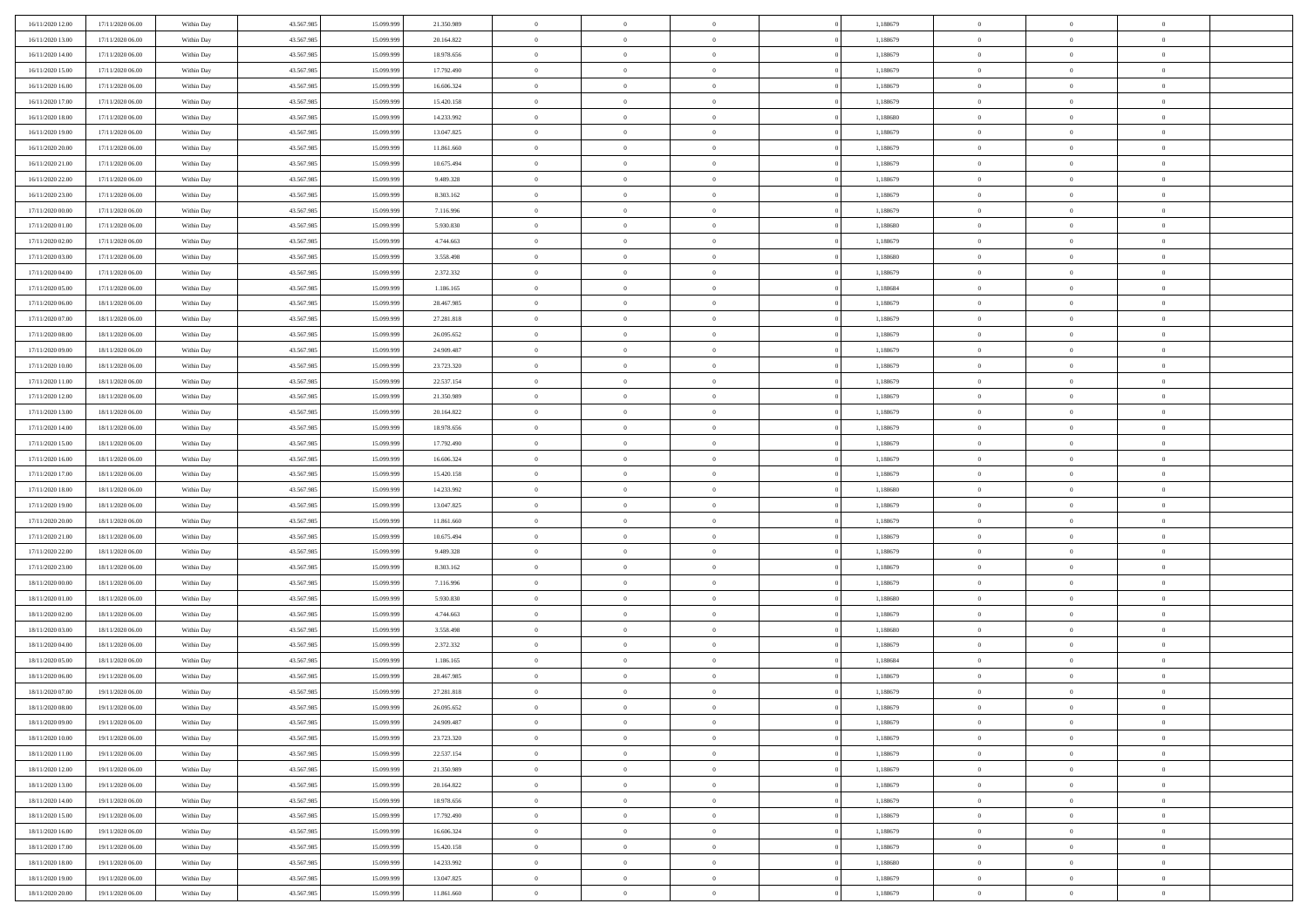| 16/11/2020 12:00 | 17/11/2020 06:00                     | Within Day | 43.567.985 | 15.099.999 | 21.350.989 | $\bf{0}$       | $\overline{0}$ | $\overline{0}$             | 1,188679 | $\bf{0}$                   | $\overline{0}$                   | $\,0\,$        |  |
|------------------|--------------------------------------|------------|------------|------------|------------|----------------|----------------|----------------------------|----------|----------------------------|----------------------------------|----------------|--|
| 16/11/2020 13.00 | 17/11/2020 06.00                     | Within Day | 43.567.985 | 15,099,999 | 20.164.822 | $\theta$       | $\overline{0}$ | $\mathbf{0}$               | 1,188679 | $\theta$                   | $\overline{0}$                   | $\theta$       |  |
| 16/11/2020 14:00 | 17/11/2020 06:00                     | Within Dav | 43.567.985 | 15.099.999 | 18.978.656 | $\theta$       | $\overline{0}$ | $\overline{0}$             | 1,188679 | $\mathbf{0}$               | $\overline{0}$                   | $\overline{0}$ |  |
| 16/11/2020 15:00 | 17/11/2020 06.00                     | Within Day | 43.567.985 | 15.099.999 | 17.792.490 | $\,$ 0 $\,$    | $\overline{0}$ | $\overline{0}$             | 1,188679 | $\bf{0}$                   | $\overline{0}$                   | $\bf{0}$       |  |
| 16/11/2020 16:00 | 17/11/2020 06:00                     | Within Day | 43.567.985 | 15.099.999 | 16.606.324 | $\,$ 0         | $\overline{0}$ | $\mathbf{0}$               | 1,188679 | $\bf{0}$                   | $\theta$                         | $\,0\,$        |  |
| 16/11/2020 17:00 | 17/11/2020 06:00                     | Within Dav | 43.567.985 | 15.099.999 | 15.420.158 | $\theta$       | $\overline{0}$ | $\mathbf{0}$               | 1,188679 | $\mathbf{0}$               | $\overline{0}$                   | $\overline{0}$ |  |
| 16/11/2020 18:00 | 17/11/2020 06:00                     | Within Day | 43.567.985 | 15.099.999 | 14.233.992 | $\,$ 0 $\,$    | $\overline{0}$ | $\overline{0}$             | 1,188680 | $\bf{0}$                   | $\overline{0}$                   | $\bf{0}$       |  |
|                  |                                      |            |            | 15.099.999 |            | $\,$ 0         | $\overline{0}$ | $\mathbf{0}$               |          | $\,$ 0 $\,$                | $\overline{0}$                   | $\theta$       |  |
| 16/11/2020 19:00 | 17/11/2020 06:00                     | Within Day | 43.567.985 |            | 13.047.825 | $\theta$       |                |                            | 1,188679 | $\mathbf{0}$               |                                  | $\overline{0}$ |  |
| 16/11/2020 20:00 | 17/11/2020 06:00                     | Within Day | 43.567.985 | 15.099.999 | 11.861.660 |                | $\overline{0}$ | $\overline{0}$<br>$\Omega$ | 1,188679 |                            | $\overline{0}$<br>$\overline{0}$ |                |  |
| 16/11/2020 21:00 | 17/11/2020 06.00                     | Within Day | 43.567.985 | 15.099.999 | 10.675.494 | $\,$ 0 $\,$    | $\overline{0}$ |                            | 1,188679 | $\bf{0}$                   |                                  | $\,0\,$        |  |
| 16/11/2020 22.00 | 17/11/2020 06.00                     | Within Day | 43.567.985 | 15,099,999 | 9.489.328  | $\bf{0}$       | $\overline{0}$ | $\mathbf{0}$               | 1,188679 | $\bf{0}$                   | $\mathbf{0}$                     | $\theta$       |  |
| 16/11/2020 23:00 | 17/11/2020 06:00                     | Within Dav | 43.567.985 | 15.099.999 | 8.303.162  | $\theta$       | $\overline{0}$ | $\overline{0}$             | 1,188679 | $\mathbf{0}$               | $\overline{0}$                   | $\overline{0}$ |  |
| 17/11/2020 00:00 | 17/11/2020 06:00                     | Within Day | 43.567.985 | 15.099.999 | 7.116.996  | $\,$ 0 $\,$    | $\overline{0}$ | $\overline{0}$             | 1,188679 | $\bf{0}$                   | $\overline{0}$                   | $\bf{0}$       |  |
| 17/11/2020 01:00 | 17/11/2020 06:00                     | Within Day | 43.567.985 | 15.099.999 | 5.930.830  | $\,$ 0         | $\overline{0}$ | $\mathbf{0}$               | 1,188680 | $\bf{0}$                   | $\theta$                         | $\,0\,$        |  |
| 17/11/2020 02.00 | 17/11/2020 06:00                     | Within Dav | 43.567.985 | 15.099.999 | 4.744.663  | $\theta$       | $\overline{0}$ | $\mathbf{0}$               | 1,188679 | $\mathbf{0}$               | $\overline{0}$                   | $\overline{0}$ |  |
| 17/11/2020 03:00 | 17/11/2020 06.00                     | Within Day | 43.567.985 | 15.099.999 | 3.558.498  | $\,$ 0 $\,$    | $\overline{0}$ | $\Omega$                   | 1,188680 | $\bf{0}$                   | $\overline{0}$                   | $\bf{0}$       |  |
| 17/11/2020 04:00 | 17/11/2020 06.00                     | Within Day | 43.567.985 | 15.099.999 | 2.372.332  | $\,$ 0 $\,$    | $\overline{0}$ | $\mathbf{0}$               | 1,188679 | $\bf{0}$                   | $\overline{0}$                   | $\theta$       |  |
| 17/11/2020 05:00 | 17/11/2020 06:00                     | Within Day | 43.567.985 | 15.099.999 | 1.186.165  | $\theta$       | $\overline{0}$ | $\mathbf{0}$               | 1,188684 | $\mathbf{0}$               | $\overline{0}$                   | $\overline{0}$ |  |
| 17/11/2020 06:00 | 18/11/2020 06:00                     | Within Day | 43.567.985 | 15.099.999 | 28.467.985 | $\,$ 0 $\,$    | $\overline{0}$ | $\Omega$                   | 1,188679 | $\bf{0}$                   | $\overline{0}$                   | $\,0\,$        |  |
| 17/11/2020 07:00 | 18/11/2020 06:00                     | Within Day | 43.567.985 | 15.099.999 | 27.281.818 | $\bf{0}$       | $\overline{0}$ | $\mathbf{0}$               | 1,188679 | $\bf{0}$                   | $\mathbf{0}$                     | $\theta$       |  |
| 17/11/2020 08:00 | 18/11/2020 06:00                     | Within Dav | 43.567.985 | 15.099.999 | 26.095.652 | $\theta$       | $\overline{0}$ | $\mathbf{0}$               | 1,188679 | $\mathbf{0}$               | $\overline{0}$                   | $\overline{0}$ |  |
| 17/11/2020 09:00 | 18/11/2020 06:00                     | Within Day | 43.567.985 | 15.099.999 | 24.909.487 | $\,$ 0 $\,$    | $\overline{0}$ | $\overline{0}$             | 1,188679 | $\bf{0}$                   | $\overline{0}$                   | $\bf{0}$       |  |
| 17/11/2020 10:00 | 18/11/2020 06:00                     | Within Day | 43.567.985 | 15.099.999 | 23.723.320 | $\,$ 0         | $\overline{0}$ | $\mathbf{0}$               | 1,188679 | $\bf{0}$                   | $\overline{0}$                   | $\,0\,$        |  |
| 17/11/2020 11:00 | 18/11/2020 06:00                     | Within Dav | 43.567.985 | 15.099.999 | 22.537.154 | $\theta$       | $\overline{0}$ | $\mathbf{0}$               | 1,188679 | $\mathbf{0}$               | $\overline{0}$                   | $\overline{0}$ |  |
| 17/11/2020 12:00 | 18/11/2020 06:00                     | Within Day | 43.567.985 | 15.099.999 | 21.350.989 | $\,$ 0 $\,$    | $\overline{0}$ | $\overline{0}$             | 1,188679 | $\bf{0}$                   | $\overline{0}$                   | $\bf{0}$       |  |
| 17/11/2020 13:00 | 18/11/2020 06:00                     | Within Day | 43.567.985 | 15,099,999 | 20.164.822 | $\,$ 0         | $\overline{0}$ | $\mathbf{0}$               | 1,188679 | $\bf{0}$                   | $\overline{0}$                   | $\theta$       |  |
| 17/11/2020 14:00 | 18/11/2020 06:00                     | Within Day | 43.567.985 | 15.099.999 | 18.978.656 | $\theta$       | $\overline{0}$ | $\overline{0}$             | 1,188679 | $\mathbf{0}$               | $\overline{0}$                   | $\overline{0}$ |  |
| 17/11/2020 15:00 | 18/11/2020 06:00                     | Within Day | 43.567.985 | 15.099.999 | 17.792.490 | $\,$ 0 $\,$    | $\overline{0}$ | $\Omega$                   | 1,188679 | $\bf{0}$                   | $\overline{0}$                   | $\bf{0}$       |  |
| 17/11/2020 16.00 | 18/11/2020 06:00                     | Within Day | 43.567.985 | 15,099,999 | 16.606.324 | $\bf{0}$       | $\overline{0}$ | $\mathbf{0}$               | 1,188679 | $\bf{0}$                   | $\mathbf{0}$                     | $\overline{0}$ |  |
| 17/11/2020 17:00 | 18/11/2020 06:00                     | Within Dav | 43.567.985 | 15.099.999 | 15.420.158 | $\theta$       | $\overline{0}$ | $\overline{0}$             | 1,188679 | $\mathbf{0}$               | $\overline{0}$                   | $\overline{0}$ |  |
| 17/11/2020 18:00 | 18/11/2020 06:00                     | Within Day | 43.567.985 | 15.099.999 | 14.233.992 | $\,$ 0 $\,$    | $\overline{0}$ | $\overline{0}$             | 1,188680 | $\,$ 0                     | $\overline{0}$                   | $\,$ 0 $\,$    |  |
| 17/11/2020 19:00 | 18/11/2020 06:00                     | Within Day | 43.567.985 | 15.099.999 | 13.047.825 | $\,$ 0         | $\overline{0}$ | $\mathbf{0}$               | 1,188679 | $\bf{0}$                   | $\mathbf{0}$                     | $\overline{0}$ |  |
| 17/11/2020 20:00 | 18/11/2020 06:00                     | Within Dav | 43.567.985 | 15.099.999 | 11.861.660 | $\theta$       | $\overline{0}$ | $\mathbf{0}$               | 1,188679 | $\mathbf{0}$               | $\overline{0}$                   | $\overline{0}$ |  |
| 17/11/2020 21:00 | 18/11/2020 06:00                     | Within Day | 43.567.985 | 15.099.999 | 10.675.494 | $\theta$       | $\overline{0}$ | $\overline{0}$             | 1,188679 | $\,$ 0                     | $\overline{0}$                   | $\theta$       |  |
| 17/11/2020 22.00 | 18/11/2020 06:00                     | Within Day | 43.567.985 | 15,099,999 | 9.489.328  | $\bf{0}$       | $\overline{0}$ | $\mathbf{0}$               | 1,188679 | $\mathbf{0}$               | $\overline{0}$                   | $\overline{0}$ |  |
| 17/11/2020 23.00 | 18/11/2020 06:00                     | Within Day | 43.567.985 | 15.099.999 | 8.303.162  | $\theta$       | $\overline{0}$ | $\mathbf{0}$               | 1,188679 | $\mathbf{0}$               | $\overline{0}$                   | $\overline{0}$ |  |
| 18/11/2020 00:00 | 18/11/2020 06:00                     | Within Day | 43.567.985 | 15.099.999 | 7.116.996  | $\theta$       | $\overline{0}$ | $\overline{0}$             | 1,188679 | $\,$ 0                     | $\overline{0}$                   | $\theta$       |  |
| 18/11/2020 01:00 | 18/11/2020 06:00                     | Within Day | 43.567.985 | 15.099.999 | 5.930.830  | $\bf{0}$       | $\overline{0}$ | $\mathbf{0}$               | 1,188680 | $\bf{0}$                   | $\mathbf{0}$                     | $\overline{0}$ |  |
| 18/11/2020 02:00 | 18/11/2020 06:00                     | Within Dav | 43.567.985 | 15.099.999 | 4.744.663  | $\theta$       | $\overline{0}$ | $\overline{0}$             | 1,188679 | $\mathbf{0}$               | $\overline{0}$                   | $\overline{0}$ |  |
| 18/11/2020 03:00 | 18/11/2020 06:00                     | Within Day | 43.567.985 | 15.099.999 | 3.558.498  | $\,$ 0 $\,$    | $\overline{0}$ | $\overline{0}$             | 1,188680 | $\,$ 0                     | $\overline{0}$                   | $\,$ 0 $\,$    |  |
| 18/11/2020 04:00 | 18/11/2020 06:00                     | Within Day | 43.567.985 | 15.099.999 | 2.372.332  | $\,$ 0         | $\,$ 0 $\,$    | $\overline{0}$             | 1,188679 | $\,$ 0 $\,$                | $\overline{0}$                   | $\bf{0}$       |  |
| 18/11/2020 05:00 | 18/11/2020 06:00                     | Within Dav | 43.567.985 | 15.099.999 | 1.186.165  | $\theta$       | $\overline{0}$ | $\mathbf{0}$               | 1,188684 | $\mathbf{0}$               | $\overline{0}$                   | $\theta$       |  |
| 18/11/2020 06:00 | 19/11/2020 06.00                     | Within Day | 43.567.985 | 15.099.999 | 28.467.985 | $\overline{0}$ | $\overline{0}$ | $\overline{0}$             | 1,188679 | $\,$ 0                     | $\overline{0}$                   | $\theta$       |  |
| 18/11/2020 07:00 | 19/11/2020 06.00                     | Within Day | 43.567.985 | 15.099.999 | 27.281.818 | $\bf{0}$       | $\,$ 0 $\,$    | $\mathbf{0}$               | 1,188679 | $\bf{0}$                   | $\overline{0}$                   | $\bf{0}$       |  |
| 18/11/2020 08:00 | 19/11/2020 06:00                     | Within Day | 43.567.985 | 15.099.999 | 26.095.652 | $\overline{0}$ | $\theta$       |                            | 1,188679 | $\overline{0}$             | $\theta$                         | $\theta$       |  |
| 18/11/2020 09:00 | 19/11/2020 06:00                     | Within Day | 43.567.985 | 15.099.999 | 24.909.487 | $\,$ 0 $\,$    | $\overline{0}$ | $\overline{0}$             | 1,188679 | $\,$ 0 $\,$                | $\bf{0}$                         | $\theta$       |  |
| 18/11/2020 10:00 | 19/11/2020 06:00                     | Within Day | 43.567.985 | 15.099.999 | 23.723.320 | $\bf{0}$       | $\,$ 0 $\,$    | $\overline{0}$             | 1,188679 | $\,$ 0 $\,$                | $\overline{0}$                   | $\overline{0}$ |  |
| 18/11/2020 11:00 | 19/11/2020 06:00                     | Within Day | 43.567.985 | 15.099.999 | 22.537.154 | $\mathbf{0}$   | $\overline{0}$ | $\overline{0}$             | 1,188679 | $\,$ 0 $\,$                | $\bf{0}$                         | $\mathbf{0}$   |  |
| 18/11/2020 12:00 | 19/11/2020 06:00                     | Within Day | 43.567.985 | 15.099.999 | 21.350.989 | $\,$ 0 $\,$    | $\overline{0}$ | $\overline{0}$             | 1,188679 | $\,$ 0 $\,$                | $\bf{0}$                         | $\,$ 0 $\,$    |  |
| 18/11/2020 13:00 | 19/11/2020 06.00                     | Within Day | 43.567.985 | 15.099.999 | 20.164.822 | $\,$ 0 $\,$    | $\,$ 0 $\,$    | $\overline{0}$             | 1,188679 | $\,$ 0 $\,$                | $\overline{0}$                   | $\overline{0}$ |  |
| 18/11/2020 14:00 | 19/11/2020 06:00                     | Within Day | 43.567.985 | 15.099.999 | 18.978.656 | $\overline{0}$ | $\overline{0}$ | $\overline{0}$             | 1,188679 | $\mathbf{0}$               | $\bf{0}$                         | $\overline{0}$ |  |
| 18/11/2020 15:00 | 19/11/2020 06:00                     | Within Day | 43.567.985 | 15.099.999 | 17.792.490 | $\,$ 0 $\,$    | $\overline{0}$ | $\overline{0}$             | 1,188679 | $\,$ 0 $\,$                | $\overline{0}$                   | $\,$ 0 $\,$    |  |
|                  |                                      |            | 43.567.985 |            |            | $\bf{0}$       |                | $\overline{0}$             |          |                            | $\overline{0}$                   |                |  |
| 18/11/2020 16:00 | 19/11/2020 06:00<br>19/11/2020 06:00 | Within Day |            | 15.099.999 | 16.606.324 | $\mathbf{0}$   | $\,$ 0 $\,$    |                            | 1,188679 | $\,$ 0 $\,$<br>$\,$ 0 $\,$ |                                  | $\overline{0}$ |  |
| 18/11/2020 17:00 |                                      | Within Day | 43.567.985 | 15.099.999 | 15.420.158 |                | $\overline{0}$ | $\overline{0}$             | 1,188679 |                            | $\bf{0}$                         | $\overline{0}$ |  |
| 18/11/2020 18:00 | 19/11/2020 06:00                     | Within Day | 43.567.985 | 15.099.999 | 14.233.992 | $\,$ 0 $\,$    | $\overline{0}$ | $\overline{0}$             | 1,188680 | $\,$ 0 $\,$                | $\overline{0}$                   | $\,$ 0 $\,$    |  |
| 18/11/2020 19:00 | 19/11/2020 06.00                     | Within Day | 43.567.985 | 15.099.999 | 13.047.825 | $\,$ 0 $\,$    | $\,$ 0 $\,$    | $\overline{0}$             | 1,188679 | $\,$ 0 $\,$                | $\overline{0}$                   | $\overline{0}$ |  |
| 18/11/2020 20:00 | 19/11/2020 06:00                     | Within Day | 43.567.985 | 15.099.999 | 11.861.660 | $\theta$       | $\overline{0}$ | $\overline{0}$             | 1,188679 | $\mathbf{0}$               | $\overline{0}$                   | $\overline{0}$ |  |